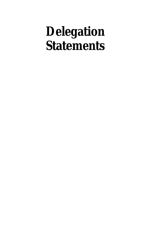# **Delegation Statements**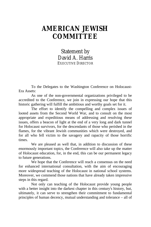# **AMERICAN JEWISH COMMITTEE**

Statement by David A. Harris EXECUTIVE DIRECTOR

To the Delegates to the Washington Conference on Holocaust-Era Assets:

As one of the non-governmental organizations privileged to be accredited to the Conference, we join in expressing our hope that this historic gathering will fulfill the ambitious and worthy goals set for it.

The effort to identify the compelling and complex issues of looted assets from the Second World War, and to consult on the most appropriate and expeditious means of addressing and resolving these issues, offers a beacon of light at the end of a very long and dark tunnel for Holocaust survivors, for the descendants of those who perished in the flames, for the vibrant Jewish communities which were destroyed, and for all who fell victim to the savagery and rapacity of those horrific times.

We are pleased as well that, in addition to discussion of these enormously important topics, the Conference will also take up the matter of Holocaust education, for, in the end, this can be our permanent legacy to future generations.

We hope that the Conference will reach a consensus on the need for enhanced international consultation, with the aim of encouraging more widespread teaching of the Holocaust in national school systems. Moreover, we commend those nations that have already taken impressive steps in this regard.

Not only can teaching of the Holocaust provide young people with a better insight into the darkest chapter in this century's history, but, ultimately, it can serve to strengthen their commitment to fundamental principles of human decency, mutual understanding and tolerance – all of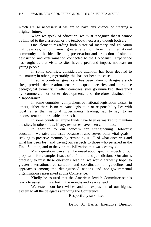which are so necessary if we are to have any chance of creating a brighter future.

When we speak of education, we must recognize that it cannot be limited to the classroom or the textbook, necessary though both are.

One element regarding both historical memory and education that deserves, in our view, greater attention from the international community is the identification, preservation and protection of sites of destruction and extermination connected to the Holocaust. Experience has taught us that visits to sites have a profound impact, not least on young people.

In some countries, considerable attention has been devoted to this matter; in others, regrettably, this has not been the case.

In some countries, great care has been taken to designate such sites, provide demarcation, ensure adequate security, and introduce pedagogical elements; in other countries, sites go unmarked, threatened by commercial or other development, and therefore destined for disappearance.

In some countries, comprehensive national legislation exists; in others, either there is no relevant legislation or responsibility lies with local rather than national governments, leading, sad to say, to an inconsistent and unreliable approach.

In some countries, ample funds have been earmarked to maintain the sites; in others, few, if any, resources have been committed.

In addition to our concern for strengthening Holocaust education, we raise this issue because it also serves other vital goals – seeking to preserve memory by reminding us all of what once was and what has been lost, and paying our respects to those who perished in the Final Solution, and to the vibrant civilization that was destroyed.

Many questions can surely be raised about specific aspects of our proposal – for example, issues of definition and jurisdiction. Our aim is precisely to raise these questions, leading, we would earnestly hope, to greater international consultation and coordination on guidelines and approaches among the distinguished nations and non-governmental organizations represented at this Conference.

Kindly be assured that the American Jewish Committee stands ready to assist in this effort in the months and years ahead.

We extend our best wishes and the expression of our highest esteem to all the delegates attending the Conference.

Respectfully submitted,

David A. Harris, Executive Director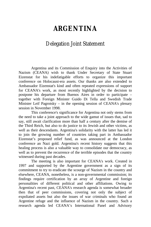# **ARGENTINA**

# Delegation Joint Statement

Argentina and its Commission of Enquiry into the Activities of Nazism (CEANA) wish to thank Under Secretary of State Stuart Eizenstat for his indefatigable efforts to organize this important conference on Holocaust-era assets. Our thanks are also extended to Ambassador Eizenstat's kind and often repeated expressions of support for CEANA's work, as most recently highlighted by the decision to postpone his departure from Buenos Aires in order to participate – together with Foreign Minister Guido Di Tella and Swedish Trade Minister Leif Pagrotsky – in the opening session of CEANA's plenary session in November 1998.

This conference's significance for Argentina not only stems from the need to take a joint approach to the wide gamut of issues that, sad to say, still await clarification more than half a century after the demise of the Third Reich, but also to do justice to its Jewish and other victims, as well as their descendants. Argentina's solidarity with the latter has led it to join the growing number of countries taking part in Ambassador Eizenstat's proposed relief fund, as was announced at the London conference an Nazi gold. Argentina's recent history suggests that this healing process is also a valuable way to consolidate our democracy, as well as to prevent the recurrence of the terrible episodes that the country witnessed during past decades.

The meeting is also important for CEANA's work. Created in 1997 and supported by the Argentine government as a sign of its commitment to try to eradicate the scourge of Nazism in the country and elsewhere, CEANA, nonetheless, is a non-governmental commission; its findings require certification by an array of Argentine and foreign personalities of different political and other affiliations. Owing to Argentina's recent past, CEANA's research agenda is somewhat broader then that of peer commissions, covering not only the subject of expoliated assets but also the issues of war criminals who found an Argentine refuge and the influence of Nazism in the country. Such a research agenda led CEANA's International Panel and Advisory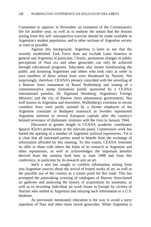Committee to approve in November an extension of the Commission's life for another year, as well as to endorse the notion that the lessons arising from this self -introspective exercise should be made available to Argentine's student population, and to other sections of Argentine society as soon as possible.

Against this background, Argentina is keen to see that the recently established Task Force does not exclude Latin America in general and Argentina in particular, Clearly, permanent changes in public perceptions of Nazi era and other genocides can only be achieved through educational programs. Education also means familiarizing the public and honoring Argentines and others who took risks in order to save numbers of those whose lives were threatened by Nazism. Not surprisingly, therefore, CEANA's plenary coincided with the unveiling of a Buenos Aires monument of Raoul Wallenberg and issuing of a commemorative stamp (initiatives jointly sponsored by a CEANA international panelist, Sir Sigmund Sternberg; Argentina's Foreign Ministry; and the city of Buenos Aires autonomous government). Not well known in Argentina and elsewhere, Wallenberg's exertions to rescue countless Jews were partly assisted by a former employee of the Argentine consulate in Budapest inasmuch as Sweden represented Argentine interests in several European capitals after the country's belated severance of diplomatic relations with the Axis in January 1944.

Discussed at greater length in CEANA academic coordinator Ignacio Klich's presentation at the relevant panel, Commission work has fueled the opening of a number of Argentine archival repositories. Yet it is clear that all interested parties stand to benefit from the exchange of information afforded by this meeting. To this extent, CEANA reiterates its offer to share with others the fruits of its research at Argentine and other repositories, as well as acknowledges the important benefits derived from the seminar held here in June 1998 and from this conference, in particular by its research unit an art.

Such a unit has sought to confirm information arising from non-Argentine sources about the arrival of looted works of art, as well as the possible use of the country as a transit point for this trade. This has prompted the painstaking scouring of catalogues of Buenos Aires-based art galleries and analyzing the history of acquisitions by museums, as well as to recording individual art work losses in Europe by victims of Nazism who settled in Argentina and relaying such information to a U.S. database.

As previously mentioned, education is the way to avoid a sorry repetition of Nazi and other more recent genocides. While Argentina is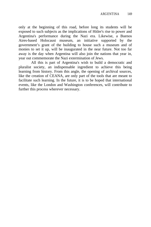only at the beginning of this road, before long its students will be exposed to such subjects as the implications of Hitler's rise to power and Argentina's performance during the Nazi era. Likewise, a Buenos Aires-based Holocaust museum, an initiative supported by the government's grant of the building to house such a museum and of monies to set it up, will be inaugurated in the near future. Not too far away is the day when Argentina will also join the nations that year in, year out commemorate the Nazi extermination of Jews.

All this is part of Argentina's wish to build a democratic and pluralist society, an indispensable ingredient to achieve this being learning from history. From this angle, the opening of archival sources, like the creation of CEANA, are only part of the tools that are meant to facilitate such learning. In the future, it is to be hoped that international events, like the London and Washington conferences, will contribute to further this process wherever necessary.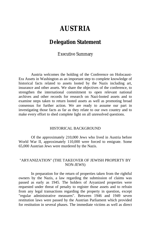# **AUSTRIA**

### **Delegation Statement**

#### Executive Summary

Austria welcomes the holding of the Conference on Holocaust-Era Assets in Washington as an important step to complete knowledge of historical facts related to assets looted by the Nazis including art, insurance and other assets. We share the objectives of the conference, to strengthen the international commitment to open relevant national archives and other records for research on Nazi-looted assets and to examine steps taken to return looted assets as well as promoting broad consensus for further action. We are ready to assume our part in investigating those facts as far as they relate to our own country and to make every effort to shed complete light on all unresolved questions.

#### HISTORICAL BACKGROUND

Of the approximately 210,000 Jews who lived in Austria before World War II, approximately 110,000 were forced to emigrate. Some 65,000 Austrian Jews were murdered by the Nazis.

#### "ARYANIZATION" (THE TAKEOVER OF JEWISH PROPERTY BY NON-JEWS)

In preparation for the return of properties taken from the rightful owners by the Nazis, a law regarding the submission of claims was passed as early as 1945. The holders of Aryanized properties were requested under threat of penalty to register those assets and to refrain from any legal transactions regarding the property in question, except "regular administrative measures". Between 1946 and 1949 seven restitution laws were passed by the Austrian Parliament which provided for restitution in several phases. The immediate victims as well as direct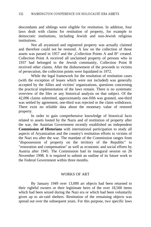descendants and siblings were eligible for restitution. In addition, four laws dealt with claims for restitution of property, for example to democratic institutions, including Jewish and non-Jewish religious institutions.

Not all aryanized and registered property was actually claimed and therefore could not be restored. A law on the collection of those assets was passed in 1957 and the "Collection Points A and B" created. Collection Point A received all unclaimed property of persons who in 1937 had belonged to the Jewish community, Collection Point B received other claims. After the disbursement of the proceeds to victims of persecution, the collection points were liquidated in 1972.

While the legal framework for the resolution of restitution cases (with the exception of leases which were not included) was generally accepted by the Allies and victims' organizations, questions concerning the practical implementation of the laws remain. There is no systematic overview of the files or any historical analysis on that subject. Of the 42,096 claims submitted, approximately one-fifth was granted, one-third was settled by agreement, one-third was rejected or the claim withdrawn. There exist no reliable data about the monetary value of restored property.

In order to gain comprehensive knowledge of historical facts related to assets looted by the Nazis and of restitution of property after the war, the Austrian Government recently established an independent **Commission of Historians** with international participation to study all aspects of Aryanization and the country's restitution efforts to victims of the Nazi era after the war. The mandate of the Commission ranges from "dispossession of property on the territory of the Republic" to "restoration and compensation" as well as economic and social efforts by Austria after 1945. The Commission had its inaugural session on 26 November 1998. It is required to submit an outline of its future work to the Federal Government within three months.

#### WORKS OF ART

By January 1949 over 13,000 art objects had been returned to their rightful owners or their legitimate heirs of the over 18,500 items which had been seized during the Nazi era or which had been voluntarily given up to air-raid shelters. Restitution of the remaining objects was spread out over the subsequent years. For this purpose, two specific laws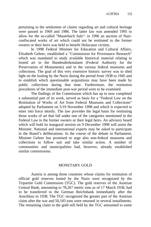pertaining to the settlement of claims regarding art and cultural heritage were passed in 1969 and 1986. The latter law was amended 1995 to allow for the so-called "Mauerbach Sale": in 1996 an auction of Naziconfiscated works of art which could not be restituted to the former owners or their heirs was held to benefit Holocaust victims.

In 1998 Federal Minister for Education and Cultural Affairs, Elisabeth Gehrer, established a "Commission for Provenance Research" which was mandated to study available historical material relating to looted art in the Bundesdenkmalamt (Federal Authority for the Preservation of Monuments) and in the various federal museums and collections. The goal of this very extensive historic survey was to shed light on the looting by the Nazis during the period from 1938 to 1945 and to establish which questionable acquisitions may have been made by public collections during that time. Furthermore, the restitution procedures of the immediate post-war period were to be examined.

The findings of the Commission which has up to now completed a substantial part of its work, served as basis for a "Federal Law on the Restitution of Works of Art from Federal Museums and Collections" adopted by Parliament on 5/19 November 1998 and which is expected to enter into force shortly. The law provides the legal basis for restituting those works of art that fall under one of the categories mentioned in the Federal Law to the former owners or their legal heirs. An advisory board which will hold its inaugural session on 9 December 1998 will assist the Minister. National and international experts may be asked to participate in the Board's deliberations. In the course of the debate in Parliament, Minister Gehrer has promised to urge also non-federal museums and collections to follow suit and take similar action. A number of communities and municipalities had, however, already established similar commissions.

#### MONETARY GOLD

Austria is among those countries whose claims for restitution of official gold reserves looted by the Nazis were recognized by the Tripartite Gold Commission (TGC). The gold reserves of the Austrian Central Bank, amounting to 78,267 metric tons as of 17 March 1938, had to be transferred to the German Reichsbank immediately after the Anschluss in 1938. The TGC recognized the greater part of the Austrian claim after the war and 50,183 tons were returned in several installments. The remaining claim to the gold still held by the TGC amounted to some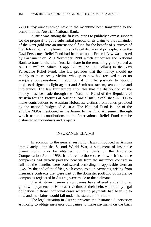27,000 troy ounces which have in the meantime been transferred to the account of the Austrian National Bank.

Austria was among the first countries to publicly express support for the proposal to put a substantial portion of its claim to the remainder of the Nazi gold into an international fund for the benefit of survivors of the Holocaust. To implement this political decision of principle, once the Nazi Persecutee Relief Fund had been set up, a Federal Law was passed by Parliament on 5/19 November 1998 which authorizes the National Bank to transfer the total Austrian share in the remaining gold (valued at AS 102 million, which is app. 8.5 million US Dollars) to the Nazi Persecutee Relief Fund. The law provides that the money should go mainly to those needy victims who up to now had received no or no adequate compensation. In addition, it will be possible to support projects designed to fight against anti-Semitism, racism, xenophobia and intolerance. The law furthermore stipulates that the distribution of the money must be made through the **"National Fund of the Republic of Austria for the Victims of National Socialism",** established in 1995 to make contributions to Austrian Holocaust victims from funds provided by the national budget of Austria. The National Fund is one of the eligible NGOs mentioned in the Annex to the Fund Agreement through which national contributions to the International Relief Fund can be disbursed to individuals and projects

#### INSURANCE CLAIMS

In addition to the general restitution laws introduced in Austria immediately after the Second World War, a settlement of insurance claims could also be obtained on the basis of the Insurance Compensation Act of 1958. It referred to those cases in which insurance companies had already paid the benefits from the insurance contract in full but the benefits were confiscated according to applicable German laws. By the end of the fifties, such compensation payments, arising from insurance contracts that were part of the domestic portfolio of insurance companies registered in Austria, were made to the claimants.

The Austrian insurance companies have offered and still offer good-will payments to Holocaust victims or their heirs without any legal obligation in those individual cases where no payments had been up to now and the claims would fall under the statute of limitation.

The legal situation in Austria prevents the Insurance Supervisory Authority to oblige insurance companies to make payments on the basis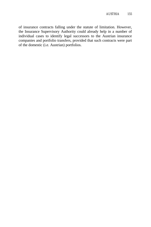of insurance contracts falling under the statute of limitation. However, the Insurance Supervisory Authority could already help in a number of individual cases to identify legal successors to the Austrian insurance companies and portfolio transfers, provided that such contracts were part of the domestic (i.e. Austrian) portfolios.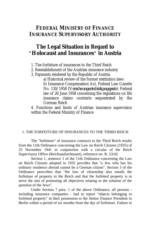# **FEDERAL MINISTRY OF FINANCE INSURANCE SUPERVISORY AUTHORITY**

# **The Legal Situation in Regard to "Holocaust and Insurances" in Austria**

- 1. The forfeiture of insurances to the Third Reich
- 2. Reestablishment of the Austrian insurance industry
- 3. Payments rendered by the Republic of Austria
	- a) Historical review of the former restitution laws

b) Insurance Compensation Act, Federal Law Gazette No. 130/1958 (*Versicherungsentschädigungsgesetz*): Federal law of 26 June 1958 concerning the regulations on life insurance claims contracts sequestrated by the German Reich

4. Functions and limits of Austrian insurance supervision within the Federal Ministry of Finance

#### 1. THE FORFEITURE OF INSURANCES TO THE THIRD REICH

The "forfeiture" of insurance contracts to the Third Reich results from the 11th Ordinance concerning the Law on Reich Citizens (1935) of 25 November 1941 in conjunction with a circular of the Reich Supervisory Office (Reichsaufsichtsamt), reference no. R. 53/42.

Section 1, sentence 1 of the 11th Ordinance concerning the Law on Reich Citizens adopted in 1935 provides that "a Jew who has his ordinary residence abroad cannot be a German citizen". Section 3 of the Ordinance prescribes that "the loss of citizenship also entails the forfeiture of property to the Reich and that the forfeited property is to serve the aim of promoting all objectives relating to the solution of the question of the Jews".

Under Section 7 para. 1 of the above Ordinance, all persons including insurance companies - had to report "objects belonging to forfeited property" in their possession to the Senior Finance President in Berlin within a period of six months from the day of forfeiture. Failure to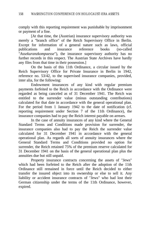comply with this reporting requirement was punishable by imprisonment or payment of a fine.

[At that time, the (Austrian) insurance supervisory authority was merely a "branch office" of the Reich Supervisory Office in Berlin. Except for information of a general nature such as laws, official publications and insurance reference books (so-called "*Assekuranzkompaesse*"), the insurance supervisory authority has no further records in this respect. The Austrian State Archives have hardly any files from that time in their possession.]

On the basis of this 11th Ordinance, a circular issued by the Reich Supervisory Office for Private Insurance in Berlin in 1942, reference no. 53/42, to the supervised insurance companies, provided, inter alia, for the following:

Endowment insurances of any kind with regular premium payments forfeited to the Reich in accordance with the Ordinance were regarded as being canceled as of 31 December 1941. The Reich was entitled to the surrender value (minus outstanding contributions) calculated for that date in accordance with the general operational plan. For the period from 1 January 1942 to the date of notification (cf. reporting requirement under Section 7 of the 11th Ordinance), the insurance companies had to pay the Reich interest payable on arrears.

In the case of annuity insurances of any kind where the General Standard Terms and Conditions made provision for surrender, the insurance companies also had to pay the Reich the surrender value calculated for 31 December 1941 in accordance with the general operational plan. As regards all sorts of annuity insurances where the General Standard Terms and Conditions provided no option for surrender, the Reich retained 75% of the premium reserve calculated for 31 December 1941 on the basis of the general operational plan plus the annuities due but still unpaid.

Property insurance contracts concerning the assets of "Jews" which had been forfeited to the Reich after the adoption of the 11th Ordinance still remained in force until the Reich decided to either transfer the insured object into its ownership or else to sell it. Any liability or accident insurance contracts of "Jews" who had lost their German citizenship under the terms of the 11th Ordinance, however, expired.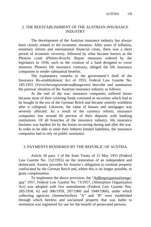#### 2. THE REESTABLISHMENT OF THE AUSTRIAN INSURANCE INDUSTRY

The development of the Austrian insurance industry has always been closely related to the economic situation. After years of inflation, monetary reform and international financial crises, there was a short period of economic recovery, followed by what became known as the Phoenix crash (*Phönix-Krach*). Repair measures ordered by the legislators in 1936, such as the creation of a fund designed to cover domestic Phoenix life insurance contracts, obliged the life insurance companies to render substantial benefits.

The explanatory remarks to the government's draft of the Insurance Re-establishment Act of 1955, Federal Law Gazette No. 185/1955 (*Versicherungswiederaufbaugesetz*) describe and summarize the postwar situation of the Austrian insurance industry as follows:

At the end of the war, insurance companies suffered losses because most of their covering funds consisted in securities which had to be bought in the era of the German Reich and became entirely worthless after it collapsed. Likewise, the value of houses and mortgages was severely affected. As a result of the currency reform, insurance companies lost around 60 percent of their deposits with banking institutions. Of all branches of the insurance industry, life insurance business was hardest hit by the losses occurring during and after the war. In order to be able to meet their hitherto limited liabilities, the insurance companies had to rely on public assistance.

#### 3. PAYMENTS RENDERED BY THE REPUBLIC OF AUSTRIA

Article 26 para. 1 of the State Treaty of 15 May 1955 (Federal Law Gazette No. 152/1955) on the restoration of an independent and democratic Austria provides for Austria's obligation to restitute property confiscated by the German Reich and, where this is no longer possible, to grant compensation.

To implement the above provision, the "*Auffangorganisationsgesetz*" 1957, Federal Law Gazette No. 73/1957, (Absorption Organization Act) was adopted with five amendments (Federal Law Gazette Nos. 285/1958, 62 and 306/1959, 287/1960 and 1949/1966), under which collecting agencies (*Sammelstellen*) "A" and "B" were established through which heirless and unclaimed property that was liable to restitution was registered for use for the benefit of persecuted persons.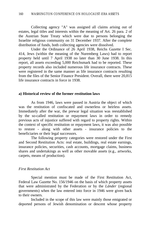Collecting agency "A" was assigned all claims arising out of estates, legal titles and interests within the meaning of Art. 26 para. 2 of the Austrian State Treaty which were due to persons belonging the Israelite religious community on 31 December 1937. After the complete distribution of funds, both collecting agencies were dissolved.

Under the Ordinance of 26 April 1938, Reichs Gazette I Sec. 414, Jews (within the meaning of the Nuremberg Laws) had to report property held until 7 April 1938 no later than 30 June 1938. In this report, all assets exceeding 5,000 Reichsmark had to be reported. These property records also included numerous life insurance contracts. These were registered in the same manner as life insurance contracts resulting from the files of the Senior Finance President. Overall, there were 20,815 life insurance contracts in force in 1938.

#### **a) Historical review of the former restitution laws**

As from 1946, laws were passed in Austria the object of which was the restitution of confiscated and ownerless or heirless assets. Immediately after the war, the prewar legal situation was reestablished by the so-called restitution or repayment laws in order to remedy previous acts of injustice suffered with regard to property rights. Within the context of specific restitution or repayment laws, it was also possible to restore - along with other assets - insurance policies to the beneficiaries or their legal successors.

The following property categories were restored under the First and Second Restitution Acts: real estate, buildings, real estate earnings, insurance policies, securities, cash accounts, mortgage claims, business shares and undertakings as well as other movable assets (e.g., artworks, carpets, means of production).

#### *First Restitution Act*

Special mention must be made of the First Restitution Act, Federal Law Gazette No. 156/1946 on the basis of which property assets that were administrated by the Federation or by the *Länder* (regional governments) when the law entered into force in 1946 were given back to their owners.

Included in the scope of this law were mainly those emigrated or deported persons of Jewish denomination or descent whose property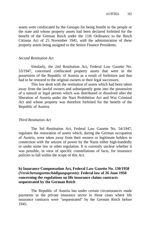assets were confiscated by the Gestapo for being hostile to the people or the state and whose property assets had been declared forfeited for the benefit of the German Reich under the 11th Ordinance to the Reich Citizens Act of 25 November 1941, with the administration of these property assets being assigned to the Senior Finance Presidents.

#### *Second Restitution Act*

Similarly, the 2nd Restitution Act, Federal Law Gazette No. 53/1947, concerned confiscated property assets that were in the possession of the Republic of Austria as a result of forfeiture and that had to be restored to the original owners or their legal successors.

This law dealt with the restitution of assets which had been taken away from the lawful owners and subsequently gone into the possession of a natural or legal person which was distributed or dissolved after the liberation of Austria under the Nazi Prohibition Act and War Criminal Act and whose property was therefore forfeited for the benefit of the Republic of Austria.

#### *Third Restitution Act*

The 3rd Restitution Act, Federal Law Gazette No. 54/1947, regulates the restoration of assets which, during the German occupation of Austria, were taken away from their owners or legitimate holders in connection with the seizure of power by the Nazis either high-handedly or under some law or other regulation. It is currently unclear whether it was possible, in view of specific constellations of facts, for insurance policies to fall within the scope of this Act.

#### **b) Insurance Compensation Act, Federal Law Gazette No. 130/1958 (***Versicherungsentschädigungsgesetz***): Federal law of 26 June 1958 concerning the regulations on life insurance claims contracts sequestrated by the German Reich**

The Republic of Austria has under certain circumstances made payments in the private insurance sector in those cases where life insurance contracts were "sequestrated" by the German Reich before 1945.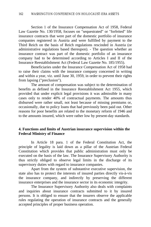Section 1 of the Insurance Compensation Act of 1958, Federal Law Gazette No. 130/1958, focuses on "sequestrated" or "forfeited" life insurance contracts that were part of the domestic portfolio of insurance companies registered in Austria and were fulfilled by payment to the Third Reich on the basis of Reich regulations rescinded in Austria (or administrative regulations based thereupon). - The question whether an insurance contract was part of the domestic portfolio of an insurance company had to be determined according to Articles I and II of the Insurance Reestablishment Act (Federal Law Gazette No. 185/1955).

Beneficiaries under the Insurance Compensation Act of 1958 had to raise their claims with the insurance company concerned in writing and within a year, viz. until June 30, 1959, in order to prevent their rights from lapsing ("preclusion").

The amount of compensation was subject to the determination of benefits as defined in the Insurance Reestablishment Act 1955, which provided that under explicit legal provisions it was admissible in many cases only to render 40% of contractual payments. The amounts thus disbursed were rather small, not least because of missing premiums or, occasionally, due to policy loans that had previously been paid out. Other reasons for poor benefits are related to the monetary reform of 1946 and to the amounts insured, which were rather low by present-day standards.

#### **4. Functions and limits of Austrian insurance supervision within the Federal Ministry of Finance**

In Article 18 para. 1 of the Federal Constitution Act, the principle of legality is laid down as a pillar of the Austrian Federal Constitution which provides that public administration must only be executed on the basis of the law. The Insurance Supervisory Authority is thus strictly obliged to observe legal limits in the discharge of its supervisory duties with regard to insurance companies.

Apart from the system of substantive executive supervision, the state also has to protect the interests of insured parties directly vis-à-vis the insurance company, and indirectly by preserving the different insurance enterprises and the insurance sector in its economic integrity.

The Insurance Supervisory Authority also deals with complaints and inquiries about insurance contracts submitted to it by insured persons. It is obliged to ensure that the insurers observe the applicable rules regulating the operation of insurance contracts and the generally accepted principles of proper business operation.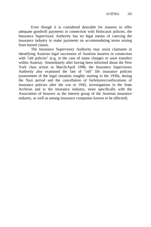Even though it is considered desirable for insurers to offer adequate goodwill payments in connection with Holocaust policies, the Insurance Supervisory Authority has no legal means of coercing the insurance industry to make payments on accommodating terms arising from barred claims.

The Insurance Supervisory Authority may assist claimants in identifying Austrian legal successors of Austrian insurers in connection with "old policies" (e.g. in the case of name changes or asset transfers within Austria). -Immediately after having been informed about the New York class action in March/April 1998, the Insurance Supervisory Authority also examined the fate of "old" life insurance policies (assessment of the legal situation roughly starting in the 1930s, during the Nazi period and the cancellation of forfeitures/confiscations of insurance policies after the war in 1945; investigations in the State Archives and in the insurance industry, more specifically with the Association of Insurers as the interest group of the Austrian insurance industry, as well as among insurance companies known to be affected).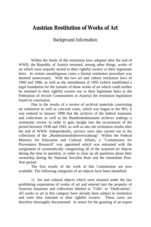### **Austrian Restitution of Works of Art**

#### Background Information

Within the limits of the restitution laws adopted after the end of WWII, the Republic of Austria returned, among other things, works of art which were unjustly seized to their rightful owners or their legitimate heirs. In certain unambiguous cases a formal restitution procedure was deemed unnecessary. With the two art and culture restitution laws of 1969 and 1986, as well as the amendment of 1995 (which established a legal foundation for the transfer of those works of art which could neither be returned to their rightful owners nor to their legitimate heirs to the Federation of Jewish Communities in Austria) the restitution legislation found its conclusion.

Due to the results of a review of archival materials concerning art restitution as well as concrete cases, which was begun in the 90's, it was ordered in January 1998 that the archives of the federal museums and collections as well as the Bundesdenkmalamt archives undergo a systematic review in order to gain insight into the occurrences of the period between 1938 and 1945, as well as into the restitution results after the end of WWII. Independently, surveys were also carried out in the collections of the "Bundesimmobilienverwaltung". Within the Federal Ministry for Education and Cultural Affairs, a "Commission for Provenance Research" was appointed which was entrusted with the assignment of systematically categorizing all of the acquired art objects during the time in question, in order to clear up all questions about their ownership during the National Socialist Rule and the immediate Post-War period.

The first results of the work of this Commission are now available. The following categories of art objects have been identified:

1) Art and cultural objects which were retained under the law prohibiting exportation of works of art and entered into the property of Austrian museums and collections labeled as "Gifts" or "Dedications". All works or art in this category have already been subject to restitution and were thus returned to their rightful owners. These cases are therefore thoroughly documented. In return for the granting of an export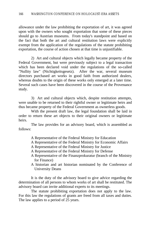allowance under the law prohibiting the exportation of art, it was agreed upon with the owners who sought exportation that some of these pieces should go to Austrian museums. From today's standpoint and based on the fact that both the art and cultural restitution laws were explicitly exempt from the application of the regulations of the statute prohibiting exportation, the course of action chosen at that time is unjustifiable.

2) Art and cultural objects which legally became property of the Federal Government, but were previously subject to a legal transaction which has been declared void under the regulations of the so-called "Nullity law" (Nichtigkeitsgesetz). After the war, several museum directors purchased art works in good faith from authorized dealers, whereas doubts to the origin of these works only emerged at a later time. Several such cases have been discovered in the course of the Provenance study.

3) Art and cultural objects which, despite restitution attempts, were unable to be returned to their rightful owner or legitimate heirs and thus became property of the Federal Government as ownerless goods.

With the present draft law, the legal foundation shall be laid in order to return these art objects to their original owners or legitimate heirs.

The law provides for an advisory board, which is assembled as follows:

- A Representative of the Federal Ministry for Education
- A Representative of the Federal Ministry for Economic Affairs
- A Representative of the Federal Ministry for Justice
- A Representative of the Federal Ministry for Defense
- A Representative of the Finanzprokuratur (branch of the Ministry for Finance)
- A historian and art historian nominated by the Conference of University Deans

It is the duty of the advisory board to give advice regarding the determination of all persons to whom works of art shall be restituted. The advisory board can invite additional experts to its meetings.

The statute prohibiting exportation does not apply to the law. For this law the regulations of grants are freed from all taxes and duties. The law applies to a period of 25 years.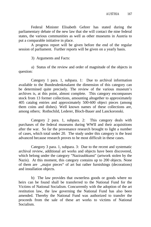Federal Minister Elisabeth Gehrer has stated during the parliamentary debate of the new law that she will contact the nine federal states, the various communities as well as other museums in Austria to put a comparable initiative in place.

A progress report will be given before the end of the regular session of parliament. Further reports will be given on a yearly basis.

3) Arguments and Facts:

a) Status of the review and order of magnitude of the objects in question:

Category 1 para. 1, subpara. 1: Due to archival information available to the Bundesdenkmalamt the dimension of this category can be determined quite precisely. The review of the various museum's archives is, at this point, almost complete. This category encompasses stock from 13 former collections, amounting altogether to approximately 405 catalog entries and approximately 500-600 object pieces (among them coins and dishes). Well known names of these collections are, among others; Rothschild, Lederer, Bloch-Bauer and Lanckoronski.

Category 2 para. 1, subpara. 2: This category deals with purchases of the federal museums during WWII and their acquisitions after the war. So far the provenance research brought to light a number of cases, which total under 20. The study under this category is the least advanced because research proves to be most difficult in these cases.

Category 3 para. 1, subpara. 3: Due to the recent and systematic archival review, additional art works and objects have been discovered, which belong under the category "Naziraubkunst" (artwork stolen by the Nazis). At this moment, this category contains up to 200 objects. None of them are "major pieces" of art but rather furnishings (decorations) and installation objects.

b) The law provides that ownerless goods or goods where no heirs can be found shall be transferred to the National Fund for the Victims of National Socialism. Concurrently with the adoption of the art restitution law, the law governing the National Fund has also been amended. Thereby the National Fund was authorized to transfer the proceeds from the sale of these art works to victims of National Socialism.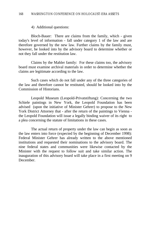4) Additional questions:

Bloch-Bauer: There are claims from the family, which - given today's level of information - fall under category 1 of the law and are therefore governed by the new law. Further claims by the family must, however, be looked into by the advisory board to determine whether or not they fall under the restitution law.

Claims by the Mahler family: For these claims too, the advisory board must examine archival materials in order to determine whether the claims are legitimate according to the law.

Such cases which do not fall under any of the three categories of the law and therefore cannot be restituted, should be looked into by the Commission of Historians.

Leopold Museum (Leopold-Privatstiftung): Concerning the two Schiele paintings in New York, the Leopold Foundation has been advised (upon the initiative of Minister Gehrer) to propose to the New York District Attorney that - after the return of the paintings to Vienna the Leopold Foundation will issue a legally binding waiver of its right to a plea concerning the statute of limitations in these cases.

The actual return of property under the law can begin as soon as the law enters into force (expected by the beginning of December 1998): Federal Minister Gehrer has already written to the above mentioned institutions and requested their nominations to the advisory board. The nine federal states and communities were likewise contacted by the Minister with the request to follow suit and take similar action. The inauguration of this advisory board will take place in a first meeting on 9 December.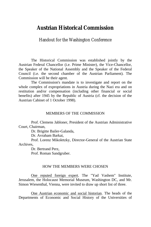### **Austrian Historical Commission**

Handout for the Washington Conference

The Historical Commission was established jointly by the Austrian Federal Chancellor (i.e. Prime Minister), the Vice-Chancellor, the Speaker of the National Assembly and the Speaker of the Federal Council (i.e. the second chamber of the Austrian Parliament). The Commission will be their agent.

The Commission's mandate is to investigate and report on the whole complex of expropriations in Austria during the Nazi era and on restitution and/or compensation (including other financial or social benefits) after 1945 by the Republic of Austria (cf. the decision of the Austrian Cabinet of 1 October 1998).

#### MEMBERS OF THE COMMISSION

Prof. Clemens Jabloner, President of the Austrian Administrative Court, Chairman,

Dr. Brigitte Bailer-Galanda,

Dr. Avraham Barkai,

Prof. Lorenz Mikoletzky, Director-General of the Austrian State Archives,

> Dr. Bertrand Perz, Prof. Roman Sandgruber.

#### HOW THE MEMBERS WERE CHOSEN

One reputed foreign expert. The "Yad Vashem" Institute, Jerusalem, the Holocaust Memorial Museum, Washington DC, and Mr. Simon Wiesenthal, Vienna, were invited to draw up short list of three.

One Austrian economic and social historian. The heads of the Departments of Economic and Social History of the Universities of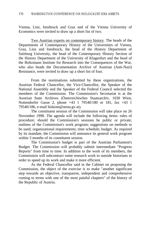Vienna, Linz, Innsbruck and Graz and of the Vienna University of Economics were invited to draw up a short list of two.

Two Austrian experts on contemporary history. The heads of the Departments of Contemporary History of the Universities of Vienna, Graz, Linz and Innsbruck, the head of the History Department of Salzburg University, the head of the Contemporary History Section of the History Department of the University of Klagenfurt and the head of the Boltzmann Institute for Research into the Consequences of the War, who also heads the Documentation Archive of Austrian (Anti-Nazi) Resistance, were invited to draw up a short list of four.

From the nominations submitted by these organizations, the Austrian Federal Chancellor, the Vice-Chancellor, the Speaker of the National Assembly and the Speaker of the Federal Council selected the members of the Commission. The Commission's Secretariat is at the Austrian State Archives (Österreichisches Staatsarchiv, 1030 Wien, Nottendorfer Gasse 2, phone +43 1 79540/180 or 181, fax +43 1 79540/186, e-mail hiskom@oesta.gv.at).

The constituent session of the Commission will take place on 26 November 1998. The agenda will include the following items: rules of procedure; should the Commission's sessions be public or private; outlines of the Commission's work program; suggestions on methods to be used; organizational requirements; time schedule; budget. As required by its mandate, the Commission will announce its general work program within 3 months of its constituent session.

The Commission's budget is part of the Austrian Parliament's Budget. The Commission will probably submit intermediate "Progress Reports" from time to time. In addition to the work of its members, the Commission will subcontract some research work to outside historians in order to speed up its work and make it more efficient.

As the Federal Chancellor said in the Cabinet on proposing the Commission, the object of the exercise is to make "another significant step towards an objective, transparent, independent and comprehensive coming to terms with one of the most painful chapters" of the history of the Republic of Austria.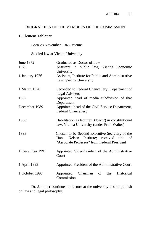#### BIOGRAPHIES OF THE MEMBERS OF THE COMMISSION

#### **1. Clemens Jabloner**

Born 28 November 1948, Vienna.

Studied law at Vienna University

| June 1972       | Graduated as Doctor of Law                                                                                                                       |
|-----------------|--------------------------------------------------------------------------------------------------------------------------------------------------|
| 1975            | Assistant in public law, Vienna Economic<br>University                                                                                           |
| 1 January 1976  | Assistant, Institute for Public and Administrative<br>Law, Vienna University                                                                     |
| 1 March 1978    | Seconded to Federal Chancellery, Department of<br><b>Legal Advisers</b>                                                                          |
| 1982            | Appointed head of media subdivision of that<br>Department                                                                                        |
| December 1989   | Appointed head of the Civil Service Department,<br><b>Federal Chancellery</b>                                                                    |
| 1988            | Habilitation as lecturer $(Dozent)$ in constitutional<br>law, Vienna University (under Prof. Walter)                                             |
| 1993            | Chosen to be Second Executive Secretary of the<br>Kelsen Institute; received title<br>Hans<br>of<br>"Associate Professor" from Federal President |
| 1 December 1991 | Appointed Vice-President of the Administrative<br>Court                                                                                          |
| 1 April 1993    | Appointed President of the Administrative Court                                                                                                  |
| 1 October 1998  | Chairman of<br><b>Historical</b><br>Appointed<br>the<br>Commission                                                                               |

Dr. Jabloner continues to lecture at the university and to publish on law and legal philosophy.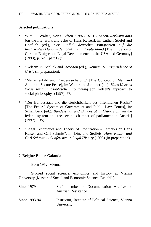#### **Selected publications**

- \* With R. Walter, *Hans Kelsen (1881-1973) Leben-Werk-Wirkung* [on the life, work and echo of Hans Kelsen], in: Luther, Stiefel and Hoeflich (ed.), *Der Einfluß deutscher Emigranten auf die Rechtsentwicklung in den USA und in Deutschland* [The Influence of German Emigrés on Legal Developments in the USA and Germany] (1993), p. 521 (part IV);
- \* "Kelsen" in: Schlink and Jacobson (ed.), *Weimar: A Jurisprudence of Crisis* (in preparation);
- \* "Menschenbild und Friedenssicherung" [The Concept of Man and Action to Secure Peace], in: Walter and Jabloner (ed.), *Hans Kelsens Wege sozialphilosophischer Forschung* [on Kelsen's approach to social philosophy  $(1997)$ , 57;
- \* "Der Bundesstaat und die Gerichtbarkeit des öffentlichen Rechts" [The Federal System of Government and Public Law Courts], in: Schambeck (ed.), *Bundesstaat und Bundesrat in Österreich* [on the federal system and the second chamber of parliament in Austria] (1997), 135;
- \* "Legal Techniques and Theory of Civilization Remarks on Hans Kelsen and Carl Schmitt", in: Dinerand Stolleis, *Hans Kelsen and Carl Schmitt. A Conference in Legal History* (1998) (in preparation).

#### **2. Brigitte Bailer-Galanda**

#### Born 1952, Vienna

Studied social science, economics and history at Vienna University (Master of Social and Economic Science, Dr. phil.)

| Since 1979    | <b>Austrian Resistance</b> | Staff member of Documentation Archive of           |
|---------------|----------------------------|----------------------------------------------------|
| Since 1993-94 | University                 | Instructor, Institute of Political Science, Vienna |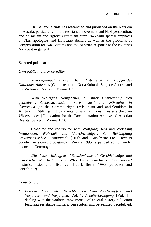Dr. Bailer-Galanda has researched and published on the Nazi era in Austria, particularly on the resistance movement and Nazi persecution, and on racism and rightist extremism after 1945 with special emphasis on Nazi apologists and Holocaust deniers as well as the problems of compensation for Nazi victims and the Austrian response to the country's Nazi past in general.

#### **Selected publications**

#### *Own publications or co-editor:*

*Wiedergutmachung - kein Thema. Österreich und die Opfer des Nationalsozialismus* [Compensation - Not a Suitable Subject: Austria and the Victims of Nazism]*,* Vienna 1993;

With Wolfgang Neugebauer, *"... ihrer Überzeugung treu geblieben". Rechtsextremisten, "Revisionisten" und Antisemiten in Österreich* [on the extreme right, revisionism and anti-Semitism in Austria], Stiftung Dokumentationsarchiv des österreichischen Widerstandes [Foundation for the Documentation Archive of Austrian Resistance] (ed.), Vienna 1996;

Co-editor and contributor with Wolfgang Benz and Wolfgang Neugebauer, *Wahrheit und "Auschwitzlüge". Zur Bekämpfung "revisionistischer" Propaganda* [Truth and "Auschwitz Lie". How to counter revisionist propaganda], Vienna 1995, expanded edition under licence in Germany;

*Die Auschwitzleugner. "Revisionistische" Geschichtslüge und historische Wahrheit* [Those Who Deny Auschwitz: "Revisionist" Historical Lies and Historical Truth], Berlin 1996 (co-editor and contributor).

#### *Contributor:*

\* *Erzählte Geschichte. Berichte von Widerstandkämpfern und Verfolgern und Verfolgten*, Vol. 1: *Arbeiterbewegung* [Vol. 1 dealing with the workers' movement - of an oral history collection featuring resistance fighters, persecutors and persecuted people], ed.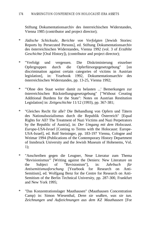Stiftung Dokumentationsarchiv des österreichischen Widerstandes, Vienna 1985 (contributor and project director);

- \* *Jüdische Schicksale, Berichte von Verfolgten* [Jewish Stories: Reports by Persecuted Persons], ed. Stiftung Dokumentationsarchiv des österreichischen Widerstandes, Vienna 1992 (vol. 3 of *Erzählte Geschichte* [Oral History]), (contributor and project director);
- \* "Verfolgt und vergessen. Die Diskriminierung einzelner Opfergruppen durch die Opferfürsorgegesetzgebung" [on discrimination against certain categories of victims in Austrian legislation], in: Yearbook 1992, Dokumentationsarchiv des österreichischen Widerstandes, pp. 13-25, Vienna 1992;
- \* "'Ohne den Staat weiter damit zu belasten ...' Bemerkungen zur österreichischen Rückstellungsgesetzgebung" ["Without Creating Additional Burdens for the State": Notes on Austrian Restitution Legislation] in: *Zeitgeschichte* 11/12 (1993), pp. 367-381;
- \* "Gleiches Recht für alle? Die Behandlung von Opfern und Tätern des Nationalsozialismus durch die Republik Österreich" [Equal Rights for All? The Treatment of Nazi Victims and Nazi Perpetrators by the Republic of Austria], in: *Der Umgang mit dem Holocaust. Europa-USA-Israel* [Coming to Terms with the Holocaust: Europe-USA-Israel], ed. Rolf Steininger, pp. 183-197 Vienna, Cologne and Weimar 1994 (Publications of the Contemporary History Department of Innsbruck University and the Jewish Museum of Hohenems, Vol. 1);
- \* "Anschreiben gegen die Leugner, Neue Literatur zum Thema "Revisionismus'" [Writing against the Deniers: New Literature on the Subject of "Revisionism"], in: *Jahrbuch für Antisemitismusforschung* [Yearbook for Research on Anti-Semitism], ed. Wolfgang Benz for the Centre for Research on Anti-Semitism of the Berlin Technical University, pp. 287-300, Frankfurt and New York 1995;
- \* "Das Konzentrationslager Mauthausen" (Mauthausen Concentration Camp) in: Simon Wiesenthal, *Denn sie wußten, was sie tun. Zeichnungen und Aufzeichnungen aus dem KZ Mauthausen* [For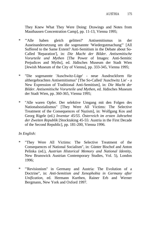They Knew What They Were Doing: Drawings and Notes from Mauthausen Concentration Camp], pp. 11-13, Vienna 1995;

- \* "'Alle haben gleich gelitten?' Antisemitismus in der Auseinandersetzung um die sogenannte 'Wiedergutmachung'" [All Suffered to the Same Extent? Anti-Semitism in the Debate about So-Called 'Reparation'], in: *Die Macht der Bilder. Antisemitische Vorurteile und Mythen* [The Power of Images: Anti-Semitic Prejudices and Myths], ed. Jüdisches Museum der Stadt Wien [Jewish Museum of the City of Vienna], pp. 333-345, Vienna 1995;
- \* "Die sogenannte 'Auschwitz-Lüge' neue Ausdruckform für althergebrachten Antisemitismus" [The So-Called 'Auschwitz Lie' - a New Expression of Traditional Anti-Semitism], in: *Die Macht der Bilder. Antisemitische Vorurteile und Mythen*, ed. Jüdisches Museum der Stadt Wien, pp. 360-365, Vienna 1995;
- \* "Alle waren Opfer. Der selektive Umgang mit den Folgen des Nationalsozialismus" [They Were All Victims: The Selective Treatment of the Consequences of Nazism], in: Wolfgang Kos and Georg Rigele (ed.) *Inventur 45/55. Österreich im ersten Jahrzehnt der Zweiten Republik* [Stocktaking 45-55: Austria in the First Decade of the Second Republic], pp. 181-200, Vienna 1996.

#### *In English:*

- \* "They Were All Victims: The Selective Treatment of the Consequences of National Socialism", in: Günter Bischof and Anton Pelinka (ed.), *Austrian Historical Memory and National Identity*, New Brunswick Austrian Contemporary Studies, Vol. 5), London 1996;
- \* "'Revisionism" in Germany and Austria: The Evolution of a Doctrine", in: *Anti-Semitism and Xenophobia in Germany after Unification*, ed. Hermann Kurthen, Rainer Erb and Werner Bergmann, New York and Oxford 1997.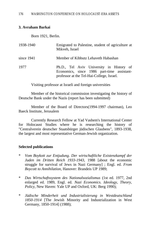#### **3. Avraham Barkai**

Born 1921, Berlin.

| 1938-1940    | Emigrated to Palestine, student of agriculture at<br>Mikveh, Israel                                                                 |
|--------------|-------------------------------------------------------------------------------------------------------------------------------------|
| since $1941$ | Member of Kibbutz Lehaveth Habashan                                                                                                 |
| 1977         | Ph.D., Tel Aviv University in History of<br>Economics, since 1986 part-time assistant-<br>professor at the Tel-Hai-College, Israel. |

Visiting professor at Israeli and foreign universities

Member of the historical commission investigating the history of Deutsche Bank under the Nazis (report has been submitted)

Member of the Board of Directors(1994-1997 chairman), Leo Baeck Institute, Jerusalem

Currently Research Fellow at Yad Vashem's International Center for Holocaust Studies where he is researching the history of "Centralverein deutscher Staatsbürger jüdischen Glaubens", 1893-1938, the largest and most representative German-Jewish organization.

#### **Selected publications**

- \* *Vom Boykott zur Entjudung. Der wirtschaftliche Existenzkampf der Juden im Dritten Reich 1933-1943*, 1988 [about the economic struggle for survival of Jews in Nazi Germany] ; Engl. ed. *From Boycott to Annihilation*, Hanover: Brandeis UP 1989;
- \* *Das Wirtschaftssystem des Nationalsozialismus* (1st ed. 1977, 2nd enlarged ed. 1989, Engl. ed. *Nazi Economics. Ideology, Theory, Policy*, New Haven: Yale UP and Oxford, UK: Berg 1990);
- \* *Jüdische Minderheit und Industrialisierung in Westdeutschland 1850-1914* [The Jewish Minority and Industrialization in West Germany, 1850-1914] (1988);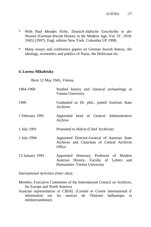- \* With Paul Mendes Flohr, *Deutsch-Jüdische Geschichte in der Neuzeit* [German-Jewish History in the Modern Age, Vol. IV, 1918- 1945] (1997), Engl. edition New York: Columbia UP 1998;
- \* Many essays and conference papers on German Jewish history, the ideology, economics and politics of Nazis, the Holocaust etc.

#### **4. Lorenz Mikoletzky**

Born 12 May 1945, Vienna.

| 1964-1969       | Studied history and classical archaeology at<br>Vienna University                                                   |
|-----------------|---------------------------------------------------------------------------------------------------------------------|
| 1969            | Graduated as Dr. phil., joined Austrian State<br>Archives                                                           |
| 1 February 1991 | Appointed head of General Administrative<br>Archive                                                                 |
| 1 July 1991     | Promoted to <i>Hofrat</i> (Chief Archivist)                                                                         |
| 1 July 1994     | Appointed Director-General of Austrian State<br>Archives and Chairman of Central Archives<br>Office                 |
| 13 January 1993 | Appointed Honorary Professor of Modern<br>Austrian History, Faculty of Letters and<br>Humanities, Vienna University |

*International Activities (inter alia):*

- Member, Executive Committee of the International Council on Archives, for Europe and North America
- Austrian representative in CIBAL (Comité et Centre International d' information sur les sources de l'histoire balkanique et méditerranéenne).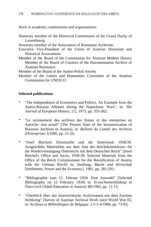*Work in academic commissions and organizations:*

- Honorary member of the Historical Commission of the Grand Duchy of Luxembourg
- Honorary member of the Association of Romanian Archivists
- Executive Vice-President of the Union of Austrian Historians and Historical Associations
- Member of the Board of the Commission for Austrian Modern History Member of the Board of Curators of the Documentation Archive of Austrian Resistance
- Member of the Board of the Austro-Polish Society
- Member of the Letters and Humanities Committee of the Austrian Commission for UNESCO

#### **Selected publications**

- \* "The Independence of Economics and Politics. An Example from the Austro-Russian Alliance during the Napeolonic Wars", in: *The Journal of European History*, 2/2, 1973, pp. 355-362;
- \* "Le recensement des archives des firmes et des entreprises en Autriche: état actuel" [The Present State of the Inventorization of Business Archives in Austria], in: *Bulletin du Comité des Archives d'Entreprises* 3/1980, pp. 21-26;
- \* "Josef Bürckels Dienststelle und die Steiermark 1938/39. Ausgewählte Materialien aus dem Amt des Reichskommissars für die Wiedervereinigung Österreichs mit dem Deutschen Reich" [Josef Bürckel's Office and Styria, 1938-39. Selected Materials from the Office of the Reich Commissioner for the Reunification of Austria with the German Reich] in: *Siedlung, Macht und Wirtschaft* [Settlement, Power and the Economy], 1981, pp. 281-291;
- \* "Bibliographie zum 12. Februar 1934. Eine Auswahl" [Selected Bibliography on 12 February 1934] in: *Erwachsenenbildung in Österreich* [Adult Education in Austria] 4B/1983, pp. 11-13;
- \* "Überblick über das österreichische Archivwesen seit dem Zweiten Weltkrieg" [Survey of Austrian Archival Work since World War II], in: *Archives et Bibliothèques de Belgique*, LV/1-4/1984, pp. 73-83;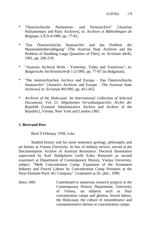- \* "Österreichische Parlaments- und Parteiarchive" [Austrian Parliamentary and Party Archives], in: *Archives et Bibliothèques de Belgique*, LX/3-4/1989, pp. 77-81;
- \* "Das Österreichische Staatsarchiv und das Problem der Massenaktenbewältigung" [The Austrian State Archives and the Problem of Handling Large Quantities of Files], in: *Scrinium* 44/45, 1991, pp. 206-210;
- \* "Austrian Archival Work Yesterday, Today and Tomorrow", in: *Bulgarische Archivzeitschrift* 1-2/1995, pp. 77-87 (in Bulgarian);
- \* "Die österreichischen Archive und Europa Das Österreichische Staatsarchiv" [Austria's Archives and Europe - The Austrian State Archives] in: *Scrinium* 49/1995, pp. 451-455;
- \* *Archives of the Holocaust. An International Collection of Selected Documents*, Vol. 21: *Allgemeines Verwaltungsarchiv, Archiv der Republik* [General Administrative Archive and Archive of the Republic], Vienna, New York and London 1995.

#### **5. Bertrand Perz**

Born 9 February 1958, Linz.

Studied history and for some semesters geology, philosophy and art history at Vienna University. In lieu of military service, served at the Documentation Archive of Austrian Resistance. Doctoral dissertation supervised by Karl Stuhlpfarrer (with Erika Weinzierl as second examiner) at Department of Contemporary History, Vienna University, subject: "Melk Concentration Camp: Expansion of the Armament Industry and Forced Labour by Concentration Camp Prisoners at the Steyr-Daimler-Puch AG Company". Graduated as Dr. phil., 1990.

Since 1981 Contributed to numerous research projects at the Contemporary History Department, University of Vienna, on subjects such as Nazi concentration camps and ghettos, forced labour, the Holocaust, the culture of remembrance and commemorative shrines at concentration camps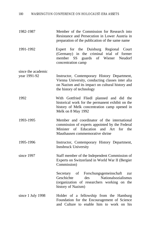| 1982-1987          | Member of the Commission for Research into<br>Resistance and Persecution in Lower Austria in<br>preparation of the publication of the same name                                          |
|--------------------|------------------------------------------------------------------------------------------------------------------------------------------------------------------------------------------|
| 1991-1992          | Expert for the Duisburg Regional Court<br>(Germany) in the criminal trial of former<br>guards of Wiener Neudorf<br>member SS<br>concentration camp                                       |
| since the academic |                                                                                                                                                                                          |
| year 1991-92       | Instructor, Contemporary History Department,<br>Vienna University, conducting classes inter alia<br>on Nazism and its impact on cultural history and<br>the history of technology        |
| 1992               | With Gottfried Fliedl planned and did the<br>historical work for the permanent exhibit on the<br>history of Melk concentration camp opened in<br>Melk on 8 May 1992                      |
| 1993-1995          | Member and coordinator of the international<br>commission of experts appointed by the Federal<br>Education<br>Minister<br>of<br>and Art<br>for<br>the<br>Mauthausen commemorative shrine |
| 1995-1996          | Instructor, Contemporary History Department,<br><b>Innsbruck University</b>                                                                                                              |
| since 1997         | Staff member of the Independent Commission of<br>Experts on Switzerland in World War II (Bergier<br>Commission)                                                                          |
|                    | Forschungsgemeinschaft<br>Secretary of<br>zur<br>Nationalsozialismus<br>Geschichte<br>des<br>(organization of researchers working on the<br>history of Nazism)                           |
| since 1 July 1998  | Holder of a fellowship from the Hamburg<br>Foundation for the Encouragement of Science<br>and Culture to enable him to work on his                                                       |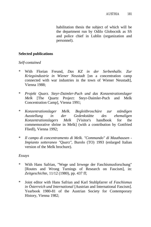habilitation thesis the subject of which will be the department run by Odilo Globocnik as SS and police chief in Lublin (organization and personnel).

#### **Selected publications**

#### *Self-contained*

- \* With Florian Freund, *Das KZ in der Serbenhalle. Zur Kriegsindustrie in Wiener Neustadt* [on a concentration camp connected with war industries in the town of Wiener Neustadt], Vienna 1988;
- \* *Projekt Quarz. Steyr-Daimler-Puch und das Konzentrationslager Melk* [The Quartz Project: Steyr-Daimler-Puch and Melk Concentration Camp], Vienna 1991;
- \* *Konzentrationslager Melk. Begleitbroschüre zur ständigen Ausstellung in der Gedenkstätte des ehemaligen Konzentrationslagers Melk* [Visitor's handbook for the commemorative shrine in Melk] (with a contribution by Gottfried Fliedl), Vienna 1992;
- \* *Il campo di concentramento di Melk. "Commando" di Mauthausen - Impianto sotteraneo "Quarz",* Burolo (TO) 1993 (enlarged Italian version of the Melk brochure).

#### *Essays*

- \* With Hans Safrian, "Wege und Irrwege der Faschismusforschung" [Routes and Wrong Turnings of Research on Fascism], in: *Zeitgeschichte*, 11/12 (1980), pp. 437 ff;
- \* Joint editor with Hans Safrian and Karl Stuhlpfarrer of *Faschismus in Österreich und International* [Austrian and International Fascism]. Yearbook 1980-81 of the Austrian Society for Contemporary History, Vienna 1982;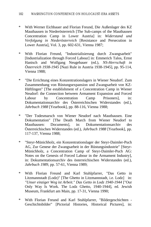- \* With Werner Eichbauer and Florian Freund, Die Außenlager des KZ Mauthausen in Niederösterreich [The Sub-camps of the Mauthausen Concentration Camp in Lower Austria] in: *Widerstand und Verfolgung in Niederösterreich* [Resistance and Persecution in Lower Austria], Vol. 3, pp. 602-631, Vienna 1987;
- \* With Florian Freund, "Industrialisierung durch Zwangsarbeit" [Industrialization through Forced Labour] in: Emmerich Talos, Ernst Hanisch and Wolfgang Neugebauer (ed.), *NS-Herrschaft in Österreich 1938-1945* [Nazi Rule in Austria 1938-1945], pp. 95-114, Vienna 1988;
- \* "Die Errichtung eines Konzentrationslagers in Wiener Neudorf. Zum Zusammenhang von Rüstungsexpansion und Zwangsarbeit von KZ-Häftlingen" [The establishment of a Concentration Camp in Wiener Neudorf: the Connection between Armament Expansion and Forced Labour by Concentration Camp Prisoners], in: Dokumentationsarchiv des Österreichischen Widerstandes (ed.), *Jahrbuch 1988* [Yearbook], pp. 88-116, Vienna 1988;
- \* "Der Todesmarsch von Wiener Neudorf nach Mauthausen. Eine Dokumentation" [The Death March from Wiener Neudorf to Mauthausen: Documents], in: Dokumentationsarchiv des Österreichischen Widerstandes (ed.), *Jahrbuch 1988* [Yearbook], pp. 117-137, Vienna 1988;
- \* "Steyr-Münichholz, ein Konzentrationslager der Steyr-Daimler-Puch AG, Zur Genese der Zwangsarbeit in der Rüstungsindustrie" [Steyr-Münichholz, a Concentration Camp of Steyr-Daimler-Puch AG: Notes on the Genesis of Forced Labour in the Armament Industry], in: Dokumentationsarchiv des österreichischen Widerstandes (ed.), *Jahrbuch 1989*, pp. 57-61, Vienna 1989;
- \* With Florian Freund and Karl Stuhlpfarrer, "Das Getto in Litzmannstadt (Lodz)" [The Ghetto in Litzmannstadt, i.e. Lodz] in: *"Unser einziger Weg ist Arbeit." Das Getto in Lodz 1940-1944* ["Our Only Way Is Work. The Lodz Ghetto, 1940-1944], ed. Jewish Museum, Frankfurt am Main, pp. 17-31, Vienna 1990;
- \* With Florian Freund and Karl Stuhlpfarrer, "Bildergeschichten Geschichtsbilder" [Pictorial Histories, Historical Pictures], in: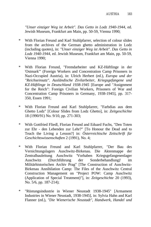*"Unser einziger Weg ist Arbeit". Das Getto in Lodz 1940-1944*, ed. Jewish Museum, Frankfurt am Main, pp. 50-59, Vienna 1990;

- \* With Florian Freund and Karl Stuhlpfarrer, selection of colour slides from the archives of the German ghetto administration in Lodz (including quotes), in: *"Unser einziger Weg ist Arbeit". Das Getto in Lodz 1940-1944*, ed. Jewish Museum, Frankfurt am Main, pp. 50-59, Vienna 1990;
- \* With Florian Freund, "Fremdarbeiter und KZ-Häftlinge in der 'Ostmark'" (Foreign Workers and Concentration Camp Prisoners in Nazi-Occupied Austria), in: Ulrich Herbert (ed.), *Europa und der "Reichseinsatz". Ausländische Zivilarbeiter, Kriegsgefangene und KZ-Häftlinge in Deutschland 1938-1945* [Europe and "Assignment for the Reich": Foreign Civilian Workers, Prisoners of War and Concentration Camp Prisoners in Germany, 1938-1945], pp. 317- 350, Essen 1991;
- \* With Florian Freund and Karl Stuhlpfarrer, "Farbdias aus dem Ghetto Lodz" [Colour Slides from Lodz Ghetto], in: *Zeitgeschichte* 18 (1990/91) No. 9/10, pp. 271-303;
- \* With Gottfried Fliedl, Florian Freund and Eduard Fuchs, "Den Toten zur Ehr - den Lebenden zur Lehr?" [To Honour the Dead and to Teach the Living a Lesson?] in: *Österreichische Zeitschrift für Geschichtswissenschaften* 2 (1991), No. 4;
- \* With Florian Freund and Karl Stuhlpfarrer, "Der Bau des Vernichtungslagers Auschwitz-Birkenau. Die Aktenmappe der Zentralbauleitung Auschwitz 'Vorhaben Kriegsgefangenenlager Auschwitz (Durchführung der Sonderbehandlung)' im Militärhistorischen Archiv Prag" [The Construction of Auschwitz-Birkenau Annihilation Camp: The Files of the Auschwitz Central Construction Management on "Project POW: Camp Auschwitz (Application of Special Treatment)"], in: *Zeitgeschichte* 20 (1993), No. 5/6, pp. 187-214);
- \* "Rüstungsindustrie in Wiener Neustadt 1938-1945" [Armament Industries in Wiener Neustadt, 1938-1945], in: Sylvia Hahn and Karl Flanner (ed.), *"Die Wienerische Neustadt", Handwerk, Handel und*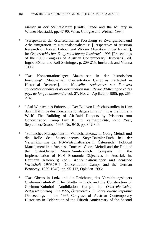*Militär in der Steinfeldstadt* [Crafts, Trade and the Military in Wiener Neustadt], pp. 47-90, Wien, Cologne and Weimar 1994;

- \* "Perspektiven der österreichischen Forschung zu Zwangsarbeit und Arbeitsmigration im Nationalsozialismus" [Perspectives of Austrian Research on Forced Labour and Worker Migration under Nazism], in: *Österreichischer Zeitgeschichtetag Innsbruck 1993* [Proceedings of the 1993 Congress of Austrian Contemporary Historians], ed. Ingrid Böhler and Rolf Steininger, p. 209-215, Innsbruck and Vienna 1995;
- \* "Das Konzentrationslager Mauthausen in der historischen Forschung" [Mauthausen Concentration Camp as Reflected in Historical Research], in: *Nouvelles recherches sur l'univers concentrationnaire et d'extermination nazi. Revue d'Allemagne et des pays de langue allemande*, vol. 27, No. 2 - April/June 1995, pp. 265- 274;
- \* "'Auf Wunsch des Führers ...'. Der Bau von Luftschutzstollen in Linz durch Häftlinge des Konzentrationslagers Linz II" ["It is the Führer's Wish" The Building of Air-Raid Dugouts by Prisoners rom Concentration Camp Linz II], in: *Zeitgeschichte*, 22nd Year, September/October 1995, No. 9/10, pp. 342-346;
- \* "Politisches Management im Wirtschaftskonzern. Georg Meindl und die Rolle des Staatskonzerns Steyr-Daimler-Puch bei der Verwirklichung der NS-Wirtschaftsziele in Österreich" [Political Management in a Business Concern: Georg Meindl and the Role of the State-Owned Steyr-Daimler-Puch Company in the Implementation of Nazi Economic Objectives in Austria], in: Hermann Kaienburg (ed.), *Konzentrationslager und deutsche Wirtschaft 1939-1945* [Concentration Camps and the German Economy, 1939-1945], pp. 95-112, Opladen 1996;
- \* "Das Ghetto in Lodz und die Errichtung des Vernichtungslagers Chelmno-Kulmhof" [The Ghetto in Lodz and the Construction of Chelmno-Kulmhof Annihilation Camp], in: *Österreichischer Zeitgeschichtetag Linz 1995, Österreich - 50 Jahre Zweite Republik* [Proceedings of the 1995 Congress of Austrian Contemporary Historians in Celebration of the Fiftieth Anniversary of the Second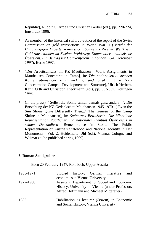Republic], Rudolf G. Ardelt und Christian Gerbel (ed.), pp. 220-224, Innsbruck 1996;

- \* As member of the historical staff, co-authored the report of the Swiss Commission on gold transactions in World War II (*Bericht der Unabhängigen Expertenkommission: Schweiz - Zweiter Weltkrieg: Goldtransaktionen im Zweiten Weltkrieg: Kommentierte statistische Übersicht. Ein Beitrag zur Goldkonferenz in London, 2.-4. Dezember 1997*), Berne 1997;
- \* "Der Arbeitseinsatz im KZ Mauthausen" [Work Assignments in Mauthausen Concentration Camp], in: *Die nationalsozialistischen Konzentrationslager - Entwicklung und Struktur* [The Nazi Concentration Camps - Development and Structure], Ulrich Herbert, Karin Orth and Christoph Dieckmann (ed.), pp. 533-557, Göttingen 1998;
- \* (In the press): "'Selbst die Sonne schien damals ganz anders ...'. Die Entstehung der KZ-Gedenkstätte Mauthausen 1945-1970" ["Even the Sun Shone Quite Differently Then..." The Genesis of the Camp Shrine in Mauthausen], in: *Steinernes Bewußtsein. Die öffentliche Repräsentation staatlicher und nationaler Identität Österreichs in seinen Denkmälern* [Remembrance in Stone: The Public Representation of Austria's Statehood and National Identity in Her Monuments], Vol. 2, Heidemarie Uhl (ed.), Vienna, Cologne and Weimar (to be published spring 1999).

#### **6. Roman Sandgruber**

Born 20 February 1947, Rohrbach, Upper Austria

| 1965-1971 | Studied history, German literature<br>and                                                |
|-----------|------------------------------------------------------------------------------------------|
|           | economics at Vienna University                                                           |
| 1972-1988 | Assistant, Department for Social and Economic                                            |
|           | History, University of Vienna (under Professors                                          |
|           | Alfred Hoffmann and Michael Mitterauer)                                                  |
| 1982      | Habilitation as lecturer $(Dozent)$ in Economic<br>and Social History, Vienna University |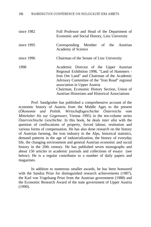| since 1982   | Full Professor and Head of the Department of<br>Economic and Social History, Linz University                                                                                                                                                                                                                                       |
|--------------|------------------------------------------------------------------------------------------------------------------------------------------------------------------------------------------------------------------------------------------------------------------------------------------------------------------------------------|
| since $1995$ | Corresponding Member of the Austrian<br>Academy of Science                                                                                                                                                                                                                                                                         |
| since $1996$ | Chairman of the Senate of Linz University                                                                                                                                                                                                                                                                                          |
| 1998         | Academic Director of the Upper Austrian<br>Regional Exhibition 1998, "Land of Hammers -<br>Iron Ore Land" and Chairman of the Academic<br>Advisory Committee of the "Iron Road" regional<br>association in Upper Austria<br>Chairman, Economic History Section, Union of<br><b>Austrian Historians and Historical Associations</b> |

Prof. Sandgruber has published a comprehensive account of the economic history of Austria from the Middle Ages to the present (*Ökonomie und Politik. Wirtschaftsgeschichte Österreichs vom Mittelalter bis zur Gegenwart*, Vienna 1995) in the ten-volume series *Österreichische Geschichte*. In this book, he deals *inter alia* with the question of confiscations of property, forced labour, restitution and various forms of compensation. He has also done research on the history of Austrian farming, the iron industry in the Alps, historical statistics, demand patterns in the age of industrialization, the history of everyday life, the changing environment and general Austrian economic and social history in the 20th century. He has published seven monographs and about 150 articles in academic journals and collections of essays (see below). He is a regular contributor to a number of daily papers and magazines.

In addition to numerous smaller awards, he has been honoured with the Sandoz Prize for distinguished research achievements (1987), the Karl von Vogelsang Prize from the Austrian government (1988) and the Economic Research Award of the state government of Upper Austria (1990).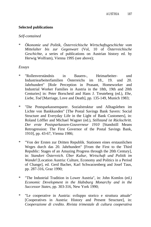#### **Selected publications**

#### *Self-contained*

\* *Ökonomie und Politik, Österreichische Wirtschaftsgeschichte vom Mittelalter bis zur Gegenwart* (Vol, 10 of *Österreichische Geschichte*, a series of publications on Austrian history ed. by Herwig Wolfram), Vienna 1995 (see above);

#### *Essays*

- \* "Rollenverständnis in Bauern-, Heimarbeiter- und Industriearbeiterfamilien Österreichs im 18., 19. und 20. Jahrhundert" [Role Perception in Peasant, Homeworker and Industrial Worker Families in Austria in the 18th, 19th and 20th Centuries] in: Peter Borscheid and Hans J. Treuteberg (ed.), *Ehe, Liebe, Tod* [Marriage, Love and Death], pp. 135-149, Munich 1983;
- \* "Die Postsparkassensparer. Sozialstruktur und Alltagsleben im Lichte von Bankkunden" [The Postal Savings Bank Savers: Social Structure and Everyday Life in the Light of Bank Customers], in: Roland Löffler and Michael Wagner (ed.), *Stillstand ist Rückschritt. Der erste Postsparkassen-Gouverneur 1910* [Standstill Means Retrogression: The First Governor of the Postal Savings Bank, 1910], pp. 43-67, Vienna 1986;
- \* "Von der Ersten zur Dritten Republik. Stationen eines erstaunlichen Weges durch das 20. Jahrhundert" [From the First to the Third Republic: Stages of an Amazing Progress through the 20th Century], in: *Standort Österreich. Über Kultur, Wirtschaft und Politik im Wandel* [Location Austria: Culture, Economy and Politics in a Period of Change], ed. Gerd Bacher, Karl Schwarzenberg and Josef Taus, pp. 287-316, Graz 1990;
- \* "The Industrial Tradition in Lower Austria", in: John Komlos (ed.) *Economic Development in the Habsburg Monarchy and in the Successor States*, pp. 303-316, New York 1990;
- \* "Le cooperative in Austria: sviluppo storico e struttura attuale" [Cooperatives in Austria: History and Present Structure], in: *Cooperazione di credito. Rivista trimestale di cultura cooperativa*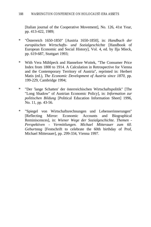[Italian journal of the Cooperative Movement], No. 126, 41st Year, pp. 413-422, 1989;

- \* "Österreich 1650-1850" [Austria 1650-1850], in: *Handbuch der europäischen Wirtschafts- und Sozialgeschichte* [Handbook of European Economic and Social History], Vol. 4, ed. by Ilja Mieck, pp. 619-687, Stuttgart 1993;
- \* With Vera Mühlpeck and Hannelore Woitek, "The Consumer Price Index from 1800 to 1914. A Calculation in Retrospective for Vienna and the Contemporary Territory of Austria", reprinted in: Herbert Matis (ed.), *The Economic Development of Austria since 1870*, pp. 199-229, Cambridge 1994;
- \* "Der 'lange Schatten' der österreichischen Wirtschaftspolitik" [The "Long Shadow" of Austrian Economic Policy], in: *Information zur politischen Bildung* [Political Education Information Sheet] 1996, No. 11, pp. 43-56.
- \* "Spiegel von Wirtschaftsrechnungen und Lebenserinnerungen" [Reflecting Mirror: Economic Accounts and Biographical Reminiscences], in: *Wiener Wege der Sozialgeschichte. Themen - Perspektiven - Vermittlungen. Michael Mitterauer zum 60. Geburtstag* [Festschrift to celebrate the 60th birthday of Prof, Michael Mitterauer], pp. 299-334, Vienna 1997.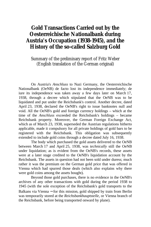# **Gold Transactions Carried out by the Oesterreichische Nationalbank during Austria's Occupation (1938-1945), and the History of the so-called Salzburg Gold**

Summary of the preliminary report of Fritz Weber (English translation of the German original)

On Austria's *Anschluss* to Nazi Germany, the Oesterreichische Nationalbank (OeNB) de facto lost its independence immediately; de iure its independence was taken away a few days later on March 17, 1938, through a decree which stipulated that the OeNB was to be liquidated and put under the Reichsbank's control. Another decree, dated April 23, 1938, declared the OeNB's right to issue banknotes null and void. All the OeNB's gold and foreign currency holdings – which at the time of the *Anschluss* exceeded the Reichsbank's holdings – became Reichsbank property. Moreover, the German Foreign Exchange Act, which as of March 23, 1938, superseded the Austrian regulations hitherto applicable, made it compulsory for all private holdings of gold bars to be registered with the Reichsbank. This obligation was subsequently extended to include gold coins through a decree dated July 16, 1938.

The body which purchased the gold assets delivered to the OeNB between March 17 and April 25, 1938, was *technically* still the OeNB under liquidation; as is evident from the OeNB's records, these assets were at a later stage credited to the OeNB's liquidation account by the Reichsbank. The assets in question had not been sold under duress; much rather it was the premium on the German gold price that was offered in Vienna which had spurred those deals (which also explains why there were gold coins among the assets bought).

Beyond those gold purchases, there is no evidence in the OeNB's archives of any other transactions with gold during the period 1938 to 1945 (with the sole exception of the Reichsbank's gold transports to the Balkans via Vienna − for this mission, gold shipped by train from Berlin was temporarily stored at the *Reichsbankhauptstelle*, or Vienna branch of the Reichsbank, before being transported onward by plane).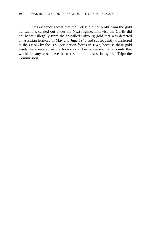#### 190 WASHINGTON CONFERENCE ON HOLOCAUST-ERA ASSETS

This evidence shows that the OeNB did not profit from the gold transactions carried out under the Nazi regime. Likewise the OeNB did not benefit illegally from the so-called Salzburg gold that was detected on Austrian territory in May and June 1945 and subsequently transferred to the OeNB by the U.S. occupation forces in 1947, because these gold assets were entered in the books as a down-payment for amounts that would in any case have been restituted to Austria by the Tripartite Commission.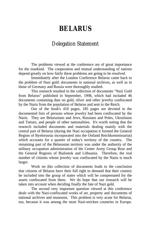# **BELARUS**

## Delegation Statement

The problems viewed at the conference are of great importance for the mankind. The cooperation and mutual understanding of nations depend greatly on how fairly these problems are going to be resolved.

Immediately after the London Conference Belarus came back to the problem of Nazi gold: documents in national archives, as well as in those of Germany and Russia were thoroughly studied.

This research resulted in the collection of documents "Nazi Gold from Belarus" published in September, 1998, which had included 46 documents containing data on gold, silver and other jewelry confiscated by the Nazis from the population of Belarus and sent to the Reich.

Out of the book's 410 pages, 185 pages are devoted to the documented lists of persons whose jewelry had been confiscated by the Nazis. They are Belarusians and Jews, Russians and Poles, Ukrainians and Tartars, and people of other nationalities. It's worth noting that the research included documents and materials dealing mainly with the central part of Belarus (during the Nazi occupation it formed the General Region of Byelorussia incorporated into the Ostland Reichkommissariat) which accounts for a quarter of today's territory of the country. The remaining part of the Belarusian territory was under the authority of the military occupation administration of the Center Army Group Rear and the General Regions of Bialostok and Lithuania. Therefore, the real number of citizens whose jewelry was confiscated by the Nazis is much larger.

Work on this collection of documents leads to the conclusion that citizens of Belarus have their full right to demand that their country be included into the group of states which will be compensated for the assets confiscated from them. We do hope that our research will be taken into account when deciding finally the fate of Nazi gold.

The second very important question viewed at this conference deals with the Nazi-confiscated works of art, property and documents of national archives and museums. This problem is very acute for Belarus, too, because it was among the most Nazi-stricken countries in Europe.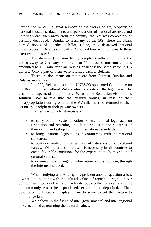During the W.W.II a great number of the works of art, property of national museums, documents and publications of national archives and libraries were taken away from the country, the rest was completely or partially destroyed. Similar to Germany of the 30s where the Nazis burned books of Goethe, Schiller, Heine, they destroyed national masterpieces in Belarus of the 40s. Who and how will compensate these irretrievable losses?

The damage (far from being complete) inflicted only by the taking away to Germany of more than 11 thousand museum exhibits amounted to 163 mln. pre-war roubles or nearly the same value in US dollars. Only a part of them were returned back to Belarus.

There are documents on that score from German, Russian and Belarusian archives.

In 1997, Belarus hosted the UNESCO-sponsored Conference on the Restitution of Cultural Values which considered the legal, scientific and moral aspects of this problem. What is the Belarusian vision of its solution? We believe that the cultural values, in case of their misappropriation during or after the W.W.II, must be returned to their countries of origin or their private owners.

Further, we consider it necessary:

- to carry out the systematization of international legal acts on restitution and returning of cultural values to the countries of their origin and set up common international standards;
- to bring national legislations in conformity with international standards;
- to continue work on creating national databases of lost cultural values. With that end in view it is necessary in all countries to create favorable conditions for the experts to study migration of cultural values;
- to organize the exchange of information on this problem, through the Internet included.

When studying and solving this problem another question arises – what is to be done with the cultural values of arguable origin. In our opinion, such works of art, archive funds, book collections can and must be commonly researched, published, exhibited or deposited. Their description, publication, displaying are to some extent their return to their native land.

We believe in the future of inter-governmental and inter-regional projects aimed at returning the cultural values.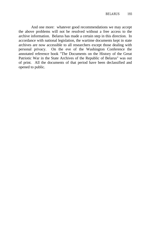And one more: whatever good recommendations we may accept the above problems will not be resolved without a free access to the archive information. Belarus has made a certain step in this direction. In accordance with national legislation, the wartime documents kept in state archives are now accessible to all researchers except those dealing with personal privacy. On the eve of the Washington Conference the annotated reference book "The Documents on the History of the Great Patriotic War in the State Archives of the Republic of Belarus" was out of print. All the documents of that period have been declassified and opened to public.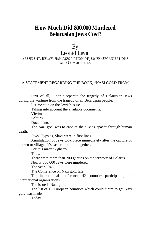# **How Much Did 800,000 Murdered Belarusian Jews Cost?**

### By

# Leonid Levin

#### PRESIDENT, BELARUSIAN ASSOCIATION OF JEWISH ORGANIZATIONS AND COMMUNITIES

#### A STATEMENT REGARDING THE BOOK, "NAZI GOLD FROM

First of all, I don't separate the tragedy of Belarusian Jews during the wartime from the tragedy of all Belarusian people.

Let me stop on the Jewish issue.

Taking into account the available documents.

Victims.

**Politics** 

**Documents** 

The Nazi goal was to capture the "living space" through human

death.

Jews, Gypsies, Slavs were in first lines.

Annihilation of Jews took place immediately after the capture of a town or village. It's easier to kill all together.

For this matter - ghetto.

Thus,

There were more than 200 ghettos on the territory of Belarus.

Nearly 800,000 Jews were murdered.

The year 1946.

The Conference on Nazi gold fate.

The international conference. 42 countries participating. 11 international organizations.

The issue is Nazi gold.

The list of 15 European countries which could claim to get Nazi gold was made.

Today.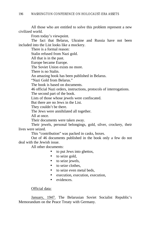All those who are entitled to solve this problem represent a new civilized world.

From today's viewpoint.

The fact that Belarus, Ukraine and Russia have not been included into the List looks like a mockery.

There is a formal reason:

Stalin refused from Nazi gold.

All that is in the past.

Europe became Europe.

The Soviet Union exists no more.

There is no Stalin.

An amazing book has been published in Belarus.

"Nazi Gold from Belarus."

The book is based on documents.

46 official Nazi orders, instructions, protocols of interrogations.

The second part of the book.

Lists of those whose jewels were confiscated.

But there are no Jews in the List.

They couldn't be there.

The Jews were annihilated all together.

All at once.

Their documents were taken away.

Their jewels, personal belongings, gold, silver, crockery, their lives were seized.

This "contribution" was packed in casks, boxes.

Out of 46 documents published in the book only a few do not deal with the Jewish issue.

All other documents:

- to put Jews into ghettos,
- to seize gold,
- to seize jewels,
- to seize clothes.
- to seize even metal beds.
- execution, execution, execution,
- evidences.

#### Official data:

January, 1947. The Belarusian Soviet Socialist Republic's Memorandum on the Peace Treaty with Germany.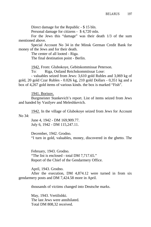Direct damage for the Republic - \$ 15 bln.

Personal damage for citizens - \$ 4,720 mln.

For the Jews this "damage" was their death 1/3 of the sum mentioned above.

Special Account No 34 in the Minsk German Credit Bank for money of the Jews and for their death.

The center of all looted - Riga.

The final destination point - Berlin.

1942. From: Glubokoye, Gebitskommissar Peterson.

To: Riga, Ostland Reichskommiissar Lose:

- valuables seized from Jews: 3,610 gold Rubles and 3,069 kg of gold, 20 gold Czar Rubles - 0.026 kg, 210 gold Dollars - 0,351 kg and a box of 4,267 gold items of various kinds. the box is marked "Fish".

1941. Borisov.

Burgmeister Stankevich's report. List of items seized from Jews and handed by Vasilyev and Meleshkevich.

1942. In the village of Glubokoye seized from Jews for Account No 34:

> June 4, 1942 - DM 169,909.77. July 6, 1942 - DM 115,247.11.

December, 1942. Grodno. "I turn in gold, valuables, money, discovered in the ghetto. The

February, 1943. Grodno. "The list is enclosed - total DM 7,717.65." Report of the Chief of the Gendarmery Office.

April, 1943. Grodno.

After the execution, DM 4,874.12 were turned in from six gendarmery posts and DM 7,424.58 more in April.

thousands of victims changed into Deutsche marks.

May, 1943. Vertilishki. The last Jews were annihilated. Total DM 808,32 received.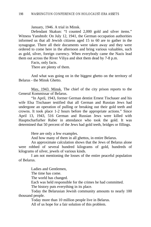January, 1946. A trial in Minsk.

Defendant Skakun: "I counted 2,000 gold and silver items." Witness Yanshtob: On July 12, 1941, the German occupation authorities informed us that all Jewish citizens aged 15 to 60 are to gather in the synagogue. There all their documents were taken away and they were ordered to come here in the afternoon and bring various valuables, such as gold, silver, foreign currency. When everybody came the Nazis lead them out across the River Viliya and shot them dead by 7-8 p.m.

Facts, only facts.

There are plenty of them.

And what was going on in the biggest ghetto on the territory of Belarus - the Minsk Ghetto.

May, 1943. Minsk. The chief of the city prison reports to the General Kommissar of Belarus.

"In April, 1943, former German dentist Ernest Tischauer and his wife Elsa Tischauer testified that all German and Russian Jews had undergone an operation of pulling or breaking out their gold teeth and crowns. It took place 1-2 hours before the appropriate actions." Since April 13, 1943, 516 German and Russian Jews were killed with Hauptscharfurher Ruber in attendance who took the gold. It was determined that 50 percent of the Jews had gold teeth, bridges or fillings.

Here are only a few examples.

And how many of them in all ghettos, in entire Belarus.

An approximate calculation shows that the Jews of Belarus alone were robbed of several hundred kilograms of gold, hundreds of kilograms of silver, jewels of various kinds.

I am not mentioning the losses of the entire peaceful population of Belarus.

Ladies and Gentlemen,

The time has come.

The world has changed.

Each was held responsible for the crimes he had committed.

The history puts everything in its place.

Today the Belarusian Jewish community amounts to nearly 100 thousand people.

Today more than 10 million people live in Belarus.

All of us hope for a fair solution of this problem.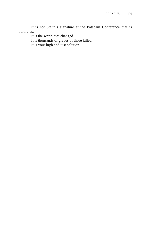It is not Stalin's signature at the Potsdam Conference that is before us.

It is the world that changed.

It is thousands of graves of those killed.

It is your high and just solution.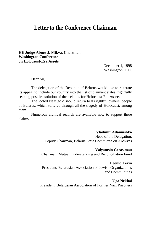### **Letter to the Conference Chairman**

**HE Judge Abner J. Mikva, Chairman Washington Conference on Holocaust-Era Assets**

> December 1, 1998 Washington, D.C.

Dear Sir,

The delegation of the Republic of Belarus would like to reiterate its appeal to include our country into the list of claimant states, rightfully seeking positive solution of their claims for Holocaust-Era Assets.

The looted Nazi gold should return to its rightful owners, people of Belarus, which suffered through all the tragedy of Holocaust, among them.

Numerous archival records are available now to support these claims.

#### **Vladimir Adamushko**

Head of the Delegation, Deputy Chairman, Belarus State Committee on Archives

**Valyantsin Gerasimau**

Chairman, Mutual Understanding and Reconciliation Fund

**Leonid Levin**

President, Belarusian Association of Jewish Organizations and Communities

**Olga Nekhai**

President, Belarusian Association of Former Nazi Prisoners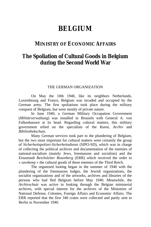# **BELGIUM**

### **MINISTRY OF ECONOMIC AFFAIRS**

# **The Spoliation of Cultural Goods in Belgium during the Second World War**

#### THE GERMAN ORGANIZATION

On May the 10th 1940, like its neighbors Netherlands, Luxembourg and France, Belgium was invaded and occupied by the German army. The first spoliations took place during the military conquest of Belgium, but were mostly of private nature.

In June 1940, a German Military Occupation Government (*Militärverwaltung*) was installed in Brussels with General A. von Falkenhausen at its head. Regarding cultural matters, this military government relied on the specialists of the *Kunst, Archiv* and *Bibiliothekschutz*.

Many German services took part to the plundering of Belgium, but the two most important for cultural matters were certainly the group of *Sicherheitspolizei-Sicherheitsdienst* (SIPO-SD), which was in charge of collecting the political archives and documentation of the enemies of national-socialism (mainly Jews, freemasons and socialists) and the *Einzatstab Reichsleiter Rosenberg* (ERR) which received the order to « savekeep » the cultural goods of these enemies of the Third Reich.

The organized looting began in the summer of 1940 with the plundering of the freemasons lodges, the Jewish organizations, the socialist organizations and of the artworks, archives and libraries of the persons who had fled Belgium before May 1940. Meanwhile, the *Archivschutz* was active in looking through the Belgian ministerial archives, with special interest for the archives of the Ministries of National Defense, Colonies, Foreign Affairs and Economic Affairs. The ERR reported that the first 340 crates were collected and partly sent to Berlin in November 1940.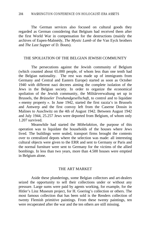The German services also focused on cultural goods they regarded as German considering that Belgium had received them after the first World War in compensation for the destructions (mainly the archives of Eupen-Malmédy, *The Mystic Lamb* of the Van Eyck brothers and *The Last Supper* of D. Bouts).

#### THE SPOLIATION OF THE BELGIAN JEWISH COMMUNITY

The persecutions against the Jewish community of Belgium (which counted about 65.000 people, of whom less than one tenth had the Belgian nationality. The rest was made up of immigrants from Germany and Central and Eastern Europe) started as soon as October 1940 with different nazi decrees aiming the complete isolation of the Jews in the Belgian society. In order to organize the economical spoliation of the Jewish community, the Militärverwaltung set up in Brussels, the *Brüsseler Treuhandgesellschaft*, to control and to liquidate « enemy property ». In June 1942, started the first razzia's in Brussels and Antwerp and the first convoy left from the Caserne Dossin in Malines to Auschwitz on the 4th of August 1942. Between August 1942 and July 1944, 25.257 Jews were deported from Belgium, of whom only 1.207 survived.

Meanwhile had started the *Möbelaktion*, the purpose of this operation was to liquidate the households of the houses where Jews lived. The buildings were sealed, transport firms brought the contents over to centralized depots where the selection was made: all interesting cultural objects were given to the ERR and sent to Germany or Paris and the normal furniture were sent to Germany for the victims of the allied bombings. In less than two years, more than 4.500 houses were emptied in Belgium alone.

#### THE ART MARKET

Aside these plunderings, some Belgian collectors and art-dealers seized the opportunity to sell their collections under or without any pressure. Large sums were paid by agents working, for example, for the Hitler's Linz Museum project, for H. Goering's collection or others. The most famous collection that has been sold is the Renders collection of twenty Flemish primitive paintings. From these twenty paintings, ten were recuperated after the war and the ten others are still missing.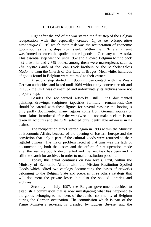#### BELGIAN RECUPERATION EFFORTS

Right after the end of the war started the first step of the Belgian recuperation with the especially created *Office de Récupération Economique* (ORE) which main task was the recuperation of economic goods such as trains, ships, coal, steel... Within the ORE, a small unit was formed to search the spoiled cultural goods in Germany and Austria. This essential step went on until 1952 and allowed Belgium to find back 492 artworks and 2.749 books; among them were masterpieces such as *The Mystic Lamb* of the Van Eyck brothers or the Michelangelo's *Madonna* from the Church of Our Lady in Bruges. Meanwhile, hundreds of goods found in Belgium were returned to their owners.

A second step started in 1950 in close contact with the West-German authorities and lasted until 1964 without any concrete result and in 1967 the ORE was dismantled and unfortunately its archives were not properly kept.

Besides the recuperated artworks, still 3.273 documented paintings, drawings, sculptures, tapestries, furniture... remain lost. One should be careful with these figures for several reasons: the looting is only partly documented, many figures come from German sources or from claims introduced after the war (who did not make a claim is not taken in account) and the ORE selected only identifiable artworks in its claims.

The recuperation effort started again in 1993 within the Ministry of Economic Affairs because of the opening of Eastern Europe and the conviction that only a part of the cultural goods were returned to their rightful owners. The major problem faced at that time was the lack of documentation, both the losses and the efforts for recuperation made after the war are poorly documented and the first task has been and is still the search for archives in order to make restitution possible.

Today, this effort continues on two levels. First, within the Ministry of Economic Affairs with the Mission Restitution Spoiled Goods which edited two catalogs documenting the losses of artworks belonging to the Belgian State and prepares three others catalogs that will document the private losses but also the spoiled libraries and archives.

Secondly, in July 1997, the Belgian government decided to establish a commission that is now investigating what has happened to the goods belonging to members of the Jewish community of Belgium during the German occupation. The commission which is part of the Prime Minister's services, is presided by Lucien Buysse, and the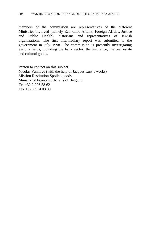members of the commission are representatives of the different Ministries involved (namely Economic Affairs, Foreign Affairs, Justice and Public Health), historians and representatives of Jewish organizations. The first intermediary report was submitted to the government in July 1998. The commission is presently investigating various fields, including the bank sector, the insurance, the real estate and cultural goods.

Person to contact on this subject Nicolas Vanhove (with the help of Jacques Lust's works) Mission Restitution Spoiled goods Ministry of Economic Affairs of Belgium Tel +32 2 206 58 62 Fax +32 2 514 03 89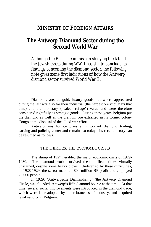### **MINISTRY OF FOREIGN AFFAIRS**

## **The Antwerp Diamond Sector during the Second World War**

Although the Belgian commission studying the fate of the Jewish assets during WWII has still to conclude its findings concerning the diamond sector, the following note gives some first indications of how the Antwerp diamond sector survived World War II.

Diamonds are, as gold, luxury goods but where appreciated during the last war also for their industrial (the hardest ore known by that time) and the monetary ("valeur refuge") value and were therefore considered rightfully as strategic goods. During these years Belgium put the diamond as well as the uranium ore extracted in its former colony Congo at the disposal of the allied war effort.

Antwerp was for centuries an important diamond trading, carving and policing center and remains so today. Its recent history can be resumed as follows.

#### THE THIRTIES: THE ECONOMIC CRISIS

The slump of 1927 heralded the major economic crisis of 1929- 1930. The diamond world survived these difficult times virtually unscathed, despite some heavy blows. Undeterred by these difficulties, in 1928-1929, the sector made an 800 million BF profit and employed 25.000 people.

In 1929, "Antwerpsche Diamantkring" (the Antwerp Diamond Circle) was founded, Antwerp's fifth diamond bourse at the time. At that time, several social improvements were introduced in the diamond trade, which were later adopted by other branches of industry, and acquired legal validity in Belgium.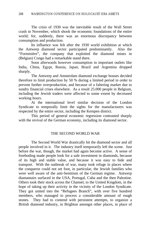The crisis of 1930 was the inevitable result of the Wall Street crash in November, which shook the economic foundations of the entire world; for, suddenly, there was an enormous discrepancy between consumption and production.

Its influence was felt after the 1930 world exhibition at which the Antwerp diamond sector participated predominantly. Also the "Forminière", the company that exploited the diamond mines in (Belgian) Congo had a remarkable stand there.

Soon afterwards however consumption in important outlets like India, China, Egypt, Russia, Japan, Brazil and Argentina dropped sharply.

The Antwerp and Amsterdam diamond exchange houses decided therefore to limit production by 50 % during a limited period in order to prevent further overproduction, and because of a faltering market due to sundry financial crises elsewhere. As a result 25.000 people in Belgium, including the Jewish traders were affected to some extent by decreased working hours.

At the international level similar decision of the London Syndicate to temporally limit the sights for the manufacturers was respected by the entire sector, including the Kempen district.

This period of general economic regression contrasted sharply with the revival of the German economy, including its diamond sector.

#### THE SECOND WORLD WAR

The Second World War drastically hit the diamond sector and all people involved in it. The industry itself temporarily left the scene. Just before the war, though, the market had again become active. A sense of foreboding made people look for a safe investment in diamonds, because of its high and stable value, and because it was easy to hide and transport. With the outbreak of war, many took refuge in places where the conqueror could not set foot, in particular, the Jewish families who were well aware of the anti-Semitism of the German regime. Antwerp diamantairs surfaced in the USA, Portugal, Cuba and the then Palestine. Others took their stock across the Channel, to the United Kingdom, in the hope of taking up their activity in the vicinity of the London Syndicate. They got united into the "Refugees Branch", with over five hundred members, who managed to process a considerable amount of rough stones. They had to contend with persistent attempts, to organize a British diamond industry, in Brighton amongst other places, in place of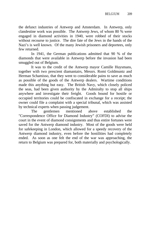the defunct industries of Antwerp and Amsterdam. In Antwerp, only clandestine work was possible. The Antwerp Jews, of whom 80 % were engaged in diamond activities in 1940, were robbed of their stocks without recourse to justice. The dire fate of the Jews in the hands of the Nazi's is well known. Of the many Jewish prisoners and deportees, only few returned.

In 1941, the German publications admitted that 90 % of the diamonds that were available in Antwerp before the invasion had been smuggled out of Belgium.

It was to the credit of the Antwerp mayor Camille Huysmans, together with two prescient diamantairs, Messrs. Romi Goldmuntz and Herman Schamisso, that they went to considerable pains to save as much as possible of the goods of the Antwerp dealers. Wartime conditions made this anything but easy. The British Navy, which closely policed the seas, had been given authority by the Admiralty to stop all ships anywhere and investigate their freight. Goods bound for hostile or occupied territories could be confiscated in exchange for a receipt; the owner could file a complaint with a special tribunal, which was assisted by technical experts when passing judgement.

The gentlemen mentioned above established the "Correspondence Office for Diamond Industry" (COFDI) to advise the court in the event of diamond consignments and thus entire fortunes were saved for the Antwerp diamond industry. Most of the goods were held for safekeeping in London, which allowed for a speedy recovery of the Antwerp diamond industry, even before the hostilities had completely ended. As soon as one felt the end of the war was approaching, the return to Belgium was prepared for, both materially and psychologically.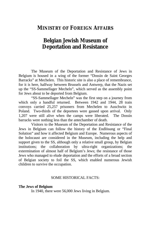### **MINISTRY OF FOREIGN AFFAIRS**

# **Belgian Jewish Museum of Deportation and Resistance**

The Museum of the Deportation and Resistance of Jews in Belgium is housed in a wing of the former "Dossin de Saint Georges Barracks" at Mechelen. This historic site is also a place of remembrance, for it is here, halfway between Brussels and Antwerp, that the Nazis set up the "SS-Sammellager Mecheln", which served as the assembly point for Jews about to be deported from Belgium.

"SS-Sammellager Mecheln" was the first step on a journey from which only a handful returned. Between 1942 and 1944, 28 train convoys carried 25,257 prisoners from Mechelen to Auschwitz in Poland. Two-thirds of the deportees were gassed upon arrival. Only 1,207 were still alive when the camps were liberated. The Dossin barracks were nothing less than the antechamber of death.

Visitors to the Museum of the Deportation and Resistance of the Jews in Belgium can follow the history of the Endlösung or "Final Solution" and how it affected Belgium and Europe. Numerous aspects of the holocaust are considered in the Museum, including the help and support given to the SS, although only a relative small group, by Belgian institutions; the collaboration by ultra-right organizations; the extermination of almost half of Belgium's Jews; the resistance of those Jews who managed to elude deportation and the efforts of a broad section of Belgian society to foil the SS, which enabled numerous Jewish children to survive the occupation.

#### SOME HISTORICAL FACTS:

#### **The Jews of Belgium**

In 1940, there were 56,000 Jews living in Belgium.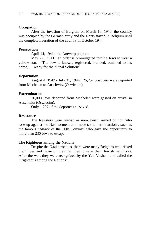#### **Occupation**

After the invasion of Belgium on March 10, 1940, the country was occupied by the German army and the Nazis stayed in Belgium until the complete liberation of the country in October 1944.

#### **Persecution**

April 14, 1941: the Antwerp pogrom.

May 27, 1941: an order is promulgated forcing Jews to wear a yellow star. "The Jew is known, registered, branded, confined to his home, ... ready for the "Final Solution".

#### **Deportation**

August 4, 1942 - July 31, 1944: 25,257 prisoners were deported from Mechelen to Auschwitz (Oswiecim).

#### **Extermination**

16,000 Jews deported from Mechelen were gassed on arrival in Auschwitz (Oswiecim).

Only 1,207 of the deportees survived.

#### **Resistance**

The Resisters were Jewish or non-Jewish, armed or not, who rose up against the Nazi torment and made some heroic actions, such as the famous "Attack of the 20th Convoy" who gave the opportunity to more than 230 Jews to escape.

#### **The Righteous among the Nations**

Despite the Nazi atrocities, there were many Belgians who risked their lives and those of their families to save their Jewish neighbors. After the war, they were recognized by the Yad Vashem and called the "Righteous among the Nations".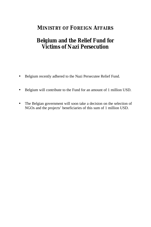# **MINISTRY OF FOREIGN AFFAIRS**

# **Belgium and the Relief Fund for Victims of Nazi Persecution**

- Belgium recently adhered to the Nazi Persecutee Relief Fund.
- Belgium will contribute to the Fund for an amount of 1 million USD.
- The Belgian government will soon take a decision on the selection of NGOs and the projects' beneficiaries of this sum of 1 million USD.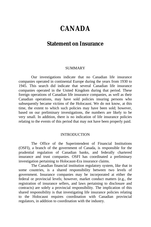## **CANADA**

### **Statement on Insurance**

#### SUMMARY

Our investigations indicate that no Canadian life insurance companies operated in continental Europe during the years from 1930 to 1945. This search did indicate that several Canadian life insurance companies operated in the United Kingdom during that period. These foreign operations of Canadian life insurance companies, as well as their Canadian operations, may have sold policies insuring persons who subsequently became victims of the Holocaust. We do not know, at this time, the extent to which such policies may have been sold; however, based on our preliminary investigations, the numbers are likely to be very small. In addition, there is no indication of life insurance policies relating to the events of this period that may not have been properly paid.

#### **INTRODUCTION**

The Office of the Superintendent of Financial Institutions (OSFI), a branch of the government of Canada, is responsible for the prudential regulation of Canadian banks, and federally chartered insurance and trust companies. OSFI has coordinated a preliminary investigation pertaining to Holocaust-Era insurance claims.

The Canadian financial institution regulatory system, like that in some countries, is a shared responsibility between two levels of government. Insurance companies may be incorporated at either the federal or provincial levels; however, market conduct matters (e.g., the registration of insurance sellers, and laws pertaining to disclosure and contracts) are solely a provincial responsibility. The implication of this shared responsibility is that investigating life insurance policies relating to the Holocaust requires coordination with Canadian provincial regulators, in addition to coordination with the industry.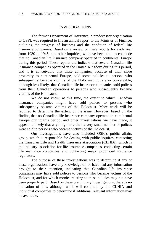#### INVESTIGATIONS

The former Department of Insurance, a predecessor organization to OSFI, was required to file an annual report to the Minister of Finance, outlining the progress of business and the condition of federal life insurance companies. Based on a review of these reports for each year from 1930 to 1945, and other inquiries, we have been able to conclude that no Canadian life insurance company operated in continental Europe during this period. These reports did indicate that several Canadian life insurance companies operated in the United Kingdom during this period, and it is conceivable that these companies, because of their close proximity to continental Europe, sold some policies to persons who subsequently became victims of the Holocaust. It is also conceivable, although less likely, that Canadian life insurance companies sold polices from their Canadian operations to persons who subsequently became victims of the Holocaust.

We do not know, at this time, the extent to which Canadian insurance companies might have sold polices to persons who subsequently became victims of the Holocaust. More work will be required to determine the extent of the issue. However, based on the finding that no Canadian life insurance company operated in continental Europe during this period, and other investigations we have made, it appears unlikely that anything more than a very small number of polices were sold to persons who became victims of the Holocaust.

Our investigations have also included OSFI's public affairs group, which is responsible for dealing with public inquires, contacting the Canadian Life and Health Insurance Association (CLHIA), which is the industry association for life insurance companies, contacting certain life insurance companies and contacting major provincial insurance regulators.

The purpose of these investigations was to determine if any of these organizations have any knowledge of, or have had any information brought to their attention, indicating that Canadian life insurance companies may have sold polices to persons who became victims of the Holocaust, and for which monies relating to these policies may not have been properly paid. Based on these preliminary investigations, there is no indication of this, although work will continue by the CLHIA and individual companies to determine if additional relevant information may be available.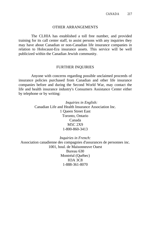#### OTHER ARRANGEMENTS

The CLHIA has established a toll free number, and provided training for its call center staff, to assist persons with any inquiries they may have about Canadian or non-Canadian life insurance companies in relation to Holocaust-Era insurance assets. This service will be well publicized within the Canadian Jewish community.

#### FURTHER INQUIRIES

Anyone with concerns regarding possible unclaimed proceeds of insurance policies purchased from Canadian and other life insurance companies before and during the Second World War, may contact the life and health insurance industry's Consumers Assistance Center either by telephone or by writing:

> *Inquiries in English:* Canadian Life and Health Insurance Association Inc. 1 Queen Street East Toronto, Ontario Canada M5C 2X9 1-800-860-3413

> > *Inquiries in French:*

Association canadienne des compagnies d'assurances de personnes inc. 1001, boul. de Maisonneuve Ouest Bureau 630 Montréal (Québec) H3A 3C8 1-888-361-8070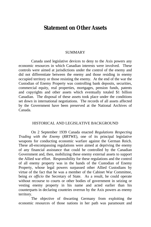### **Statement on Other Assets**

#### SUMMARY

Canada used legislative devices to deny to the Axis powers any economic resources in which Canadian interests were involved. These controls were aimed at jurisdictions under the control of the enemy and did not differentiate between the enemy and those residing in enemy occupied territory or those resisting the enemy. At the end of the war the Custodian of Enemy Property was controlling bank deposits, securities, commercial equity, real properties, mortgages, pension funds, patents and copyrights and other assets which eventually totaled \$1 billion Canadian. The disposal of these assets took place under the conditions set down in international negotiations. The records of all assets affected by the Government have been preserved at the National Archives of Canada.

#### HISTORICAL AND LEGISLATIVE BACKGROUND

On 2 September 1939 Canada enacted *Regulations Respecting Trading with the Enemy* (*RRTWE*), one of its principal legislative weapons for conducting economic warfare against the German Reich. These all-encompassing regulations were aimed at depriving the enemy of any financial assistance that could be controlled by the Canadian Government and, then, mobilizing these enemy external assets to support the Allied war effort. Responsibility for these regulations and the control of all enemy property was in the hands of the Custodian of Enemy Property, whose legal powers surpassed other Allied Custodians by virtue of the fact that he was a member of the Cabinet War Committee, being *ex officio* the Secretary of State. As a result, he could operate without recourse to courts or other bodies of government in seizing or vesting enemy property in his name and acted earlier than his counterparts in declaring countries overrun by the Axis powers as enemy territory.

The objective of thwarting Germany from exploiting the economic resources of those nations in her path was paramount and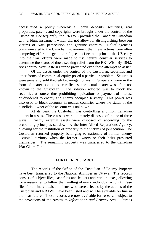necessitated a policy whereby all bank deposits, securities, real properties, patents and copyrights were brought under the control of the Custodian. Consequently, the RRTWE provided the Canadian Custodian with a blunt instrument which did not allow for distinguishing between victims of Nazi persecution and genuine enemies. Relief agencies communicated to the Canadian Government that these actions were often hampering efforts of genuine refugees to flee, and prior to the US entry into the war, efforts were made to use neutral consular services to determine the status of those seeking relief from the RRTWE. By 1942, Axis control over Eastern Europe prevented even these attempts to assist.

Of the assets under the control of the Custodian, securities and other forms of commercial equity posed a particular problem. Securities were generally sold through brokerage houses in Europe and were in the form of bearer bonds and certificates; the actual bearer was often not known to the Custodian. The solution adopted was to block the securities at source; thus prohibiting liquidations or payment of interest or dividends to enemy and enemy occupied territory. This power was also used to block accounts in neutral countries where the status of the beneficial owner of the account was unknown.

At its peak the Custodian was controlling a billion Canadian dollars in assets. These assets were ultimately disposed of in one of three ways. Enemy external assets were disposed of according to the accounting principles set down by the Inter-Allied Reparations Agency, allowing for the restitution of property to the victims of persecution. The Custodian returned property belonging to nationals of former enemy occupied territory when the former owners or their heirs presented themselves. The remaining property was transferred to the Canadian War Claim Fund.

#### FURTHER RESEARCH

The records of the Office of the Custodian of Enemy Property have been transferred to the National Archives in Ottawa. The records consist of subject files, case files and ledgers and card indexes, allowing for a researcher to follow the handling of every individual account. Case files for all individuals and firms who were affected by the actions of the Custodian and RRTWE have been listed and will be available on line in the near future. These records are now available for research subject to the provisions of the *Access to Information and Privacy Acts*. Parties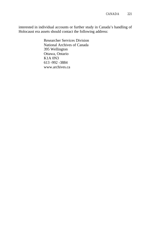interested in individual accounts or further study in Canada's handling of Holocaust era assets should contact the following address:

> Researcher Services Division National Archives of Canada 395 Wellington Ottawa, Ontario K1A 0N3 613 -992 -3884 www.archives.ca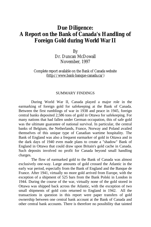## **Due Diligence: A Report on the Bank of Canada's Handling of Foreign Gold during World War II**

By Dr. Duncan McDowall November, 1997

#### Complete report available on the Bank of Canada website (http://www.bank-banque-canada.ca/)

#### SUMMARY FINDINGS

During World War II, Canada played a major role in the earmarking of foreign gold for safekeeping at the Bank of Canada. Between the first rumblings of war in 1938 and peace in 1945, foreign central banks deposited 2,586 tons of gold in Ottawa for safekeeping. For many nations that had fallen under German occupation, this of safe gold was the ultimate guarantee of national survival. In particular, the central banks of Belgium, the Netherlands, France, Norway and Poland availed themselves of this unique type of Canadian wartime hospitality. The Bank of England was also a frequent earmarker of gold in Ottawa and in the dark days of 1940 even made plans to create a "shadow" Bank of England in Ottawa that could draw upon Britain's gold cache in Canada. Such deposits involved no profit for Canada beyond small handling charges.

The flow of earmarked gold to the Bank of Canada was almost exclusively one-way. Large amounts of gold crossed the Atlantic in the early war period, especially from the Bank of England and the Banque de France. After 1941, virtually no more gold arrived from Europe, with the exception of a shipment of 525 bars from the Bank Polski in London in 1944. During the course of the war, virtually none of the gold stored in Ottawa was shipped back across the Atlantic, with the exception of two small shipments of gold coin returned to England in 1942. All the transactions in question in this report were paper transfers of gold ownership between one central bank account at the Bank of Canada and other central bank accounts. There is therefore no possibility that tainted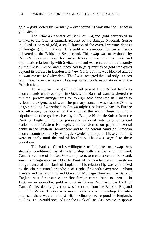gold – gold looted by Germany – ever found its way into the Canadian gold stream.

The 1942-43 transfer of Bank of England gold earmarked in Ottawa to the Ottawa earmark account of the Banque Nationale Suisse involved 56 tons of gold, a small fraction of the overall wartime deposit of foreign gold in Ottawa. This gold was swapped for Swiss francs delivered to the British in Switzerland. This swap was necessitated by Britain's desperate need for Swiss francs to maintain its trade and diplomatic relationship with Switzerland and was entered into reluctantly by the Swiss. Switzerland already had large quantities of gold stockpiled beyond its borders in London and New York, but this was blocked and of no wartime use to Switzerland. The Swiss accepted the deal only as a pro tem. measure in the hope of keeping stalled trade negotiations with the British alive.

To safeguard the gold that had passed from Allied hands to neutral hands under earmark in Ottawa, the Bank of Canada altered the minimal prewar arrangements for foreign gold deposited in Canada to reflect the exigencies of war. The primary concern was that the 56 tons of gold held by Switzerland in Ottawa might find its way back to Europe and ultimately be applied to the ends of the Axis. These conditions stipulated that the gold received by the Banque Nationale Suisse from the Bank of England might be physically exported only to other central banks in the Western Hemisphere or transferred on paper to central banks in the Western Hemisphere and to the central banks of European neutral countries, namely Portugal, Sweden and Spain. These conditions were to apply until the end of hostilities. The Swiss agreed to these conditions.

The Bank of Canada's willingness to facilitate such swaps was strongly conditioned by its relationship with the Bank of England. Canada was one of the last Western powers to create a central bank and, since its inauguration in 1935, the Bank of Canada had relied heavily on the guidance of the Bank of England. This relationship was epitomized by the close personal friendship of Bank of Canada Governor Graham Towers and Bank of England Governor Montagu Norman. The Bank of England was, for instance, the first foreign central bank to open  $-$  in 1936 — an earmarked gold account in Ottawa. Similarly, the Bank of Canada's first deputy governor was seconded from the Bank of England in 1935. While Towers was never oblivious to protecting Canada's interests, there was an almost filial inclination to respond to England's bidding. This would precondition the Bank of Canada's positive response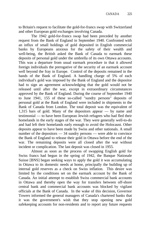to Britain's request to facilitate the gold-for-francs swap with Switzerland and other European gold exchanges involving Canada.

The 1942 gold-for-francs swap had been preceded by another request from the Bank of England in September 1940. Confronted with an influx of small holdings of gold deposited in English commercial banks by Europeans anxious for the safety of their wealth and well-being, the British asked the Bank of Canada to earmark these deposits of personal gold under the umbrella of its own Ottawa accounts. This was a departure from usual earmark procedure in that it allowed foreign individuals the prerogative of the security of an earmark account well beyond the fray in Europe. Control of the deposits remained in the hands of the Bank of England. A handling charge of 5% of each individual's gold was imposed by the Bank of England and the depositor had to sign an agreement acknowledging that the gold would not be released until after the war, except in extraordinary circumstances approved by the Bank of England. During the course of September 1940 to June 1941, 155 of these so-called "sundry persons" deposits of personal gold at the Bank of England were included in shipments to the Bank of Canada from London. The total deposit was the equivalent of 1,315 bars of gold. Many of the depositors appear — by name and testimonial — to have been European Jewish refugees who had fled their homelands in the early stages of the war. They were generally well-to-do and had left their homelands early enough to avoid the Holocaust. Other deposits appear to have been made by Swiss and other nationals. A small number of the depositors — 34 sundry persons — were able to convince the Bank of England to release their gold in Ottawa before the end of the war. The remaining deposits were all closed after the war without incident or complication. The last deposit was closed in 1955.

Almost as soon as the process of swapping English gold for Swiss francs had begun in the spring of 1942, the Banque Nationale Suisse [BNS] began seeking ways to apply the gold it was accumulating in Ottawa to its domestic needs at home, principally the building up of internal gold reserves as a check on Swiss inflation. This desire was limited by the conditions set on the earmark account by the Bank of Canada. An initial attempt to establish Swiss commercial bank accounts in Ottawa and thereby open the way for transfers between off-shore central bank and commercial bank accounts was blocked by vigilant officials at the Bank of Canada. In the wake of this decision, Governor Towers informed the general managers of Canada's chartered banks that it was the government's wish that they stop opening new gold safekeeping accounts for non-residents and to report any future requests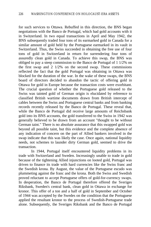for such services to Ottawa. Rebuffed in this direction, the BNS began negotiations with the Banco de Portugal, which had gold accounts with it in Switzerland. In two equal transactions in April and May 1942, the BNS subsequently traded four tons of its earmarked gold in Canada for a similar amount of gold held by the Portuguese earmarked in its vault in Switzerland. Thus, the Swiss succeeded in obtaining the free use of four tons of gold in Switzerland in return for surrendering four tons of assuredly clean gold in Canada. To achieve this swap, the BNS was obliged to pay a steep commission to the Banco de Portugal of 1 1/2% on the first swap and 2 1/2% on the second swap. These commissions reflected the fact that the gold Portugal was obtaining in Ottawa was blocked for the duration of the war. In the wake of these swaps, the BNS board of directors decided to abandon the tactic of offering gold in Ottawa for gold in Europe because the transaction costs were exorbitant. The crucial question of whether the Portuguese gold released to the Swiss was tainted gold of German origin is elucidated by reference to classified British wartime documents drawn from British intercept of cables between the Swiss and Portuguese central banks and from banking records recently released by the Banco de Portugal. These reveal that, while the Banco de Portugal did receive large amounts of Reichsbank gold into its BNS accounts, the gold transferred to the Swiss in 1942 was generally believed to be drawn from an account "thought to be without German taint." There is no absolute assurance that this swapped gold was beyond all possible taint, but this evidence and the complete absence of any indication of concern on the part of Allied bankers involved in the swap indicate that this was likely the case. Once again, national liquidity needs, not schemes to launder dirty German gold, seemed to drive the transaction.

In 1944, Portugal itself encountered liquidity problems in its trade with Switzerland and Sweden. Increasingly unable to trade in gold because of the tightening Allied injunctions on looted gold, Portugal was driven to finance its trade with hard currencies like the Swiss franc and the Swedish krona. By August, the value of the Portuguese escudo was plummeting against the franc and the krona. Both the Swiss and Swedish proved reluctant to accept Portuguese offers of gold-for-currency swaps. In desperation, the Banco de Portugal therefore offered the Sveriges Riksbank, Sweden's central bank, clean gold in Ottawa in exchange for kronor. This offer of a ton and a half of gold in September and October of 1944 was accepted by the Swedes on the condition that the Portuguese applied the resultant kronor to the process of Swedish-Portuguese trade alone. Subsequently, the Sveriges Riksbank and the Banco de Portugal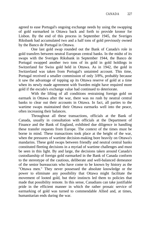agreed to ease Portugal's ongoing exchange needs by using the swapping of gold earmarked in Ottawa back and forth to provide kronor for Lisbon. By the end of this process in September 1945, the Sveriges Riksbank had accumulated two and a half tons of gold previously owned by the Banco de Portugal in Ottawa.

One last gold swap rounded out the Bank of Canada's role in gold transfers between neutral European central banks. In the midst of its swaps with the Sveriges Riksbank in September 1944, the Banco de Portugal swapped another two tons of its gold in gold holdings in Switzerland for Swiss gold held in Ottawa. As in 1942, the gold in Switzerland was taken from Portugal's untainted account. This time, Portugal received a smaller commission of only 3/8%, probably because it saw the advantage of topping up its Ottawa reserve of gold at a time when its newly made agreement with Sweden might have required more gold if the escudo's exchange value had continued to deteriorate.

With the lifting of all conditions restraining foreign gold on earmark in Ottawa after the war, there was no rush by neutral central banks to clear out their accounts in Ottawa. In fact, all parties to the wartime swaps maintained their Ottawa earmarks well into the peace, often increasing their balances.

Throughout all these transactions, officials at the Bank of Canada, usually in consultation with officials at the Department of Finance and the Bank of England, exhibited due diligence in handling these transfer requests from Europe. The context of the times must be borne in mind. These transactions took place at the height of the war, when the pressures of wartime decision-making bore heavily on Ottawa's mandarins. These gold swaps between friendly and neutral central banks constituted fleeting decisions in a myriad of wartime challenges and must be seen in this light. By and large, the decisions taken around Canada's custodianship of foreign gold earmarked in the Bank of Canada conform to the stereotype of the cautious, deliberate and well-balanced demeanor of the senior bureaucrats who have come to be known by history as the "Ottawa men." They never possessed the absolute knowledge or the power to eliminate any possibility that Ottawa might facilitate the movement of looted gold, but their instincts led them to policies that made that possibility remote. In this sense, Canadians can take justifiable pride in the efficient manner in which the rather prosaic service of earmarking of gold was turned to commendable Allied and, at times, humanitarian ends during the war.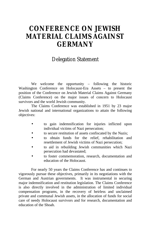# **CONFERENCE ON JEWISH MATERIAL CLAIMS AGAINST GERMANY**

## Delegation Statement

We welcome the opportunity – following the historic Washington Conference on Holocaust-Era Assets – to present the position of the Conference on Jewish Material Claims Against Germany (Claims Conference) on the major issues of concern to Holocaust survivors and the world Jewish community.

The Claims Conference was established in 1951 by 23 major Jewish national and international organizations to attain the following objectives:

- to gain indemnification for injuries inflicted upon individual victims of Nazi persecution;
- to secure restitution of assets confiscated by the Nazis;
- to obtain funds for the relief, rehabilitation and resettlement of Jewish victims of Nazi persecution;
- to aid in rebuilding Jewish communities which Nazi persecution had devastated;
- to foster commemoration, research, documentation and education of the Holocaust.

For nearly 50 years the Claims Conference has and continues to vigorously pursue these objectives, primarily in its negotiations with the German and Austrian governments. It was instrumental in securing major indemnification and restitution legislation. The Claims Conference is also directly involved in the administration of limited individual compensation programs, in the recovery of heirless and unclaimed private and communal Jewish assets, in the allocation of funds for social care of needy Holocaust survivors and for research, documentation and education of the Shoah.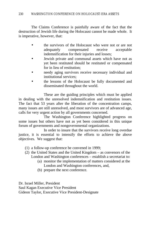The Claims Conference is painfully aware of the fact that the destruction of Jewish life during the Holocaust cannot be made whole. It is imperative, however, that:

- the survivors of the Holocaust who were not or are not adequately compensated receive acceptable indemnification for their injuries and losses;
- Jewish private and communal assets which have not as yet been restituted should be restituted or compensated for in lieu of restitution;
- needy aging survivors receive necessary individual and institutional services;
- the lessons of the Holocaust be fully documented and disseminated throughout the world.

These are the guiding principles which must be applied in dealing with the unresolved indemnification and restitution issues. The fact that 53 years after the liberation of the concentration camps, many issues are still unresolved, and most survivors are of advanced age, calls for very urgent action by all governments concerned.

The Washington Conference highlighted progress on some issues but others have not as yet been considered in this unique forum of governments and nongovernmental organizations.

In order to insure that the survivors receive long overdue justice, it is essential to intensify the efforts to achieve the above objectives. We suggest that:

- (1) a follow-up conference be convened in 1999;
- (2) the United States and the United Kingdom as convenors of the London and Washington conferences – establish a secretariat to:
	- (a) monitor the implementation of matters considered at the London and Washington conferences, and,
	- (b) prepare the next conference.

Dr. Israel Miller, President

Saul Kagan Executive Vice President

Gideon Taylor, Executive Vice President-Designate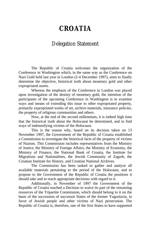# **CROATIA**

## Delegation Statement

The Republic of Croatia welcomes the organization of the Conference in Washington which, in the same way as the Conference on Nazi Gold held last year in London (2-4 December 1997), aims to finally determine the objective, historical truth about monetary gold and other expropriated assets.

Whereas the emphasis of the Conference in London was placed upon investigation of the destiny of monetary gold, the intention of the participants of the upcoming Conference in Washington is to examine ways and means of extending this issue to other expropriated property, primarily expropriated works of art, archive materials, insurance policies, the property of religious communities and others.

Now, at the end of the second millennium, it is indeed high time that the historical truth about the Holocaust be determined, and to find ways of indemnifying victims of the Holocaust.

This is the reason why, based on its decision taken on 13 November 1997, the Government of the Republic of Croatia established a Commission to investigate the historical facts of the property of victims of Nazism. This Commission includes representatives from the Ministry of Justice, the Ministry of Foreign Affairs, the Ministry of Economy, the Ministry of Finance, the National Bank of Croatia, the Institute for Migrations and Nationalities, the Jewish Community of Zagreb, the Croatian Institute for History, and Croatian National Archives.

The Commission has been tasked to gather and analyze all available materials pertaining to the period of the Holocaust, and to propose to the Government of the Republic of Croatia the positions it should take and to reach appropriate decisions with regard to it.

Additionally, in November of 1997 the Government of the Republic of Croatia reached a Decision to waive its part of the remaining resources of the Tripartite Commission, which should belong to it on the basis of the succession of successor States of the former Yugoslavia, in favor of Jewish people and other victims of Nazi persecution. The Republic of Croatia is, therefore, one of the first States to have supported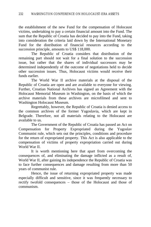the establishment of the new Fund for the compensation of Holocaust victims, undertaking to pay a certain financial amount into the Fund. The sum that the Republic of Croatia has decided to pay into the Fund, taking into consideration the criteria laid down by the International Monetary Fund for the distribution of financial resources according to the succession principle, amounts to US\$ 118,000.

The Republic of Croatia considers that distribution of the remaining part should not wait for a final solution to the succession issue, but rather that the shares of individual successors may be determined independently of the outcome of negotiations held to decide other succession issues. Thus, Holocaust victims would receive their funds earlier.

The World War II archive materials at the disposal of the Republic of Croatia are open and are available to everyone for viewing. Further, Croatian National Archives has signed an Agreement with the Holocaust Memorial Museum in Washington, on the basis of which the archive materials from these archives are microfilmed and sent to Washington Holocaust Museum.

Regrettably, however, the Republic of Croatia is denied access to the common archives of the former Yugoslavia, which are kept in Belgrade. Therefore, not all materials relating to the Holocaust are available to us.

The Government of the Republic of Croatia has passed an Act on Compensation for Property Expropriated during the Yugoslav Communist rule, which sets out the principles, conditions and procedure for the return of expropriated property. This Act is also applicable to the compensation of victims of property expropriation carried out during World War II.

It is worth mentioning here that apart from overcoming the consequences of, and eliminating the damage inflicted as a result of, World War II, after gaining its independence the Republic of Croatia was to face further consequences and damage resulting from more than 50 years of communist rule.

Hence, the issue of returning expropriated property was made especially difficult and sensitive, since it was frequently necessary to rectify twofold consequences – those of the Holocaust and those of communism.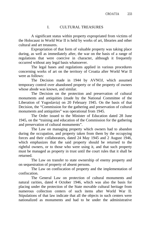#### I. CULTURAL TREASURES

A significant status within property expropriated from victims of the Holocaust in World War II is held by works of art, libraries and other cultural and art treasures.

Expropriation of that form of valuable property was taking place during, as well as immediately after, the war on the basis of a range of regulations that were coercive in character, although it frequently occurred without any legal basis whatsoever.

The legal bases and regulations applied in various procedures concerning works of art on the territory of Croatia after World War II were as follows:

The Decision made in 1944 by AVNOJ, which assumed temporary control over abandoned property or of the property of owners whose abode was known, and similar.

The Decision on the protection and preservation of cultural monuments and antiquities (made by the National Committee of the Liberation of Yugoslavia) on 20 February 1945. On the basis of that Decision, the "Commission for the gathering and preservation of cultural monuments and antiquities" was operational from 1945.

The Order issued to the Minister of Education dated 28 June 1945, on the "training and education of the Commission for the gathering and preservation of cultural monuments".

The Law on managing property which owners had to abandon during the occupation, and property taken from them by the occupying forces and their collaborators, dated 24 May 1945 and 2 August 1946, which emphasizes that the said property should be returned to the rightful owners, or to those who were using it, and that such property must be managed as property in trust until the court rules that it shall be returned.

The Law on transfer to state ownership of enemy property and on sequestration of property of absent persons.

The Law on confiscation of property and the implementation of confiscation.

The General Law on protection of cultural monuments and natural rarities, dated 4 October 1946, which was also the basis for placing under the protection of the State movable cultural heritage from numerous collection centers of such items after World War II. Stipulations of that law indicate that all the objects in such centers were nationalized as monuments and had to be under the administrative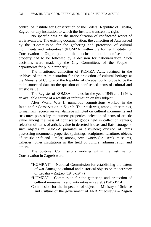control of Institute for Conservation of the Federal Republic of Croatia, Zagreb, or any institution to which the Institute transfers its right.

No specific data on the nationalization of confiscated works of art is available. The existing documentation, the collection of Acts issued by the "Commission for the gathering and protection of cultural monuments and antiquities" (KOMZA) within the former Institute for Conservation in Zagreb points to the conclusion that the confiscation of property had to be followed by a decision for nationalization. Such decisions were made by the City Committees of the People – departments for public property.

The mentioned collection of KOMZA Acts, retained in the archives of the Administration for the protection of cultural heritage at the Ministry of Culture of the Republic of Croatia, could prove to be the main source of data on the question of confiscated items of cultural and artistic value.

The Register of KOMZA minutes for the years 1945 and 1946 is an available source of a wealth of information on this subject.

After World War II numerous commissions worked in the Institute for Conservation in Zagreb. Their task was, among other things, to maintain records on war damage inflicted on cultural monuments and structures possessing monument properties; selection of items of artistic value among the mass of confiscated goods held in collection centers; selection of items of artistic value in deserted houses and flats; storage of such objects in KOMZA premises or elsewhere; division of items possessing monument properties (paintings, sculptures, furniture, objects of artistic craft and similar, among new owners (or users), museums, galleries, other institutions in the field of culture, administration and others.

The post-war Commissions working within the Institute for Conservation in Zagreb were:

- "KOMRAT" National Commission for establishing the extent of war damage to cultural and historical objects on the territory of Croatia – Zagreb (1945-1947)
- "KOMZA" Commission for the gathering and protection of cultural monuments and antiquities – Zagreb (1945-1954)
- Commission for the inspection of objects Ministry of Science and Culture of the government of FNR Yugoslavia – Zagreb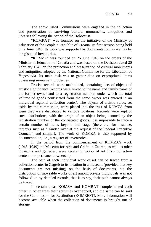The above listed Commissions were engaged in the collection and preservation of surviving cultural monuments, antiquities and libraries following the period of the Holocaust.

"KOMRAT" was founded on the initiative of the Ministry of Education of the People's Republic of Croatia, its first session being held on 7 June 1945. Its work was supported by documentation, as well as by a register of inventories.

"KOMZA" was founded on 26 June 1945 on the orders of the Minister of Education of Croatia and was based on the Decision dated 20 February 1945 on the protection and preservation of cultural monuments and antiquities, adopted by the National Committee for the Liberation of Yugoslavia. Its main task was to gather data on expropriated items possessing monument properties.

Precise records were maintained, containing lists of objects of artistic significance (records were linked to the name and family name of the former owner and to a registration number, under which the total volume of goods confiscated from the same owner was entered in an individual regional collection center). The objects of artistic value, set aside by the commission, were placed into the trust of KOMZA from were they were distributed to various locations. Records were kept of such distributions, with the origin of an object being denoted by the registration number of the confiscated goods. It is impossible to trace a certain number of items beyond that stage (there are, for instance, remarks such as "Handed over at the request of the Federal Executive Council", and similar). The work of KOMZA is also supported by documentation, i.e., a register of inventories.

In the period from the commencement of KOMZA's work (1945–1949) the Museum for Arts and Crafts in Zagreb, as well as other museums and galleries, were receiving works of art from collection centers into permanent ownership.

The path of each individual work of art can be traced from a collection center in Zagreb to its location in a museum (provided that key documents are not missing) on the basis of documents, but the distribution of moveable works of art among private individuals was not followed up by detailed records, that is to say, their path cannot always be traced.

In certain areas KOMZA and KOMRAT complemented each other; in other areas their activities overlapped, and the same can be said for the Commission for Restitution (KOMREST). More information will become available when the collection of documents is brought out of storage.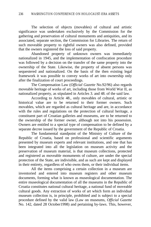The selection of objects (movables) of cultural and artistic significance was undertaken exclusively by the Commission for the gathering and preservation of cultural monuments and antiquities, and its associated, separate section, the Commission for Libraries. The return of such moveable property to rightful owners was also defined, provided that the owners registered the loss of said property.

Abandoned property of unknown owners was immediately nationalized in 1945, and the implementation of confiscation procedure was followed by a decision on the transfer of the same property into the ownership of the State. Likewise, the property of absent persons was sequestered and nationalized. On the basis of the then existing legal framework it was possible to convey works of art into ownership only after the finalization of court proceedings.

The Compensation Law (*Official Gazette* No.92/96) also regards moveable heritage of works of art, including those from World War II, as nationalized property, as stipulated in Articles 3. and 48. of the said law.

According to Article 48., only movables of cultural, artistic or historical value are to be returned to their former owners. Such movables, which are regarded as cultural heritage and are, in accordance with the rules and regulations on the protection of cultural heritage, a constituent part of Croatian galleries and museums, are to be returned to the ownership of the former owner, although not into his possession. Owners are entitled to a special type of compensation to be defined by a separate decree issued by the government of the Republic of Croatia.

The fundamental standpoint of the Ministry of Culture of the Republic of Croatia, based on professional and scientific arguments presented by museum experts and relevant institutions, and one that has been integrated into all the legislation on museum activity and the preservation of museum material, is that museum collections, protected and registered as moveable monuments of culture, are under the special protection of the State, are indivisible, and as such are kept and displayed in their entirety, regardless of who owns them, or their individual items.

All the items comprising a certain collection in a museum are inventoried and entered into museum registers and other museum documents, forming what is known as museological documentation. The entire museological documentation of all the museums in the Republic of Croatia constitutes national cultural heritage, a national fund of moveable cultural goods. Any extraction of works of art which form an individual museum collection is, in principle, prohibited and is subject to a special procedure defined by the valid law (Law on museums, *Official Gazette* No. 142, dated 28 October1998) and pertaining by-laws. This, however,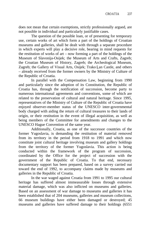does not mean that certain exemptions, strictly professionally argued, are not possible in individual and particularly justifiable cases.

The question of the possible loan, or of presenting for temporary use, certain works of art which form a part of the holdings of Croatian museums and galleries, shall be dealt with through a separate procedure in which experts will play a decisive role, bearing in mind requests for the restitution of works of art – now forming a part of the holdings of the Museum of Slavonija-Osijek; the Museum of Arts and Crafts, Zagreb; the Croatian Museum of History, Zagreb; the Archeological Museum, Zagreb; the Gallery of Visual Arts, Osijek; Trako š an Castle, and others – already received from the former owners by the Ministry of Culture of the Republic of Croatia.

In parallel with the Compensation Law, beginning from 1990 and particularly since the adoption of its Constitution, the Republic of Croatia has, through the notification of succession, become party to numerous international agreements and conventions, some of which are related to the preservation of cultural and natural heritage. Since 1995, representatives of the Ministry of Culture of the Republic of Croatia have enjoyed observer-member status of the UNESCO inter-governmental body charged with aiding the return of cultural treasures to their lands of origin, or their restitution in the event of illegal acquisition, as well as being members of the Committee for amendments and changes to the UNESCO Hague Convention of the same year.

Additionally, Croatia, as one of the successor countries of the former Yugoslavia, is demanding the restitution of material removed from its territory in the period from 1918 to 1991 and which now constitute joint cultural heritage involving museum and gallery holdings from the territory of the former Yugoslavia. This action is being conducted within the framework of the program of succession, coordinated by the Office for the project of succession with the government of the Republic of Croatia. To that end, necessary documentary support has been prepared, based on a survey carried out toward the end of 1992, to accompany claims made by museums and galleries in the Republic of Croatia.

In the war waged against Croatia from 1991 to 1995 our cultural heritage has suffered almost immeasurable losses through extensive material damage, which was also inflicted on museums and galleries. Based on an assessment of war damage to museums and galleries it has been established that of 204 museums, galleries and museum collections, 66 museum buildings have either been damaged or destroyed; 45 museums and galleries have suffered damage to their holdings (6551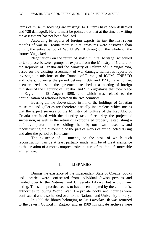items of museum holdings are missing; 1430 items have been destroyed and 728 damaged). Here it must be pointed out that at the time of writing the assessment has not been finalized.

According to reports of foreign experts, in just the first seven months of war in Croatia more cultural treasures were destroyed than during the entire period of World War II throughout the whole of the former Yugoslavia.

Negotiations on the return of stolen cultural heritage, scheduled to take place between groups of experts from the Ministry of Culture of the Republic of Croatia and the Ministry of Culture of SR Yugoslavia, based on the existing assessment of war damage, numerous reports of investigation missions of the Council of Europe, of ICOM, UNESCO and others, covering the period between 1992 and 1996, have not yet been realized despite the agreements reached at a meeting of foreign ministers of the Republic of Croatia and SR Yugoslavia that took place in Zagreb on 18 August 1998, and which was related to the normalization of relations between the two countries.

Bearing all the above stated in mind, the holdings of Croatian museums and galleries are therefore partially incomplete, which means that the expert services of the Ministry of Culture of the Republic of Croatia are faced with the daunting task of realizing the project of succession, as well as the return of expropriated property, establishing a definitive picture of the holdings held by our own museums, and reconstructing the ownership of the part of works of art collected during and after the period of Holocaust.

The existence of documents, on the basis of which such reconstruction can be at least partially made, will be of great assistance to the creation of a more comprehensive picture of the fate of moveable art heritage.

#### II. LIBRARIES

During the existence of the Independent State of Croatia, books and libraries were confiscated from individual Jewish persons and handed over to the National and University Library, but without any listing. The same practice seems to have been adopted by the communist authorities following World War  $II$  – private books and libraries were confiscated and also handed over to the National and University Library.

In 1959 the library belonging to Dr. Lavoslav  $\mathbf{\hat{S}}$  was returned to the Jewish Council in Zagreb, and in 1989 his private archives were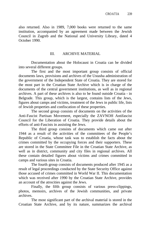also returned. Also in 1989, 7,000 books were returned to the same institution, accompanied by an agreement made between the Jewish Council in Zagreb and the National and University Library, dated 4 October 1990.

#### III. ARCHIVE MATERIAL

Documentation about the Holocaust in Croatia can be divided into several different groups.

The first and the most important group consists of official documents laws, provisions and archives of the Ustasha administration of the government of the Independent State of Croatia. They are stored for the most part in the Croatian State Archive which is in charge of the documents of the central government institutions, as well as in regional archives. A part of these archives is also to be found outside Croatia - in Belgrade. This group, which is the largest, contains lists of the Jews, figures about camps and victims, treatment of the Jews in public life, lists of Jewish properties and confiscation of these properties.

The second group consists of documents on the activities of the Anti-Fascist Partisan Movement, especially the ZAVNOH Antifascist Council for the Liberation of Croatia. They provide details about the efforts of anti-Fascists in assisting the Jews.

The third group consists of documents which came out after 1944 as a result of the activities of the committees of the People's Republic of Croatia, whose task was to establish the facts about the crimes committed by the occupying forces and their supporters. These are stored in the State Committee File in the Croatian State Archive, as well as in district, community and city files in regional archives. All these contain detailed figures about victims and crimes committed in camps and various sites in Croatia.

The fourth group consists of documents produced after 1945 as a result of legal proceedings conducted by the State Security Office against those accused of crimes committed in World War II. This documentation which was received after 1990 by the Croatian State Archive, provides an account of the atrocities against the Jews.

Finally, the fifth group consists of various press-clippings, photos, memoirs, archives of the Jewish communities, and private archives.

The most significant part of the archival material is stored in the Croatian State Archive, and by its nature, summarizes the archival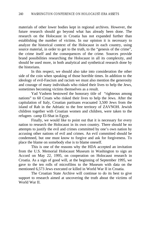materials of other lower bodies kept in regional archives. However, the future research should go beyond what has already been done. The research on the Holocaust in Croatia has not expanded further than establishing the number of victims. In our opinion it is necessary to analyze the historical context of the Holocaust in each country, using source material, in order to get to the truth, to the "genesis of the crime", the crime itself and the consequences of the crime. Sources provide brand possibilities researching the Holocaust in all its complexity, and should be used more, in both analytical and synthetical research done by the historians.

In this respect, we should also take into consideration the other side of the coin when speaking of those horrible times. In addition to the ideology of evil-Fascism and racism we must also mention the generosity and courage of many individuals who risked their lives to help the Jews, sometimes becoming victims themselves as a result.

Yad Vashem bestowed the honorary title of "righteous among nations" to 60 Croats who risked their lives to help the Jews. After the capitulation of Italy, Croatian partisans evacuated 3,500 Jews from the island of Rab in the Adriatic to the free territory of ZAVNOH. Jewish children together with Croatian women and children, were taken to the refugees camp El-Shat in Egypt.

Finally, we would like to point out that it is necessary for every nation to research the Holocaust in its own country. There should be no attempts to justify the evil and crimes committed by one's own nation by accusing other nations of evil and crimes. An evil committed should be condemned, but one must know to forgive and ask for forgiveness. To place the blame on somebody else is to blame oneself.

This is one of the reasons why the HDA accepted an invitation from the U.S. Memorial Holocaust Museum in Washington to sign an Accord on May 22, 1995, on cooperation on Holocaust research in Croatia. As a sign of good will, at the beginning of September 1995, we gave to the ten rolls of microfilms to the Museum with data on the mentioned 6,573 Jews executed or killed in World War II in Croatia.

The Croatian State Archive will continue to do its best to give support to research aimed at uncovering the truth about the victims of World War II.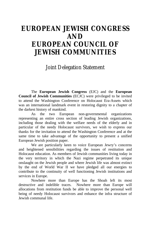# **EUROPEAN JEWISH CONGRESS AND EUROPEAN COUNCIL OF JEWISH COMMUNITIES**

Joint Delegation Statement

The **European Jewish Congress** (EJC) and the **European Council of Jewish Communities** (ECJC) were privileged to be invited to attend the Washington Conference on Holocaust Era-Assets which was an international landmark event in restoring dignity to a chapter of the darkest history of mankind.

As the two European non-governmental organizations representing an entire cross section of leading Jewish organizations, including those dealing with the welfare needs of the elderly and in particular of the needy Holocaust survivors, we wish to express our thanks for the invitation to attend the Washington Conference and at the same time to take advantage of the opportunity to present a unified European Jewish position paper.

We are particularly keen to voice European Jewry's concerns and heightened sensibilities regarding the issues of restitution and Holocaust education. As members of Jewish communities living today in the very territory in which the Nazi regime perpetrated its unique onslaught on the Jewish people and where Jewish life was almost extinct by the end of World War II we have pledged all our energies to contribute to the continuity of well functioning Jewish institutions and services in Europe.

Nowhere more than Europe has the Shoah left its most destructive and indelible traces. Nowhere more than Europe will allocations from restitution funds be able to improve the personal well being of needy Holocaust survivors and enhance the infra structure of Jewish communal life.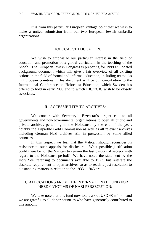It is from this particular European vantage point that we wish to make a united submission from our two European Jewish umbrella organizations.

#### I. HOLOCAUST EDUCATION:

We wish to emphasize our particular interest in the field of education and promotion of a global curriculum in the teaching of the Shoah. The European Jewish Congress is preparing for 1999 an updated background document which will give a fair overview of all existing actions in the field of formal and informal education, including textbooks in European countries. This document will be our contribution to the International Conference on Holocaust Education, which Sweden has offered to hold in early 2000 and to which EJC/ECJC wish to be closely associates.

#### II. ACCESSIBILITY TO ARCHIVES:

We concur with Secretary's Eizenstat's urgent call to all governments and non-governmental organizations to open all public and private archives pertaining to the Holocaust by the end of the year, notably the Tripartite Gold Commission as well as all relevant archives including German Nazi archives still in possession by some allied countries.

In this respect we feel that the Vatican should reconsider its resistance to such appeals for disclosure. What possible justification could there be for the Vatican to remain the last bastion of secrecy with regard to the Holocaust period? We have noted the statement by the Holy See, referring to documents available to 1922, but reiterate the absolute requirement to open archives so as to reach a just resolution to outstanding matters in relation to the 1933 - 1945 era.

#### III. ALLOCATIONS FROM THE INTERNATIONAL FUND FOR NEEDY VICTIMS OF NAZI PERSECUTION:

We take note that this fund now totals about USD 60 million and we are grateful to all donor countries who have generously contributed to this amount.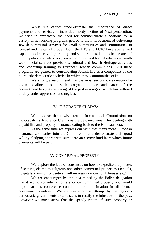While we cannot underestimate the importance of direct payments and services to individual needy victims of Nazi persecution, we wish to emphasize the need for commensurate allocations for a variety of networking programs geared to the improvement of delivering Jewish communal services for small communities and communities in Central and Eastern Europe. Both the EJC and ECJC have specialized capabilities in providing training and support consultations in the area of public policy and advocacy, Jewish informal and formal education, youth work, social services provisions, cultural and Jewish Heritage activities and leadership training to European Jewish communities. All these programs are geared to consolidating Jewish life as a component of the pluralistic democratic societies in which these communities exist.

We strongly recommend that the most serious consideration be given to allocations to such programs as part and parcel of the commitment to right the wrong of the past in a region which has suffered doubly under oppression and neglect.

#### IV. INSURANCE CLAIMS:

We endorse the newly created International Commission on Holocaust-Era Insurance Claims as the best mechanism for dealing with unpaid life and property insurance dating back to the Holocaust era.

At the same time we express our wish that many more European insurance companies join the Commission and demonstrate their good will by pledging appropriate sums into an escrow fund from which future claimants will be paid.

#### V. COMMUNAL PROPERTY:

We deplore the lack of consensus on how to expedite the process of settling claims to religious and other communal properties (schools, hospitals, community centers, welfare organizations, club houses etc.).

We are encouraged by the idea muted by the Polish delegation that it would consider a conference on communal property and would hope that this conference could address the situation in all former communist countries. We are aware of the attempt by the region's democratic governments to take steps to rectify the injustices of the past. However we must stress that the speedy return of such property or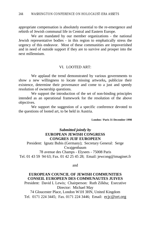appropriate compensation is absolutely essential to the re-emergence and rebirth of Jewish communal life in Central and Eastern Europe.

We are mandated by our member organizations - the national Jewish representative bodies - in this region to emphatically stress the urgency of this endeavor. Most of these communities are impoverished and in need of outside support if they are to survive and prosper into the next millennium.

#### VI. LOOTED ART:

We applaud the trend demonstrated by various governments to show a new willingness to locate missing artworks**,** publicize their existence, determine their provenance and come to a just and speedy resolution of ownership questions.

We support the introduction of the set of non-binding principles intended as an operational framework for the resolution of the above objectives.

We support the suggestion of a specific conference devoted to the questions of looted art, to be held in Austria.

**London / Paris 31 December 1998**

#### *Submitted jointly by* **EUROPEAN JEWISH CONGRESS CONGRES JUIF EUROPEEN**

President: Ignatz Bubis (Germany); Secretary General: Serge Cwajgenbaum

78 avenue des Champs - Elysees - 75008 Paris Tel. 01 43 59 94 63; Fax. 01 42 25 45 28; Email: jewcong@imaginet.fr

and

#### **EUROPEAN COUNCIL OF JEWISH COMMUNITIES CONSEIL EUROPEEN DES COMMUNAUTES JUIVES**

President: David L Lewis; Chairperson: Ruth Zilkha; Executive Director: Michael May 74 Gloucester Place, London W1H 3HN, United Kingdom Tel. 0171 224 3445; Fax. 0171 224 3446; Email: ecjc@ort.org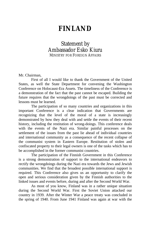# **FINLAND**

## Statement by Ambassador Esko Kiuru MINISTRY FOR FORFIGN AFFAIRS

#### Mr. Chairman,

First of all I would like to thank the Government of the United States, as well the State Department for convening the Washington Conference on Holocaust-Era Assets. The timeliness of the Conference is a demonstration of the fact that the past cannot be escaped. Building the future requires that the wrongdoings of the past must be corrected and lessons must be learned.

The participation of so many countries and organizations in this important Conference is a clear indication that Governments are recognizing that the level of the moral of a state is increasingly demonstrated by how they deal with and settle the events of their recent history, including the restitution of wrong-doings. This conference deals with the events of the Nazi era. Similar painful processes on the settlement of the issues from the past lie ahead of individual countries and international community as a consequence of the recent collapse of the communist system in Eastern Europe. Restitution of stolen and confiscated property to their legal owners is one of the tasks which has to be accomplished in the former communist countries.

The participation of the Finnish Government in this Conference is a strong demonstration of support to the international endeavors to rectify the wrongdoings during the Nazi era towards the Jews and Jewish communities. We find that the broadest possible international support is required. This Conference also gives us an opportunity to clarify the open and serious consideration given by the Finnish authorities to the linked issues and events before, during and after the Second World War.

As most of you know, Finland was in a rather unique situation during the Second World War. First the Soviet Union attacked our country in 1939. After the Winter War a peace treaty was concluded in the spring of 1940. From June 1941 Finland was again at war with the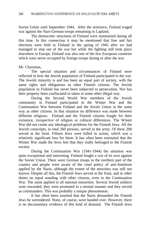Soviet Union until September 1944. After the armistice, Finland waged war against the Nazi-German troops remaining in Lapland.

The democratic structures of Finland were maintained during all this time. In this connection it may be mentioned that free and fair elections were held in Finland in the spring of 1945 after we had managed to step out of the war but while the fighting still took place elsewhere in Europe. Finland was also one of the few European countries which were never occupied by foreign troops during or after the war.

#### Mr. Chairman,

The special situation and circumstances of Finland were reflected in how the Jewish population of Finland participated in the war. The Jewish minority is and has been an equal part of society, with the same rights and obligations as other Finnish citizens. The Jewish population in Finland has never been subjected to persecution. Nor has their property been confiscated or taken in some other illegal way.

During the Second World War members of the Jewish community in Finland participated in the Winter War and the Continuation War between Finland and the Soviet Union in the same way as other citizens. In that situation no difference was made between different religions. Finland and the Finnish citizens fought for their existence, irrespective of religion or cultural differences. The Winter War did not create any ideological problems for the Finnish Jews. All the Jewish conscripts, in total 260 persons, served in the army. Of these 200 served at the front. Fifteen Jews were killed in action, which was a relatively significant loss for them. It has often been estimated that the Winter War made the Jews feel that they really belonged to the Finnish society.

During the Continuation War (1941-1944) the situation was quite exceptional and interesting. Finland fought a war of its own against the Soviet Union. There were German troops in the northern part of the country and people were aware of the cruel policy of anti-Semitism applied by the Nazis, although the extent of the atrocities was still not known. Despite all this, the Finnish Jews served at the front, and in other duties on equal standing with other citizens, even in the Continuation War. The same applied to all national minorities. Several Jewish soldiers were rewarded, they were promoted in a normal manner and they served as commanders. This was probably a unique phenomenon.

It has often been asserted that the Nazis demanded the Finnish Jews be surrendered. None, of course, were handed over. However, there is no documentary evidence of this kind of demand. The Finnish Jews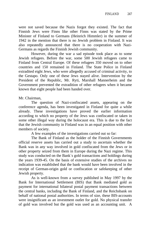were not saved because the Nazis forgot they existed. The fact that Finnish Jews were Finns like other Finns was stated by the Prime Minister of Finland to Germans (Heinrich Himmler) in the summer of 1942 in the mention that there is no Jewish problem in Finland. It was also repeatedly announced that there is no cooperation with Nazi-Germans as regards the Finnish Jewish community.

However, during the war a sad episode took place as to some Jewish refugees. Before the war, some 500 Jewish refugees came to Finland from Central Europe. Of these refugees 350 moved on to other countries and 150 remained in Finland. The State Police in Finland extradited eight Jews, who were allegedly accused of criminal activity, to the Gestapo. Only one of these Jews stayed alive. Intervention by the President of the Republic, Mr. Ryti, Marshall Mannerheim and the Government prevented the extradition of other refugees when it became known that eight people had been handed over.

Mr. Chairman,

The question of Nazi-confiscated assets, appearing on the conference agenda, has been investigated in Finland for quite a while already. These investigations have proved the earlier information according to which no property of the Jews was confiscated or taken in some other illegal way during the holocaust era. This is due to the fact that the Jewish community in Finland was in an equal position with other members of society.

A few examples of the investigations carried out so far:

The Bank of Finland as the holder of the Finnish Governments official reserve assets has carried out a study to ascertain whether the Bank was in any way involved in gold confiscated from the Jews or in other property seized from them in Europe during the Nazi regime. This study was conducted on the Bank´s gold transactions and holdings during the years 1939-45. On the basis of extensive studies of the archives no indication was established that the bank would have been involved in the receipt of German-origin gold or confiscation or safekeeping of other Jewish property.

As is well-known from a survey published in May 1997 by the Bank for International Settlement (BIS) that Bank mediated gold as payment for international bilateral postal payment transactions between the central banks, including the Bank of Finland, and the Reichsbank on behalf of national postal authorities. In terms of size, these BIS-accounts were insignificant as an investment outlet for gold. No physical transfer of gold was involved but the gold was used as an accounting unit. A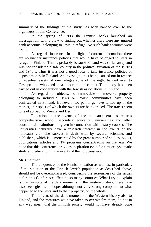summary of the findings of the study has been handed over to the organizers of this Conference.

In the spring of 1998 the Finnish banks launched an investigation, with a view to finding out whether there were any unused bank accounts, belonging to Jews in refuge. No such bank accounts were found.

As regards insurance, in the light of current information, there are no unclear insurance policies that would have belonged to Jews in refuge in Finland. This is probably because Finland was so far away and was not considered a safe country in the political situation of the 1930's and 1940's. Thus it was not a good idea to take insurance policies or deposit money in Finland. An investigation is being carried out in respect of eventual assets of one refugee (one of the eight handed over to Gestapo and who died in a concentration camp). This study has been carried out in cooperation with the Jewish associations in Finland.

As regards art-objects, no immovable or movable property belonging to individual Jews or Jewish communities have been confiscated in Finland. However, two paintings have turned up in the market, in respect of which the owners are being traced. The traces seem to lead abroad, to Vienna and Berlin.

Education in the events of the holocaust era, as regards comprehensive school, secondary education, universities and other educational institutions, is given in connection with history courses. The universities naturally have a research interest in the events of the holocaust era. The subject is dealt with by several scientists and publishers, which is demonstrated by the great number of studies, books, publications, articles and TV programs concentrating on that era. We hope that this conference provides inspiration even for a more systematic study and education in the events of the holocaust era.

#### Mr. Chairman,

The uniqueness of the Finnish situation as well as, in particular, of the situation of the Finnish Jewish population as described above, should not be overemphasized, considering the seriousness of the issues before this Conference affecting so many countries. What I try to explain is that, in spite of the dark moments in the western history, there have also been gleams of hope, although not very strong compared to what happened to the Jews and to their property, on the whole.

The effects of the dark moments in the Western history also to Finland, and the measures we have taken to overwhelm them, do not in any way mean that the Finnish society would not have already gone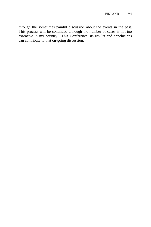through the sometimes painful discussion about the events in the past. This process will be continued although the number of cases is not too extensive in my country. This Conference, its results and conclusions can contribute to that on-going discussion.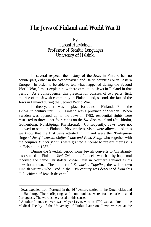## **The Jews of Finland and World War II**

By

Tapani Harviainen Professor of Semitic Languages University of Helsinki

In several respects the history of the Jews in Finland has no counterpart, either in the Scandinavian and Baltic countries or in Eastern Europe. In order to be able to tell what happened during the Second World War, I must explain how there came to be Jews in Finland in that period. As a consequence, this presentation consists of two parts: first, the rise of the Jewish community in Finland, and, second, the fate of the Jews in Finland during the Second World War.

In theory, there was no place for Jews in Finland. From the 12th-13th century until 1809 Finland was a province of Sweden. When Sweden was opened up to the Jews in 1782, residential rights were restricted to three, later four, cities on the Swedish mainland (Stockholm, Gothenburg, Norrköping; Karlskrona). Consequently, Jews were not allowed to settle in Finland. Nevertheless, visits were allowed and thus we know that the first Jews attested in Finland were the "Portuguese singers" *Josef Lazarus, Meijer Isaac and Pimo Zelig,* who together with the conjurer *Michel Marcus* were granted a license to present their skills in Helsinki in  $1782<sup>1</sup>$ 

During the Swedish period some Jewish converts to Christianity also settled in Finland. *Isak Zebulon* of Lübeck, who had by baptismal received the name Christoffer, chose Oulu in Northern Finland as his new hometown. The mother of *Zacharias Topelius,* the well-known Finnish writer - who lived in the 19th century was descended from this Oulu citizen of Jewish descent.<sup>2</sup>

<sup>&</sup>lt;sup>1</sup> Jews expelled from Portugal in the 16<sup>th</sup> century settled in the Dutch cities and in Hamburg. Their offspring and communities were for centuries called Portuguese. The word is here used in this sense.

 $2$  Another famous convert was Meyer Levin, who in 1799 was admitted to the Medical Faculty of the University of Turku. Later on, Levin worked at the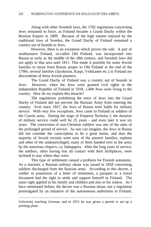Along with other Swedish laws, the 1782 regulations concerning Jews remained in force, as Finland became a Grand Duchy within the Russian Empire in 1809. Because of the high esteem enjoyed by the traditional laws of Sweden, the Grand Duchy of Finland remained a country out of bounds to Jews.

However, there is an exception which proves the rule. A part of southeastern Finland, so-called Old Finland, was incorporated into Russia as early as the middle of the 18th century, and Swedish laws did not apply to that area until 1811. This made it possible for some Jewish families to move from Russia proper to Old Finland at the end of the 1790s; several families (Jacobsson, Kaspi, Veikkanen etc.) in Finland are descendents of these Jewish pioneers.

The Grand Duchy of Finland was a country out of bounds to Jews. However, when the Jews were granted civil rights in the independent Republic of Finland in 1918, 1,400 Jews were living in the country. How do we explain this miracle?

The regulations prohibiting the entry of Jews into the Grand Duchy of Finland did not prevent the Russian Army from entering the country. Ever since 1827, the Jews of Russia were liable for military service. With very few exceptions, Jews came to Finland as soldiers of the Czarist army. During the reign of Emperor Nicholas I, the duration of military service could well be 25 years - and even later it was six years. The conversion of non-Christian soldiers was one of the aims of the prolonged period of service. As one can imagine, the Jews in Russia did not consider the conscription to be a great honor, and thus the majority of Jewish recruits were sons of the poorest families, orphans and other of the underprivileged, many of them handed over to the army by the notorious *chapers,* i.e. kidnappers. After the long years of service, the soldiers, often having lost all contact with their birthplaces, were inclined to stay where they were.

This type of settlement caused a problem for Finnish autonomy. As a reaction, a Russian military ukase was issued in 1858 concerning soldiers discharged from the Russian army. According to this decree, a soldier in possession of a letter of retirement, a passport or a travel document had the right to settle and support himself in Finland. The same right applied to his family and children and also to his widow. As I have mentioned before, the decree was a Russian ukase, not a regulation promulgated by an initiative of the autonomous authorities in Finland.

 $\overline{a}$ 

University teaching German, and in 1815 he was given a permit to set up a printing plant.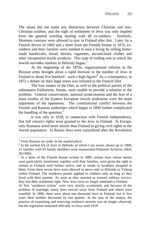The ukase did not make any distinction between Christian and non-Christian soldiers, and the right of settlement of Jews was only implied from the general wording dealing with all ex-soldiers. Similarly, Moslems veterans were allowed to stay in Finland after that. Later, by a Finnish decree of 1869 and a letter from the Finnish Senate in 1876, exsoldiers and their families were entitled to earn a living by selling homemade handicrafts, bread, berries, cigarettes, second-hand clothes and other inexpensive textile products. This type of trading was in which the Jewish *narinkka* markets in Helsinki began.<sup>3</sup>

At the beginning of the 1870s, organizational reforms in the Russian army brought about a rapid increase in the number of Jews in Finland to about five hundred - such a high figure!<sup>4</sup> As a consequence, in 1872 a debate on their legal status was initiated in the Finnish Diet.

The four estates of the Diet, as well as the political parties of the subsequent Parliament, Senate, were unable to provide a solution to the problem. General conservatism, national protectionism and the fear of a mass exodus of the Eastern European Jewish proletariat were the main arguments of the opponents. The constitutional conflict between the Finnish and Russian authorities which began in 1899 further complicated the handling of the question. $5$ 

It was only in 1918, in connection with Finnish independence, that full citizen's rights were granted to the Jews in Finland. In Europe, only Rumania acted more slowly than Finland in giving civil rights to the Jewish population. In Russia Jews were naturalized after the Revolution

At first "residence tickets" were very strictly scrutinized, and because of the problem of marriage, many Jews moved away from Finland and others were expelled. In 1890, there were about one thousand Jews in Finland, but in five years their number decreased by one quarter. At the turn of the century the practice of examining and renewing residence permits was no longer observed, but the regulation remained officially in force until 1918.

 3 From Russian *na rynke* 'at the market-place'.

<sup>&</sup>lt;sup>4</sup> In the earliest list of Jews in Helsinki of which I am aware, drawn up in 1868, 21 families with 83 family members were enumerated (National Archives, KKK 36/1686).

<sup>5</sup> In a letter of the Finnish Senate written in 1889, certain Jews whose names were particularly mentioned, together with their families, were given the right to remain in Finland until further notice, and to reside in localities assigned to them. From these towns Jews were allowed to move only to Helsinki or Vyborg within Finland. The residence permit applied to children only as long as they lived with their parents. As soon as they married or entered military service, they lost their residential right. New Jews were no longer admitted to Finland.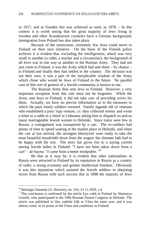in 1917, and in Sweden this was achieved as early as 1870. - In this context it is worth noting that the great majority of Jews living in Sweden and other Scandinavian countries have a German background; immigration from Poland has also taken place.

Because of the restrictions, extremely few Jews could move to Finland on their own initiative. On the basis of the Finnish police archives it is evident that, excluding the *intelligentsia,* which was very small in number (a rabbi, a teacher and a circumciser), the background of all Jews was in one way or another in the Russian Army. They had not just come to Finland, it was the Army which had sent them  $-$  by chance  $$ to Finland and finally they had settled in the country. The decision was not their own; it was a part of the inexplicable wisdom of the Army which chose who would be Jews of Finland in the future. No parallel case of this sort of genesis of a Jewish community is known to me.

The Russian Army thus sent Jews to Finland. However, a very important exception from this rule must not be forgotten. While the Army sent boys to Finland, it did not take care of providing wives for them. Actually, we have no precise information as to the measures to which the poor lonely soldiers resorted. Family legends tell of veterans who established a joint *'isqa* venture, i.e. they collected money and wrote a letter to a rabbi in a *shtetl* in Lithuania asking him to dispatch so-and-so many marriageable Jewish women to Helsinki. Since trains were few in Russia, a consignment was transported by a cart. The ex-soldiers had plenty of time to spend waiting in the market place in Helsinki, and when the cart at last arrived, the strongest *khaveyrim* were ready to take the most beautiful *meydelakh* down from the wagon; the slimmer lads had to be happy with the rest. The story has given rise to a saying current among Jewish ladies in Finland: "I have not been taken down from a cart" *- de-haynu: "I* come from a better *mishpokhe. "<sup>6</sup>*

Be that as it may be, it is evident that other nationalities in Russia were attracted to Finland by its reputation in Russia as a country of order, a strong economy and greater intellectual freedom.<sup>7</sup> Obviously it was this reputation which assisted the Jewish soldiers in obtaining wives from Russia with such success that in 1898 the majority of Jews

 $\overline{a}$ 

 $6$  Helsingin Sanomat (A. Hurwitz), no. 316, 21.11.1929, s 4.

 $7$  This conclusion is confirmed by the article Eyn vokh in Finland by Shemarya Gorelik, who participated in the 1906 Russian Zionist Congress in Helsinki. The article was published in Dos yudishe folk in Vilna the same year, and it was almost comic in its praise of the Finns and conditions in Finland.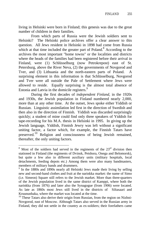living in Helsinki were born in Finland; this genesis was due to the great number of children in their families.

From which parts of Russia were the Jewish soldiers sent to Helsinki? The Helsinki police archives offer a clear answer to this question. All Jews resident in Helsinki in 1898 had come from Russia which at that time included the greater part of Poland. $8$  According to the archives the most important "home towns" or the localities and districts where the heads of the families had been registered before their arrival in Finland, were (1) Schlüsselburg (now Petrokrepost) east of St. Petersburg, above the River Neva, (2) the governments of Novgorod and Tver, and (3) Lithuania and the north-eastern parts of Poland. surprising element in this information is that Schlüsselburg, Novgorod and Tver were all outside the Pale of Settlement where Jews were allowed to reside. Equally surprising is the almost total absence of Estonia and Latvia in the domicile registers.<sup>9</sup>

During the first decades of *independent Finland,* in the 1920s and 1930s, the Jewish population in Finland numbered nearly 2,000, more than at any other time. At the outset, Jews spoke either Yiddish or Russian. Linguistic assimilation led first in the direction of Swedish and then also in the direction of Finnish. Yiddish was discarded surprisingly quickly; a student of mine could find only three speakers of Yiddish for tape-recording for his M.A. thesis in Helsinki in 1995. In giving up the Jewish language, Yiddish, Finnish Jewry was left without a significant uniting factor, a factor which, for example, the Finnish Tatars have preserved.<sup>10</sup> Religion and consciousness of being Jewish remained, thereafter, the only uniting factors.

<sup>&</sup>lt;sup>8</sup> Most of the soldiers had served in the regiments of the 23<sup>rd</sup> division then stationed in Finland (the regiments of Dvinsk, Petshora, Onega and Belomorsk), but quite a few also in different auxiliary units (military hospitals, local detachments, feeding depots etc.) Among them were also many bandmasters, members of military bands and drummers.

<sup>&</sup>lt;sup>9</sup> In the 1880s and 1890s nearly all Helsinki Jews made their living by selling new and second-hand clothes and fruit at the narinkka market: the name of Simo (i.e. Simeon) Square still refers to the Jewish market. More than three-quarters of the Jewish population lived in the same district of Kamppi, where both the narinkka (from 1876) and later also the Synagogue (from 1906) were located. As late as 1860s most Jews still lived in the districts of Siltasaari and Kruununhaka, where the market was located at the time.

<sup>&</sup>lt;sup>10</sup> These Tatars also derive their origin from Russian, from the region on Nizhni-Novgorod, east of Moscow. Although Tatars also served in the Russian army in Finland, they did not settle in the country as ex-soldiers; their forefathers came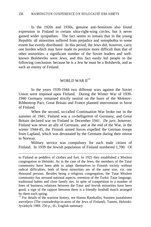In the 1920s and 1930s, genuine anti-Semitism also found expression in Finland in certain ultra-right-wing circles, but it never gained wider sympathies. The fact seems to remain that in the young Republic all minorities suffered from prejudice and xenophobia to some extent but evenly distributed. In this period, the Jews did, however, carry one burden which may have made its position more difficult than that of other minorities: a significant number of the Soviet leaders and wellknown Bolsheviks were Jews, and this fact easily led people to the following conclusion: because he is a Jew he must be a Bolshevik, and as such an enemy of Finland.

#### WORLD WAR $II<sup>11</sup>$ </sup>

In the years 1939-1944 two different wars against the Soviet Union were imposed upon Finland. During the Winter War of 1939- 1940 Germany remained strictly neutral on the basis of the Molotov-Ribbentrop Pact; Great Britain and France planned intervention in favor of Finland.

When the second, so-called Continuation War broke out in the summer of 1941, Finland was a co-belligerent of Germany, and Great Britain declared war on Finland in December 1941. *De jure,* however, Finland was never an ally of Germany, and at the end of the War, in the winter 1944-45, the Finnish armed forces expelled the German troops from Lapland, which was devastated by the Germans during their retreat to Norway.

Military service was compulsory for each male citizen of Finland. In 1939 the Jewish population of Finland numbered 1,700. Of

 $\overline{a}$ 

<sup>11</sup> For details of the wartime history, see Hannu Rautkallio, Suomen juutalaisten aseveljeys (The comradeship-in-arms of the Jews of Finland). Tammi, Helsinki-Jyväskylä 1989. 250 p., ill., English summary.

to Finland as peddlers of clothes and furs. In 1925 they established a Moslem congregation in Helsinki. As in the case of the Jews, the members of the Tatar community have been able to adapt themselves to Finnish society without radical difficulties; both of these minorities are of the same size, viz. one thousand persons. Besides being a religious congregation, the Tatar Moslem community has stressed national aspects, retention of the Turkic Tatar language, traditional habits and close family ties. In spite of competition in a number of lines of business, relations between the Tatar and Jewish minorities have been good; a sign of the rapport between them is a friendly football match arranged by them each spring.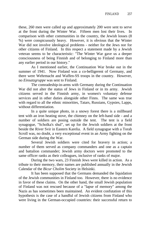these, 260 men were called up and approximately 200 were sent to serve at the front during the Winter War. Fifteen men lost their lives. In comparison with other communities in the country, the Jewish losses (8 %) were conspicuously heavy. However, it is obvious that the Winter War did not involve ideological problems - neither for the Jews nor for other citizens of Finland. In this respect a statement made by a Jewish veteran seems to be characteristic: "The Winter War gave us a deeper consciousness of being Finnish and of belonging to Finland more than any earlier period in our history."

As I mentioned earlier, the Continuation War broke out in the summer of 1941. Now Finland was a co-belligerent of Germany, and there were Wehrmacht and Waffen-SS troops in the country. However, no *Einsatzgruppe* was sent to Finland.

The comradeship-in-arms with Germany during the Continuation War did not alter the status of Jews in Finland or in its army. Jewish citizens served in the Finnish army, in women's voluntary defense services and in other duties alongside other Finns. The same was true with regard to all the ethnic minorities, Tatars, Russians, Gypsies, Lapps, without differentiation.

In a quite unique photo, in a snowy forest there is a millboard tent with an iron heating stove, the chimney on the left-hand side - and a number of soldiers are posing outside the tent. The tent is a field synagogue, "Scholka's shul", set up for the Jewish soldiers at the front beside the River Svir in Eastern Karelia. A field synagogue with a Torah Scroll was, no doubt, a very exceptional event in an Army fighting on the German side during the War.

Several Jewish soldiers were cited for bravery in action; a number of them served as company commanders and one as a captain and battalion commander; Jewish army doctors were promoted to the same officer ranks as their colleagues, inclusive of ranks of major.

During the two wars, 23 Finnish Jews were killed in action. As a tribute to their memory, their names are published annually in the Jewish Calendar of the *Bicur Cholim* Society in Helsinki.

It has been supposed that the Germans demanded the liquidation of the Jewish communities in Finland too. However, there is no evidence in favor of these claims. On the other hand, the small Jewish population of Finland was not rescued because of a "lapse of memory" among the Nazis as has sometimes been maintained. An evident confutation of this hypothesis is the case of a handful of Jewish citizens from Finland who were living in the German-occupied countries: their successful return to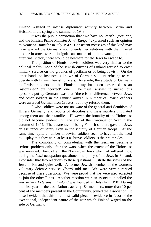Finland resulted in intense diplomatic activity between Berlin and Helsinki in the spring and summer of 1943.

It was the public conviction that "we have no Jewish Question", and the Finnish Prime Minister *J. W. Rangell* expressed such an opinion to *Heinrich Himmler* in July 1942. Consistent messages of this kind may have warned the Germans not to endanger relations with their useful brother-in-arms over an insignificant matter of little advantage to them after final victory there would be nowhere for the Jews to escape to.

The position of Finnish Jewish soldiers was very similar to the political reality: none of the Jewish citizens of Finland refused to enter military service on the grounds of pacifism or of being Jewish. On the other hand, no instance is known of German soldiers refusing to cooperate with Finnish Jewish officers. As a rule, the attitude of Germans to Jewish soldiers in the Finnish army has been described as an "astonished" but "correct" one. The usual answer to incredulous questions put by Germans was that "there is no difference between Jews and other soldiers in the Finnish army." A number of Jewish officers were awarded German Iron Crosses, but they refused them.

Jewish soldiers were not unaware of the general anti-Semitism of Hitler's Germany, and reports of atrocities and mass murders circulated among them and their families. However, the brutality of the Holocaust did not become evident until the end of the Continuation War in the autumn of 1944. The awareness of being Finnish soldiers gave the Jews an assurance of safety even in the vicinity of German troops. At the same time, quite a number of Jewish soldiers seem to have felt the need to display that they were at least as brave soldiers as their comrades.

The complexity of comradeship with the Germans became a serious problem only after the wars, when the extent of the Holocaust was revealed. First of all, the Norwegian Jews who had suffered most during the Nazi occupation questioned the policy of the Jews in Finland. I consider that two reactions to these questions illustrate the views of the Jews in Finland quite well. A former Jewish member of the women's voluntary defense services *(lotta)* told me: "We were very surprised because of these questions. We were proud that we were also accepted to join the other Finns." Another reaction was: an association called the *Jewish War Veterans in Finland* was founded in Helsinki in 1981 During the first year of the association's activity, 84 members, more than 10 per cent of the members present in the Community, joined the association. It is self-evident that this is a most valid piece of evidence in favor of the exceptional, independent nature of the war which Finland waged on the side of Germany.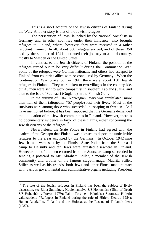This is a short account of the Jewish citizens of Finland during the War. Another story is that of the Jewish refugees.

The persecution of Jews, launched by the National Socialists in Germany and in other countries under their influence, also brought refugees to Finland, where, however, they were received in a rather reluctant manner. In all, about 500 refugees arrived, and of these, 350 had by the summer of 1941 continued their journey to a third country, mostly to Sweden or the United States.

In contrast to the Jewish citizens of Finland, the position of the refugees turned out to be very difficult during the Continuation War. Some of the refugees were German nationals, and others had escaped to Finland from countries allied with or conquered by Germany. When the Continuation War broke out in 1941 there were about 150 Jewish refugees in Finland. They were taken to two villages in the countryside, but 43 men were sent to work camps first in southern Lapland (Salla) and then to the Isle of Suursaari (Gogland) in the Finnish Gulf.

In the autumn of 1942, Norwegian Jewry was annihilated; more than half of them (altogether 757 people) lost their lives. Most of the survivors were among those who succeeded in escaping to Sweden. As I have mentioned before, it has been supposed that the Germans demanded the liquidation of the Jewish communities in Finland. However, there is no documentary evidence in favor of these claims, either concerning the Jewish citizens or the refugees. $^{12}$ 

Nevertheless, the State Police in Finland had agreed with the leaders of the Gestapo that Finland was allowed to deport the undesirable refugees to the areas occupied by the Germans. In October 1942 nine Jewish men were sent by the Finnish State Police from the Suursaari camp to Helsinki and ten Jews were arrested elsewhere in Finland. However, one of the men escorted from the Suursaari camp succeeded in sending a postcard to Mr. Abraham Stiller, a member of the Jewish community and brother of the famous stage-manager Mauritz Stiller. Stiller as well as his friends, both Jews and other Finns, made contact with various governmental and administrative organs including President

 $\overline{a}$ 

 $12$  The fate of the Jewish refugees in Finland has been the subject of lively discussion, see Elina Suominen, Kuolemanlaiva S/S Hohenhörn ('Ship of Death S/S Hohenhörn', Porvoo 1979); Taimi Torvinen, Pakolaiset Suomessa Hitlerin valtakaudella ('Refugees in Finland during the rule of Hitler', Keuruu 1984); Hannu Rautkallio, Finland and the Holocaust, the Rescue of Finland's Jews (1987).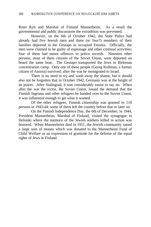Risto Ryti and Marshal of Finland Mannerheim. As a result the governmental and public discussions the extradition was prevented.

However, on the 6th of October 1942, the State Police had already had five Jewish men and three (or four?) members of their families deported to the Gestapo in occupied Estonia. Officially, the men were claimed to be guilty of espionage and other criminal activities; four of them had minor offences in police records. Nineteen other persons, most of them citizens of the Soviet Union, were deported on board the same boat. The Gestapo transported the Jews to Birkenau concentration camp. Only one of these people (Georg Kollman, a former citizen of Austria) survived; after the war he immigrated to Israel.

There is no need to try and wash away the shame, but it should also not be forgotten that in October 1942, Germany was at the height of its power. After Stalingrad, it was considerably easier to say no. When after the war the victor, the Soviet Union, issued the demand that the Finnish Ingrians and other refugees be handed over to the Soviet Union, it was influential enough to get what it wanted.

Of the other refugees, Finnish citizenship was granted to 110 persons in 1943-44; some of them left the country before that or later on.

On the Finnish Independence Day, the 6th of December, in 1944, President Mannerheim, Marshal of Finland, visited the synagogue in Helsinki where the memory of the Jewish soldiers killed in action was honored. When Mannerheim died in 1951, the Jewish community raised a large sum of money which was donated to the Mannerheim Fund of Child Welfare as an expression of gratitude for the defense of the equal rights of Jews in Finland.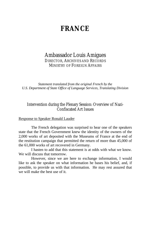# **FRANCE**

### Ambassador Louis Amigues DIRECTOR, ARCHIVES AND RECORDS MINISTRY OF FOREIGN AFFAIRS

*Statement translated from the original French by the U.S. Department of State Office of Language Services, Translating Division*

#### Intervention during the Plenary Session: Overview of Nazi-Confiscated Art Issues

#### Response to Speaker Ronald Lauder

The French delegation was surprised to hear one of the speakers state that the French Government knew the identity of the owners of the 2,000 works of art deposited with the Museums of France at the end of the restitution campaign that permitted the return of more than 45,000 of the 61,000 works of art recovered in Germany.

I hasten to add that this statement is at odds with what we know. We will discuss that tomorrow.

However, since we are here to exchange information, I would like to ask the speaker on what information he bases his belief, and, if possible, to provide us with that information. He may rest assured that we will make the best use of it.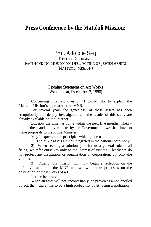## **Press Conference by the Mattéoli Mission:**

## Prof. Adolphe Steg

#### DEPUTY CHAIRMAN FACT-FINDING MISSION ON THE LOOTING OF JEWISH ASSETS (MATTÉOLI MISSION)

#### Opening Statement on Art Works (Washington, December 2, 1998)

Concerning this last question, I would like to explain the Mattéoli Mission's approach to the MNR.

For several years the genealogy of these assets has been scrupulously and deeply investigated, and the results of this study are already available on the Internet.

But now the time has come within the next five months, when – due to the mandate given to us by the Government – we shall have to make proposals to the Prime Minister.

May I express some principles which guide us:

1) The MNR assets are not integrated in the national patrimony.

2) When seeking a solution (and for us a general rule in all fields) we refer ourselves only to the interest of victims. Clearly we do not protect any institution, or organization or corporation, but only the victims.

3) Finally, our mission will now begin a reflection on the definitive statute of the MNR and we will make proposals on the destination of these works of art.

Let me be clear:

When an asset will not, incontestably, be proven as a non-spoiled object, then [there] has to be a high probability of [it] being a spoliation.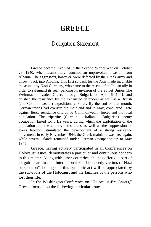# **GREECE**

# Delegation Statement

Greece became involved in the Second World War on October 28, 1940, when fascist Italy launched an unprovoked invasion from Albania. The aggressors, however, were defeated by the Greek army and thrown back into Albania. This first setback for the Axis made inevitable the assault by Nazi Germany, who came to the rescue of its Italian ally in order to safeguard its rear, pending its invasion of the Soviet Union. The Wehrmacht invaded Greece through Bulgaria on April 6, 1941, and crushed the resistance by the exhausted defenders as well as a British (and Commonwealth) expeditionary Force. By the end of that month, German troops had overrun the mainland and in May, conquered Crete against fierce resistance offered by Commonwealth forces and the local population. The tripartite (German – Italian – Bulgarian) enemy occupation lasted for 3,1/2 years, during which the exploitation of the population and the country's resources as well as the suppression of every freedom stimulated the development of a strong resistance movement. In early November 1944, the Greek mainland was free again, while several islands remained under German Occupation up to May 1945.

Greece, having actively participated in all Conferences on Holocaust issues, demonstrates a particular and continuous concern in this matter. Along with other countries, she has offered a part of its gold share to the "International Fund for needy victims of Nazi persecution", hoping that this symbolic act will be appreciated by the survivors of the Holocaust and the families of the persons who lost their life.

In the Washington Conference on "Holocaust-Era Assets," Greece focused on the following particular issues: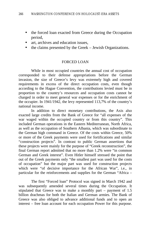- the forced loan exacted from Greece during the Occupation period,
- art, archives and education issues,
- the claims presented by the Greek Jewish Organizations.

#### FORCED LOAN

While in most occupied countries the annual cost of occupation corresponded to their defense appropriations before the German invasion, the size of Greece's levy was extremely high and covered requirements in excess of the direct occupation costs, even though according to the Hague Convention, the contributions levied must be in proportion to the country's resources and occupation costs cannot be charged in order to meet general war expenses or for the enrichment of the occupier. In 1941/1942, the levy represented 113,7% of the country's national income.

In addition to direct monetary contributions, the Axis also exacted large credits from the Bank of Greece for "all expenses of the war waged within the occupied country or from this country". This included German operations in the Eastern Mediterranean, North Africa, as well as the occupation of Southern Albania, which was subordinate to the German high command in Greece. Of the costs within Greece, 50% or more of the Greek payments were used for fortifications and similar "construction projects". In contrast to public German assertions that these projects were mainly for the purpose of "Greek reconstruction", the final German report admitted that no more than 1.2% were "in common German and Greek interest". Even Hitler himself stressed the point that out of the Greek payments only "the smallest part was used for the costs of occupation" but the major part was used for construction projects which were "of decisive importance for the African War", i.e., in particular for the reinforcements and supplies for the German "Africa –

The first "Forced loan" Protocol was signed in March 1942 and was subsequently amended several times during the Occupation. It stipulated that Greece was to make a monthly part – payment of 1.5 billion drachmas for both the Italian and German armies. The Bank of Greece was also obliged to advance additional funds and to open an interest – free loan account for each occupation Power for this purpose.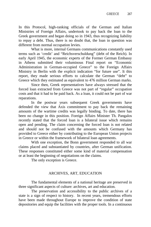In this Protocol, high-ranking officials of the German and Italian Ministries of Foreign Affairs, undertook to pay back the loan to the Greek government and began doing so in 1943, thus recognizing liability to repay a debt. Thus, there is no doubt that, the loan in question was different from normal occupation levies.

What is more, internal Germans communications constantly used terms such as 'credit' and "Reichsverschuldung" (debt of the Reich). In early April 1945, the economic experts of the Former German Embassy in Athens submitted their voluminous Final report on "Economic Administration in German-occupied Greece" to the Foreign Affairs Ministry in Berlin with the explicit indication "for future use". It this report, they made serious efforts to calculate the German "debt" to Greece which they estimated as equivalent to 476 million German marks.

Since then, Greek representatives have always stressed that the forced loan extracted from Greece was not part of "regular" occupation costs and that it had to be paid back. As a loan, it could not be part of war reparations.

In the postwar years subsequent Greek governments have defended the view that Axis commitment to pay back the remaining amounts of the wartime credits was legally binding. To date, there has been no change in this position. Foreign Affairs Minister Th. Pangalos recently stated that the forced loan is a bilateral issue which remains open and pending. The claim concerning the forced loan is not related and should not be confused with the amounts which Germany has provided to Greece either by contributing to the European Union projects in Greece or within the framework of bilateral loan agreements.

With one exception, the Bonn government responded to all war claims placed and substantiated by countries, after German unification. These responses constituted either some kind of material compensation or at least the beginning of negotiations on the claims.

The only exception is Greece.

#### ARCHIVES, ART, EDUCATION

The fundamental elements of a national heritage are preserved in three significant aspects of culture: archives, art and education.

The preservation and accessibility to the public archives of a state is a sign of respect to history. In recent years, tremendous efforts have been made throughout Europe to improve the condition of state depositories and equip the facilities with the proper tools. In a continuous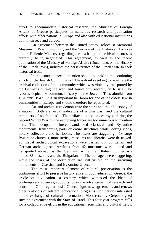effort to accommodate historical research, the Ministry of Foreign Affairs of Greece participates in numerous research and publication efforts with other nations in Europe and also with educational institutions both in Greece and abroad.

An agreement between the United States Holocaust Memorial Museum in Washington DC, and the Service of the Historical Archives of the Hellenic Ministry regarding the exchange of archival records is currently being negotiated. This agreement, as well as the recent publication of the Ministry of Foreign Affairs (Documents on the History of the Greek Jews), indicates the perseverance of the Greek State to seek historical truth.

In this context special attention should be paid to the continuing efforts of the Jewish Community of Thessaloniki seeking to repatriate the archival collection of the community which was violently transported by the Germans during the war, and found only recently in Russia. The records depict the communal history of the Jews of Thessaloniki from 1870 until 1942. It is an important heirloom for one of the oldest Jewish communities in Europe and should therefore be repatriated.

Art and architecture demonstrate the spirit and the philosophy of a nation. Both are visual indicators of a time past, and the cultural reminders of an "ethnos". The artifacts looted or destroyed during the Second World War by the occupying forces are too numerous to mention here. The occupation forces vandalized classical and Byzantine monuments, transporting parts or entire structures while looting icons, library collections and heirlooms. The losses are staggering. 19 large Byzantine churches, monasteries, museums and libraries were destroyed. 26 illegal archeological excavations were carried out by Italian and German archeologists. Artifacts from 42 museums were looted and transported abroad by the Germans, while their Italian counterparts looted 33 museums and the Bulgarians 9. The damages were staggering, while the scars of the destruction are still visible on the surviving monuments of Classical and Byzantine Greece.

The most important element of cultural preservation is the continuous effort to preserve history alive through education. Greece, the cradle of civilization, a country which witnessed the birth of contemporary sciences, supports today the advancement of research and education. On a regular basis, Greece signs new agreements and renews older protocols of bilateral educational programs with nations interested in the exchange of cultural information. Most recently Greece signed such an agreement with the State of Israel. This four-year program calls for a collaborative effort in the educational, scientific and cultural fields.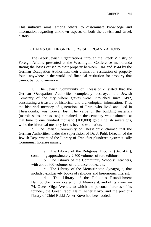This initiative aims, among others, to disseminate knowledge and information regarding unknown aspects of both the Jewish and Greek history.

#### CLAIMS OF THE GREEK JEWISH ORGANIZATIONS

The Greek Jewish Organizations, through the Greek Ministry of Foreign Affairs, presented at the Washington Conference memoranda stating the losses caused to their property between 1941 and 1944 by the German Occupation Authorities, their claims for restitution of property found anywhere in the world and financial restitution for property that cannot be found anymore.

1. The Jewish Community of Thessaloniki stated that the German Occupation Authorities completely destroyed the Jewish Cemetery of the city where graves were untouched since 1492, constituting a treasure of historical and archeological information. Thus the historical memory of generations of Jews, who lived and died in Thessaloniki, was forever lost. The value of the building materials (marble slabs, bricks etc.) contained in the cemetery was estimated at that time to one hundred thousand (100,000) gold English sovereigns, while the historical memory lost is beyond estimation.

2. The Jewish Community of Thessaloniki claimed that the German Authorities, under the supervision of Dr. J. Pohl, Director of the Jewish Department of the Library of Frankfurt plundered systematically Communal libraries namely:

> a. The Library of the Religious Tribunal (Beth-Din), containing approximately 2,500 volumes of rare editions.

> b. The Library of the Community Schools' Teachers, with about 600 volumes of reference books, etc.

> c. The Library of the Monastirioton Synagogue, that included exclusively books of religious and hieronomic interest.

> d. The Library of the Religious Establishment Haimoutcho Kovo located on 8, Menexe st. and of its annex on 74, Queen Olga Avenue, to which the personal libraries of its founder, the Great Rabbi Haim Asher Kovo, and the precious library of Chief Rabbi Asher Kovo had been added.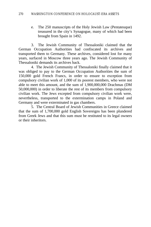e. The 250 manuscripts of the Holy Jewish Law (Pentateuque) treasured in the city's Synagogue, many of which had been brought from Spain in 1492.

3. The Jewish Community of Thessaloniki claimed that the German Occupation Authorities had confiscated its archives and transported them to Germany. These archives, considered lost for many years, surfaced in Moscow three years ago. The Jewish Community of Thessaloniki demands its archives back.

4. The Jewish Community of Thessaloniki finally claimed that it was obliged to pay to the German Occupation Authorities the sum of 150,000 gold French Francs, in order to ensure to exception from compulsory civilian work of 1,000 of its poorest members, who were not able to meet this amount, and the sum of 1,900,000,000 Drachmas (DM 50,000,000) in order to liberate the rest of its members from compulsory civilian work. The Jews excepted from compulsory civilian work were, nevertheless, transported to the extermination camps in Poland and Germany and were exterminated in gas chambers.

5. The Central Board of Jewish Communities in Greece claimed that the sum of 1,700,000 gold English Sovereigns has been plundered from Greek Jews and that this sum must be restituted to its legal owners or their inheritors.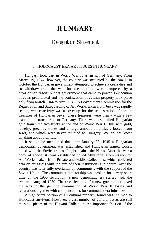# **HUNGARY**

## Delegation Statement

#### I. HOLOCAUST-ERA ART ISSUES IN HUNGARY

Hungary took part in World War II as an ally of Germany. From March 19, 1944, however, the country was occupied by the Nazis. In October the Hungarian government attempted to achieve a cease-fire and so withdraw from the war, but these efforts were hampered by a pro-German fascist puppet government that came to power. Persecution of Jews proliferated and the confiscation of Jewish property took place only from March 1944 to April 1945. A Government Commission for the Registration and Safeguarding of Art Works taken from Jews was rapidly set up, whose activity was a cover-up for the sequestration of the art treasures of Hungarian Jews. These treasures were then - with a few exception - transported to Germany. There was a so-called Hungarian gold train with two trucks at the end of World War II, full with gold, jewelry, precious stones and a large amount of artifacts looted from Jews, and which were never returned to Hungary. We do not know anything about their fate.

It should be mentioned that after January 20, 1945 a Hungarian democratic government was established and Hungarian armed forces, allied with the Soviet troops, fought against the Nazis. After the war a body of specialists was established called Ministerial Commission for Art Works Taken from Private and Public Collections, which collected data on art assets with the aim of their restitution. The control over the country was later fully overtaken by communists with the support of the Soviet Union. The communist dictatorship was broken for a very short time by the 1956 revolution, a new democratic era started with the system change of 1989. The free elections of a new government paved the way to the genuine examination of World War II losses and reparations together with compensations for communist era injustices.

A significant portion of all cultural property found was returned to Holocaust survivors. However, a vast number of cultural assets are still missing: pieces of the Hatvani Collection. An important fraction of the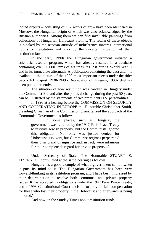looted objects – consisting of 152 works of art – have been identified in Moscow, the Hungarian origin of which was also acknowledged by the Russian authorities. Among them we can find invaluable paintings from collections of Hungarian Holocaust victims. The return of these objects is blocked by the Russian attitude of indifference towards international norms on restitution and also by the uncertain situation of their restitution law.

In the early 1990s the Hungarian government initiated a scientific research program, which has already resulted in a database containing over 60,000 items of art treasures lost during World War II and in its immediate aftermath. A publication containing the data and – if available – the picture of the 1000 most important pieces under the title: Sacco di Budapest, 1938-1949 - Depredation of Hungary, 1938-1949 has been put out recently.

The situation of how restitution was handled in Hungary under the Communist Era and after the political change during the past 50 years can be illustrated by the statements of two prominent U.S. personalities:

In 1996 at a hearing before the COMMISSION ON SECURITY AND COOPERATION IN EUROPE the Honorable Christopher Smith, presiding Chairman of the Commission characterized the approach of the Communist Government as follows:

> "In some places, such as Hungary, the government was required by the 1947 Paris Peace Treaty to restitute Jewish property, but the Communists ignored this obligation. Not only was justice denied for Holocaust survivors, but Communist regimes perpetrated their own brand of injustice and, in fact, were infamous for their complete disregard for private property..."

Under Secretary of State, The Honorable STUART E. EIZENSTAT, formulated at the same hearing as follows:

Hungary "is a good example of what a government can do when it puts its mind to it. The Hungarian Government has been very forward-thinking in its restitution program, and I have been impressed by their determination to resolve both communal and private property issues. It has accepted its obligations under the 1947 Paris Peace Treaty, and a 1993 Constitutional Court decision to provide fair compensation for those who lost their property in the Holocaust and afterwards is being honored."

And now, in the Sunday Times about restitution funds: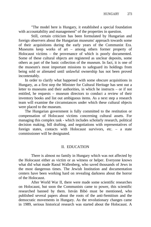"The model here is Hungary, it established a special foundation with accountability and management" of the properties in question.

Still, certain criticism has been formulated by Hungarian and foreign observers about the Hungarian museums' approach towards some of their acquisitions during the early years of the Communist Era. Museums keep works of art – among others former property of Holocaust victims – the provenance of which is poorly documented. Some of these cultural objects are registered as unclear deposits, some others as part of the basic collection of the museum. In fact, it is one of the museum's most important missions to safeguard its holdings from being sold or alienated until unlawful ownership has not been proved incontestably.

In order to clarify what happened with some obscure acquisitions in Hungary, as a first step the Minister for Cultural Heritage has sent out a letter to museums and their authorities, in which he instructs – or if not entitled, he requests – museum directors to conduct a review of their inventory books and list out ambiguous items. As a next step a research team will examine the circumstances under which these cultural objects were placed to the museum.

The Hungarian government is fully committed to the restitution or compensation of Holocaust victims concerning cultural assets. For managing this complex task - which includes scholarly research, political decision making, bill drafting, and negotiations with representatives of foreign states, contacts with Holocaust survivors, etc. – a state commissioner will be designated.

#### II. EDUCATION

There is almost no family in Hungary which was not affected by the Holocaust either as victim or as witness or helper. Everyone knows what did what made Raoul Wallenberg, who saved thousands of Jews in the most dangerous times. The Jewish Institution and documentation centers have been working hard on revealing darkness about the horror of the Holocaust.

After World War II, there were made some scientific researches on Holocaust, but soon the Communists came to power, this scientific researched banned by them. István Bibó must be mentioned, who published several papers about the roots of the anti-Semitism and the democratic movements in Hungary. As the revolutionary changes came in 1989, serious historical research was started about the Holocaust. A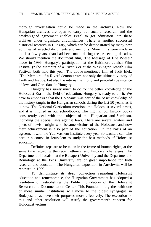thorough investigation could be made in the archives. Now the Hungarian archives are open to carry out such a research, and the newly-signed agreement enables Israel to get admission into these archives under organized circumstances. There is another successful historical research in Hungary, which can be demonstrated by many new volumes of selected documents and memoirs. More films were made in the last few years, than had been made during the proceeding decades. We should mention the document film, 'The Message of Elie Wiesel" made in 1996, Hungary's participation at the Baltimore Jewish Film Festival ("The Memoirs of a River") or at the Washington Jewish Film Festival, both held this year. The above-mentioned film of Judit Elek, "The Memoirs of a River" demonstrates not only the ultimate victory of Truth and Justice, but also the internal harmony and peaceful coexistence of Jews and Christians in Hungary.

Hungary has surely much to do for the better knowledge of the Holocaust Era in the field of education; Hungary is ready to do it. We have to emphasize that the Holocaust was part of the basic knowledge of the history taught in the Hungarian schools during the last 50 years, as it is now. The National Curriculum mentions the Holocaust several times, and it is implied in our schoolbooks. The high school history books consistently deal with the subject of the Hungarian anti-Semitism, including the special laws against Jews. There are several writers and poets of Jewish origin who became victims of the Holocaust and now their achievement is also part of the education. On the basis of an agreement with the Yad Vashem Institute every year 30 teachers can take part in a course in Jerusalem to study the best methods of Holocaust education.

Definite steps are to be taken in the frame of human rights, at the same time regarding the recent ethnical and historical challenges. The Department of Judaism at the Budapest University and the Department of Romology at the Pécs University are of great importance for both research and education. The Hungarian exposition in Auschwitz will be renewed in 1999.

To demonstrate its deep conviction regarding Holocaust education and remembrance, the Hungarian Government has adopted a resolution on establishing the Public Foundation of the Holocaust Research and Documentation Center. This Foundation together with one or more similar institutions will move to the oldest synagogue in Budapest to achieve their purposes more effectively. The execution of this and other resolution will testify the government's concern for Holocaust victims.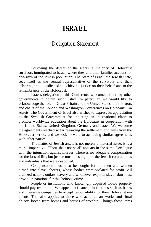# **ISRAEL**

## Delegation Statement

Following the defeat of the Nazis, a majority of Holocaust survivors immigrated to Israel, where they and their families account for one-sixth of the Jewish population. The State of Israel, the Jewish State, sees itself as the central representative of the survivors and their offspring and is dedicated to achieving justice on their behalf and to the remembrance of the Holocaust.

Israel's delegation to this Conference welcomes efforts by other governments to obtain such justice. In particular, we would like to acknowledge the role of Great Britain and the United States, the initiators and chairs of the London and Washington Conferences on Holocaust Era Assets. The Government of Israel also wishes to express its appreciation to the Swedish Government for initiating an international effort to promote worldwide education about the Holocaust in cooperation with the United States, United Kingdom, Germany and Israel. We welcome the agreements reached so far regarding the settlement of claims from the Holocaust period, and we look forward to achieving similar agreements with other parties.

The matter of Jewish assets is not merely a material issue; it is a moral imperative. "Thou shalt not steal" appears in the same Decalogue with the injunction against murder. There is no adequate compensation for the loss of life, but justice must be sought for the Jewish communities and individuals that were despoiled.

Compensation must also be sought for the men and women turned into slave laborers, whose bodies were violated for profit. All civilized nations outlaw slavery and whomever exploits slave labor must provide reparations for this heinous crime.

People or institutions who knowingly acquired looted property should pay restitution. We appeal to financial institutions such as banks and insurance companies to accept responsibility for their Holocaust era clients. This also applies to those who acquired art works and ritual objects looted from homes and houses of worship. Though these items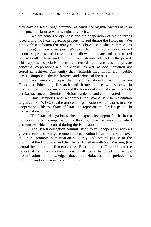may have passed through a number of hands, the original owners have an indisputable claim to what is rightfully theirs.

We welcome the openness and the cooperation of the countries researching the facts regarding property seized during the Holocaust. We note with satisfaction that many countries have established commissions to investigate their own past. We join the initiative to persuade all countries, groups and individuals to allow immediate and unrestricted access to all archival and state archive materials relevant to the period. This applies especially to church records and archives of private concerns, corporations and individuals, as well as documentation not stored in archives. Any entity that withholds information from public access compounds the indifference and crimes of the past.

We sincerely hope that the International Task Force on Holocaust Education, Research and Remembrance will succeed in promoting worldwide awareness of the horrors of the Holocaust and help combat racism, anti-Semitism, Holocaust denial and ethnic hatred.

Israel supports and recognizes the World Jewish Restitution Organization (WJRO) as the umbrella organization which works in close cooperation with the State of Israel, to represent the Jewish people in matters of restitution.

The Israeli delegation wishes to express its support for the Roma to receive material compensation for they, too, were victims of the hatred and murder which occurred during the Holocaust.

The Israeli delegation commits itself to full cooperation with all governments and non-governmental organization in an effort to uncover the truth, promote humanitarian solidarity and accord justice to the victims of the Holocaust and their heirs. Together with Yad Vashem, (the central institution of Remembrance, Education, and Research on the Holocaust) and with others, Israel will work to effect the widest dissemination of knowledge about the Holocaust, its prelude, its aftermath and its lessons for all humanity.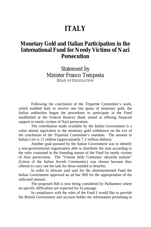# **ITALY**

# **Monetary Gold and Italian Participation in the International Fund for Needy Victims of Nazi Persecution**

Statement by Minister Franco Tempesta HEAD OF DELEGATION

Following the conclusion of the Tripartite Committee's work, which enabled Italy to receive one last quota of monetary gold, the Italian authorities began the procedures to participate in the Fund established at the Federal Reserve Bank aimed at offering financial support to needy victims of Nazi persecution.

The contribution made available by the Italian Government is a value almost equivalent to the monetary gold withdrawn on the eve of the conclusion of the Tripartite Committee's mandate. The amount in Italian Lire is 12 million (approximately 7.2 million dollars).

Another goal pursued by the Italian Government was to identify a non-governmental organization able to distribute the sum according to the rules contained in the founding statute of the Fund for needy victims of Nazi persecution. The "Unione delle Comunita' ebraiche italiane" (Union of the Italian Jewish Community) was chosen because they offered to carry out the task for those entitled to benefits.

In order to allocate said sum for the aforementioned Fund the Italian Government approved an ad hoc Bill for the appropriation of the indicated amount.

The proposed Bill is now being considered by Parliament where no specific difficulties are expected for its passage.

In compliance with the rules of the Fund I would like to provide the British Government and account holder the information pertaining to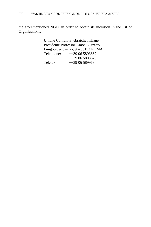the aforementioned NGO, in order to obtain its inclusion in the list of Organizations:

> Unione Comunita' ebraiche italiane Presidente Professor Amos Luzzatto Lungotever Sanzio, 9 – 00153 ROMA Telephone: ++39 06 5803667 ++39 06 5803670 Telefax: ++39 06 589969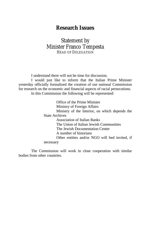## **Research Issues**

Statement by Minister Franco Tempesta HEAD OF DELEGATION

I understand there will not be time for discussion.

I would just like to inform that the Italian Prime Minister yesterday officially formalized the creation of our national Commission for research on the economic and financial aspects of racial persecutions. In this Commission the following will be represented:

> Office of the Prime Minister Ministry of Foreign Affairs Ministry of the Interior, on which depends the State Archives Association of Italian Banks The Union of Italian Jewish Communities The Jewish Documentation Center A number of historians Other entities and/or NGO will bed invited, if necessary

The Commission will work in close cooperation with similar bodies from other countries.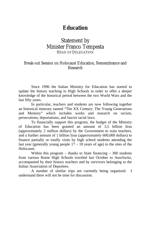# **Education**

## Statement by Minister Franco Tempesta HEAD OF DELEGATION

#### Break-out Session on Holocaust Education, Remembrance and Research

Since 1996 the Italian Ministry for Education has started to update the history teaching in High Schools in order to offer a deeper knowledge of the historical period between the two World Wars and the last fifty years.

In particular, teachers and students are now following together an historical itinerary named "The XX Century: The Young Generations and Memory" which includes works and research on racism, persecutions, deportations, and fascist racial laws.

To financially support this program, the budget of the Ministry of Education has been granted an amount of 3,5 billion liras (approximately 2 million dollars) by the Government to train teachers, and a further amount of 1 billion liras (approximately 600,000 dollars) to finance partially or totally visits by high school students attending the last year (generally young people  $17 - 18$  years of age) to the sites of the Holocaust.

Within this program – thanks to State financing – 300 students from various Rome High Schools traveled last October to Auschwitz, accompanied by their history teachers and by survivors belonging to the Italian Association of Deportees.

A number of similar trips are currently being organized. I understand there will not be time for discussion.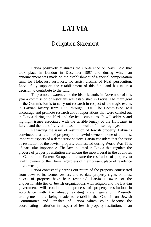# **LATVIA**

# Delegation Statement

Latvia positively evaluates the Conference on Nazi Gold that took place in London in December 1997 and during which an announcement was made on the establishment of a special compensation fund for Holocaust survivors. To assist victims of Nazi persecution, Latvia fully supports the establishment of this fund and has taken a decision to contribute to the fund.

To promote awareness of the historic truth, in November of this year a commission of historians was established in Latvia. The main goal of the Commission is to carry out research in respect of the tragic events in Latvian history from 1939 through 1991. The Commission will encourage and promote research about deportations that were carried out in Latvia during the Nazi and Soviet occupations. It will address and highlight issues associated with the terrible legacy of the Holocaust in Latvia and the fate of Latvian Jews in the wake of those tragic years.

Regarding the issue of restitution of Jewish property, Latvia is convinced that return of property to its lawful owners is one of the most important aspects of a democratic society. Latvia considers that the issue of restitution of the Jewish property confiscated during World War 11 is of particular importance. The laws adopted in Latvia that regulate the process of property restitution are among the most liberal in the countries of Central and Eastern Europe, and ensure the restitution of property to lawful owners or their heirs regardless of their present place of residence or citizenship.

Latvia consistently carries out return of the property confiscated from Jews to its former owners and to date property rights on most pieces of property have been restituted. Latvia is aware of the unquestionable ties of Jewish organizations with religion and the Latvian government will continue the process of property restitution in accordance with the already existing state legislation. Presently arrangements are being made to establish the Council on Jewish Communities and Parishes of Latvia which could become the coordinating institution in respect of Jewish property restitution. In an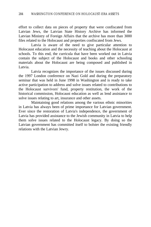effort to collect data on pieces of property that were confiscated from Latvian Jews, the Latvian State History Archive has informed the Latvian Ministry of Foreign Affairs that the archive has more than 3000 files related to the Holocaust and properties confiscated from Jews.

Latvia is aware of the need to give particular attention to Holocaust education and the necessity of teaching about the Holocaust at schools. To this end, the curricula that have been worked out in Latvia contain the subject of the Holocaust and books and other schooling materials about the Holocaust are being composed and published in Latvia.

Latvia recognizes the importance of the issues discussed during the 1997 London conference on Nazi Gold and during the preparatory seminar that was held in June 1998 in Washington and is ready to take active participation to address and solve issues related to contributions to the Holocaust survivors' fund, property restitution, the work of the historical commission, Holocaust education as well as lend assistance to solve issues relating to art, insurance and other assets.

Maintaining good relations among the various ethnic minorities in Latvia has always been of prime importance for Latvian government. Ever since the restoration of Latvia's independence, the government of Latvia has provided assistance to the Jewish community in Latvia to help them solve issues related to the Holocaust legacy. By doing so the Latvian government has committed itself to bolster the existing friendly relations with the Latvian Jewry.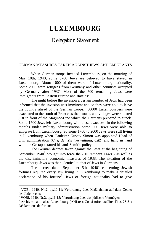# **LUXEMBOURG**

## Delegation Statement

#### GERMAN MEASURES TAKEN AGAINST JEWS AND EMIGRANTS

When German troops invaded Luxembourg on the morning of May 10th, 1940, some 3700 Jews are believed to have stayed in Luxembourg. About 1000 of them were of Luxembourg nationality. Some 2000 were refugees from Germany and other countries occupied by Germany after 1937. Most of the 700 remaining Jews were immigrants from Eastern Europe and stateless.

The night before the invasion a certain number of Jews had been informed that the invasion was imminent and so they were able to leave the country ahead of the German troops. 50000 Luxembourgers were evacuated to the south of France as their towns and villages were situated just in front of the Maginot-Line which the Germans prepared to attack. Some 1500 Jews left Luxembourg with these evacuees. In the following months under military administration some 600 Jews were able to emigrate from Luxembourg. So some 1700 to 2000 Jews were still living in Luxembourg when Gauleiter Gustav Simon was appointed Head of civil administration (*Chef der Zivilverwaltung, CdZ*) and hand in hand with the Gestapo started his anti-Semitic policy.

The German decrees taken against the Jews at the beginning of September  $1940<sup>1</sup>$  brought into force the « Nuremberg Laws » as well as the discriminatory economic measures of 1938. The situation of the Luxembourg Jews was then identical to that of Jews in Germany.

The decree dated September 5th,  $1940<sup>2</sup>$  concerning Jewish fortunes required every Jew living in Luxembourg to make a detailed declaration of his fortune<sup>3</sup>. Jews of foreign nationality had to give

 $\overline{a}$ 

<sup>&</sup>lt;sup>1</sup> VOBl. 1940, Nr.2, pp.10-11: Verordnung über Maßnahmen auf dem Gebiet des Judenrechts.

 $2$  VOBl. 1940, Nr.2, pp.11-13: Verordnung über das jüdische Vermögen.

<sup>3</sup> Archives nationales, Luxembourg (ANLux): Consistoire israélite: Files 76-81: Déclarations de fortune.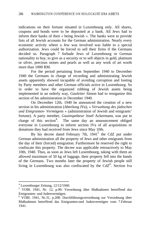indications on their fortune situated in Luxembourg only. All shares, coupons and bonds were to be deposited at a bank. All Jews had to inform their banks of their « being Jewish ». The banks were to provide lists of all Jewish accounts for the German administration. Nearly every economic activity where a Jew was involved was liable to a special authorization. Jews could be forced to sell their firms if the Germans decided so. Paragraph 7 forbade Jews of Luxembourg or German nationality to buy, to give as a security or to sell objects in gold, platinum or silver, precious stones and pearls as well as any work of art worth more than 1000 RM.

For the period pertaining from September 1940 to December 1940 the Germans in charge of recording and administrating Jewish assets apparently showed incapable of avoiding corruption and looting by Party members and other German officials active in Luxembourg. So in order to have the organized robbing of Jewish assets being implemented in an orderly way, *Gauleiter* Simon had to reorganize this section of his administration in December 1940.

On December 12th, 1940 he announced the creation of a new section in his administration (*Abteilung IVa*), « *Verwaltung des jüdischen und Emigranten- Vermögens* » (administration of Jewish and emigrants' fortune). A party member, *Gauinspekteur* Josef Ackermann, was put in charge of this section<sup>4</sup>. The same day an announcement obliged everyone in Luxembourg to inform section IVa of all acquisitions or donations they had received from Jews since May 10th.

By his decree dated February 7th,  $1941<sup>5</sup>$  the CdZ put under German administration all the property of Jews and other emigrants from the day of their (forced) emigration. Furthermore he reserved the right to confiscate this property. The decree was applicable retroactively to May 10th, 1940. Thus, as soon as Jews left Luxembourg, taking with them an allowed maximum of 50 kg of luggage, their property fell into the hands of the Germans. Two months later the property of Jewish people still living in Luxembourg was also confiscated by the Cd $Z^6$ . Section Iva

 $\overline{a}$ 

 $4$  Luxemburger Zeitung,  $12/12/1940$ .

<sup>5</sup> VOBl. 1941, Nr. 12, p.90: Verordnung über Maßnahmen betreffend das Emigranten- und Judenvermögen.

<sup>6</sup> VOBl. 1941, Nr.31, p.208: Durchführungsverordnung zur Verordnung über Maßnahmen betreffend das Emigranten-und Judenvermögen vom 7.Februar 1941.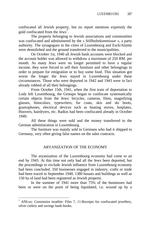confiscated all Jewish property, but no report mentions expressly the gold confiscated from the Jews<sup>7</sup>.

The property belonging to Jewish associations and communities was confiscated and administered by the « *Stillhaltekommissar* », a party authority. The synagogues in the cities of Luxembourg and Esch/Alzette were demolished and the ground transferred to the municipalities.

On October 1st, 1940 all Jewish bank accounts were blocked and the account holder was allowed to withdraw a maximum of 250 RM. per month. As many Jews were no longer permitted to have a regular income, they were forced to sell their furniture and other belongings in order to prepare for emigration or to buy some food. This situation got worse the longer the Jews stayed in Luxembourg under these circumstances. Those who were deported in 1942 and 1943 were in fact already robbed of all their belongings.

From October 15th, 1941, when the first train of deportation to Lodz left Luxembourg, the Gestapo began to confiscate systematically certain objects from the Jews: bicycles, cameras, films, magnifying glasses, binoculars, typewriters, fur coats, skis and ski boots, gramophones, electrical devices such as heating stoves, hotplates, Hoovers, hairdryers, etc. Radios had been confiscated already in October 1940.

All these things were sold and the money transferred to the German administration in Luxembourg.

The furniture was mainly sold to Germans who had it shipped to Germany, very often giving false names on the sales contracts.

#### ARYANIZATION OF THE ECONOMY

The aryanization of the Luxembourg economy had come to an end by 1943. At this time not only had all the Jews been deported, but the proceedings to exclude Jewish influence from Luxembourg economy had been concluded. 350 businesses engaged in industry, crafts or trade had been traced in September 1940. 1380 houses and buildings as well as 150 ha of land had been registered as Jewish property.

In the summer of 1941 more than 75% of the businesses had been or were on the point of being liquidated, i.e. wound up by a

 $7$  ANLux: Consistoire israélite: Files 7, 11:Receipts for confiscated jewellery, silver cutlery and savings bank-books.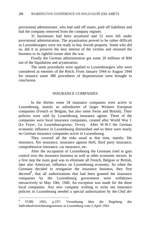provisional administrator, who had sold off assets, paid off liabilities and had the company removed from the company register.

31 businesses had been aryanized and 52 were left under provisional administration. The aryanization proved to be rather difficult as Luxembourgers were not ready to buy Jewish property. Some who did so, did it to preserve the best interest of the victims and returned the business to its rightful owner after the war.

Finally the German administration got some 20 millions of RM out of the liquidation and aryanization.

The same procedures were applied to Luxembourgers who were considered as enemies of the Reich. From January 1944 to August 1944 for instance some 380 procedures of dispossession were brought to conclusion.

#### INSURANCE COMPANIES

In the thirties some 34 insurance companies were active in Luxembourg, mainly as subsidiaries of larger Western European companies (French or Belgian, but also some Swiss and British). Their policies were sold by Luxembourg insurance agents. Three of the companies were local insurance companies, created after World War I. (*Le Foyer, La Luxembourgeoise, Terra*). After W.W.I the German economic influence in Luxembourg diminished and so there were nearly no German insurance companies active in Luxembourg.

They covered all the risks usual at that time, mainly: life insurance, fire insurance, insurance against theft, third party insurance, comprehensive insurance, car insurance, etc.

After the occupation of Luxembourg the Germans tried to gain control over the insurance business as well as other economic sectors. In a first step the main goal was to eliminate all French, Belgian or British, later also American, influence on Luxembourg economy. So when the Germans decided to reorganize the insurance business, they first decreed<sup>8</sup>, that all authorizations that had been granted the insurance companies by the Luxembourg government were withdrawn retroactively to May 10th, 1940. An exception was made for the three local companies. Any new company wishing to write out insurance policies in Luxembourg needed a special authorization by the *Chef der*

<sup>8</sup> VOBl. 1941, p.197: Verordnung über die Regelung des Individualversicherungswesens in Luxemburg vom 5.April 1941.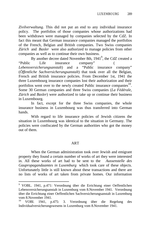*Zivilverwaltung*. This did not put an end to any individual insurance policy. The portfolios of those companies whose authorizations had been withdrawn were managed by companies selected by the CdZ. In fact this meant that German insurance companies managed the portfolios of the French, Belgian and British companies. Two Swiss companies *Zürich* and *Basler* were also authorized to manage policies from other companies as well as to continue their own business.

By another decree dated November 8th,  $1941<sup>9</sup>$ , the CdZ created a "Public Life insurance company" ( *Lebensversicherungsanstalt*) and a "Public insurance company" (*Öffentliche Sachversicherungsanstalt*) that took over all the Belgian, French and British insurance policies. From December 1st, 1941 the three Luxembourg insurance companies lost their authorization and their portfolios went over to the newly created Public insurance companies<sup>10</sup>. Some 30 German companies and three Swiss companies (*La Fédérale*, *Zürich* and *Basler*) were authorized to take up or continue their business in Luxembourg.

In fact, except for the three Swiss companies, the whole insurance business in Luxembourg was thus transferred into German hands.

With regard to life insurance policies of Jewish citizens the situation in Luxembourg was identical to the situation in Germany. The policies were confiscated by the German authorities who got the money out of them.

#### ART

When the German administration took over Jewish and emigrant property they found a certain number of works of art they were interested in. All these works of art had to be sent to the *Aussenstelle des Gaupropagandaamtes in Luxemburg* which took care of these objects. Unfortunately little is still known about these transactions and there are no lists of works of art taken from private homes. Our information

<sup>9</sup> VOBL. 1941, p.471: Verordnung über die Errichtung einer Oeffentlichen Lebensversicherungsanstalt in Luxemburg vom 8.November 1941. Verordnung über die Errichtung einer Oeffentlichen Sachversicherungsanstalt in Luxemburg vom 8.November 1941.<br><sup>10</sup> VOBl. 1941, p

<sup>1941,</sup> p.475: 3. Verordnung über die Regelung des Individualversicherungswesens in Luxemburg vom 8.November 1941.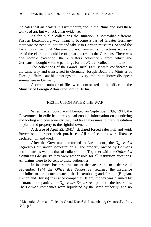indicates that art dealers in Luxembourg and in the Rhineland sold these works of art, but we lack clear evidence.

As for public collections the situation is somewhat different. First as Luxembourg was meant to become a part of Greater Germany there was no need to loot art and take it to German museums. Second the Luxembourg national Museum did not have in its collections works of art of the class that could be of great interest to the Germans. There was one notable exception, the « Reiffers collection » from which the Germans « bought » some paintings for the *Führer*-collection in Linz.

The collections of the Grand Ducal Family were confiscated in the same way and transferred to Germany. Joseph Bech, the Minister of Foreign affairs, saw his paintings and a very important library disappear somewhere in Germany.

A certain number of files were confiscated in the offices of the Ministry of Foreign Affairs and sent to Berlin.

#### RESTITUTION AFTER THE WAR

When Luxembourg was liberated on September 10th, 1944, the Government in exile had already had enough information on plundering and looting and consequently they had taken measures to grant restitution of plundered property to the rightful owners.

A decree of April 22,  $1941<sup>11</sup>$  declared forced sales null and void. Buyers should report their purchases. All confiscations were likewise declared null and void.

After the Government returned to Luxembourg the *Office des Séquestres* put under sequestration all the property owned by Germans and Italians as well as that of collaborators. Together with the *Office des Dommages de guerre* they were responsible for all restitution questions. All claims were to be sent to these authorities.

In insurance business this meant that according to a decree of September 1944 the *Office des Séquestres* returned the insurance portfolios to the former owners, the Luxembourg and foreign (Belgian, French and British) insurance companies. If any money was claimed by insurance companies, the *Office des Séquestres* paid out the lost sums. The German companies were liquidated by the same authority, and no

<sup>&</sup>lt;sup>11</sup> Mémorial, Journal officiel du Grand-Duché de Luxembourg (Montréal), 1941, N°2, p.5.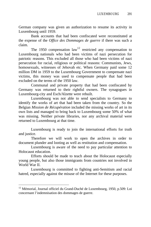German company was given an authorization to resume its activity in Luxembourg until 1959.

Bank accounts that had been confiscated were reconstituted at the expense of the *Office des Dommages de guerre* if there was such a claim.

The 1950 compensation  $law^{12}$  restricted any compensation to Luxembourg nationals who had been victims of nazi persecution for patriotic reasons. This excluded all those who had been victims of nazi persecution for racial, religious or political reasons: Communists, Jews, homosexuals, witnesses of Jehovah etc. When Germany paid some 12 million DM in 1959 to the Luxembourg Government to compensate nazi victims, this money was used to compensate people that had been excluded on the terms of the 1950 law.

Communal and private property that had been confiscated by Germany was returned to their rightful owners. The synagogues in Luxembourg-city and Esch/Alzette were rebuilt.

Luxembourg was not able to send specialists to Germany to identify the works of art that had been taken from the country. So the Belgian *Mission de Récupération* included the missing works of art in its own lists and managed to bring back to Luxembourg some 50% of what was missing. Neither private libraries, nor any archival material were returned to Luxembourg at that time.

Luxembourg is ready to join the international efforts for truth and justice.

Therefore we will work to open the archives in order to document plunder and looting as well as restitution and compensation.

Luxembourg is aware of the need to pay particular attention to Holocaust education.

Efforts should be made to teach about the Holocaust especially young people, but also those immigrants from countries not involved in World War II

Luxembourg is committed to fighting anti-Semitism and racial hatred, especially against the misuse of the Internet for these purposes.

<sup>&</sup>lt;sup>12</sup> Mémorial, Journal officiel du Grand-Duché de Luxembourg, 1950, p.509: Loi concernant l'indemnisation des dommages de guerre.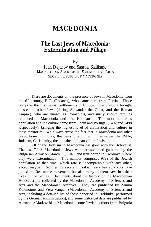# **MACEDONIA**

### **The Last Jews of Macedonia: Extermination and Pillage**

By

Ivan Dejanov and Samuel Sadikario MACEDONIAN ACADEMY OF SCIENCES AND ARTS SKOPJE, REPUBLIC OF MACEDONIA

There are documents on the presence of Jews in Macedonia from the  $6<sup>th</sup>$  century, B.C. (Rosanes), who came here from Persia. Those comprise the first Jewish settlements in Europe. The diaspora brought masses of other Jews (during Alexander the Great, and the Roman Empire), who are known as Romaniots, and many known families remained in Macedonia until the Holocaust. The most numerous population and the culture came from Spain and Portugal (1492 and 1498 respectively), bringing the highest level of civilization and culture in these territories. We always stress the fact that in Macedonia and other Slavophonic countries, the Jews brought with themselves the Bible, Judaism, Christianity, the alphabet and part of the Jewish fate.

All of the Judaism in Macedonia has gone with the Holocaust. The last 7,148 Macedonian Jews were arrested and gathered by the Bulgarian Army on March 11, 1943, and transported to Treblinka, where they were exterminated. This number comprises 98% of the Jewish population at that time, which rate is incomparable with any other, except maybe in Northern Greece and Trakia. Very few survivors have joined the Resistance movement, but also many of them have lost their lives in the battles. Documents about the history of the Macedonian Holocaust are collected by the Macedonian Academy of Sciences and Arts and the Macedonian Archives. They are published by Zamila Kolonomos and Vera Vangeli (Macedonian Academy of Sciences and Arts, including a detailed list of those deported in Treblinka, performed by the German administration), and some historical data are published by Alexander Matkovski in Macedonia, some Jewish authors from Bulgaria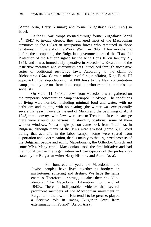(Aaron Assa, Harry Nisimov) and former Yugoslavia (Zeni Lebl) in Israel.

As the SS Nazi troops stormed through former Yugoslavia (April 6<sup>th</sup>, 1941) to invade Greece, they delivered most of the Macedonian territories to the Bulgarian occupation forces who remained in those territories until the end of the World War II in 1945. A few months just before the occupation, the Bulgarian government issued the "Law for Protection of the Nation" signed by the King Boris III on January 21, 1941, and it was immediately operative in Macedonia. Escalation of the restrictive measures and chauvinism was introduced through successive series of additional restrictive laws. According to the claim of Riebbentrop (Nazi-German minister of foreign affairs), King Boris III approved initial deportation of 20,000 Jews to the Nazi concentration camps, mainly persons from the occupied territories and communists or socialists.

On March 11, 1943 all Jews from Macedonia were gathered on the temporary concentration camp "Monopol" in Skopje. The conditions of living were horrible, including minimal food and water, with no bathroom and toilette, with no heating (the winter was exceptionally severe that year). Towards the end of March and the beginning of April 1943, three convoys with Jews were sent to Treblinka. In each carriage there were around 80 persons, in standing positions, some of them without windows. Not a single person came back from Treblinka. In Bulgaria, although many of the Jews were arrested (some 5,000 died during that act, and in the labor camps), some were spared from deportation and extermination, thanks mainly to the organized protests of the Bulgarian people and ethnic Macedonians, the Orthodox Church and some MP's. Many ethnic Macedonians took the first initiative and had the crucial part in the organization and participation of the protests (as stated by the Bulgarian writer Harry Nisimov and Aaron Assa):

> "For hundreds of years the Macedonian and Jewish peoples have lived together as brothers in misfortunes, suffering and destiny. We have the same enemies. Therefore our struggle against them should be identical /The Macedonian Liberation Front, end of 1942/.…There is indisputable evidence that several prominent members of the Macedonian movement in Bulgaria, in the town of Kjustendil to be precise, played a decisive role in saving Bulgarian Jews from extermination in Poland" (Aaron Assa).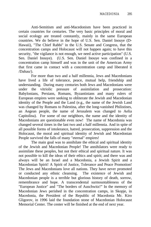Anti-Semitism and anti-Macedonism have been practiced in certain countries for centuries. The very basic principles of moral and social ecology are treated constantly, mainly in the same European countries. We do believe in the hope of U.S. Sen. Daniel Inouye (D-Hawaii), "The Chief Rabbi" in the U.S. Senate and Congress, that the concentration camps and Holocaust will not happen again; to have this security, "the vigilance is not enough, we need active participation" (U.S. Sen. Daniel Inouye). (U.S. Sen. Daniel Inouye was confined in a concentration camp himself and was in the unit of the American Army that first came in contact with a concentration camp and liberated it /Dahau/).

For more than two and a half millennia, Jews and Macedonians have lived a life of tolerance, peace, mutual help, friendship and understanding. During many centuries both Jews and Macedonians were under the vitriolic pressure of assimilation and prosecution: Babylonians, Persians, Romans, Byzantinians and many rulers of European empires were seeking to obliterate the Jewish and Macedonian identity of the People and the Land (e.g., the name of the Jewish Land was changed by Romans to Palestina, after the long-vanished Philistines, an Aegean people, the name of Jerusalem was changed to Aelia Capitolina). For some of our neighbors, the name and the identity of Macedonians are questionable even now! The name of Macedonia was changed several times in the last two and a half millennia. And in spite of all possible forms of intolerance, hatred, prosecution, suppression and the Holocaust, the moral and spiritual identity of Jewish and Macedonian People survived the falls of many "eternal" empires!

The main goal was to annihilate the ethical and spiritual identity of the Jewish and Macedonian People! The annihilators were ready to assimilate these peoples, but not their ethical and spiritual nature. It was not possible to kill the ideas of their ethics and spirit; and there was and always will be an Israel and a Macedonia, a Jewish Spirit and a Macedonian Spirit! A Spirit of Justice, Tolerance and Peace Promotion! The Jews and Macedonians love all nations. They have never promoted or conducted any ethnic cleansing. The existence of Jewish and Macedonian people is a terrible but glorious history of death, sorrow, remembrance and hope. A transcendental surmountableness of the "European Justice" and "The borders of Auschwitz!" In the memory of Macedonian Jews perished in the concentration camps, in Skopje, in Macedonia, the President of the Republic of Macedonia Mr. Kiro Gligorov, in 1996 laid the foundation stone of Macedonian Holocaust Memorial Center. The center will be finished at the end of next year.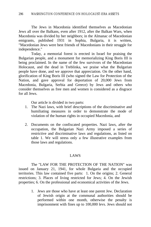The Jews in Macedonia identified themselves as Macedonian Jews all over the Balkans, even after 1912, after the Balkan Wars, when Macedonia was divided by her neighbors; in the Almanac of Macedonian emigrants, published 1931 in Sophia, Bulgaria, it is written, "Macedonian Jews were best friends of Macedonians in their struggle for independence."

Today, a memorial forest is erected in Israel for praising the Bulgarian people, and a monument for memorializing King Boris III is being proclaimed. In the name of the few survivors of the Macedonian Holocaust, and the dead in Treblinka, we praise what the Bulgarian people have done, and we approve that appreciation. On the other hand, glorification of King Boris III (who signed the Law for Protection of the Nation, and gave approval for deportation of 20,000 Jews from Macedonia, Bulgaria, Serbia and Greece) by Jews and others who consider themselves as free men and women is considered as a disgrace for all Jews.

Our article is divided in two parts:

- 1. The Nazi laws, with brief descriptions of the discriminative and humiliating measures in order to demonstrate the mode of violation of the human rights in occupied Macedonia, and
- 2. Documents on the confiscated properties. Nazi laws, after the occupation, the Bulgarian Nazi Army imposed a series of restrictive and discriminative laws and regulations, as listed on table 1. We will stress only a few illustrative examples from those laws and regulations.

#### LAWS

The "LAW FOR THE PROTECTION OF THE NATION" was issued on January 21, 1941, for whole Bulgaria and the occupied territories. This law contained five parts: 1. On the origins; 2. General restrictions; 3. Places of living restricted for Jews; 4. On the Jewish properties; 6. On the professional and economical activities of the Jews.

> 1. Jews are those who have at least one parent Jew. Declaration of Jewish origin at the communal authorities should be performed within one month, otherwise the penalty is imprisonment with fines up to 100,000 levs. Jews should not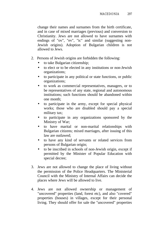change their names and surnames from the birth certificate, and in case of mixed marriages (previous) and conversion to Christianity. Jews are not allowed to have surnames with endings of "ov", "ev", "ic" and similar (suggesting non-Jewish origins). Adoption of Bulgarian children is not allowed to Jews.

- 2. Persons of Jewish origins are forbidden the following:
	- to take Bulgarian citizenship;
	- to elect or to be elected in any institutions or non-Jewish organizations;
	- to participate in any political or state functions, or public organizations;
	- to work as commercial representatives, managers, or to be representatives of any state, regional and autonomous institutions; such functions should be abandoned within one month;
	- to participate in the army, except for special physical works; those who are disabled should pay a special military tax;
	- to participate in any organizations sponsored by the Ministry of War;
	- to have marital or non-marital relationships with Bulgarian citizens; mixed marriages, after issuing of this law are outlawed;
	- to have any kind of servants or related services from persons of Bulgarian origin;
	- to be inscribed in schools of non-Jewish origin, except if permitted by the Minister of Popular Education with special decree;
- 3. Jews are not allowed to change the place of living without the permission of the Police Headquarters. The Ministerial Council with the Ministry of Internal Affairs can decide the places where Jews will be allowed to live.
- 4. Jews are not allowed ownership or management of "uncovered" properties (land, forest etc), and also "covered" properties (houses) in villages, except for their personal living. They should offer for sale the "uncovered" properties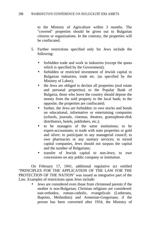to the Ministry of Agriculture within 3 months. The "covered" properties should be given out to Bulgarian citizens or organizations. In the contrary, the properties will be confiscated.

- 5. Further restrictions specified only for Jews include the following:
	- forbidden trade and work in industries (except the quota which is specified by the Government);
	- forbidden or restricted investment of Jewish capital to Bulgarian industries, trade etc. (as specified by the Ministry of Labor);
	- the Jews are obliged to declare all properties (real estate and personal properties) to the Popular Bank of Bulgaria; those who leave the country should depose the money from the sold property to the local bank; in the opposite, the properties are confiscated;
	- further, the Jews are forbidden: to owe stocks and bonds on educational, informative or entertaining companies (schools, journals, cinemas, theatres, gramophone-disk distributors, hotels, publishers, etc.);
	- to be managers of the same institutions; to be expert-accountants; to trade with state properties or gold and silver; to participate to any managerial council; to owe pharmacies or any sanitary services; in mixed capital companies, Jews should not surpass the capital and the number of Bulgarians;
	- transfer of Jewish capital to non-Jews; to owe concessions on any public company or institution.

On February 17, 1941, additional regulative act entitled "PRINCIPLES FOR THE APPLICATION OF THE LAW FOR THE PROTECTION OF THE NATION" was issued as integrative part of the Law. Examples of restrictions upon Jews include:

> Jews are considered even those from christened parents if the mother is non-Bulgarian; Christian religions are considered: east-orthodox, roman-catholic, evangelicals (Lutherans, Baptists, Methodists) and Armenian-Gregorians; if the person has been converted after 1934, the Ministry of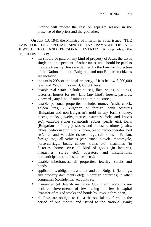Interior will review the case on separate session in the presence of the priest and the godfather.

On July 13, 1941 the Ministry of Interior in Sofia issued "THE LAW FOR THE SPECIAL SINGLE TAX PAYABLE ON ALL JEWISH REAL AND PERSONAL ESTATE". Among else, the regulations include:

- tax should be paid on any kind of property of Jews; the tax is single and independent of other taxes, and should be paid to the state treasury; Jews are defined by the Law for Protection of the Nation, and both Bulgarian and non-Bulgarian citizens are included;
- the tax is 20% of the total property, if it is bellow 3,000,000 levs, and 25% if it is over 3,000,000 levs;
- taxable real estate include: houses, flats, shops, buildings, factories, houses for rest, land (any kind), forests, pastures, vineyards, any kind of mines and mining stores;
- taxable personal properties include: money (cash, check, golden liras) - Bulgarian or foreign, bank accounts (Bulgarian and non-Bulgarian), gold in any form (money, pieces, sticks, jewelry, statues, watches, forks and knives etc); valuable stones (diamonds, rubies, pearls, etc); loans (Bulgarian or foreign); stocks and bonds; furniture (chairs, tables, bedroom furniture, kitchen, piano, radio-operator, bed etc); fur and valuable tissues; rags (all kinds - Persian, foreign etc); all vehicles (car, truck, bicycle, motorcycle, horse-carriage, boats, canoes, trains etc); machines (in factories, homes etc); all kind of goods (in factories, magazines, stores etc); operators and installations; non-anticipated (i.e. insurances, etc.);
- taxable inheritances: all properties, jewelry, stocks and bonds;
- applications, obligations and demands: in Bulgaria (landings, any property documents etc); in foreign countries; in other companies (confidential accounts etc);
- insurances (of Jewish insurance Co), credit accounts are declared; investments of Jews using non-Jewish capital (transfer of mixed stocks and bonds by Jews is forbidden);
- all Jews are obliged to fill a the special tax form on the period of one month, and issued to the National Bank;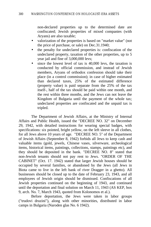non-declared properties up to the determined date are confiscated; Jewish properties of mixed companies (with Aryans) are also taxable;

- valorization of the properties is based on "market value" (not the price of purchase, or sale) on Dec.31.1940;
- the penalty for undeclared properties is: confiscation of the undeclared property, taxation of the other properties, up to 5 year jail and fine of 3,000,000 levs;
- since the lowest level of tax is 40,000 levs, the taxation is conducted by official commission, and instead of Jewish members, Aryans of orthodox confession should take their place (in a control commission); in case of higher estimated than declared taxes, 25% of the estimated difference (property value) is paid separate from the 25% of the tax itself-, half of the tax should be paid within one month, and the rest within three months, and the Jews can not leave the Kingdom of Bulgaria until the payment of the whole tax; undeclared properties are confiscated and the unpaid tax is tripled.

The Department of Jewish Affairs, at the Ministry of Internal Affairs and Public Health, issued the "DECREE NO. 32" on December 29, 1942, with detailed instructions for wearing special badges, with specifications: six pointed, bright yellow, on the left sleeve in all clothes, for all Jews above 10 years of age. "DECREE NO. 5" of the Department of Jewish Affairs (September 8, 1942) forbids all Jews to keep cash and valuable items (gold, jewels, Chinese vases, silverware, archeological items, historical items, paintings, collections, stamps, paintings etc), and they should be deposited in the bank. "DECREE NO. 8" stated that non-Jewish tenants should not pay rent to Jews. "ORDER OF THE CABINET" (Oct. 17. 1942) stated that larger Jewish houses should be occupied by several families, or abandoned by the Jews (all Jews in Biota came to live in the left bank of river Dragger in a ghetto). All businesses should be closed up to the date of February 23, 1943, and all employees of Jewish origin should be dismissed. Confiscations of all Jewish properties continued on the beginning of 1943, and continued until the deportation and final solution on March 11, 1943 (AS KEP, box 9, arch. No. 7, March 1943, quoted from Kolonomos et al.).

Before deportation, the Jews were taken in labor groups ("trudovi druzini"), along with other minorities, distributed in labor camps in Bulgaria (Naroden glas No. 6 1942).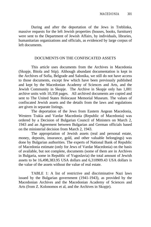During and after the deportation of the Jews in Treblinka, massive requests for the left Jewish properties (houses, books, furniture) were sent to the Department of Jewish Affairs, by individuals, libraries, humanitarian organizations and officials, as evidenced by large corpus of left documents.

#### DOCUMENTS ON THE CONFISCATED ASSETS

This article uses documents from the Archives in Macedonia (Skopje, Bitola and Stip). Although abundant documentation is kept in the Archives of Sofia, Belgrade and Salonika, we still do not have access to those documents, except few which have been previously published and kept by the Macedonian Academy of Sciences and Arts, and the Jewish Community in Skopje. The Archive in Skopje only has 1,001 archive units with 10,358 pages. All archived documents are copied and sent to The United States Holocaust Memorial Museum. The values of confiscated Jewish assets and the details from the laws and regulations are given in separate listings.

The deportation of the Jews from Eastern Aegean Macedonia, Western Trakia and Vardar Macedonia (Republic of Macedonia) was ordered by a Decision of Bulgarian Council of Ministers on March 2, 1943 and an Agreement between Bulgarian and German officials based on the ministerial decision from March 2, 1943.

The appropriation of Jewish assets (real and personal estate, money, deposits, insurance, gold, and other valuable belongings) was done by Bulgarian authorities. The experts of National Bank of Republic of Macedonia estimate (only for Jews of Vardar Macedonia) on the basis of available, but not complete, documents (some of them are in Archives in Bulgaria, some in Republic of Yugoslavia) the total amount of Jewish assets to be 16,498,383.95 USA dollars and 6,310909.43 USA dollars is the value of the assets without the value of real estate.

TABLE 1: A list of restrictive and discriminative Nazi laws issued by the Bulgarian government (1941-1943), as provided by the Macedonian Archives and the Macedonian Academy of Sciences and Arts (from Z. Kolonomos et al, and the Archives in Skopje).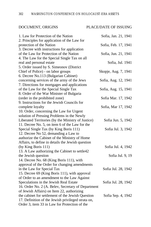### DOCUMENT, ORIGINS PLACE/DATE OF ISSUING

| 1. Law for Protection of the Nation                | Sofia, Jan. 21, 1941 |
|----------------------------------------------------|----------------------|
| 2. Principles for application of the Law for       |                      |
| protection of the Nation                           | Sofia, Feb. 17, 1941 |
| 3. Decree with instructions for application        |                      |
| of the Law for Protection of the Nation            | Sofia, Jun. 21, 1941 |
| 4. The Law for the Special Single Tax on all       |                      |
| real and personal estate                           | Sofia, Jul. 1941     |
| 5. Order issued by S. Simeonov (District           |                      |
| Chief of Police) - on labor groups                 | Skopje, Aug. 7, 1941 |
| 6. Decree No.113 (Bulgarian Cabinet)               |                      |
| concerning services of the army of the Jews        | Sofia, Aug. 12, 1941 |
| 7. Directions for mortgages and applications       |                      |
| of the Law for the Special Single Tax              | Sofia, Aug. 15, 1941 |
| 8. Order of the War Minister of Bulgaria           |                      |
| (order in the prohibited zone)                     | Sofia Mar. 17, 1942  |
| 9. Instructions for the Jewish Councils for        |                      |
| complete loyalty                                   | Sofia, Mar 17, 1942  |
| 10. Order, concerning the Law for Urgent           |                      |
| solution of Pressing Problems in the Newly         |                      |
| Liberated Territories (by the Ministry of Justice) | Sofia Jun. 5, 1942   |
| 11. Decree No. 5, on item 6 of the Law for the     |                      |
| Special Single Tax (by King Boris 111)             | Sofia Jul. 3, 1942   |
| 12. Decree No 52, demanding a Law to               |                      |
| authorize the Cabinet of the Ministry of Home      |                      |
| Affairs, to define in details the Jewish question  |                      |
| (by King Boris 111)                                | Sofia Jul. 4, 1942   |
| 13. A Law authorizing the Cabinet to settle42      |                      |
| the Jewish question                                | Sofia Jul. 9, 19     |
| 14. Decree No. 68 (King Boris 111), with           |                      |
| approval of the Order for changing amendments      |                      |
| in the Law for Special Tax                         | Sofia Jul. 28, 1942  |
| 15. Decree 69 (King Boris 111), with approval      |                      |
| of Order to an amendment to the Law Against        |                      |
| Speculations in the Jewish Real Estate             | Sofia Jul. 28, 1942  |
| 16. Order No. 2 (A. Belev, Secretary of Department |                      |
| of Jewish Affairs) on Item 22, authorizing         |                      |
| the cabinet for settlement of the Jewish Question  | Sofia Sep. 4, 1942   |
| 17. Definition of the Jewish privileged strata on, |                      |
| Order 3, item 33 in Law for Protection of the      |                      |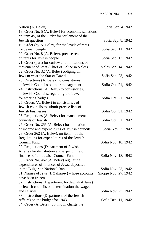| Nation (A. Belev)                                  | Sofia Sep. 4,1942    |
|----------------------------------------------------|----------------------|
| 18. Order No. 5 (A. Belev) for economic sanctions, |                      |
| on item 45, of the Order for settlement of the     |                      |
| Jewish question                                    | Sofia Sep. 8, 1942   |
| 19. Order (by A. Belev) for the levels of rents    |                      |
| for Jewish people                                  | Sofia Sep. 11, 1942  |
| 20. Order No. 8 (A. Belev), precise rents          |                      |
| on rents for Jewish people                         | Sofia Sep. 12, 1942  |
| 21. Order (part) for curfew and limitations of     |                      |
| movement of Jews (Chief of Police in Veles)        | Veles Sep. 14, 1942  |
| 22. Order No. 32 (A. Belev) obliging all           |                      |
| Jews to wear the Star of David                     | Sofia Sep. 23, 1942  |
| 23. Directives (A. Belev) to consistories,         |                      |
| of Jewish Councils on their management             | Sofia Oct. 21, 1942  |
| 24. Instructions (A. Belev) to consistories,       |                      |
| of Jewish Councils, regarding the Law,             |                      |
| for wearing badges                                 | Sofia Oct. 21, 1942  |
| 25. Orders (A. Belev) to consistories of           |                      |
| Jewish councils to submit precise lists of         |                      |
| Jewish businesses                                  | Sofia Oct. 31, 1942  |
| 26. Regulations (A. Belev) for management          |                      |
| councils of Jewish                                 | Sofia Oct. 31, 1942  |
| 27. Order No. 255 (A. Belev) for limitation        |                      |
| of income and expenditures of Jewish councils      | Sofia Nov. 2, 1942   |
| 28. Order 362 (A. Belev), on item 4 of the         |                      |
| Regulations for expenditures of the Jewish         |                      |
| Council Fund                                       | Sofia Nov. 10, 1942  |
| 29. Regulations (Department of Jewish              |                      |
| Affairs) for distribution and expenditure of       |                      |
| finances of the Jewish Council Fund                | Sofia Nov. 18, 1942  |
| 30. Order No. 462 (A. Belev) regulating            |                      |
| expenditures of finances of Jews, deposited        |                      |
| in the Bulgarian National Bank                     | Sofia Nov. 23, 1942  |
| 31. Names of Jews (I. Zahariev) whose accounts     | Skopje Nov. 27, 1942 |
| have been frozen                                   |                      |
| 32. Instructions (Department for Jewish Affairs)   |                      |
| to Jewish councils on determination the wages      |                      |
| and salaries                                       | Sofia Nov. 27, 1942  |
| 33. Instructions (Department of the Jewish         |                      |
| Affairs) on the budget for 1943                    | Sofia Dec. 11, 1942  |
| 34. Order (A. Belev) putting in charge the         |                      |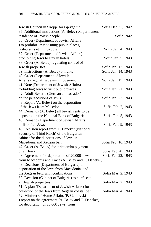| Jewish Council in Skopje for Gjevgelija             | Sofia Dec.31, 1942  |
|-----------------------------------------------------|---------------------|
| 35. Additional instructions (A. Belev) on permanent |                     |
| residence of Jewish people                          | Sofia 1942          |
| 36. Order (Department of Jewish Affairs             |                     |
| ) to prohibit Jews visiting public places,          |                     |
| restaurants etc. in Skopje                          | Sofia Jan. 4, 1943  |
| 37. Order (Department of Jewish Affairs)            |                     |
| prohibiting Jews to stay in hotels                  | Sofia Jan. 5, 1943  |
| 38. Order (A. Belev) regulating control of          |                     |
| Jewish properties                                   | Sofia Jan. 12, 1943 |
| 39. Instructions (A. Belev) on rents                | Sofia Jan. 14, 1943 |
| 40. Order (Department of Jewish                     |                     |
| Affairs) regulating Jewish movement                 | Sofia Jan. 15, 1943 |
| 41. Note (Department of Jewish Affairs)             |                     |
| forbidding Jews to visit public places              | Sofia Jan. 21, 1943 |
| 42. Adolf Bekerle (German ambassador)               |                     |
| on the persecutions of Jews                         | Sofia Jan. 22, 1943 |
| 43. Report (A. Belev) on the deportation            |                     |
| of the Jews from Macedonia                          | Sofia Feb. 2, 1943  |
| 44. Demands (A. Belev) all Jewish rents to be       |                     |
| deposited in the National Bank of Bulgaria          | Sofia Feb. 5, 1943  |
| 45. Demand (Department of Jewish Affairs)           |                     |
| of list of all Jews                                 | Sofia Feb. 9, 1943  |
| 46. Decision report from T. Daneker (National       |                     |
| Security of Third Reich) of the Bulgarian           |                     |
| cabinet for the deportations of Jews in             |                     |
| Macedonia and Aegean belt                           | Sofia Feb. 16, 1943 |
| 47. Order (A. Belev) for strict araha payment       |                     |
| of all Jews                                         | Sofia Feb.20, 1943  |
| 48. Agreement for deportation of 20.000 Jews        | Sofia Feb.22, 1943  |
| from Macedonia and Trace (A. Belev and T. Daneker)  |                     |
| 49. Decisions (Department of Bulgaria) on           |                     |
| deportation of the Jews from Macedonia, and         |                     |
| the Aegean belt, with confiscations                 | Sofia Mar. 2, 1943  |
| 50. Decision (Cabinet of Bulgaria) to confiscate    |                     |
| all Jewish properties                               | Sofia Mar. 2, 1943  |
| 51. A plan (Department of Jewish Affairs) for       |                     |
| collection of the Jews from Aegean coastal belt     | Sofia Mar. 4, 1943  |
| 52. Minister of Home Affairs (P. Gabrovski          |                     |
| ) report on the agreement (A. Belev and T. Daneker) |                     |
| for deportation of 20,000 Jews, from                |                     |
|                                                     |                     |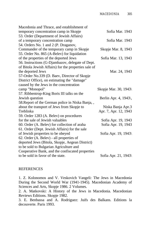| Macedonia and Thrace, and establishment of           |                       |
|------------------------------------------------------|-----------------------|
| temporary concentration camp in Skopje               | Sofia Mar. 1943       |
| 53. Order (Department of Jewish Affairs)             |                       |
| of a temporary concentration camp                    | Sofia Mar. 1943       |
| 54. Orders No. 1 and 2 (P. Draganov,                 |                       |
| Commander of the temporary camp in Skopje            | Skopje Mar. 8, 1943   |
| 55. Order No. 865 (A-Belev) for liquidation          |                       |
| of the properties of the deported Jews               | Sofia Mar. 13, 1943   |
| 56. Instructions (G-Djambazov, delegate of Dept.     |                       |
| of Bitola Jewish Affairs) for the properties sale of |                       |
| the deported Jews                                    | Mar. 24, 1943         |
| 57-Order No.339 (D. Baev, Director of Skopje         |                       |
| District Office), on estimating the "damage"         |                       |
| caused by the Jews in the concentration              |                       |
| camp "Monopol"                                       | Skopje Mar. 30, 1943\ |
| 57. Ribbentrop-King Boris III talks on the           |                       |
| Jewish question                                      | Berlin Apr. 4, 1943\, |
| 58. Report of the German police in Niska Banja, ,    |                       |
| about the transport of Jews from Skopje to           | Niska Banja Apr.3     |
| Treblinka                                            | Apr. 7, Apr. 12, 1943 |
| 59. Order 1283 (A. Belev) on procedures              |                       |
| for the sale of Jewish valuables                     | Sofia Apr. 19, 1943   |
| 60. Order (A. Belev) for collection of araha         | Sofia Apr. 19, 1943   |
| 61. Order (Dept. Jewish Affairs) for the sale        |                       |
| of Jewish properties to be obeyed                    | Sofia Apr. 19, 1943\  |
| 62. Order (A. Belev) - all properties of             |                       |
| deported Jews (Bitola, Skopje, Aegean District)      |                       |
| to be sold to Bulgarian Agriculture and              |                       |
| Cooperative Bank, and the confiscated properties     |                       |
| to be sold in favor of the state.                    | Sofia Apr. 21, 1943\  |

#### **REFERENCES**

1. Z. Kolonomos and V. Veskovich Vangeli: The Jews in Macedonia During the Second World War (1941-1945). Macedonian Academy of Sciences and Arts, Skopje 1986. 2 Volumes.

2. A. Matkovski: A History of the Jews in Macedonia. Macedonian Reviews Editions. Skopje 1982.

3. E. Benbassa and A. Rodriguez: Juifs des Balkans. Editions la decouverte. Paris 1993.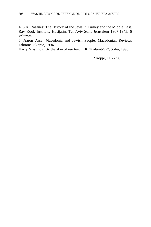4. S.A. Rosanes: The History of the Jews in Turkey and the Middle East. Rav Kook Institute, Husijatin, Tel Aviv-Sofia-Jerusalem 1907-1945, 6 volumes.

5. Aaron Assa: Macedonia and Jewish People. Macedonian Reviews Editions. Skopje, 1994.

Harry Nissimov: By the skin of our teeth. IK "Kolumb'92", Sofia, 1995.

Skopje, 11.27.98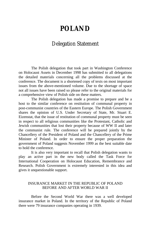# **POLAND**

### Delegation Statement

The Polish delegation that took part in Washington Conference on Holocaust Assets in December 1998 has submitted to all delegations the detailed materials concerning all the problems discussed at the conference. The document is a shortened copy of texts on most important issues from the above-mentioned volume. Due to the shortage of space not all issues have been raised so please refer to the original materials for a comprehensive view of Polish side on these matters.

The Polish delegation has made a promise to prepare and be a host to the similar conference on restitution of communal property in post-communist countries of the Eastern Europe. The Polish Government shares the opinion of U.S. Under Secretary of State, Mr. Stuart E. Eizenstat, that the issue of restitution of communal property must be seen in respect to all religious communities like the Protestant, Catholic and Jewish communities that lost their property because of WW II and later the communist rule. The conference will be prepared jointly by the Chancellery of the President of Poland and the Chancellery of the Prime Minister of Poland. In order to ensure the proper preparation the government of Poland suggests November 1999 as the best suitable date to hold the conference.

It is also very important to recall that Polish delegation wants to play an active part in the new body called the Task Force for International Cooperation on Holocaust Education, Remembrance and Research. Polish Government is extremely interested in this idea and gives it unquestionable support.

#### INSURANCE MARKET IN THE REPUBLIC OF POLAND BEFORE AND AFTER WORLD WAR II

Before the Second World War there was a well developed insurance market in Poland. In the territory of the Republic of Poland there were 79 insurance companies operating in 1939.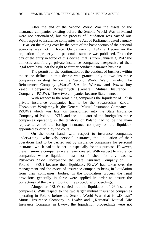After the end of the Second World War the assets of the insurance companies existing before the Second World War in Poland were not nationalized, but the process of liquidation was carried out. With respect to insurance companies the Act of Parliament dated January 3, 1946 on the taking over by the State of the basic sectors of the national economy was not in force. On January 3, 1947 a Decree on the regulation of property and personal insurance was published. From the day of the entry in force of this decree, that is from January 3, 1947 the domestic and foreign private insurance companies irrespective of their legal form have lost the right to further conduct insurance business.

The permit for the continuation of the conduct of business within the scope defined in this decree was granted only to two insurance companies existing before the Second World War, namely: The Reinsurance Company "Warta" S.A. in Warsaw and Powszechny Zakad Ubezpiecze Wzajemnych (General Mutual Insurance Company - PZUW). These two companies became State owned.

With respect to the remaining companies the liquidator of Polish private insurance companies had to be the Powszechny Zakad Ubezpiecze Wzajemnych (the General Mutual Insurance Company - PZUW) which was later on transformed into the State Insurance Company of Poland - PZU, and the liquidator of the foreign insurance companies operating in the territory of Poland had to be the main representative of the foreign insurance company or the liquidator appointed ex officio by the court.

On the other hand, with respect to insurance companies underwriting exclusively personal insurance, the liquidation of their operations had to be carried out by insurance companies for personal insurance which had to be set up especially for this purpose. However, these insurance companies were never created. With respect to insurance companies whose liquidation was not finished, for any reasons, Pastwowy Zakad Ubezpiecze (the State Insurance Company of Poland – PZU) became their liquidator. PZUW had taken over the management and the assets of insurance companies being in liquidation from their companies' bodies. In the liquidation process the legal provisions generally in force were applied in order to ensure the correctness of the carrying out of the procedure/ proceedings.

Altogether PZUW carried out the liquidation of 26 insurance companies. With respect to the two larger mutual insurance companies operating in Poland before the Second World War, that is: "Dniestr" Mutual Insurance Company in Lwów and, "Karpatia" Mutual Life Insurance Company in Lwów, the liquidation proceedings were not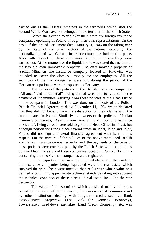carried out as their assets remained in the territories which after the Second World War have not belonged to the territory of the Polish State.

Before the Second World War there were six foreign insurance companies operating in Poland through their own representations. On the basis of the Act of Parliament dated January 3, 1946 on the taking over by the State of the basic sectors of the national economy, the nationalization of two German insurance companies had to take place. Also with respect to these companies liquidation proceedings were carried out. At the moment of the liquidation it was stated that neither of the two did own immovable property. The only movable property of Aachen-München fire insurance company located in Katowice was intended to cover the dismissal money for the employees. All the securities of the two companies were lost during the period of the German occupation or were transported to Germany.

The owners of the policies of the British insurance companies: "Alliance" and "Prudential", living abroad were told to request for the payment of indemnities resulting from these policies at the Head Office of the company in London. This was done on the basis of the Polish-British Financial Agreement dated November 11, 1954 which declared that they did not benefit from the satisfaction of their claims with the funds located in Poland. Similarly the owners of the policies of Italian insurance companies, "Assicurazioni Generali" and "Riunione Adriatica di Sicurta", living abroad were told to go to the Head Office in Triest, but although negotiations took place several times in 1959, 1972 and 1977, Poland did not sign a bilateral financial agreement with Italy in this respect. For the owners of the policies of the above mentioned British and Italian insurance companies in Poland, the payments on the basis of these policies were covered/ paid by the Polish State with the amounts obtained from the assets of these companies located in Poland. No claims concerning the two German companies were registered.

In the majority of the cases the only real element of the assets of the insurance companies being liquidated were the real estate which survived the war. These were mostly urban real Estate whose value was defined according to approximate technical standards taking into account the technical condition of these pieces of real estate including the war destruction.

The value of the securities which consisted mainly of bonds issued by the State before the war, by the association of communes and by other institutions dealing with long-term credit, such as Bank Gospodarstwa Krajowego (The Bank for Domestic Economy), Towarzystwo Kredytowe Ziemskie (Land Credit Company), etc. was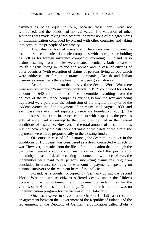assumed as being equal to zero, because these loans were not reimbursed, and the bonds had no real value. The valuation of other securities was made taking into account the provisions of the agreements on indemnification concluded by Poland with other countries and taking into account the principle of reciprocity.

The valuation both of assets and of liabilities was homogeneous for domestic companies domestic companies with foreign shareholding as well as for foreign insurance companies operating in Poland. Also claims resulting from policies were treated identically both in case of Polish citizens living in Poland and abroad and in case of citizens of other countries (with exception of claims of persons living abroad which were addressed to foreign insurance companies, British and Italian insurance companies - the explanation has been given above).

According to the data that survived the Second World War there were approximately 275 insurance contracts in 1939 concluded for a total amount of 640 million zloties. The indemnities resulting from the policies of the insurance companies existing before the war and being liquidated were paid after the submission of the original policy or of the evidence/vouchers of the payment of premium until August 1939, and each case was examined separately (separate liquidation report). The liabilities resulting from insurance contracts with respect to the persons entitled were paid according to the principles defined in the general conditions of insurance. However, if the total amount of these liabilities was not covered by the balance-sheet value of the assets of the estate, the payments were made proportionally to the existing funds.

Of course in case of life insurance, the death-taking place in the conditions of Holocaust was considered as a death connected with acts of war. However, it results from the files of the liquidation that although the particular general conditions of insurance excluded the payment of indemnity in case of death occurring in connection with acts of war, the indemnities were paid to all persons submitting claims resulting from concluded insurance contracts - the amount of payments depending on persons-survivors or the recipient heirs of the policies.

Poland, as a country occupied by Germany during the Second World War and whose citizens suffered deeply under the Hitler's occupation has not obtained the full payment of indemnities for the victims of nazi crimes from Germany. On the other hand, there was no indemnification program for the victims of the Holocaust.

One has however to stress that on October 16, 1991 as a result of an agreement between the Government of the Republic of Poland and the Government of the Republic of Germany a foundation called "Polish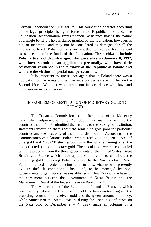German Reconciliation" was set up. This foundation operates according to the legal principles being in force in the Republic of Poland. The Foundation Reconciliation grants financial assistance having the nature of a single benefit. The assistance granted by the foundation, however, is not an indemnity and may not be considered as damages for all the injuries suffered. Polish citizens are entitled to request for financial assistance out of the funds of the foundation. **These citizens include Polish citizens of Jewish origin, who were alive on January 8, 1992, who have submitted an application personally, who have their permanent residence in the territory of the Republic of Poland and who are the victims of special nazi persecutions.**

It is important to stress once again that in Poland there was a liquidation of the assets of the insurance companies existing before the Second World War that was carried out in accordance with law, and there was no nationalization.

#### THE PROBLEM OF RESTITUTION OF MONETARY GOLD TO POLAND

The Tripartite Commission for the Restitution of the Monetary Gold which adjourned on July 25, 1998 in its final task sent, to the countries that in 1947 submitted their claims to the Nazi gold restitution, statements informing them about the remaining gold pool for particular countries and the necessity of their final distribution. According to the Commission's calculations, Poland was to receive 1.206,228 ounces of pure gold and 4.782,90 sterling pounds – the sum remaining after the undistributed parts of monetary gold. The calculations were accompanied with the proposal from the three governments of the United States, Great Britain and France which made up the Commission to contribute the remaining gold, including Poland's share, to the Nazi Victims Relief Fund – founded in order to bring relief to those victims who presently live in difficult conditions. This Fund, to be managed by nongovernmental organizations, was established in New York on the basis of the agreement between the government of Great Britain and the Management Board of the Federal Reserve Bank in N.Y.

The Ambassador of the Republic of Poland in Brussels, which was the city where the Commission held its headquarters, signed the according voucher for received gold and the given amount of money, while Minister of the State Treasury during the London Conference on the Nazi gold of December  $2 - 4$ , 1997 made an offering of a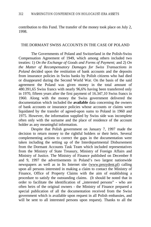contribution to this Fund. The transfer of the money took place on July 2, 1998.

#### THE DORMANT SWISS ACCOUNTS IN THE CASE OF POLAND

The Governments of Poland and Switzerland in the Polish-Swiss Compensation Agreement of 1949, which among others included two treaties: 1) *On the Exchange of Goods and Forms of Payment;* and 2) *On the Matter of Recompensatory Damages for Swiss Transactions in Poland* decided upon the restitution of bank accounts and the deposits from insurance policies in Swiss banks by Polish citizens who had died or disappeared during the Second World War. On the basis of the said agreement the Poland was given money in the total amount of 480.391,65 Swiss francs with nearly 96,6% having been transferred only in 1970, fifteen years after the first payment of 16.347,10 Swiss francs in 1960. Along with the money the Swiss government delivered the documentation which included the **available** data concerning the owners of bank accounts or insurance policies whose accounts or claims were liquidated by the transfer of agreed-upon sums to Poland in 1960 and 1975. However, the information supplied by Swiss side was incomplete often only with the surname and the place of residence of the account holder as any meaningful information.

Despite that Polish government on January 7, 1997 made the decision to return money to the rightful holders or their heirs. Several complementing actions to correct the gaps in the documentation were taken including the setting up of the Interdepartmental Disbursement from the Dormant Accounts Task Team which included representatives from the Ministry of State Treasury, Ministry of Foreign Affairs and Ministry of Justice. The Ministry of Finance published on December 8 and 9, 1997 the advertisements in Poland's two largest nationwide newspapers as well as in Its Internet site (www.prezydent.pl) calling upon all persons interested in making a claim to contact the Ministry of Finance, Office of Property Claims with the aim of establishing a procedure to satisfy the outstanding claims. (It should be noted that in order to facilitate the identification of "interested persons" - who are often heirs of the original owners - the Ministry of Finance prepared a special publication of all the documentation received from the Swiss government which is available upon request in all Polish embassies, and will be sent to all interested persons upon request). Thanks to all the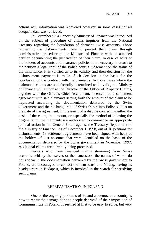actions new information was recovered however, in some cases not all adequate data was retrieved.

In December 97 a Report by Ministry of Finance was introduced on the subject of procedure of claims inquiries from the National Treasury regarding the liquidation of dormant Swiss accounts. Those requesting the disbursements have to present their claim through administrative procedure to the Minister of Finance with an attached petition documenting the justification of their claim. In case of heirs of the holders of accounts and insurance policies it is necessary to attach to the petition a legal copy of the Polish court's judgement on the status of the inheritance. It is verified as to its validity and then decision for the disbursement payment is made. Such decision is the basis for the conclusion of the contract with the claimants. In those cases where the claimants' claims are satisfactorily determined to be valid, the Ministry of Finance will authorize the Director of the Office of Property Claims, together with the Office's Chief Accountant, to enter into a settlement agreement with said claimants setting forth the amount of the claim to be liquidated according the documentation delivered by the Swiss government and the exchange rate of Swiss francs into Polish zloties on the date of the agreement. In the event of a dispute concerning either the basis of the claim, the amount, or especially the method of indexing the original sum, the claimants are authorized to commence an appropriate judicial action in the General Court against the Treasury Department of the Ministry of Finance. As of December 1, 1998, out of 16 petitions for disbursements, 13 settlement agreements have been signed with heirs of the holders of lost accounts that were identified on the basis of the documentation delivered by the Swiss government in November 1997. Additional claims are currently being processed.

Persons who have financial claims stemming from Swiss accounts held by themselves or their ancestors, the names of whom do not appear in the documentation delivered by the Swiss government to Poland, are encouraged to contact the firm Ernst and Young, having its headquarters in Budapest, which is involved in the search for satisfying such claims.

#### REPRIVATIZATION IN POLAND

One of the ongoing problems of Poland as democratic country is how to repair the damage done to people deprived of their imposition of Communist rule in Poland. It seemed at first to be easy to solve, but very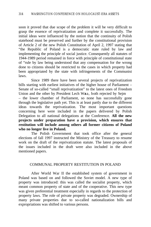soon it proved that due scope of the problem it will be very difficult to grasp the essence of reprivatization and complete it successfully. The initial ideas were influenced by the notion that the continuity of Polish statehood must be preserved and further by the constitutional provision of Article 2 of the new Polish Constitution of April 2, 1997 stating that "the Republic of Poland is a democratic state ruled by law and implementing the principle of social justice. Consequently all statutes of 1944-1989 period remained in force with principle of constitutional state of "rule by law being understood that any compensation for the wrong done to citizens should be restricted to the cases in which property had been appropriated by the state with infringements of the Communist laws.

Since 1989 there have been several projects of reprivatization bills starting with earliest initiatives of the higher house of Parliament – Senate of so-called "small reprivatization" to the latest ones of Freedom Union and the other by President Lech Wa sa, both rejected by Sejm – the lower chamber of Parliament, so none has successfully gone through the legislative path yet. This is at least partly due to the different ideas towards the reprivatization. The most important questions concerning here were included in the papers delivered by Polish Delegation to all national delegations at the Conference. **All the new projects under preparation have a provision, which ensures that restitution will include among others all former citizens of Poland who no longer live in Poland.**

The Polish Government that took office after the general elections of fall 1997 instructed the Ministry of the Treasury to resume work on the draft of the reprivatization statute. The latest proposals of the issues included in the draft were also included in the above mentioned papers.

#### COMMUNAL PROPERTY RESTITUTION IN POLAND

After World War II the established system of government in Poland was based on and followed the Soviet model. A new type of property was introduced: this was called the socialist property, which meant common property of state and of the cooperative. This new type was given preferential treatment especially in regards to the protection of property laws. The role of private property was degraded. Ownership of many private properties due to so-called nationalization bills and expropriations was shifted to various persons.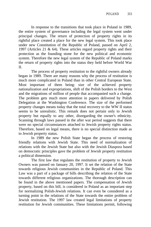In response to the transitions that took place in Poland in 1989, the entire system of governance including the legal system went under principal changes. The return of protection of property rights in its rightful place created a place for the new legal system. This took place under new Constitution of the Republic of Poland, passed on April 2, 1997 (Articles 21 & 64). These articles regard property rights and their protection as the founding stone for the new political and economic system. Therefore the new legal system of the Republic of Poland marks the return of property rights into the status they held before World War II.

The process of property restitution to the rightful owners already began in 1989. There are many reasons why the process of restitution is much more complicated in Poland than in other Central European State. Most important of them being: size of the achieved property nationalization and expropriations, shift of the Polish borders to the West and the migrations of million of people that accompanied such a change. The problem gets much more attention in papers delivered by Polish Delegation at the Washington Conference. The size of the performed property changes means today that the total recovery to the WW II status seems to be unrealistic. This remark does not pertain only to Jewish property but equally to any other, disregarding the owner's ethnicity. Scanning through laws passed in the after war period suggests that there were no special circumstances attached to Jewish property rights status. Therefore, based on legal means, there is no special distinction made as to Jewish property status.

In 1989 the new Polish State began the process of restoring friendly relations with Jewish State. This need of normalization of relations with the Jewish State but also with the Jewish Diaspora based on democratic principles gave the problem of Jewish property restitution a political dimension.

The first law that regulates the restitution of property to Jewish Owners was passed on January 20, 1997. It set the relation of the State towards religious Jewish communities in the Republic of Poland. This Law was a part of a package of bills describing the relation of the State towards different religious organizations. The thorough description can be found in the above mentioned papers. The compensation of Jewish property, based on this bill, is considered in Poland as an important step for normalizing Polish-Jewish relations. It can even be considered as a turning point in the relations of the State towards the entire problem of Jewish restitution. The 1997 law created legal limitations of property restitution for Jewish communities. These limitations permit, following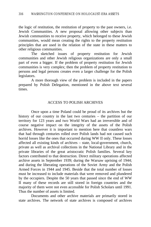the logic of restitution, the restitution of property to the past owners, i.e. Jewish Communities. A new proposal allowing other subjects than Jewish communities to receive property, which belonged to these Jewish communities, would mean creating the rights to the property restitution principles that are used in the relation of the state in these matters to other religious communities.

The sketched issues of property restitution for Jewish communities and other Jewish religious organizations are only a small part of even a bigger. If the problem of property restitution for Jewish communities is very complex; then the problem of property restitution to persons and legal persons creates even a larger challenge for the Polish legislators.

A more thorough view of the problem is included in the papers prepared by Polish Delegation, mentioned in the above text several times.

#### ACCESS TO POLISH ARCHIVES

Once upon a time Poland could be proud of its archives but the history of our country in the last two centuries – the partition of our territory for 123 years and two World Wars had an irreversible and of course negative impact on the integrity of the assets of the Polish archives. However it is important to mention here that countless wars that had through centuries rolled over Polish lands had not caused such horrid losses like the ones that occurred during WW II only. These losses affected all existing kinds of archives – state, local-government, church, private as well as archival collections in the National Library and in the private libraries of the great aristocratic Polish families. Several key factors contributed to that destruction. Direct military operations affected archive assets in September 1939; during the Warsaw uprising of 1944; and during the liberating operations of the Soviet Army and the Polish Armed Forces in 1944 and 1945. Beside that the total number of losses must be increased to include materials that were removed and plundered by the occupiers. Despite the 50 years that passed since the end of WW II many of these records are still stored in foreign countries and the majority of them were not even accessible for Polish Scholars until 1991. Thus the number of assets is limited.

Documents and other archive materials are primarily stored in state archives. The network of state archives is composed of archives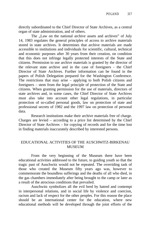directly subordinated to the Chief Director of State Archives, as a central organ of state administration, and of others.

The "Law on the national archive assets and archives" of July 14, 1983 regulates the general principles of access to archive materials stored in state archives. It determines that archive materials are made accessible to institutions and individuals for scientific, cultural, technical and economic purposes after 30 years from their creation, on condition that this does not infringe legally protected interests of the State and citizens. Permission to use archive materials is granted by the director of the relevant state archive and in the case of foreigners - the Chief Director of State Archives. Further information can be found in the papers of Polish Delegation prepared for the Washington Conference. The restrictions that may arise – applying to both Polish citizens and foreigners – stem from the legal principle of protection of the State and citizens. When granting permission for the use of materials, directors of state archives and, in some cases, the Chief Director of State Archives must also take into account other legal regulations, in particular protection of so-called personal goods, law on protection of state and professional secrets of 1982 and the 1997 law on protection of personal data.

Research institutions make their archive materials free of charge. Charges are levied – according to a price list determined by the Chief Director of State Archives – for copying of records and for the time lost in finding materials inaccurately described by interested persons.

#### EDUCATIONAL ACTIVITIES OF THE AUSCHWITZ-BIRKENAU MUSEUM

From the very beginning of the Museum there have been educational activities addressed to the future, to guiding youth so that the tragic past of Auschwitz would not be repeated. The overriding task of those who created the Museum fifty years ago was, however to commemorate the boundless sufferings and the deaths of all who died, in the gas chambers immediately after being brought to the camp or later as a result of the atrocious conditions that prevailed.

Auschwitz symbolizes all the evil bred by hatred and contempt in interpersonal relations, and in social life by violence and coercion, racism and lack of respect for the other peoples. For this reason the place should be an international center for the education, where new educational methods will be developed through the joint efforts of the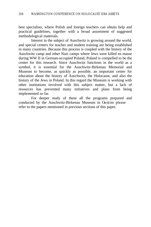best specialists, where Polish and foreign teachers can obtain help and practical guidelines, together with a broad assortment of suggested methodological materials.

Interest in the subject of Auschwitz is growing around the world, and special centers for teacher and student training are being established in many countries. Because this process is coupled with the history of the Auschwitz camp and other Nazi camps where Jews were killed en masse during WW II in German-occupied Poland, Poland is compelled to be the center for this research. Since Auschwitz functions in the world as a symbol, it is essential for the Auschwitz-Birkenau Memorial and Museum to become, as quickly as possible, an important center for education about the history of Auschwitz, the Holocaust, and also the history of the Jews in Poland. In this regard the Museum is working with other institutions involved with this subject matter, but a lack of resources has prevented many initiatives and plans from being implemented so far.

For deeper study of these all the programs prepared and conducted by the Auschwitz-Birkenau Museum in Owi cim please refer to the papers mentioned in previous sections of this paper.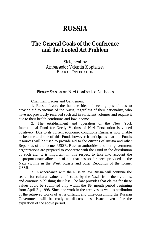# **RUSSIA**

### **The General Goals of the Conference and the Looted Art Problem**

Statement by Ambassador Valentin Kopteltsev HEAD OF DELEGATION

Plenary Session on Nazi Confiscated Art Issues

Chairman, Ladies and Gentlemen,

1. Russia favors the humane idea of seeking possibilities to provide aid to victims of the Nazis, regardless of their nationality, who have not previously received such aid in sufficient volumes and require it due to their health conditions and low income.

2. The establishment and operation of the New York International Fund for Needy Victims of Nazi Persecution is valued positively. Due to its current economic conditions Russia is now unable to become a donor of this Fund, however it anticipates that the Fund's resources will be used to provide aid to the citizens of Russia and other Republics of the former USSR. Russian authorities and non-government organizations are prepared to cooperate with the Fund in the distribution of such aid. It is important in this respect to take into account the disproportionate allocation of aid that has so far been provided to the Nazi victims in the West, Russia and other Republics of the former USSR.

3. In accordance with the Russian law Russia will continue the search for cultural values confiscated by the Nazis from their victims, and continue publishing their list. The law provides that claims for these values could be submitted only within the 18- month period beginning from April 21, 1998. Since the work in the archives as well as attribution of the retrieved works of art is difficult and time-consuming the Russian Government will be ready to discuss these issues even after the expiration of the above period.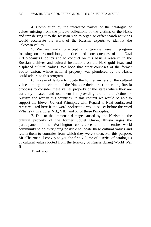4. Compilation by the interested parties of the catalogue of values missing from the private collections of the victims of the Nazis and transferring it to the Russian side to organize offset search activities would accelerate the work of the Russian experts to identify the unknown values.

5. We are ready to accept a large-scale research program focusing on preconditions, practices and consequences of the Nazi <<Holocaust>> policy and to conduct on this basis a research in the Russian archives and cultural institutions on the Nazi gold issue and displaced cultural values. We hope that other countries of the former Soviet Union, whose national property was plundered by the Nazis, could adhere to this program.

6. In case of failure to locate the former owners of the cultural values among the victims of the Nazis or their direct inheritors, Russia proposes to consider these values property of the states where they are currently located, and use them for providing aid to the victims of Nazism and war in this countries. In this context we would be able to support the Eleven General Principles with Regard to Nazi-confiscated Art circulated here if the word <<direct>> would be set before the word <<heirs>> in articles VII., VIII. and X. of these Principles.

7. Due to the immense damage caused by the Nazism to the cultural property of the former Soviet Union, Russia urges the participants of the Washington conference and the entire world community to do everything possible to locate these cultural values and return them to countries from which they were stolen. For this purpose, Mr. Chairman, I convey to you the first volume of a series of catalogues of cultural values looted from the territory of Russia during World War II.

Thank you.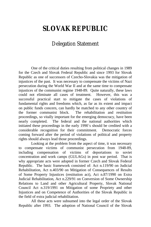# **SLOVAK REPUBLIC**

## Delegation Statement

One of the critical duties resulting from political changes in 1989 for the Czech and Slovak Federal Republic and since 1993 for Slovak Republic as one of successors of Czecho-Slovakia was the mitigation of injustices of the past. It was necessary to compensate the victims of Nazi persecution during the World War II and at the same time to compensate injustices of the communist regime 1948-89. Quite naturally, these laws could not eliminate all cases of treatment. However, this was a successful practical start to mitigate the cases of violations of fundamental rights and freedoms which, as far as its extent and impact on public funds concern, can hardly be matched to any other country of the former communist block. The rehabilitation and restitution proceedings, so vitally important for the emerging democracy, have been nearly completed. The federal and the national authorities which initiated these proceedings in the early 1990´s should be credited with a considerable recognition for their commitment. Democratic forces coming forward after the period of violations of political and property rights should always lead those proceedings.

Looking at the problem from the aspect of time, it was necessary to compensate victims of communist persecution from 1948-89, including compensation of victims of deportations to soviet concentration and work camps (GULAGs) in post war period. That is why appropriate acts were adopted in former Czech and Slovak Federal Republic. The basic framework consisted of: Act n.119/90 on Judicial Rehabilitation, Act n.403/90 on Mitigation of Consequences of Results of Some Property Injustices (restitution act), Act n.87/1990 on Extra Judicial Rehabilitation, Act n.229/91 on Conversion of Some Ownership Relations to Land and other Agricultural Property, Slovak National Council Act n.319/1991 on Mitigation of some Propriety and other Injustices and on Competence of Authorities of the Slovak Republic in the field of extra judicial rehabilitation.

All these acts were subsumed into the legal order of the Slovak Republic after 1993. The adoption of National Council of the Slovak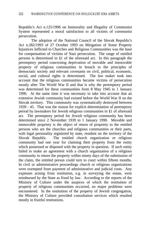Republic's Act n.125/1996 on Immorality and Illegality of Communist System represented a moral satisfaction to all victims of communist persecution.

The adoption of the National Council of the Slovak Republic's Act n.282/1993 of 27 October 1993 on Mitigation of Some Property Injustices Inflicted to Churches and Religious Communities was the base for compensation of victims of Nazi persecution. The range of entitled persons is determined in §1 of the aforesaid act. In this paragraph the peremptory period concerning deprivation of movable and immovable property of religious communities in breach to the principles of democratic society and relevant covenants on civil, political, economic, social, and cultural rights is determined. The law maker took into account that the religious communities became victims of persecution mostly after The World War II and that is why the peremptory period was determined for these communities from 8 May 1945 to 1 January 1990. At the same time it was necessary to take into account that an extensive Jewish community had existed before the World War II on the Slovak territory. This community was systematically destroyed between 1939 - 45. That was the reason for explicit determination of peremptory period by lawmakers for Jewish religious communities in §1 of aforesaid act. The peremptory period for Jewish religious community has been determined since 2 November 1939 to 1 January 1990. Movable and immovable propriety is the object of return of propriety to the entitled persons who are the churches and religious communities or their parts, with legal personality registered by state, resident on the territory of the Slovak Republic. The entitled church organization or religious community had one year for claiming their property from the entity which possessed or disposed with the property in question. If such entity failed to make an agreement with a church organization of a religious community to return the property within ninety days of the submission of the claim, the entitled person could turn to court within fifteen months. In civil or administrative proceedings church or religious organizations were exempted from payment of administrative and judicial costs. Any expenses arising from restitution, e.g. in surveying the estate, were reimbursed by the State as fixed by law. According to the reports of the Ministry of Culture under the auspices of which the restitution of property of religious communities occurred, no major problems were encountered. In the restitution of the property of Jewish congregation, the Ministry of Culture provided consultation services which resulted mostly in fruitful restitutions.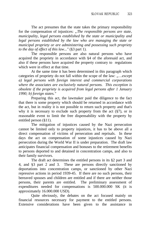The act presumes that the state takes the primary responsibility for the compensation of injustices: "*The responsible persons are state*, *municipality, legal persons established by the state or municipality and legal persons established by the law who are managing the state or municipal propriety or are administering and possessing such propriety to the day of effect of this law..."* (§3 part 1).

The responsible persons are also natural persons who have acquired the propriety in accordance with §4 of the aforesaid act, and also if these persons have acquired the property contrary to regulations which were in effect at that time.

At the same time it has been determined in this paragraph which categories of propriety do not fall within the scope of the law: *"...except a) legal persons with foreign interest and commercial corporations where the associates are exclusively natural persons. This exception is obsolete if the propriety is acquired from legal persons after 1 January 1990; b) foreign states."*

Preparing this act, the lawmaker paid the diligence to the fact that there is some property which should be returned in accordance with the act, but in reality it is not possible to return such property and that's why it is necessary to exclude such property from the act  $(\frac{8}{97})$ , or in reasonable event to limit the free dispensability with the property by entitled person (§11).

The mitigation of injustices caused by the Nazi persecution cannot be limited only to property injustices, it has to be above all a direct compensation of victims of persecution and reprisals. In these days the act on compensation of some injustices caused by Nazi persecution during the World War II is under preparation. The draft law anticipates financial compensation and bonuses to the retirement benefits to persons deported to and detained in concentration camps, and also to their family survivors.

The draft act determines the entitled persons in its §2 part 3 and 4, and §3 part 2 and 3. These are persons directly sanctioned by deportations into concentration camps, or sanctioned by other Nazi repressive actions in period 1939-45. If there are no such persons, their bereaved spouses and children are entitled and if there are neither those persons, their parents are entitled. The preliminary assessment of expenditures needed for compensations is 500.000.000 SK (it is approximately 16.000.000 USD).

Quite obviously, the debates on the act focused mainly on financial resources necessary for payment to the entitled persons. Extensive considerations have been given to the assistance in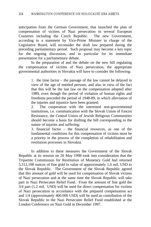anticipation from the German Government, that launched the plan of compensation of victims of Nazi persecution in several European Countries including the Czech Republic. The new Government, according to a statement by Vice-Prime Minister in charge of the Legislative Board, will reconsider the draft law prepared during the preceding parliamentary period. Such proposal may become a key topic for the ongoing discussion, and in particular for its immediate presentation for a parliamentary debate.

In the preparation of and the debate on the new bill regulating the compensation of victims of Nazi persecution, the appropriate governmental authorities in Slovakia will have to consider the following:

> 1. the time factor – the passage of the law cannot be delayed in view of the age of entitled persons, and also in view of the fact that this will be the last law on the compensation adopted after 1989, even though the period of violation of human rights and freedoms preceded the period of 1948-89, in which alleviation of the injuries and injustice have been granted;

> 2. The cooperation with the interested non-governmental institutions, i.e. communication with the Slovak Union of Fascist Resistance, the Central Union of Jewish Religious Communities should become a basis for drafting the bill corresponding to the nature of injuries and suffering;

> 3. financial factor – the financial resources, as one of the fundamental conditions for this compensation of victims must be a priority in the process of the completion of rehabilitation and restitution processes in Slovakia.

In addition to these measures the Government of the Slovak Republic at its session on 26 May 1998 took into consideration that the Tripartite Commission for Restitution of Monetary Gold had returned 5.312,108 ounces of fine gold in value of approximately 1,6 mil. USD to the Slovak Republic. The Government of the Slovak Republic agreed that this amount of gold will be used for compensation of Slovak victims of Nazi persecution and at the same time the Slovak Republic will take part in Nazi Persecutee Relief Fund. From the amount of fine gold the 3/4 part (1,2 mil. USD) will be used for direct compensation for victims of Nazi persecution in accordance with the prepared compensation act and 1/4 (approximately 400.000 USD) will be used as contribution of the Slovak Republic to the Nazi Persecutee Relief Fund established at the London Conference on Nazi Gold in December 1997.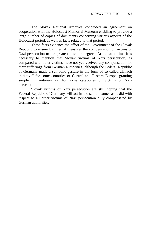The Slovak National Archives concluded an agreement on cooperation with the Holocaust Memorial Museum enabling to provide a large number of copies of documents concerning various aspects of the Holocaust period, as well as facts related to that period.

These facts evidence the effort of the Government of the Slovak Republic to ensure by internal measures the compensation of victims of Nazi persecution to the greatest possible degree. At the same time it is necessary to mention that Slovak victims of Nazi persecution, as compared with other victims, have not yet received any compensation for their sufferings from German authorities, although the Federal Republic of Germany made a symbolic gesture in the form of so called ..Hirsch initiative" for some countries of Central and Eastern Europe, granting simple humanitarian aid for some categories of victims of Nazi persecution.

Slovak victims of Nazi persecution are still hoping that the Federal Republic of Germany will act in the same manner as it did with respect to all other victims of Nazi persecution duly compensated by German authorities.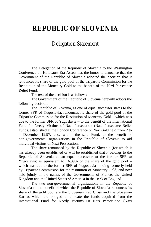# **REPUBLIC OF SLOVENIA**

# Delegation Statement

The Delegation of the Republic of Slovenia to the Washington Conference on Holocaust-Era Assets has the honor to announce that the Government of the Republic of Slovenia adopted the decision that it renounces its share of the gold pool of the Tripartite Commission for the Restitution of the Monetary Gold to the benefit of the Nazi Persecutee Relief Fund.

The text of the decision is as follows:

The Government of the Republic of Slovenia herewith adopts the following decision:

The Republic of Slovenia, as one of equal successor states to the former SFR of Yugoslavia, renounces its share of the gold pool of the Tripartite Commission for the Restitution of Monetary Gold – which was due to the former SFR of Yugoslavia – to the benefit of the International Fund for Needy Victims of Nazi Persecution (Nazi Persecutee Relief Fund), established at the London Conference on Nazi Gold held from 2 to 4 December 19.97, and, within the said Fund, to the benefit of non-governmental organizations in the Republic of Slovenia to aid individual victims of Nazi Persecution.

The share renounced by the Republic of Slovenia (for which it has already been established or will be established that it belongs to the Republic of Slovenia as an equal successor to the former SFR Of Yugoslavia) is equivalent to 16.39% of the share of the gold pool – which was due to the former SFR of Yugoslavia – being formerly held by Tripartite Commission for the restitution of Monetary Gold, and now held jointly in the names of the Governments of France, the United Kingdom and the United States of America in the Bank of England.

The two non-governmental organizations in the Republic of Slovenia to the benefit of which the Republic of Slovenia renounces its share of the gold pool are the Slovenian Red Cross and the Slovenian Karitas which are obliged to allocate the funds acquired from the International Fund for Needy Victims Of Nazi Persecution (Nazi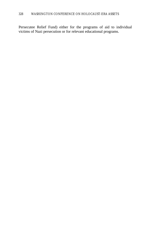Persecutee Relief Fund) either for the programs of aid to individual victims of Nazi persecution or for relevant educational programs.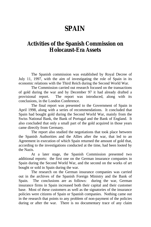# **SPAIN**

# **Activities of the Spanish Commission on Holocaust-Era Assets**

The Spanish commission was established by Royal Decree of July 11, 1997, with the aim of investigating the role of Spain in its economic relations with the Third Reich during the Second World War.

The Commission carried out research focused on the transactions of gold during the war and by December 97 it had already drafted a provisional report. The report was introduced, along with its conclusions, in the London Conference.

The final report was presented to the Government of Spain in April 1998, along with a series of recommendations. It concluded that Spain had bought gold during the Second World War, mainly from the Swiss National Bank, the Bank of Portugal and the Bank of England. It also concluded that only a small part of the gold acquired in those years came directly from Germany.

The report also studied the negotiations that took place between the Spanish Authorities and the Allies after the war, that led to an Agreement in execution of which Spain returned the amount of gold that, according to the investigations conducted at the time, had been looted by the Nazis.

At a later stage, the Spanish Commission presented two additional reports: the first one on the German insurance companies in Spain during the Second World War, and the second on the works of art bought or sold in Spain during the war.

The research on the German insurance companies was carried out in the archives of the Spanish Foreign Ministry and the Bank of Spain. The conclusions are as follows: during the war, German insurance firms in Spain increased both their capital and their customer base. Most of these customers as well as the signatories of the insurance policies were citizens of Spain or Spanish companies. Nothing came out in the research that points to any problem of non-payment of the policies during or after the war. There is no documentary trace of any claim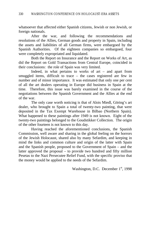whatsoever that affected either Spanish citizens, Jewish or non Jewish, or foreign nationals.

After the war, and following the recommendations and resolutions of the Allies, German goods and property in Spain, including the assets and liabilities of all German firms, were embargoed by the Spanish Authorities. Of the eighteen companies so embargoed, four were completely expropriated and liquidated.

Both the Report on Insurance and the Report on Works of Art, as did the Report on Gold Transactions from Central Europe, coincided in their conclusions: the role of Spain was very limited.

Indeed, in what pertains to works of art – and apart from smuggled items, difficult to trace – the cases registered are few in number and of minor importance. It was estimated that only one per cent of all the art dealers operating in Europe did business in Spain at the time. Therefore, this issue was barely examined in the course of the negotiations between the Spanish Government and the Allies at the end of the war.

The only case worth noticing is that of Alois Miedl, Göring's art dealer, who brought to Spain a total of twenty-two painting, that were deposited in the Tax Exempt Warehouse in Bilbao (Northern Spain). What happened to these paintings after 1949 is not known. Eight of the twenty-two paintings belonged to the Goudstikker Collection. The origin of the other fourteen is not known to this day.

Having reached the aforementioned conclusions, the Spanish Commission, well aware and sharing in the global feeling on the horrors of the Jewish Holocaust, shared also by many Sefardim, and keeping in mind the links and common culture and origin of the latter with Spain and the Spanish people, proposed to the Government of Spain – and the latter approved the proposal – to provide two hundred and fifty million Pesetas to the Nazi Persecutee Relief Fund, with the specific proviso that the money would be applied to the needs of the Sefardim.

Washington, D.C. December  $1<sup>st</sup>$ , 1998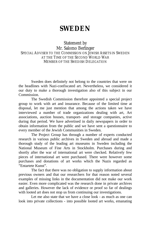# **SWEDEN**

# Statement by Mr. Salomo Berlinger SPECIAL ADVISER TO THE COMMISSION ON JEWISH ASSETS IN SWEDEN AT THE TIME OF THE SECOND WORLD WAR MEMBER OF THE SWEDISH DELEGATION

Sweden does definitely not belong to the countries that were on the headlines with Nazi-confiscated art. Nevertheless, we considered it our duty to make a thorough investigation also of this subject in our Commission.

The Swedish Commission therefore appointed a special project group to work with art and insurance. Because of the limited time at disposal, let me just mention that among the actions taken we have interviewed a number of trade organizations dealing with art, Art associations, auction houses, transport- and storage companies, active during that period. We have advertised in daily newspapers in order to obtain information from the public and we have sent a questionnaire to every member of the Jewish Communities in Sweden.

The Project Group has through a number of experts conducted research in various public archives in Sweden and abroad and made a thorough study of the leading art museums in Sweden including the National Museum of Fine Arts in Stockholm. Purchases during and shortly after the war of international art were checked. Relatively few pieces of international art were purchased. There were however some purchases and donations of art works which the Nazis regarded as "Entartete Kunst".

The fact that there was no obligation to supply information about previous owners and that our researchers for that reason noted several examples of missing links in the documentation did not make our work easier. Even more complicated was the research done in private archives and galleries. However the lack of evidence or proof so far of dealings with looted art does not stop us from continuing our investigations.

Let me also state that we have a close look - as much as one can look into private collections - into possible looted art works, emanating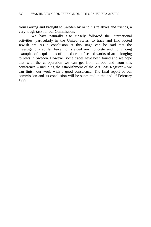from Göring and brought to Sweden by or to his relatives and friends, a very tough task for our Commission.

We have naturally also closely followed the international activities, particularly in the United States, to trace and find looted Jewish art. As a conclusion at this stage can be said that the investigations so far have not yielded any concrete and convincing examples of acquisitions of looted or confiscated works of art belonging to Jews in Sweden. However some traces have been found and we hope that with the co-operation we can get from abroad and from this conference – including the establishment of the Art Loss Register – we can finish our work with a good conscience. The final report of our commission and its conclusion will be submitted at the end of February 1999.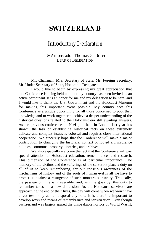# **SWITZERLAND**

# Introductory Declaration

# By Ambassador Thomas G. Borer HEAD OF DELEGATION

Mr. Chairman, Mrs. Secretary of State, Mr. Foreign Secretary, Mr. Under Secretary of State, Honorable Delegates:

I would like to begin by expressing my great appreciation that this Conference is being held and that my country has been invited as an active participant. It is an honor for me and my delegation to be here, and I would like to thank the U.S. Government and the Holocaust Museum for making this important event possible. My country sees this Conference as a unique opportunity for all those concerned to pool their knowledge and to work together to achieve a deeper understanding of the historical questions related to the Holocaust era still awaiting answers. As the previous conference on Nazi gold held in London last year has shown, the task of establishing historical facts on these extremely delicate and complex issues is colossal and requires close international cooperation. We sincerely hope that the Conference will make a major contribution to clarifying the historical context of looted art, insurance policies, communal property, libraries, and archives.

We also especially welcome the fact that the Conference will pay special attention to Holocaust education, remembrance, and research. This dimension of the Conference is of particular importance: The memory of the victims and the sufferings of the survivors place a duty on all of us to keep remembering, for our conscious awareness of the mechanisms of history and of the roots of human evil is all we have to protect us against a resurgence of such monstrous insanity. Tragically, the passage of time is irreversible, and, as time goes by, this duty to remember takes on a new dimension: As the Holocaust survivors are approaching the end of their lives, the day will come when we won't have direct testimony at our disposal anymore. It is therefore important to develop ways and means of remembrance and sensitization. Even though Switzerland was largely spared the unspeakable horrors of World War II,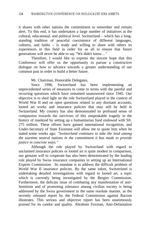it shares with other nations the commitment to remember and remain alert. To this end, it has undertaken a large number of initiatives at the cultural, educational, and political level. Switzerland – which has a longstanding tradition of peaceful coexistence of different languages, cultures, and faiths – is ready and willing to share with others its experiences in this field in order for us all to ensure that future generations will never be able to say "We didn't know…"

Therefore, I would like to express the sincere hope that this Conference will offer us the opportunity to pursue a constructive dialogue on how to advance towards a greater understanding of our common past in order to build a better future.

#### Mr. Chairman, Honorable Delegates,

Since 1996, Switzerland has been implementing unprecedented series of measures to come to terms with the painful and recurring questions which have remained unanswered since 1945. Our objective is to shed light on the role Switzerland played in the context of World War II and on open questions related to any dormant accounts, looted art works and insurance policies that may still be held in Switzerland. My country has also demonstrated its profound sense of compassion towards the survivors of this unspeakable tragedy in the history of mankind by setting up a humanitarian fund endowed with Sfr. 275 million. These efforts have gained international recognition, and Under-Secretary of State Eizenstat will allow me to quote him when he stated some weeks ago*: "Switzerland continues to take the lead among the wartime neutral nations in the commitment it has made to provide justice in concrete ways."*

Although the role played by Switzerland with regard to unclaimed insurance policies or looted art is quite modest in comparison, our genuine will to cooperate has also been demonstrated by the leading role played by Swiss insurance companies in setting up an International Experts Commission. Its mandate is to address the difficult problem of World War II insurance policies. By the same token, Switzerland is undertaking detailed investigations with regard to looted art, a topic which is currently being investigated by the Bergier Commission. Furthermore, the delicate issue of combating any manifestation of anti-Semitism and of promoting tolerance among civilian society is being addressed by the Swiss government in the same resolute manner, as the recently released report by the Federal Commission against Racism illustrates. This serious and objective report has been unanimously praised for its candor and quality. Abraham Foxman, Anti-Defamation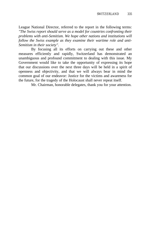League National Director, referred to the report in the following terms: *"The Swiss report should serve as a model for countries confronting their problems with anti-Semitism. We hope other nations and institutions will follow the Swiss example as they examine their wartime role and anti-Semitism in their society".*

By focusing all its efforts on carrying out these and other measures efficiently and rapidly, Switzerland has demonstrated an unambiguous and profound commitment to dealing with this issue. My Government would like to take the opportunity of expressing its hope that our discussions over the next three days will be held in a spirit of openness and objectivity, and that we will always bear in mind the common goal of our endeavor: Justice for the victims and awareness for the future, for the tragedy of the Holocaust shall never repeat itself.

Mr. Chairman, honorable delegates, thank you for your attention.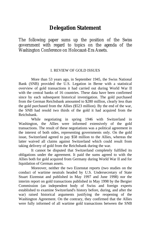# **Delegation Statement**

The following paper sums up the position of the Swiss government with regard to topics on the agenda of the Washington Conference on Holocaust-Era Assets.

# I. REVIEW OF GOLD ISSUES

More than 53 years ago, in September 1945, the Swiss National Bank (SNB) provided the U.S. Legation in Berne with a statistical overview of gold transactions it had carried out during World War II with the central banks of 16 countries. These data have been confirmed since by each subsequent historical investigation. The gold purchased from the German Reichsbank amounted to \$280 million, clearly less than the gold purchased from the Allies (\$523 million). By the end of the war, the SNB had resold two thirds of the gold it had acquired from the Reichsbank.

While negotiating in spring 1946 with Switzerland in Washington, the Allies were informed extensively of the gold transactions. The result of these negotiations was a political agreement in the interest of both sides, representing governments only. On the gold issue, Switzerland agreed to pay \$58 million to the Allies, whereas the latter waived all claims against Switzerland which could result from taking delivery of gold from the Reichsbank during the war.

It cannot be disputed that Switzerland completely fulfilled its obligations under the agreement. It paid the sums agreed to with the Allies both for gold acquired from Germany during World War II and for liquidation of German assets.

Moreover, neither the two Eizenstat reports (two studies on the conduct of wartime neutrals headed by U.S. Undersecretary of State Stuart Eizenstat and published in May 1997 and June 1998) nor the interim report on gold transactions published in May 1998 by the Bergier Commission (an independent body of Swiss and foreign experts established to examine Switzerland's history before, during, and after the war) raised historical arguments justifying the reopening of the Washington Agreement. On the contrary, they confirmed that the Allies were fully informed of all wartime gold transactions between the SNB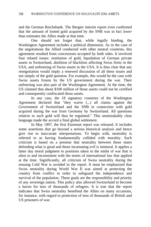and the German Reichsbank. The Bergier interim report even confirmed that the amount of looted gold acquired by the SNB was in fact *lower* than estimates the Allies made at that time.

One should not forget that, while legally binding, the Washington Agreement includes a political dimension. As in the case of the negotiations the Allied conducted with other neutral countries, this agreement resulted from concessions accepted by both sides. It involved four related issues: restitution of gold, liquidation of German private assets in Switzerland, abolition of blacklists affecting Swiss firms in the USA, and unfreezing of Swiss assets in the USA. It is thus clear that any renegotiation would imply a renewed discussion of all these issues and not simply of the gold question. For example, this would be the case with Swiss assets frozen by the US government during the war. Their unfreezing was also part of the Washington Agreement. At the time, the US claimed that about \$100 million of those assets could not be certified and consequently confiscated those assets.

In any case, the 18 signatory countries of the Washington Agreement declared that "they waive (...) all claims against the Government of Switzerland and the SNB in connection with gold acquired during the war from Germany by Switzerland. All questions relative to such gold will thus be regulated." This unmistakably clear language made the accord a final global settlement.

In May 1997, the first Eizenstat report was released. It includes some assertions that go beyond a serious historical analysis and hence give rise to inaccurate interpretations. To begin with, neutrality is referred to as having fundamentally collided with morality. Such criticism is based on a premise that neutrality between those states defending what is good and those incarnating evil is immoral. It applies a latter day moral judgment to positions taken in the midst of war that is alien to and inconsistent with the tenets of international law that applied at the time. Significantly, all criticism of Swiss neutrality during the ensuing Cold War is avoided in the report. It must be emphasized that Swiss neutrality during World War II was aimed at protecting the country from conflict in order to safeguard the independence and survival of the population. These goals are the responsibility and priority of any sovereign nation. This policy also allowed Switzerland to become a haven for tens of thousands of refugees. It is true that the report indicates that Swiss neutrality benefited the Allies on many occasions, for instance, with regard to protection of tens of thousands of British and US prisoners of war.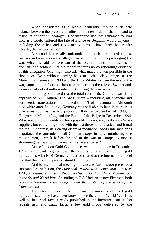When considered as a whole, neutrality implied a delicate balance between the pressure to adjust to the new order of the time and to resist its abhorrent ideology. If Switzerland had not remained neutral and, as a result, suffered the fate of France or Belgium, would anyone – including the Allies and Holocaust victims – have been better off? Clearly, the answer is "no".

A second historically unfounded reproach formulated against Switzerland touches on the alleged Swiss contribution to prolonging the war, which is said to have caused the death of tens of thousands of civilians and soldiers. Yet the report contains no corroborating evidence of this allegation. One might also ask what made the war possible in the first place. Even without coming back to such decisive stages as the Munich Conference of 1938 and the Hitler-Stalin Pact on the eve of the war, some simple facts put into true proportions the role of Switzerland, a country of only 4 million inhabitants during the war years.

It is today estimated that the total cost of the German war effort approached \$850 billion. The Swiss share – including all financial and commercial transactions – amounted to 0.5% of this amount. Although bled white after Stalingrad, Germany was still able to launch murderous offensives such as the occupation of Italy in September of 1943, of Hungary in March 1944, and the Battle of the Bulge in December 1994. What made these last-ditch efforts possible has nothing to do with Swiss supplies, but everything to do with the last throes of a fanatical and brutal regime. In contrast, in a daring effort of mediation, Swiss intermediaries negotiated the surrender of all German troops in Italy, numbering one million men, a week before the end of the war in Europe. A modest shortening perhaps, but how many lives were spared?

At the London Gold Conference, which took place in December 1997, participants agreed that the results of the research on gold transactions with Nazi Germany must be shared at the international level and that this research process should continue.

At this international meeting, the *Bergier Commission* presented a substantial contribution, the *Statistical Review with Commentary*. In May 1998, it released an interim Report on *Switzerland and Gold Transactions in the Second World War*. According to U.S. Undersecretary Eizenstat, both reports «*demonstrate the integrity and the probity of the work of the Commission.*»

The interim report fully confirms the amounts of SNB gold transactions, as they have been known since the end of World War II as well as historical facts already published in the literature. But it also reveals new and tragic facts: a few gold ingots delivered by the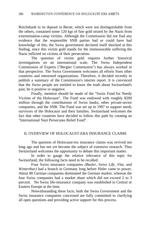Reichsbank to its deposit in Berne, which were not distinguishable from the others, contained some 120 kgs of fine gold seized by the Nazis from extermination-camp victims. Although the Commission did not find any evidence that the responsible SNB parties had or could have had knowledge of this, the Swiss government declared itself shocked at this finding, since this victim gold stands for the immeasurable suffering the Nazis inflicted on victims of their persecution.

The question of victim gold requires further historical investigations on an international scale. The Swiss Independent Commission of Experts ("Bergier Commission") has always worked in that perspective. The Swiss Government welcomes all efforts from other countries and interested organizations. Therefore, it decided recently to publish a summary of the Commission's interim report. It is convinced that the Swiss people are entitled to know the truth about Switzerland's past, be it positive or negative.

Finally, mention should be made of the "Swiss Fund for Needy Victims of the Holocaust". The Fund was endowed with roughly \$200 million through the contributions of Swiss banks, other private-sector companies, and the SNB. The Fund was set up in 1997 to support needy survivors of the Holocaust and their families. Switzerland welcomes the fact that other countries have decided to follow this path by creating an "International Nazi Persecutee Relief Fund".

## II. OVERVIEW OF HOLOCAUST-ERA INSURANCE CLAIMS

The question of Holocaust-era insurance claims was revived not long ago and has not yet become the subject of extensive research. Thus Switzerland welcomes the opportunity to debate this important matter.

In order to gauge the relative relevance of this topic for Switzerland, the following facts need to be recalled:

Four Swiss insurance companies *(Basler, Swiss Life, Vita, and Winterthur)* had a branch in Germany long before Hitler came to power. About 80 German companies dominated the German market, whereas the four Swiss companies had a market share which did not exceed 2 to 3 percent. No Swiss life-insurance company was established in Central or Eastern Europe at the time.

Notwithstanding these facts, both the Swiss Government and the Swiss insurance companies concerned are fully committed to clarifying all open questions and providing active support for this process.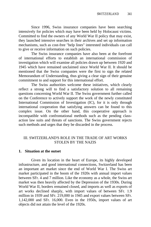Since 1996, Swiss insurance companies have been searching intensively for policies which may have been held by Holocaust victims. Committed to find the owners of any World War II policy that may exist, they launched intensive searches in their archives and set up information mechanisms, such as cost-free "help lines" interested individuals can call to give or receive information on such policies.

The Swiss insurance companies have also been at the forefront of international efforts to establish an international commission of investigation which will examine all policies drawn up between 1920 and 1945 which have remained unclaimed since World War II. It should be mentioned that the Swiss companies were the first to sign the related Memorandum of Understanding, thus giving a clear sign of their genuine commitment to and support for this international effort.

The Swiss authorities welcome these initiatives, which clearly reflect a strong will to find a satisfactory solution to all remaining questions concerning World War II. The Swiss government further called on the Conference to actively support the work of the newly constituted International Commission of Investigation (IC), for it is only through international cooperation that satisfying answers can be found to this complex issue. On the other hand, this cooperative approach is incompatible with confrontational methods such as the pending classaction law suits and threats of sanctions. The Swiss government rejects such methods and urges that they be discarded in the process.

## III. SWITZERLAND'S ROLE IN THE TRADE OF ART WORKS STOLEN BY THE NAZIS

### **1. Situation at the outset**

Given its location in the heart of Europe, its highly developed infrastructure, and good international connections, Switzerland has been an important art market since the end of World War I. The Swiss art market participated in the boom of the 1920s with annual import values between SFr. 4 and 7 million. Like the economy as a whole, the Swiss art market was then heavily affected by the Depression of the 1930s. During World War II, borders remained closed, and imports as well as exports of art works declined sharply, with import values of between SFr. 1.9 million in 1939 and SFr. 219,000 in 1945 and export values between SFr. 1,142,000 and SFr. 16,000. Even in the 1950s, import values of art objects did not attain the level of the 1920s.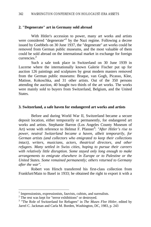# **2. "Degenerate" art in Germany sold abroad**

With Hitler's accession to power, many art works and artists were considered "degenerate"<sup>1</sup> by the Nazi regime. Following a decree issued by Goebbels on 30 June 1937, the "degenerate" art works could be removed from German public museums, and the most valuable of them could be sold abroad on the international market in exchange for foreign currencies.<sup>2</sup>

Such a sale took place in Switzerland on 30 June 1939 in Lucerne where the internationally known Galerie Fischer put up for auction 126 paintings and sculptures by great modern masters removed from the German public museums: Braque, van Gogh, Picasso, Klee, Matisse, Kokoschka, and 31 other artists. Out of the 350 persons attending the auction, 40 bought two thirds of the art works. The works were mainly sold to buyers from Switzerland, Belgium, and the United **States** 

#### **3. Switzerland, a safe haven for endangered art works and artists**

Before and during World War II, Switzerland became a secure deposit location, either temporarily or permanently, for endangered art works and artists. Stephanie Barron (Los Angeles County Museum of Art) wrote with reference to Helmut F. Pfanner<sup>3</sup>: "After Hitler's rise to *power, neutral Switzerland became a haven, albeit temporarily, for German artists (and collectors who emigrated to keep their collections intact), writers, musicians, actors, theatrical directors, and other refugees. Many settled in Swiss cities, hoping to pursue their careers with relatively little disruption. Some stayed only long enough to make arrangements to emigrate elsewhere in Europe or to Palestine or the United States. Some remained permanently; others returned to Germany after the war".*

Robert von Hirsch transferred his first-class collection from Frankfurt/Main to Basel in 1933; he obtained the right to export it with a

 1 Impressionists, expressionists, fauvists, cubists, and surrealists.

<sup>&</sup>lt;sup>2</sup> The rest was kept for "terror exhibitions" or destroyed.

<sup>&</sup>lt;sup>3</sup> "The Role of Switzerland for Refugees" in *The Muses Flee Hitler*, edited by Jarrel C. Jackman and Carla M. Borden, Washington, DC, 1983, p. 243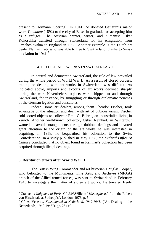present to Hermann Goering<sup>4</sup>. In 1941, he donated Gauguin's major work *Te matete* (1892) to the city of Basel in gratitude for accepting him as a refugee*.* The Austrian painter, writer, and humanist Oskar Kokoschka transited through Switzerland for his emigration from Czechoslovakia to England in 1938. Another example is the Dutch art dealer Nathan Katz who was able to flee to Switzerland, thanks to Swiss mediation in  $1941<sup>5</sup>$ 

### 4. LOOTED ART WORKS IN SWITZERLAND

In neutral and democratic Switzerland, the rule of law prevailed during the whole period of World War II. As a result of closed borders, trading or dealing with art works in Switzerland was difficult. As indicated above, imports and exports of art works declined sharply during the war. Nevertheless, objects were shipped to and through Switzerland, for instance, by smuggling or through diplomatic pouches of the German legation and consulates.

Indeed, some art dealers, among them Theodor Fischer, took advantage of the situation and dealt with art of dubious origin. Fischer sold looted objects to collector Emil G. Bührle, an industrialist living in Zurich. Another well-known collector, Oskar Reinhart, in Winterthur wanted to avoid entanglements through dubious dealings and devoted great attention to the origin of the art works he was interested in acquiring. In 1958, he bequeathed his collection to the Swiss Confederation. In a study published in May 1998, the *Federal Office of Culture* concluded that no object found in Reinhart's collection had been acquired through illegal dealings.

## **5. Restitution efforts after World War II**

 $\overline{a}$ 

The British Wing Commander and art historian Douglas Cooper, who belonged to the Monuments, Fine Arts, and Archives (MFAA) branch of the Allied armed forces, was sent to Switzerland in February 1945 to investigate the matter of stolen art works. He traveled freely

<sup>4</sup> Cranach's *Judgment of Paris*. Cf. J.W.Wille in "*Masterpieces*" from the Robert von Hirsch sale at Sotheby's". London, 1978, p. 5.

<sup>5</sup> Cf. A. Venema, *Kunsthandel in Nederland, 1940-1945,* ("Art Dealing in the Netherlands, 1940-1945"), pp. 254 ff.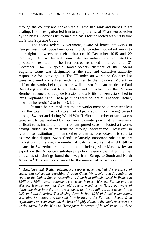through the country and spoke with all who had rank and names in art dealing. His investigation led him to compile a list of 77 art works stolen by the Nazis. Cooper's list formed the basis for the looted-art suits before the Swiss Supreme Court.

The Swiss federal government, aware of looted art works in Europe, instituted special measures in order to return looted art works to their rightful owners or their heirs: on 10 December 1945 and 22 February 1946, two Federal Council decrees initiated and facilitated the process of restitution. The first decree remained in effect until 31 December 1947. A special looted-objects chamber of the Federal Supreme Court was designated as the sole and exclusive authority responsible for looted goods. The 77 stolen art works on Cooper's list were recovered and subsequently returned to their owners. More than half of the works belonged to the well-known Parisian art dealer Paul Rosenberg and the rest to art dealers and collectors like the Parisian Bernheim-Jeune and Levy de Benzion and a British citizen established in Paris, Alphonse Kann. These paintings were bought by Theodor Fischer, of which he resold 12 to Emil G. Bührle.

It must be assumed that the art works mentioned represent less than the total number of stolen art objects sold in or having passed through Switzerland during World War II. Since a number of such works were sent to Switzerland by German diplomatic pouch, it remains very difficult to estimate the number of unreported cases of looted art works having ended up in or transited through Switzerland. However, in relation to restitution problems other countries face today, it is safe to assume that despite Switzerland's relatively important role as an art market during the war, the number of stolen art works that might still be located in Switzerland should be limited. Indeed, Marc Masurovsky, an expert on the American safe-haven policy, asserts that after the war thousands of paintings found their way from Europe to South and North America.<sup>6</sup> This seems confirmed by the number of art works of dubious

 $\overline{a}$ 

<sup>6</sup> *"American and British intelligence reports have detailed the presence of substantial collections transiting through Cuba, Venezuela, and Argentina, en route to the United States. According to American officials based in France in 1945 and 1946, export controls were so lax between Western Europe and the Western Hemisphere that they held special meetings to figure out ways of tightening them in order to prevent looted art from finding a safe haven in the U.S. or Latin America. The closing down in late 1946 of Allied commissions searching for looted art, the shift in priorities in the European theater from reparations to reconstruction, the lack of highly skilled individuals to screen art works bound for the Western Hemisphere in search of looted items, all these*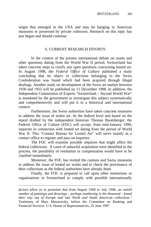origin that emerged in the USA and may be hanging in American museums or possessed by private collectors. Research on this topic has just begun and should continue.

# 6. CURRENT RESEARCH EFFORTS

In the context of the present international debate on assets and other questions dating from the World War II period, Switzerland has taken concrete steps to clarify any open questions concerning looted art. In August 1998, the *Federal Office of Culture* published a study concluding that no object in collections belonging to the Swiss Confederation was found which had been acquired through illegal dealings. Another study on development of the Swiss art market between 1930 and 1955 will be published on 11 December 1998. In addition, the Independent Commission of Experts "Switzerland – Second World War" is mandated by the government to investigate this subject systematically and comprehensively and will put it in a historical and international context.

Furthermore, the Swiss authorities have taken concrete measures to address the issue of stolen art. At the federal level and based on the report drafted by the independent historian Thomas Buomberger, the Federal Office of Culture (FOC) will accept, from mid-January 1999, inquiries in connection with looted art dating from the period of World War II. This "Contact Bureau for Looted Art" will serve mainly as a contact office to register and pass on inquiries.

The FOC will examine possible inquiries that might affect the federal collections. If cases of unlawful acquisition were identified in the process, the possibility of restitution or compensation would have to be clarified immediately.

Moreover, the FOC has invited the cantons and Swiss museums to address the issue of looted art works and to check the provenance of their collections as the federal authorities have already done.

Finally, the FOC is prepared to call upon other institutions or organizations in Switzerland to comply with possible internationally

 $\overline{a}$ 

*factors allow us to postulate that from August 1944 to July 1946, an untold number of paintings and drawings – perhaps numbering in the thousand – found their way out of Europe and into North and South American collections."* Testimony of Marc Masurovsky, before the Committee on Banking and Financial Services. U.S. House of Representatives, 25 June 1997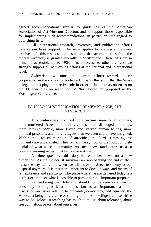agreed recommendations similar to guidelines of the American Association of Art Museum Directors and to support those responsible for implementing such recommendations, in particular with regard to publishing lists.

All international research, inventory, and publication efforts deserve our basic support. The same applies to opening all relevant archives. In this respect, one has to note that access to files from the federal inventory is granted liberally in Switzerland. These files are in principle accessible up to 1963. As to access to other archives, we strongly support all networking efforts at the national and international level.

Switzerland welcomes the current efforts towards closer cooperation in the context of looted art. It is in this spirit that the Swiss delegation has played an active role in order to facilitate a consensus on the 11 principles on restitution of Nazi looted art proposed at the Washington Conference.

## IV. HOLOCAUST EDUCATION, REMEMBRANCE, AND RESEARCH

This century has produced more victims, more fallen soldiers, more murdered citizens and slain civilians, more dislodged minorities, more tortured people, more flayed and starved human beings, more political prisoners, and more refugees than we even could have imagined. Within this sad enumeration of atrocities, the Nazi crimes against humanity are unparalleled. They remain the symbol of the most complete denial of what we call humanity. As such, they stand before us as a constant warning never to let history repeat itself.

As time goes by, this duty to remember takes on a new dimension: As the Holocaust survivors are approaching the end of their lives, the day will come when we will have no direct testimony at our disposal anymore. It is therefore important to develop ways and means of remembrance and sensitivity. The place where we are gathered today is a perfect example of what is possible to pursue for this important purpose.

Remembering the Holocaust should not be seen as a way of constantly looking back at the past but as an important basis for discussion on issues relating to humanity, democracy, and equality, the Holocaust being a reference or starting point. An intelligent and sensitive way to do Holocaust teaching has much to tell us about tolerance, about freedom, about peace, about ourselves.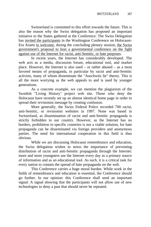Switzerland is committed to this effort towards the future. This is also the reason why the Swiss delegation has proposed an important initiative to the States gathered at the Conference: The Swiss Delegation has invited the participants in the Washington Conference on Holocaust-Era Assets to welcome, during the concluding plenary session, the Swiss government's proposal to host a governmental conference on the fight against use of the Internet for racist, anti-Semitic, or hate purposes.

In recent years, the Internet has considerably developed. The web acts as a media, discussion forum, educational tool, and market place. However, the Internet is also used – or rather abused – as a most favored means of propaganda, in particular by racist and anti-Semitic activists, many of whom disseminate the "Auschwitz lie" theory. This is all the more worrying as the web appeals to and is used by younger generations.

As a concrete example, we can mention the plagiarism of the Swedish "Living History" project web site. Those who deny the Holocaust have recently set up an almost identical home page in order to spread their revisionist message by creating confusion.

More generally, the Swiss Federal Police recorded 700 racist, anti-Semitic, or revisionist websites in 1997*.* None was based in Switzerland, as dissemination of racist and anti-Semitic propaganda is strictly forbidden in our country. However, as the Internet has no borders, prohibition in specific countries is not a viable solution, for hate propaganda can be disseminated via foreign providers and anonymous parties. The need for international cooperation in this field is thus obvious.

While we are discussing Holocaust remembrance and education, the Swiss delegation wishes to stress the importance of preventing distribution of racist and anti-Semitic propaganda through the Internet: more and more youngsters use the Internet every day as a primary source of information and as an educational tool. As such, it is a critical task for every nation to contain the spread of hate propaganda on the web.

This Conference carries a huge moral burden. While work in the fields of remembrance and education is essential, the Conference should go further. In our opinion: this Conference shall send an important signal: A signal showing that the participants will not allow use of new technologies to deny a past that should never be repeated.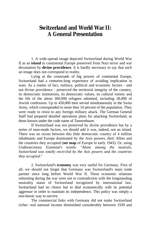# **Switzerland and World War II: A General Presentation**

1. A wide-spread image depicted Switzerland during World War II as an **island** in continental Europe preserved from Nazi terror and war devastation by **divine providence**. It is hardly necessary to say that such an image does not correspond to reality.

Lying at the crossroads of big powers of continental Europe, Switzerland had a centuries-long experience of avoiding implication in wars. As a matter of fact, military, political and economic factors - and not divine providence - preserved the territorial integrity of the country, its democratic institutions, its democratic values, its cultural variety and the life of the about 300,000 refugees admitted, including 28,000 of Jewish confession. Up to 450,000 men served simultaneously in the Swiss Army, which corresponded to more then 10 percent of the population. They were ready to resist to any foreign military attack. The German General Staff had prepared detailed operations plans for attacking Switzerland, as those known under the code name of *Tannenbaum*.

If Switzerland was not preserved by divine providence but by a series of man-made factors, we should add it was, indeed, not an island. There was no ocean between this little democratic country of 4 million inhabitants and Europe dominated by the Axis powers, their Allies and the countries they occupied (**see map** of Europe in early 1943). Or, using Undersecretary Eizenstat's words: "*Alone among the neutrals, Switzerland was totally encircled by the Axis powers and the countries they occupied*."

2. Switzerland's **economy** was very useful for Germany. First of all, we should not forget that Germany was Switzerland's main trade partner since long before World War II. These economic relations subsisting during the war were not in contradiction with the longstanding neutrality status of Switzerland recognized by international law. Switzerland had no choice but to deal economically with its potential aggressor in order to maintain its independence. This policy was simply a non-heroic way to survive.

The commercial links with Germany did not make Switzerland richer: real national income diminished considerably between 1939 and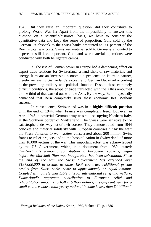1945. But they raise an important question: did they contribute to prolong World War II? Apart from the impossibility to answer this question on a scientific-historical basis, we have to consider the quantitative data and keep the sense of proportion. Gold sold by the German Reichsbank to the Swiss banks amounted to 0.1 percent of the Reich's total war costs. Swiss war material sold to Germany amounted to a percent still less important. Gold and war material operations were conducted with both belligerent camps.

3. The rise of German power in Europe had a dampening effect on export trade relations for Switzerland, a land short of raw materials and energy. It meant an increasing economic dependence on its trade partner, thereby increasing Switzerland's exposure to German blackmail according to the prevailing military and political situation. Despite these extremely difficult conditions, the scope of trade transacted with the Allies amounted to one third of that carried out with the Axis. By the way, Berlin repeatedly demanded that Bern completely sever these economic ties. Without success.

In consequence, Switzerland was in a **highly difficult position** until the end of 1944, when France was completely freed. But even in April 1945, a powerful German army was still occupying Northern Italy, at the Southern border of Switzerland. The Swiss were sensitive to the catastrophe under way out of their borders. They demonstrated from 1944 concrete and material solidarity with European countries hit by the war: the *Swiss donation to war victims* consecrated about 200 million Swiss francs to relief projects and to the hospitalization in Switzerland of more than 10,000 victims of the war. This important effort was acknowledged by the US Government, which, in a document from  $1950<sup>1</sup>$ , stated: *"Switzerland's economic contribution to European recovery, begun before the Marshall Plan was inaugurated, has been substantial. Since the end of the war the Swiss Government has extended over \$187,000,000 in credits to other ERP countries. Additional private credits from Swiss banks come to approximately an equal amount. Coupled with purely charitable gifts for international relief and welfare, Switzerland's aggregate contribution to European relief and rehabilitation amounts to half a billion dollars, a significant sum for a small country whose total yearly national income is less than \$4 billion."*

 $\overline{a}$ 

<sup>1</sup> *Foreign Relations of the United States*, 1950, Volume III, p. 1586.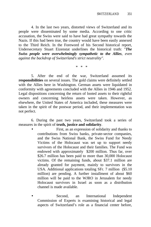4. In the last two years, distorted views of Switzerland and its people were disseminated by some media. According to one critic accusation, the Swiss were said to have had great sympathy towards the Nazis. If this had been true, the country would have been easily annexed to the Third Reich. In the Foreword of his Second historical report, Undersecretary Stuart Eizenstat underlines the historical truth: "*The Swiss people were overwhelmingly sympathetic to the Allies, even against the backdrop of Switzerland's strict neutrality".*

\* \* \*

5. After the end of the war, Switzerland assumed its **responsibilities** on several issues. The gold claims were definitely settled with the Allies here in Washington. German assets were liquidated in conformity with agreements concluded with the Allies in 1946 and 1952. Legal dispositions concerning the return of looted assets to their rightful owners and concerning heirless assets were taken. However, as elsewhere, the United States of America included, these measures were taken in the spirit of the postwar period, and their implementation was not perfect.

6. During the past two years, Switzerland took a series of measures in the spirit of **truth, justice and solidarity**.

- First, as an expression of solidarity and thanks to contributions from Swiss banks, private-sector companies, and the Swiss National Bank, the Swiss Fund for Needy Victims of the Holocaust was set up to support needy survivors of the Holocaust and their families. The Fund was endowed with approximately \$200 million. Thus far, over \$26.7 million has been paid to more than 30,000 Holocaust victims. Of the remaining funds, about \$37.1 million are already granted for payment, mainly to survivors in the USA. Additional applications totaling SFr. 7 million (\$5.10 million) are pending. A further installment of about \$60 million will be paid to the WJRO in Jerusalem for needy Holocaust survivors in Israel as soon as a distribution channel is made available.
- Second, an International Independent Commission of Experts is examining historical and legal aspects of Switzerland's role as a financial center before,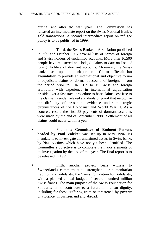during, and after the war years. The Commission has released an intermediate report on the Swiss National Bank's gold transactions. A second intermediate report on refugee policy is to be published in 1999.

- Third, the Swiss Bankers' Association published in July and October 1997 several lists of names of foreign and Swiss holders of unclaimed accounts. More than 16,500 people have registered and lodged claims to date on lists of foreign holders of dormant accounts. Moreover, the Swiss banks set up an **independent Claims Resolution Foundation** to provide an international and objective forum to adjudicate claims on dormant accounts of foreigners from the period prior to 1945. Up to 15 Swiss and foreign arbitrators with experience in international adjudication preside over a fast-track procedure to hear claims cost-free to the claimants under relaxed standards of proof that recognize the difficulty of presenting evidence under the tragic circumstances of the Holocaust and World War II. As a concrete result, the first 58 payments of dormant accounts were made by the end of September 1998. Settlement of all claims could occur within a year.
- Fourth, a **Committee of Eminent Persons headed by Paul Volcker** was set up in May 1996. Its mandate is to investigate all unclaimed assets in Swiss banks by Nazi victims which have not yet been identified. The Committee's objective is to complete the major elements of its investigation by the end of this year. The final report is to be released in 1999.
- Fifth, another project bears witness to Switzerland's commitment to strengthen our humanitarian tradition and solidarity: the Swiss Foundation for Solidarity, with a planned annual budget of several hundred million Swiss francs. The main purpose of the Swiss Foundation for Solidarity is to contribute to a future in human dignity, including for those suffering from or threatened by poverty or violence, in Switzerland and abroad.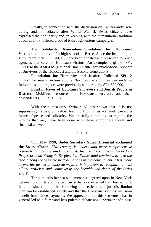Finally, in connection with the discussion on Switzerland's role during and immediately after World War II, Swiss citizens have expressed their solidarity and, in keeping with the humanitarian tradition of our country, offered proof of it through various campaigns.

The **Solidarity Association/Foundation for Holocaust Victims**: an initiative of a high school in Berne. Since the beginning of 1997, more than SFr. 140,000 have been donated and presented to relief agencies that care for Holocaust victims. An example: a gift of SFr. 50,000 to the **AMCHA** (National Israeli Center for Psychosocial Support of Survivors of the Holocaust and the Second Generation)

**Foundation for Humanity and Justice**: Collected SFr. 2 million for needy victims of the Nazi regime and their descendents. Individuals and projects were previously supported by SFr. 800,000.

**Fund in Favor of Holocaust Survivors and Jewish People in Distress**: Mobilized resources for Holocaust survivors and their descendents (SFr. 270,000).

With these measures, Switzerland has shown that it is not suppressing its past but rather learning from it, as we work toward a future of peace and solidarity. We are fully committed to righting the wrongs that may have been done with these appropriate moral and financial answers.

\* \* \*

7. In May 1998, **Under Secretary Stuart Eizenstat acclaimed the Swiss efforts**: "*No country is undertaking more comprehensive research than Switzerland through its historical commission headed by Professor Jean-François Bergier. (…) Switzerland continues to take the lead among the wartime neutral nations in the commitment it has made to provide justice in concrete ways. It is important to recognize, amidst all the criticism and controversy, the breadth and depth of the Swiss effort*".

Three months later, a settlement was agreed upon in New York between plaintiffs and the two Swiss banks concerned by Class actions. It is our sincere hope that following this settlement, a just distribution plan can be established shortly and that the Holocaust victims will soon benefit from those payments. We appreciate that this settlement has in general led to a fairer and less polemic debate about Switzerland's past.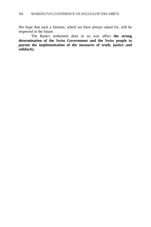We hope that such a fairness, which we have always asked for, will be respected in the future.

The Bank's settlement does in no way affect **the strong determination of the Swiss Government and the Swiss people to pursue the implementation of the measures of truth, justice and solidarity**.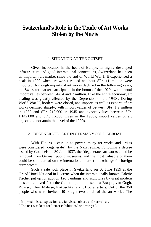# **Switzerland's Role in the Trade of Art Works Stolen by the Nazis**

## 1. SITUATION AT THE OUTSET

Given its location in the heart of Europe, its highly developed infrastructure and good international connections, Switzerland has been an important art market since the end of World War I. It experienced a peak in 1920 when art works valued at about SFr. 11 million were imported. Although imports of art works declined in the following years, the Swiss art market participated in the boom of the 1920s with annual import values between SFr. 4 and 7 million. Like the entire economy, art dealing was greatly affected by the Depression of the 1930s. During World War II, borders were closed, and imports as well as exports of art works declined sharply, with import values of between SFr. 1.9 million in 1939 and SFr. 219,000 in 1945 and export values between SFr. 1,142,000 and SFr. 16,000. Even in the 1950s, import values of art objects did not attain the level of the 1920s.

## 2. "DEGENERATE" ART IN GERMANY SOLD ABROAD

With Hitler's accession to power, many art works and artists were considered "degenerate"<sup>1</sup> by the Nazi regime. Following a decree issued by Goebbels on 30 June 1937, the "degenerate" art works could be removed from German public museums, and the most valuable of them could be sold abroad on the international market in exchange for foreign currencies.<sup>2</sup>

Such a sale took place in Switzerland on 30 June 1939 at the Grand Hôtel National in Lucerne when the internationally known Galerie Fischer put up for auction 126 paintings and sculptures by great modern masters removed from the German public museums: Braque, van Gogh, Picasso, Klee, Matisse, Kokoschka, and 31 other artists. Out of the 350 people who were invited, 40 bought two thirds of the art works. The

 1 Impressionists, expressionists, fauvists, cubists, and surrealists.

<sup>&</sup>lt;sup>2</sup> The rest was kept for "terror exhibitions" or destroyed.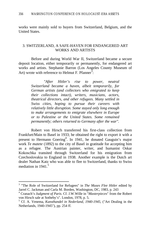works were mainly sold to buyers from Switzerland, Belgium, and the United States.

## 3. SWITZERLAND, A SAFE-HAVEN FOR ENDANGERED ART WORKS AND ARTISTS

Before and during World War II, Switzerland became a secure deposit location, either temporarily or permanently, for endangered art works and artists. Stephanie Barron (Los Angeles County Museum of Art) wrote with reference to Helmut F. Pfanner<sup>3</sup>:

> *"After Hitler's rise to power, neutral Switzerland became a haven, albeit temporarily, for German artists (and collectors who emigrated to keep their collections intact), writers, musicians, actors, theatrical directors, and other refugees. Many settled in Swiss cities, hoping to pursue their careers with relatively little disruption. Some stayed only long enough to make arrangements to emigrate elsewhere in Europe or to Palestine or the United States. Some remained permanently; others returned to Germany after the war".*

Robert von Hirsch transferred his first-class collection from Frankfurt/Main to Basel in 1933; he obtained the right to export it with a present to Hermann Goering<sup>4</sup>. In 1941, he donated Gauguin's major work *Te matete* (1892) to the city of Basel in gratitude for accepting him as a refugee*.* The Austrian painter, writer, and humanist Oskar Kokoschka transited through Switzerland for his emigration from Czechoslovakia to England in 1938. Another example is the Dutch art dealer Nathan Katz who was able to flee to Switzerland, thanks to Swiss mediation in  $1941<sup>5</sup>$ 

 $\overline{a}$ 

<sup>&</sup>lt;sup>3</sup> "The Role of Switzerland for Refugees" in *The Muses Flee Hitler* edited by Jarrel C. Jackman and Carla M. Borden, Washington, DC, 1983, p. 243

<sup>4</sup> Cranach's *Judgment of Paris*. Cf. J.W.Wille in "*Masterpieces*" from the Robert von Hirsch sale at Sotheby's". London, 1978, p. 5.

<sup>5</sup> Cf. A. Venema, *Kunsthandel in Nederland, 1940-1945,* ("Art Dealing in the Netherlands, 1940-1945"), pp. 254 ff.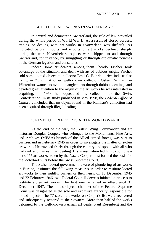### 4. LOOTED ART WORKS IN SWITZERLAND

In neutral and democratic Switzerland, the rule of law prevailed during the whole period of World War II. As a result of closed borders, trading or dealing with art works in Switzerland was difficult. As indicated before, imports and exports of art works declined sharply during the war. Nevertheless, objects were shipped to and through Switzerland, for instance, by smuggling or through diplomatic pouches of the German legation and consulates.

Indeed, some art dealers, among them Theodor Fischer, took advantage of the situation and dealt with art of dubious origin. Fischer sold some looted objects to collector Emil G. Bührle, a rich industrialist living in Zurich. Another well-known collector, Oskar Reinhart, in Winterthur wanted to avoid entanglements through dubious dealings and devoted great attention to the origin of the art works he was interested in acquiring. In 1958 he bequeathed his collection to the Swiss Confederation. In its study published in May 1998, the *Federal Office of Culture* concluded that no object found in the Reinhart's collection had been acquired through illegal dealings.

### 5. RESTITUTION EFFORTS AFTER WORLD WAR II

At the end of the war, the British Wing Commander and art historian Douglas Cooper, who belonged to the Monuments, Fine Arts, and Archives (MFAA) branch of the Allied armed forces, was sent to Switzerland in February 1945 in order to investigate the matter of stolen art works. He traveled freely through the country and spoke with all who had rank and names in art dealing. His investigation led him to compile a list of 77 art works stolen by the Nazis. Cooper's list formed the basis for the looted-art suits before the Swiss Supreme Court.

The Swiss federal government, aware of plundering of art works in Europe, instituted the following measures in order to restitute looted art works to their rightful owners or their heirs: on 10 December 1945 and 22 February 1946, two Federal Council decrees initiated a process to restitute stolen art works. The first one remained in effect until 31 December 1947. The looted-objects chamber of the Federal Supreme Court was designated as the sole and exclusive authority responsible for looted objects. The 77 stolen art works on Cooper's list were recovered and subsequently restored to their owners. More than half of the works belonged to the well-known Parisian art dealer Paul Rosenberg and the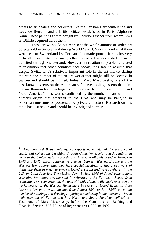others to art dealers and collectors like the Parisian Bernheim-Jeune and Levy de Benzion and a British citizen established in Paris, Alphonse Kann. These paintings were bought by Theodor Fischer from whom Emil G. Bührle acquired 12 of them.

These art works do not represent the whole amount of stolen art objects sold in Switzerland during World War II. Since a number of them were sent to Switzerland by German diplomatic pouch, it remains very difficult to estimate how many other looted art works ended up in or transited through Switzerland. However, in relation to problems related to restitution that other countries face today, it is safe to assume that despite Switzerland's relatively important role in the art market during the war, the number of stolen art works that might still be located in Switzerland should be limited. Indeed, Marc Masurovsky, one of the best-known experts on the American safe-haven policy, asserts that after the war thousands of paintings found their way from Europe to South and North America.<sup>6</sup> This seems confirmed by the number of art works of dubious origin that emerged in the USA and may be hanging in American museums or possessed by private collectors. Research on this topic has just begun and should be investigated further.

 $\overline{a}$ 

<sup>6</sup> *"American and British intelligence reports have detailed the presence of substantial collections transiting through Cuba, Venezuela, and Argentina, en route to the United States. According to American officials based in France in 1945 and 1946, export controls were so lax between Western Europe and the Western Hemisphere, that they held special meetings to figure out ways of tightening them in order to prevent looted art from finding a safehaven in the U.S. or Latin America. The closing down in late 1946 of Allied commissions searching for looted art, the shift in priorities in the European theater from reparations to reconstruction, the lack of highly skilled individuals to screen art works bound for the Western Hemisphere in search of looted items, all these factors allow us to postulate that from August 1944 to July 1946, an untold number of paintings and drawings – perhaps numbering in the thousand – found their way out of Europe and into North and South American collections."* Testimony of Marc Masurovsky, before the Committee on Banking and Financial Services. U.S. House of Representatives, 25 June 1997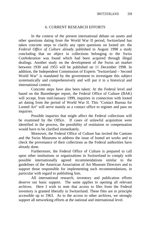### 6. CURRENT RESEARCH EFFORTS

In the context of the present international debate on assets and other questions dating from the World War II period, Switzerland has taken concrete steps to clarify any open questions on looted art: the *Federal Office of Culture* already published in August 1998 a study concluding that no object in collections belonging to the Swiss Confederation was found which had been acquired through illegal dealings. Another study on the development of the Swiss art market between 1930 and 1955 will be published on 11 December 1998. In addition, the Independent Commission of Experts "Switzerland – Second World War" is mandated by the government to investigate this subject systematically and comprehensively and will put it in a historical and international context.

Concrete steps have also been taken: At the Federal level and based on the Buomberger report, the Federal Office of Culture (BAK) will accept, from mid-January 1999, inquiries in connection with looted art dating from the period of World War II. This "Contact Bureau for Looted Art" will serve mainly as a contact office to register and pass on inquiries.

Possible inquiries that might affect the Federal collections will be examined by the Office. If cases of unlawful acquisition were identified in the process, the possibility of restitution or compensation would have to be clarified immediately.

Moreover, the Federal Office of Culture has invited the Cantons and the Swiss Museums to address the issue of looted art works and to check the provenance of their collections as the Federal authorities have already done.

Furthermore, the Federal Office of Culture is prepared to call upon other institutions or organizations in Switzerland to comply with possible internationally agreed recommendations similar to the guidelines of the American Association of Art Museum Directors and to support those responsible for implementing such recommendations, in particular with regard to publishing lists.

All international research, inventory and publication efforts deserve our basic support. The same applies to opening all relevant archives. Here I wish to note that access to files from the Federal inventory is granted liberally in Switzerland. These files are in principle accessible up to 1963. As to the access to other archives, we strongly support all networking efforts at the national and international level.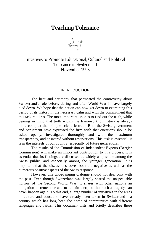# **Teaching Tolerance**



# Initiatives to Promote Educational, Cultural and Political Tolerance in Switzerland November 1998

#### **INTRODUCTION**

The heat and acrimony that permeated the controversy about Switzerland's role before, during and after World War II have largely died down. We hope that the nation can now get down to examining this period of its history in the necessary calm and with the commitment that this task requires. The most important issue is to find out the truth, while bearing in mind that truth within the framework of history is always more complex than simple scientific truth. Both the Swiss government and parliament have expressed the firm wish that questions should be asked openly, investigated thoroughly and with the maximum transparency, and answered without reservations. This task is essential; it is in the interests of our country, especially of future generations.

The results of the Commission of Independent Experts (Bergier Commission) will make an important contribution to this process. It is essential that its findings are discussed as widely as possible among the Swiss public, and especially among the younger generation. It is important that the discussions cover both the negative as well as the numerous positive aspects of the Swiss response.

However, this wide-ranging dialogue should not deal only with the past. Even though Switzerland was largely spared the unspeakable horrors of the Second World War, it shares with other nations an obligation to remember and to remain alert, so that such a tragedy can never happen again. To this end, a large number of initiatives in the areas of culture and education have already been taken in Switzerland - a country which has long been the home of communities with different languages and faiths. This document lists and briefly describes these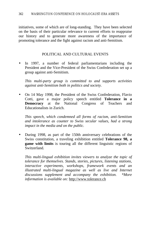initiatives, some of which are of long-standing. They have been selected on the basis of their particular relevance to current efforts to reappraise our history and to generate more awareness of the importance of promoting tolerance and the fight against racism and anti-Semitism.

#### POLITICAL AND CULTURAL EVENTS

• In 1997, a number of federal parliamentarians including the President and the Vice-President of the Swiss Confederation set up a group against anti-Semitism.

*This multi-party group is committed to and supports activities against anti-Semitism both in politics and society.*

• On 14 May 1998, the President of the Swiss Confederation, Flavio Cotti, gave a major policy speech entitled **Tolerance in a Democracy** at the National Congress of Teachers and Educationalists in Zurich.

*This speech, which condemned all forms of racism, anti-Semitism and intolerance as counter to Swiss secular values, had a strong impact in the media and on the public.*

• During 1998, as part of the 150th anniversary celebrations of the Swiss constitution, a traveling exhibition entitled **Tolerance 98, a game with limits** is touring all the different linguistic regions of Switzerland*.*

*This multi-lingual exhibition invites viewers to analyze the topic of tolerance for themselves. Stands, stories, pictures, listening stations, interactive experiments, workshops, framework events and an illustrated multi-lingual magazine as well as live and Internet discussions supplement and accompany the exhibition. \*More information is available on:* http://www.tolerance.ch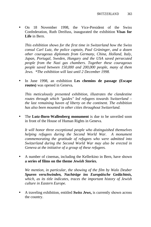• On 18 November 1998, the Vice-President of the Swiss Confederation, Ruth Dreifuss, inaugurated the exhibition **Visas for Life** in Bern.

*This exhibition shows for the first time in Switzerland how the Swiss consul Carl Lutz, the police captain, Paul Grüninger, and a dozen other courageous diplomats from Germany, China, Holland, Italy, Japan, Portugal, Sweden, Hungary and the USA saved persecuted people from the Nazi gas chambers. Together these courageous people saved between 150,000 and 200,000 people, many of them Jews. \*The exhibition will last until 2 December 1998.*

• In June 1998, an exhibition **Les chemins de passage (Escape routes)** was opened in Geneva**.**

*This meticulously presented exhibition, illustrates the clandestine routes through which "guides" led refugees towards Switzerland – the last remaining haven of liberty on the continent. The exhibition has also been mounted in other cities throughout Switzerland.*

• The **Lutz-Born-Wallenberg monument** is due to be unveiled soon in front of the House of Human Rights in Geneva.

*It will honor three exceptional people who distinguished themselves helping refugees during the Second World War. A monument commemorating the gratitude of refugees who were admitted into Switzerland during the Second World War may also be erected in Geneva at the initiative of a group of these refugees.*

• A number of cinemas, including the Kellerkino in Bern, have shown **a series of films on the theme** *Jewish Stories.*

*We mention, in particular, the showing of the film by Walo Deuber Spuren verschwinden, Nachträge ins Europäische Gedächtnis, which, as its title indicates, traces the important history of Jewish culture in Eastern Europe.*

• A traveling exhibition, entitled *Swiss Jews***,** is currently shown across the country.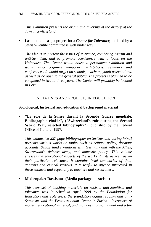*This exhibition presents the origin and diversity of the history of the Jews in Switzerland.*

• Last but not least, a project for a *Center for Tolerance,* initiated by a Jewish-Gentile committee is well under way.

*The idea is to present the issues of tolerance, combating racism and anti-Semitism, and to promote coexistence with a focus on the Holocaust. The Center would house a permanent exhibition and would also organize temporary exhibitions, seminars and conferences. It would target on schools, teachers, youth associations, as well as be open to the general public. The project is planned to be completed in two to three years. The Center will probably be located in Bern.*

# INITIATIVES AND PROJECTS IN EDUCATION

### **Sociological, historical and educational background material**

• **"Le rôle de la Suisse durant la Seconde Guerre mondiale, Bibliographie choisie", ("Switzerland's role during the Second World War, selected bibliography"),** published by the Federal Office of Culture, 1997.

*This exhaustive 227-page bibliography on Switzerland during WWII presents various works on topics such as refugee policy, dormant accounts, Switzerland's relations with Germany and with the Allies, Switzerland's defense army, and domestic policy. This volume stresses the educational aspects of the works it lists as well as on their particular relevance. It contains brief summaries of their contents and critical reviews. It is useful to anyone interested in these subjects and especially to teachers and researchers.*

### • **Medienpaket Rassismus (Media package on racism)**

*This new set of teaching materials on racism, anti-Semitism and tolerance was launched in April 1998 by the Foundation for Education and Tolerance, the foundation against racism and anti-Semitism, and the Pestalozzianum Center in Zurich. It consists of modern educational material, and includes a basic manual and a file*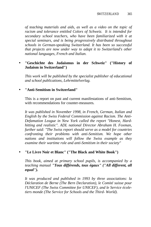*of teaching materials and aids, as well as a video on the topic of racism and tolerance entitled Colors of Schweiz. It is intended for secondary school teachers, who have been familiarized with it at special seminars, and is being progressively distributed throughout schools in German-speaking Switzerland. It has been so successful that projects are now under way to adapt it to Switzerland's other national languages, French and Italian.*

# • **"Geschichte des Judaismus in der Schweiz" ("History of Judaism in Switzerland")**

*This work will be published by the specialist publisher of educational and school publications, Lehrmittelverlag.*

# • **"Anti-Semitism in Switzerland"**

This is a report on past and current manifestations of anti-Semitism, with recommendations for counter-measures*.*

*It was published in November 1998, in French, German, Italian and English by the Swiss Federal Commission against Racism. The Anti-Defamation League in New York called the report "Honest, Hardhitting and realistic". ADL national Director Abraham H. Foxman, further said: "The Swiss report should serve as a model for countries confronting their problems with anti-Semitism. We hope other nations and institutions will follow the Swiss example as they examine their wartime role and anti-Semitism in their society"*

# • **"Le Livre Noir et Blanc" ("The Black and White Book")**

*This book, aimed at primary school pupils, is accompanied by a teaching manual "Tous différends, tous égaux" ("All different, all equal").*

*It was produced and published in 1993 by three associations: la Déclaration de Berne (The Bern Declaration), le Comité suisse pour l'UNICEF (The Swiss Committee for UNICEF), and le Service écoletiers monde (The Service for Schools and the Third- World).*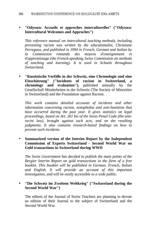## • **"Odyssea: Accueils et approches interculturelles" ("Odyssea: Intercultural Welcomes and Approches")**

*This reference manual on intercultural teaching methods, including preventing racism was written by the educationalist, Christiane Perregaux, and published in 1994 in French, German and Italian by la Commission romande des moyens d'enseignement et d'apprentissage (the French-speaking Swiss Commission on methods of teaching and learning). It is used in Schools throughout Switzerland.*

• **"Rassistische Vorfälle in der Schweiz, eine Chronologie und eine Einschätzung" ("Incidents of racism in Switzerland, a chronology and evaluation"),** published annually by the Gesellschaft Minderheiten in der Schweiz (The Society of Minorities in Switzerland) and the Foundation against Racism.

*This work contains detailed accounts of incidents and other information concerning racism, xenophobia and anti-Semitism that have occurred during the past year. It gives statistics on legal proceedings, based on Art. 261 bis of the Swiss Penal Code (the antiracist law), brought against such acts, and on the resulting judgments. It also contains research-based findings on how to prevent such incidents.*

• **Summarized version of the Interim Report by the Independent Commission of Experts Switzerland - Second World War on Gold transactions in Switzerland during WWII**

*The Swiss Government has decided to publish the main points of the Bergier Interim Report on gold transactions in the form of a free booklet. This booklet will be published in German, French, Italian and English. It will provide an account of this important investigation, and will be easily accessible to a wide public.*

# • **"Die Schweiz im Zweitem Weltkrieg" ("Switzerland during the Second World War")**

The editors of the Journal of Swiss Teachers are planning to devote an edition of their Journal to the subject of Switzerland and the Second World War.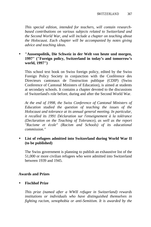*This special edition, intended for teachers, will contain researchbased contributions on various subjects related to Switzerland and the Second World War, and will include a chapter on teaching about the Holocaust. Each chapter will be accompanied by notes giving advice and teaching ideas.*

• **"Aussenpolitik, Die Schweiz in der Welt von heute und morgen, 1997" ("Foreign policy, Switzerland in today's and tomorrow's world, 1997")**

This school text book on Swiss foreign policy, edited by the Swiss Foreign Policy Society in conjunction with the Conférence des Directeurs cantonaux de l'instruction publique (CDIP) (Swiss Conference of Cantonal Ministers of Education), is aimed at students at secondary schools. It contains a chapter devoted to the discussions of Switzerland's role before, during and after the Second World War.

*At the end of 1998, the Swiss Conference of Cantonal Ministers of Education studied the question of teaching the issues of the Holocaust and tolerance at its annual general meeting. In particular, it recalled its 1991 Déclaration sur l'enseignement à la tolérance (Declaration on the Teaching of Tolerance), as well as the report "Racisme et école" (Racism and Schools) of its educational commission."*

• **List of refugees admitted into Switzerland during World War II (to be published)**

The Swiss government is planning to publish an exhaustive list of the 51,000 or more civilian refugees who were admitted into Switzerland between 1939 and 1945.

#### **Awards and Prizes**

• **Fischhof Prize**

*This prize (named after a WWII refugee in Switzerland) rewards institutions or individuals who have distinguished themselves in fighting racism, xenophobia or anti-Semitism. It is awarded by the*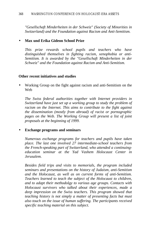*"Gesellschaft Minderheiten in der Schweiz" (Society of Minorities in Switzerland) and the Foundation against Racism and Anti-Semitism.*

#### • **Max und Erika Gideon School Prize**

*This prize rewards school pupils and teachers who have distinguished themselves in fighting racism, xenophobia or anti-Semitism. It is awarded by the "Gesellschaft Minderheiten in der Schweiz" and the Foundation against Racism and Anti-Semitism.*

#### **Other recent initiatives and studies**

• Working Group on the fight against racism and anti-Semitism on the Web

*The Swiss federal authorities together with Internet providers in Switzerland have just set up a working group to study the problem of racism on the Internet. This aims to contribute to the fight against the dissemination (mostly from abroad) of racist or pornographic pages on the Web. The Working Group will present a list of joint proposals at the beginning of 1999.*

### • **Exchange programs and seminars**

*Numerous exchange programs for teachers and pupils have taken place. The last one involved 27 intermediate-school teachers from the French-speaking part of Switzerland, who attended a continuingeducation seminar at the Yad Vashem Holocaust Center in Jerusalem.*

*Besides field trips and visits to memorials, the program included seminars and presentations on the history of Judaism, anti-Semitism and the Holocaust, as well as on current forms of anti-Semitism. Teachers learned to teach the subject of the Holocaust to children, and to adapt their methodolgy to various age groups. Contacts with Holocaust survivors who talked about their experiences, made a deep impression on the Swiss teachers. This program showed that teaching history is not simply a matter of presenting facts but must also touch on the issue of human suffering. The participants received specific teaching material on this subject*.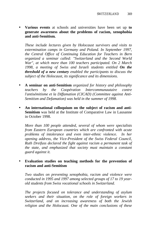• **Various events** at schools and universities have been set up **to generate awareness about the problems of racism, xenophobia and anti-Semitism***.*

*These include lectures given by Holocaust survivors and visits to extermination camps in Germany and Poland. In September 1997, the Central Office of Continuing Education for Teachers in Bern organized a seminar called: "Switzerland and the Second World War", at which more than 100 teachers participated. On 2 March 1998, a meeting of Swiss and Israeli students entitled On the threshold of a new century enabled the participants to discuss the subject of the Holocaust, its significance and its dimensions.*

- **A seminar on anti-Semitism** *organized for history and philosophy teachers by the Coopération Intercommunautaire contre l'antisémitisme et la Diffamation (CICAD) (Committee against Anti-Semitism and Defamation) was held in the summer of 1998.*
- **An international colloquium on the subject of racism and anti-Semitism** was held at the Institute of Comparative Law in Lausanne in October 1998.

*More than 100 people attended, several of whom were specialists from Eastern European countries which are confronted with acute problems of intolerance and even inter-ethnic violence. In her opening address, the Vice-President of the Swiss Federal Council, Ruth Dreifuss declared the fight against racism a permanent task of the state, and emphasized that society must maintain a constant guard against it.*

### • **Evaluation studies on teaching methods for the prevention of racism and anti-Semitism**

*Two studies on preventing xenophobia, racism and violence were conducted in 1995 and 1997 among selected groups of 17 to 19 yearold students from Swiss vocational schools in Switzerland.*

*The projects focused on tolerance and understanding of asylum seekers and their situation, on the role of foreign workers in Switzerland, and on increasing awareness of both the Jewish religion and the Holocaust. One of the main conclusions of these*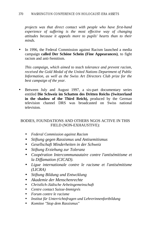*projects was that direct contact with people who have first-hand experience of suffering is the most effective way of changing attitudes because it appeals more to pupils' hearts than to their minds.*

• In 1996, the Federal Commission against Racism launched a media campaign **called Der Schöne Schein (Fine Appearances)**, to fight racism and anti-Semitism.

*This campaign, which aimed to teach tolerance and prevent racism, received the Gold Medal of the United Nations Department of Public Information, as well as the Swiss Art Directors Club prize for the best campaign of the year.*

• Between July and August 1997, a six-part documentary series entitled **Die Schweiz im Schatten des Dritten Reichs (Switzerland in the shadow of the Third Reich),** produced by the German television channel DRS was broadcasted on Swiss national television*.*

# BODIES, FOUNDATIONS AND OTHERS NGOS ACTIVE IN THIS FIELD (NON-EXHAUSTIVE):

- *Federal Commission against Racism*
- *Stiftung gegen Rassismus und Antisemitismus*
- *Gesellschaft Minderheiten in der Schweiz*
- *Stiftung Erziehung zur Toleranz*
- *Coopération Intercommunautaire contre l'antisémitisme et la Diffamation (CICAD).*
- *Ligue internationale contre le racisme et l'antisémitisme (LICRA)*
- *Stiftung Bildung und Entwcklung*
- *Akademie der Menschenrechte*
- *Christlich-Jüdische Arbeitsgemeinschaft*
- *Centre contact Suisse-Immigrés*
- *Forum contre le racisme*
- *Institut für Unterrichtsfragen und Lehrerinnenfortbildung*
- *Komitee "Stop dem Rassismus"*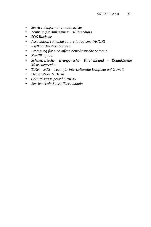- *Service d'information antiraciste*
- *Zentrum für Antisemitismus-Forschung*
- *SOS Racisme*
- *Association romande contre le racisme (ACOR)*
- *Asylkoordination Schweiz*
- *Bewegung für eine offene demokratische Schweiz*
- *Konfliktophon*
- *Schweizerischer Evangelischer Kirchenbund Kontaktstelle Menschenrechte*
- *TiKK SOS Team für interkulturelle Konflikte unf Gewalt*
- *Déclaration de Berne*
- *Comité suisse pour l'UNICEF*
- *Service école Suisse Tiers-monde*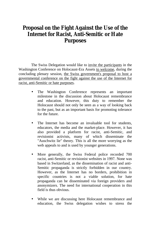# **Proposal on the Fight Against the Use of the Internet for Racist, Anti-Semitic or Hate Purposes**

The Swiss Delegation would like to invite the participants in the Washington Conference on Holocaust-Era Assets to welcome, during the concluding plenary session, the Swiss government's proposal to host a governmental conference on the fight against the use of the Internet for racist, anti-Semitic or hate purposes.

- The Washington Conference represents an important milestone in the discussion about Holocaust remembrance and education. However, this duty to remember the Holocaust should not only be seen as a way of looking back to the past, but as an important basis for promoting tolerance for the future.
- The Internet has become an invaluable tool for students, educators, the media and the market-place. However, it has also provided a platform for racist, anti-Semitic, and revisionist activists, many of which disseminate the "Auschwitz lie" theory. This is all the more worrying as the web appeals to and is used by younger generations.
- More generally, the Swiss Federal police recorded 700 racist, anti-Semitic or revisionist websites in 1997*.* None was based in Switzerland, as the dissemination of racist and anti-Semitic propaganda is strictly forbidden in our country. However, as the Internet has no borders, prohibition in specific countries is not a viable solution, for hate propaganda can be disseminated via foreign providers and anonymizers. The need for international cooperation in this field is thus obvious.
- While we are discussing here Holocaust remembrance and education, the Swiss delegation wishes to stress the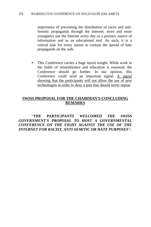importance of preventing the distribution of racist and anti-Semitic propaganda through the Internet: more and more youngsters use the Internet every day as a primary source of information and as an educational tool. As such, it is a critical task for every nation to contain the spread of hate propaganda on the web.

This Conference carries a huge moral weight. While work in the fields of remembrance and education is essential, the Conference should go further. In our opinion, this Conference could send an important signal: A signal showing that the participants will not allow the use of new technologies in order to deny a past that should never repeat.

## **SWISS PROPOSAL FOR THE CHAIRMAN'S CONCLUDING REMARKS**

*"THE PARTICIPANTS WELCOMED THE SWISS GOVERNMENT'S PROPOSAL TO HOST A GOVERNMENTAL CONFERENCE ON THE FIGHT AGAINST THE USE OF THE INTERNET FOR RACIST, ANTI-SEMITIC OR HATE PURPOSES".*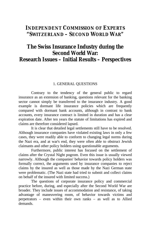# **INDEPENDENT COMMISSION OF EXPERTS "SWITZERLAND – SECOND WORLD WAR"**

# **The Swiss Insurance Industry during the Second World War: Research Issues – Initial Results – Perspectives**

#### 1. GENERAL QUESTIONS

Contrary to the tendency of the general public to regard insurance as an extension of banking, questions relevant for the banking sector cannot simply be transferred to the insurance industry. A good example is dormant life insurance policies which are frequently compared with dormant bank accounts, although in contrast to bank accounts, every insurance contract is limited in duration and has a clear expiration date. After ten years the statute of limitations has expired and claims are therefore considered lapsed.

It is clear that detailed legal settlements still have to be resolved. Although insurance companies have violated existing laws in only a few cases, they were readily able to conform to changing legal norms during the Nazi era, and at war's end, they were often able to obstruct Jewish claimants and other policy holders using questionable arguments.

Furthermore, public interest has focused on the settlement of claims after the Crystal Night pogrom. Even this issue is usually viewed narrowly. Although the companies' behavior towards policy holders was formally correct, the arguments used by insurance companies to reject claims by the insured as well as those made by the Nazi German state were problematic. (The Nazi state had tried to submit and collect claims on behalf of the insured with limited success.)

The questions of corporate insurance policy and commercial practice before, during, and especially after the Second World War are broader. They include issues of accommodation and resistance, of taking advantage of maneuvering room, of behavior towards victims and perpetrators – even within their own ranks – as well as to Allied demands.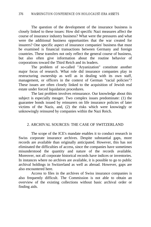The question of the development of the insurance business is closely linked to these issues: How did specific Nazi measures affect the course of insurance industry business? What were the pressures and what were the additional business opportunities that the war created for insurers? One specific aspect of insurance companies' business that must be examined is financial transactions between Germany and foreign countries. These transfers not only reflect the general course of business, but also often give information about the routine behavior of corporations toward the Third Reich and its leaders.

The problem of so-called "Aryanization" constitute another major focus of research. What role did insurance companies play in restructuring ownership as well as in dealing with its own staff, management, or officers in the context of German "racial policies"? These issues are often closely linked to the acquisition of Jewish real estate under forced liquidation procedures.

The last problem involves reinsurance. Our knowledge about this subject is especially meager. Two complex issues predominate: (1) the guarantee bonds issued by reinsurers on life insurance policies of later victims of the Nazis, and, (2) the risks which were knowingly or unknowingly reinsured by companies within the Nazi Reich.

### 2. ARCHIVAL SOURCES: THE CASE OF SWITZERLAND

The scope of the ICE's mandate enables it to conduct research in Swiss corporate insurance archives. Despite substantial gaps, more records are available than originally anticipated. However, this has not eliminated the difficulties of access, since the companies have sometimes misunderstood the quantity and nature of the records available. Moreover, not all corporate historical records have indices or inventories. In instances where no archives are available, it is possible to go to public archival holdings in Switzerland as well as abroad. However, gaps are also encountered here.

Access to files in the archives of Swiss insurance companies is also frequently difficult. The Commission is not able to obtain an overview of the existing collections without basic archival order or finding aids.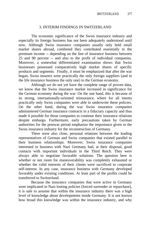#### 3. INTERIM FINDINGS IN SWITZERLAND

The economic significance of the Swiss insurance industry and especially its foreign business has not been adequately understood until now. Although Swiss insurance companies usually only held small market shares abroad, combined they contributed essentially to the premium income -- depending on the line of insurance business between 25 and 90 percent -- and also to the profit of individual companies. Moreover, a somewhat differentiated examination shows that Swiss businesses possessed comparatively high market shares of specific products and segments. Finally, it must be emphasized that after the war began, Swiss insurers were practically the only foreign suppliers (and in the life insurance business the only one) to the German economy.

Although we do not yet have the complete range of proven data, we know that the Swiss insurance market increased in significance for the German economy during the war. On the one hand, this is because of its strong, internationally-oriented reinsurance, where for all intents practically only Swiss companies were able to underwrite these policies. On the other hand, during the war Swiss insurance companies administered German insurance contracts in a fiduciary capacity and thus made it possible for those companies to continue their insurance relations despite embargo. Furthermore, early precautions taken by German authorities for the postwar period emphasize the importance given to the Swiss insurance industry for the reconstruction of Germany.

There were also close, personal relations between the leading representatives of German and Swiss companies that existed parallel to their business relationships. Moreover, Swiss insurance companies interested in business with Nazi Germany had, at their disposal, good contacts with important individuals in the Third Reich. They were always able to negotiate favorable solutions. The question here is whether or not room for maneuverability was completely exhausted or whether the valid interests of their clients were sacrificed to corporate self-interest. In any case, insurance business with Germany developed favorably under existing conditions. At least part of the profits could be transferred to Switzerland.

Because the insurance companies that were active in Germany were implicated in Nazi looting policies (forced surrender or repurchase), it is safe to assume that within the insurance industry there was a high level of knowledge about developments inside Germany. It is not known how broad this knowledge was within the insurance industry, and why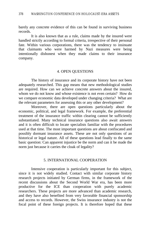barely any concrete evidence of this can be found in surviving business records.

It is also known that as a rule, claims made by the insured were handled strictly according to formal criteria, irrespective of their personal fate. Within various corporations, there was the tendency to insinuate that claimants who were harmed by Nazi measures were being intentionally dishonest when they made claims to their insurance company.

#### 4. OPEN QUESTIONS

The history of insurance and its corporate history have not been adequately researched. This gap means that new methodological studies are required. How can we achieve concrete answers about the insured, whom we do not know and whose existence is not even certain? How do we compare economic data developed under changing criteria? What are the relevant parameters for assessing this or any other development?

Moreover, there are open questions particularly about the economic, political, and legal framework. For example, the preferential treatment of the insurance traffic within clearing cannot be sufficiently substantiated. Many technical insurance questions also await answers and it is often difficult to locate specialists familiar with the procedures used at that time. The most important questions are about confiscated and possibly dormant insurance assets. These are not only questions of an historical or legal nature. All of these questions lead finally to the same basic question: Can apparent injustice be the norm and can it be made the norm just because it carries the cloak of legality?

#### 5. INTERNATIONAL COOPERATION

Intensive cooperation is particularly important for this subject, since it is not widely studied. Contact with similar corporate history research projects initiated by German firms, in the framework of the recent discussions about the Second World War era, has been more productive for the ICE than cooperation with purely academic researchers. These projects are more advanced than academic research, and they have also benefited from very favorable financial sponsorship and access to records. However, the Swiss insurance industry is not the focal point of these foreign projects. It is therefore hoped that these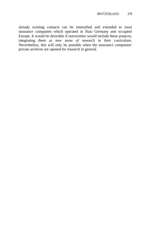already existing contacts can be intensified and extended to most insurance companies which operated in Nazi Germany and occupied Europe. It would be desirable if universities would include these projects, integrating them as new areas of research in their curriculum. Nevertheless, this will only be possible when the insurance companies' private archives are opened for research in general.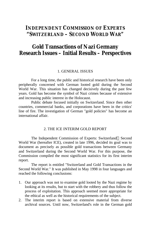# **INDEPENDENT COMMISSION OF EXPERTS "SWITZERLAND – SECOND WORLD WAR"**

# **Gold Transactions of Nazi Germany Research Issues – Initial Results – Perspectives**

#### 1. GENERAL ISSUES

For a long time, the public and historical research have been only peripherally concerned with German looted gold during the Second World War. This situation has changed decisively during the past few years. Gold has become the symbol of Nazi crimes because of extensive and increasing public interest in the Holocaust.

Public debate focused initially on Switzerland. Since then other countries, commercial banks, and corporations have been in the critics' line of fire. The investigation of German "gold policies" has become an international affair.

#### 2. THE ICE INTERIM GOLD REPORT

The Independent Commission of Experts: Switzerland-Second World War (hereafter ICE), created in late 1996, decided its goal was to document as precisely as possible gold transactions between Germany and Switzerland during the Second World War. For this purpose, the Commission compiled the most significant statistics for its first interim report.

The report is entitled "Switzerland and Gold Transactions in the Second World War." It was published in May 1998 in four languages and reached the following conclusions:

- 1. Our approach was not to examine gold looted by the Nazi regime by looking at its results, but to start with the robbery and thus follow the process of exploitation. This approach seemed more appropriate for the ethical as well as the historical requirements of the subject.
- 2. The interim report is based on extensive material from diverse archival sources. Until now, Switzerland's role in the German gold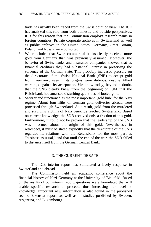trade has usually been traced from the Swiss point of view. The ICE has analyzed this role from both domestic and outside perspectives. It is for this reason that the Commission employs research teams in foreign countries. Private corporate archives in Switzerland as well as public archives in the United States, Germany, Great Britain, Poland, and Russia were consulted.

- 3. We concluded that Swiss commercial banks clearly received more gold from Germany than was previously assumed. Moreover, the behavior of Swiss banks and insurance companies showed that as financial creditors they had substantial interest in preserving the solvency of the German state. This probably increased pressure on the directorate of the Swiss National Bank (SNB) to accept gold from Germany, even if its origins were dubious, despite Allied warnings against its acceptance. We know today, beyond a doubt, that the SNB clearly knew from the beginning of 1941 that the Reichsbank had amassed disturbing quantities of looted gold.
- 4. Switzerland functioned as the most important "gold hub" for the Nazi regime. About four-fifths of German gold deliveries abroad were processed through Switzerland. As a result, gold from the murdered and surviving victims of Nazi genocide reached Switzerland. Based on current knowledge, the SNB received only a fraction of this gold. Furthermore, it could not be proven that the leadership of the SNB was informed about the origin of this gold. Nevertheless, in retrospect, it must be stated explicitly that the directorate of the SNB regarded its relations with the Reichsbank for the most part as "business as usual," and that until the end of the war, the SNB failed to distance itself from the German Central Bank.

#### 3. THE CURRENT DEBATE

The ICE interim report has stimulated a lively response in Switzerland and abroad.

The Commission held an academic conference about the financial history of Nazi Germany at the University of Bielefeld. Based on the results of our interim report, questions were formulated that will enable specific research to proceed, thus increasing our level of knowledge. Important new information is also found in the published second Eizenstat report, as well as in studies published by Sweden, Argentina, and Luxembourg.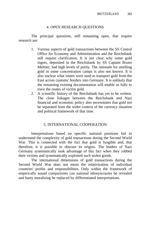### 4. OPEN RESEARCH QUESTIONS

The principal questions, still remaining open, that require research are:

- 1. Various aspects of gold transactions between the SS Central Office for Economy and Administration and the Reichsbank still require clarification. It is not clear why some gold ingots, deposited in the Reichsbank by SS Captain Bruno Melmer, had high levels of purity. The rationale for smelting gold in some concentration camps is also not known. It is also unclear what routes were used to transport gold from the East across customs' borders into Germany. It is unlikely that the remaining existing documentation will enable us fully to trace the routes of victim gold.
- 2. A scientific history of the Reichsbank has yet to be written. The close linkages between the Reichsbank and Nazi financial and economic policy also necessitates that gold not be separated from the wider context of the currency situation and political framework of that time.

### 5. INTERNATIONAL COOPERATION

Interpretations based on specific national positions fail to understand the complexity of gold transactions during the Second World War. This is connected with the fact that gold is fungible and, that therefore, it is possible to obscure its origins. The leaders of Nazi Germany systematically took advantage of this fact when they robbed their victims and systematically exploited such stolen goods.

The international dimensions of gold transactions during the Second World War does not mean the relativization of individual countries' profits and responsibilities. Only within the framework of empirically sound comparisons can national idiosyncrasies be revealed and hasty moralizing be replaced by differentiated interpretations.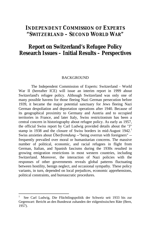# **INDEPENDENT COMMISSION OF EXPERTS "SWITZERLAND – SECOND WORLD WAR"**

# **Report on Switzerland's Refugee Policy Research Issues – Initial Results – Perspectives**

#### BACKGROUND

The Independent Commission of Experts: Switzerland - World War II (hereafter ICE) will issue an interim report in 1999 about Switzerland's refugee policy. Although Switzerland was only one of many possible havens for those fleeing Nazi German persecution before 1939, it became the major potential sanctuary for Jews fleeing Nazi German despoliation and deportation operations after 1940. Because of its geographical proximity to Germany and Austria and to occupied territories in France, and later Italy, Swiss restrictionism has been a central concern in historiography about refugee policy. As early as 1957, the official Swiss report by Carl Ludwig provided details about the "J" stamp in 1938 and the closure of Swiss borders in mid-August  $1942$ <sup>1</sup> Swiss anxieties about *Überfremdung* --"being overrun with foreigners" - frequently prevailed over moral or humanitarian concerns. The massive number of political, economic, and racial refugees in flight from German, Italian, and Spanish fascisms during the 1930s resulted in growing emigration restrictions in most western countries, including Switzerland. Moreover, the interaction of Nazi policies with the responses of other governments reveals global patterns fluctuating between hostility, benign neglect, and occasional sympathy. These policy variants, in turn, depended on local prejudices, economic apprehensions, political constraints, and bureaucratic procedures.

 $\overline{a}$ 

<sup>1</sup> See Carl Ludwig, Die Flüchtlingspolitik der Schweiz seit 1933 bis zur Gegenwart: Bericht an den Bundesrat zuhanden der eidgenössischen Räte (Bern, 1957).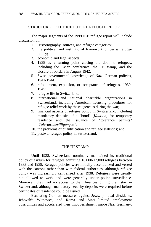#### STRUCTURE OF THE ICE FUTURE REFUGEE REPORT

The major segments of the 1999 ICE refugee report will include discussion of:

- 1. Historiography, sources, and refugee categories;
- 2. the political and institutional framework of Swiss refugee policy;
- 3. economic and legal aspects;
- 4. 1938 as a turning point closing the door to refugees, including the Evian conference, the "J" stamp, and the closure of borders in August 1942;
- 5. Swiss governmental knowledge of Nazi German policies, 1941-1944;
- 6. refoulement, expulsion, or acceptance of refugees, 1939- 1945;
- 7. refugee life in Switzerland;
- 8. international and national charitable organizations in Switzerland, including American licensing procedures for refugee relief work by these agencies during the war;
- 9. financial aspects of refugee policy in Switzerland, including mandatory deposits of a "bond" [*Kaution*] for temporary residence and the issuance of "tolerance permits" [*Toleranzbewilligung*en*]*;
- 10. the problems of quantification and refugee statistics; and
- 11. postwar refugee policy in Switzerland.

# THE "J" STAMP

Until 1938, Switzerland nominally maintained its traditional policy of asylum for refugees admitting 10,000-12,000 refugees between 1933 and 1938. Refugee policies were initially decentralized and vested with the cantons rather than with federal authorities, although refugee policy was increasingly centralized after 1938. Refugees were usually not allowed to work and were generally under police surveillance. Moreover, they had no access to their finances during their stay in Switzerland, although mandatory security deposits were required before certificates of residence could be issued.

Escalating German measures against Jews, political dissidents, Jehovah's Witnesses, and Roma and Sinti limited employment possibilities and accelerated their impoverishment inside Nazi Germany.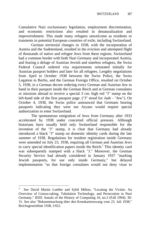Cumulative Nazi exclusionary legislation, employment discrimination, and economic restrictions also resulted in denaturalization and impoverishment. This made many refugees unwelcome as residents or transients in potential European countries of exile, including Switzerland.

German territorial changes in 1938, with the incorporation of Austria and the Sudetenland, resulted in the eviction and attempted flight of thousands of native and refugee Jews from these regions. Switzerland had a common border with both Nazi Germany and incorporated Austria, and fearing a deluge of Austrian Jewish and stateless refugees, the Swiss Federal Council ordered visa requirements reinstated initially for Austrian passport holders and later for all refugees. Lengthy negotiations from April to October 1938 between the Swiss Police, the Swiss Legation in Berlin, and the German Foreign Office, resulted on October 5, 1938, in a German decree ordering every German and Austrian Jew to hand in their passport inside the German Reich and at German consulates or missions abroad to receive a special 3 cm. high red "J" stamp on the left-hand side of the first passport page. ("J" stood for *Jude* - "Jew"). On October 4, 1938, the Swiss police announced that Germans bearing passports indicating they were not Aryans would require special authorization to enter Switzerland.

The spontaneous emigration of Jews from Germany after 1933 accelerated by 1938 under concerted official pressure. Although historians have usually held only Switzerland responsible for the invention of the "J" stamp, it is clear that Germany had already introduced a black "J" stamp on domestic identity cards during the late summer of 1938. Regulations for resident registration inside Germany were amended on July 23, 1938, requiring all German and Austrian Jews to carry special identification papers inside the Reich.<sup>2</sup> This identity card was subsequently stamped with a black "J." Moreover, the German Security Service had already considered in January 1937 "marking Jewish passports, for use only inside Germany," but delayed implementation "so that foreign consulates would not deny visas to

 $\frac{1}{2}$  See David Martin Luebke and Sybil Milton, "Locating the Victim: An Overview of Census-taking, Tabulation Technology, and Persecution in Nazi Germany," IEEE Annals of the History of Computing 16, no.3 (Fall 1994): 30- 31. See also "Bekanntmachung über den Kennkartenzwang vom 23. Juli 1938," Reichsgesetzblatt 1938, I:922.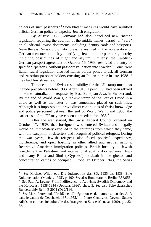holders of such passports."<sup>3</sup> Such blatant measures would have nullified official German policy to expedite Jewish emigration.

By August 1938, Germany had also introduced new "name" legislation, requiring the addition of the middle names "Israel" or "Sara" on all official Jewish documents, including identity cards and passports. Nevertheless, Swiss diplomatic pressure resulted in the acceleration of German measures explicitly identifying Jews on their passports, thereby inhibiting possibilities of flight and asylum. Similarly, the Swedish-German passport agreement of October 15, 1938, restricted the entry of specified "persons" without passport validation into Sweden.<sup>4</sup> Concurrent Italian racial legislation also led Italian border police to ask all German and Austrian passport holders crossing an Italian border in late 1938 if they had Jewish names.

The question of Swiss responsibility for the "J" stamp must also include precedents before 1933. After 1910, a pencil "J" had been affixed on some naturalization requests by East European Jews in Switzerland. By the end of World War I, a red-ink stamp of the Star of David in a circle as well as the letter 'J' was sometimes placed on such files. Although it is impossible to prove direct continuities of Swiss knowledge and police personnel between the end of World War I and 1938, the earlier use of the "J" may have been a precedent for 1938.<sup>5</sup>

After the war started, the Swiss Federal Council ordered on October 17, 1939, that foreigners who entered Switzerland illegally would be immediately expelled to the countries from which they came, with the exception of deserters and recognized political refugees. During the war years, Jewish refugees also faced political expediency, indifference, and open hostility in other allied and neutral nations. Restrictive American immigration policies, British hostility to Jewish resettlement in Palestine, and international apathy doomed most Jews and many Roma and Sinti ("Gypsies") to death in the ghettos and concentration camps of occupied Europe. In October 1943, the Swiss

 $\overline{a}$ 

<sup>3</sup> See Michael Wildt, ed., Die Judenpolitik des SD, 1935 bis 1938: Eine Dokumentation (Munich, 1995), p. 100. See also Bundesarchiv Berlin, R58/956.

<sup>&</sup>lt;sup>4</sup> See Paul A. Levine, From Indifference to Activism: Swedish Diplomacy and the Holocaust, 1938-1944 (Uppsala, 1996), chap. 5. See also Schweizerisches Bundesarchiv Bern, E 2001 (D) 2/114.

<sup>5</sup> See Marc Perrenoud, "Problèmes d'intégration et de naturalisation des Juifs dans le canton de Neuchatel, 1871-1955," in Pierre Centlivres, Devenir Suisse: Adhésion et diversité culturelle des étrangers en Suisse (Geneva, 1990), pp. 82- 83.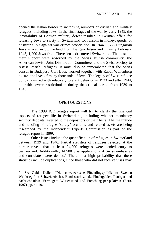opened the Italian border to increasing numbers of civilian and military refugees, including Jews. In the final stages of the war by early 1945, the inevitability of German military defeat resulted in German offers for releasing Jews to safety in Switzerland for ransom in money, goods, or postwar alibis against war crimes prosecution. In 1944, 1,686 Hungarian Jews arrived in Switzerland from Bergen-Belsen and in early February 1945, 1,200 Jews from Theresienstadt entered Switzerland. The costs of their support were absorbed by the Swiss Jewish community, the American Jewish Joint Distribution Committee, and the Swiss Society to Assist Jewish Refugees. It must also be remembered that the Swiss consul in Budapest, Carl Lutz, worked together with Raoul Wallenberg to save the lives of many thousands of Jews. The legacy of Swiss refugee policy is mixed with relatively tolerant behavior in 1933 and after 1944, but with severe restrictionism during the critical period from 1939 to 1943.

#### OPEN QUESTIONS

The 1999 ICE refugee report will try to clarify the financial aspects of refugee life in Switzerland, including whether mandatory security deposits reverted to the depositors or their heirs. The magnitude and handling of refugee "surety" accounts and related assets are being researched by the Independent Experts Commission as part of the refugee report in 1999.

Other issues include the quantification of refugees in Switzerland between 1939 and 1946. Partial statistics of refugees rejected at the border reveal that at least 24,000 refugees were denied entry to Switzerland. Additionally, 14,500 visa applications at Swiss embassies and consulates were denied.<sup>6</sup> There is a high probability that these statistics include duplications, since those who did not receive visas may

 6 See Guido Koller, "Die schweizerische Flüchtlingspolitik im Zweiten Weltkrieg," in Schweizerisches Bundesarchiv, ed., Fluchtgelder, Raubgut und nachrichtenlose Vermögen: Wissenstand und Forschungsperspektiven (Bern, 1997), pp. 44-49.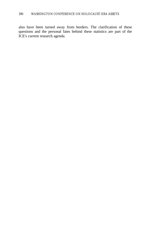also have been turned away from borders. The clarification of these questions and the personal fates behind these statistics are part of the ICE's current research agenda.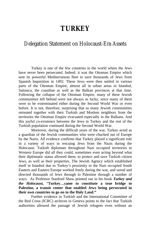# **TURKEY**

# Delegation Statement on Holocaust-Era Assets

Turkey is one of the few countries in the world where the Jews have never been persecuted. Indeed, it was the Ottoman Empire which sent its powerful Mediterranean fleet to save thousands of Jews from Spanish Inquisition in 1492. These Jews were then settled in various parts of the Ottoman Empire, almost all in urban areas in Istanbul, Salonica, the coastline as well as the Balkan provinces at that time. Following the collapse of the Ottoman Empire, many of these Jewish communities left behind were not always as lucky, since many of them were to be exterminated either during the Second World War or even before. It is not, therefore, surprising that so many Jewish communities retreated together with their Turkish and Moslem neighbors from the territories the Ottoman Empire evacuated especially in the Balkans. And this joyful co-existence between the Jews in Turkey and the rest of the Turkish population continued during the Second World War.

Moreover, during the difficult years of the war, Turkey acted as a guardian of the Jewish communities who were chucked out of Europe by the Nazis. All evidence confirms that Turkey played a significant role in a variety of ways in rescuing Jews from the Nazis during the Holocaust. Turkish diplomats throughout Nazi occupied territories in Western Europe did all they could, sometimes even acting beyond what their diplomatic status allowed them, to protect and save Turkish citizen Jews, as well as their properties. The Jewish Agency which established itself in Istanbul due to Turkey's proximity to the Nazi occupied South Eastern and Eastern Europe worked freely during the war, and saved and directed thousands of Jews through to Palestine through a number of ways. As Professor Stanford Shaw pointed out in his book *Turkey and the Holocaust,* "**Turkey…came to constitute a true bridge to Palestine, a transit center that enabled Jews being persecuted in their own countries to go on to the Holy Land."**

Further evidence in Turkish and the International Committee of the Red Cross (ICRC) archives in Geneva points to the fact that Turkish authorities allowed the passage of Jewish refugees even without an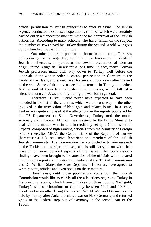official permission by British authorities to enter Palestine. The Jewish Agency conducted these rescue operations, some of which were certainly carried out in a clandestine manner, with the tacit approval of the Turkish authorities. According to many scholars who have written on the subject, the number of Jews saved by Turkey during the Second World War goes up to a hundred thousand, if not more.

One other important point to be borne in mind about Turkey's policy during the war regarding the plight of the Jews is that hundreds of Jewish intellectuals, in particular the Jewish academics of German origin, found refuge in Turkey for a long time. In fact, many German Jewish professors made their way down to Turkey well before the outbreak of the war in order to escape persecution in Germany at the hands of the Nazis, and stayed over for several more years after the end of the war. Some of them even decided to remain in Turkey altogether. And several of them later published their memoirs, which talk of a friendly country to Jews not only during the war but in general.

Therefore, Turkey would never have expected to have been included in the list of the countries which were in one way or the other involved in the transaction of Nazi gold and related issues. In a sense, Turkey was quite surprised at the allegations in the reports published by the US Department of State. Nevertheless, Turkey took the matter seriously and a Cabinet Minister was assigned by the Prime Minister to deal with the matter, who in turn immediately set up a Commission of Experts, composed of high ranking officials from the Ministry of Foreign Affairs (hereafter MFA), the Central Bank of the Republic of Turkey (hereafter CBRT), academics, historians and members of the Turkish Jewish Community. The Commission has conducted extensive research in the Turkish and foreign archives, and is still carrying on with their research on some detailed aspects of the issues. The Commission's findings have been brought to the attention of the officials who prepared the previous reports, and historian members of the Turkish Commission and Dr. William Slany, the State Department Historian, have agreed to write reports, articles and even books on these matters.

Nonetheless, until those publications come out, the Turkish Commission would like to clarify all the allegations regarding Turkey in the previous reports, which blamed Turkey on three counts: Nazi gold, Turkey's sale of chromium to Germany between 1942 and 1943 for about twelve months during the Second World War and German assets held by Turkey after Ankara declared war on Nazi Germany and returned gratis to the Federal Republic of Germany in the second part of the 1950s.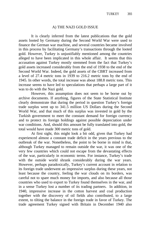#### A) THE NAZI GOLD ISSUE

It is clearly inferred from the latest publications that the gold assets looted by Germany during the Second World War were used to finance the German war machine, and several countries became involved in this process by facilitating Germany's transactions through the looted gold. However, Turkey is unjustifiably mentioned among the countries alleged to have been implicated in this whole affair. It seems that this accusation against Turkey mostly stemmed from the fact that Turkey's gold assets increased considerably from the end of 1938 to the end of the Second World War. Indeed, the gold assets of the CBRT increased from a level of 27.4 metric tons in 1939 to 216.2 metric tons by the end of 1945. In other words, the total increase was about 188.8 metric tons. This increase seems to have led to speculations that perhaps a large part of it was to do with the Nazi gold.

However, this assumption does not seem to be borne out by archive documents. If anything, figures of the State Statistical Institute clearly demonstrate that during the period in question Turkey's foreign trade surplus went up to 341.5 million US Dollars during the Second World War, and that much of this surplus was invested in gold by the Turkish government to meet the constant demand for foreign currency and to protect its foreign holdings against possible depreciation under war conditions. And, should this amount be fully translated into gold, the total would have made 300 metric tons of gold.

At first sight, this might look a bit odd, given that Turkey had experienced almost a constant trade deficit in the years previous to the outbreak of the war. Nonetheless, the point to be borne in mind is that, although Turkey managed to remain outside the war, it was one of the very few countries which could not escape from the devastating effects of the war, particularly in economic terms. For instance, Turkey's trade with the outside world shrank considerably during the war years. However, perhaps paradoxically, Turkey's current account in relation to its foreign trade underwent an impressive surplus during these years, not least because the country, feeling the war clouds on its borders, was careful not to spare much money for imports, and also because all those countries who used to export to Turkey found themselves in the war, and in a sense Turkey lost a number of its trading partners. In addition, in 1940, impressive increase in the cotton harvest and coal production together with the discovery of oil fields also contributed, to a large extent, to tilting the balance in the foreign trade in favor of Turkey. The trade agreement Turkey signed with Britain in December 1940 also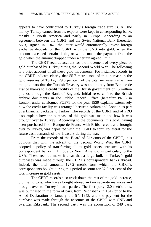appears to have contributed to Turkey's foreign trade surplus. All the money Turkey earned from its exports were kept in corresponding banks mostly in North America and partly in Europe. According to an agreement between the CBRT and the Swiss National Bank (hereafter SNB) signed in 1942, the latter would automatically invest foreign exchange deposits of the CBRT with the SNB into gold, when the amount exceeded certain limits, or would make the payment from the gold when the amount dropped under a certain agreed limit.

The CBRT records account for the movement of every piece of gold purchased by Turkey during the Second World War. The following is a brief account of all these gold movements: For instance, records in the CBRT indicate clearly that 55.7 metric tons of this increase in the gold reserves of Turkey, 29.6 per cent of the total increase, came from the gold bars that the Turkish Treasury was able to buy from Banque de France thanks to a credit facility of the British government of 15 million pounds through the Bank of England. Initial research into the British archive documents in the Public Record Office (hereafter PRO) in London under catalogues FO371 for the year 1939 explains extensively how the credit facility was arranged between Ankara and London as part of a financial package to Turkey. The records of the CBRT and of PRO also explain how the purchase of this gold was made and how it was brought over to Turkey. According to the documents, this gold, having been purchased from Banque de France with British credit and brought over to Turkey, was deposited with the CBRT to form collateral for the future cash demands of the Treasury during the war.

From the records of the Board of Directors of the CBRT, it is obvious that with the advent of the Second World War, the CBRT adopted a policy of transferring all its gold assets entrusted with its correspondent banks in Europe to North America, in particular, to the USA. These records make it clear that a large bulk of Turkey's gold purchases was made through the CBRT's correspondent banks abroad. Indeed, the total amount, 127.2 metric tons which the CBRT's correspondents bought during this period account for 67.6 per cent of the total increase in gold assets.

The CBRT records also track down the rest of the gold increase, 5.0 metric tons, which was bought abroad in two separate instances and brought over to Turkey in two parties. The first party, 2.0 metric tons, was purchased in the form of bars, from Reichsbank in 1942 prior to the Allied Declaration of January the  $5<sup>th</sup>$ , 1943, and the payment for the purchase was made through the accounts of the CBRT with SNB and Sveriges Riksbank. The second party was the acquisition of 249 bars,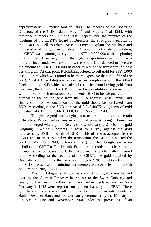approximately 3.0 metric tons in 1943. The records of the Board of Directors of the CBRT dated May  $5<sup>th</sup>$  and May  $21<sup>st</sup>$  of 1943, with reference numbers of 2662 and 2681 respectively, the minutes of the meetings of the CBRT's Board of Directors, the strongroom records of the CBRT, as well as related SNB documents explain the purchase and the transfer of the gold in full detail. According to this documentation, the CBRT was planning to buy gold for SFR 10.000.000 at the beginning of May 1943. However, due to the high transportation cost which was likely to incur under war conditions, the Board later decided to increase the amount to SFR 15.000.000 in order to reduce the transportation cost per kilogram. At that point Reichsbank offered to sell gold for SFR 5.000 per kilogram which was found to be more expensive than the offer of the SNB, 4.920.63 per kilogram. Moreover, in compliance with the Allied Declaration of 1943 which forbade all countries from buying gold from Germany, the Board of the CBRT looked at possibilities of entrusting it with the Bank for International Settlements (BIS) to be safeguarded or of purchasing the desired gold from the USA against Swiss Franks, and finally came to the conclusion that the gold should be purchased from SNB. Accordingly, the SNB purchased 3.048,40672 kilograms of gold on behalf of CBRT for SFR  $15.000.081$  on May  $8<sup>th</sup>$ , 1943.

Though the gold was bought, its transportation presented certain difficulties. While Turkey was in search of ways to bring it home, an option emerged whereby the Reichsbank would supply 249 bars of gold weighing 3.047.32 kilograms in total to Turkey against the gold purchased by SNB on behalf of CBRT. This offer was accepted by the CBRT and in order to finalize the transaction, the CBRT instructed the SNB on May  $25<sup>th</sup>$ , 1943, to transfer the gold it had bought earlier on behalf of the CBRT to Reichsbank. From these records, it is clear that for all intents and purposes, the CBRT acted in this whole matter in good faith. According to the records of the CBRT, the gold supplied by Reichsbank in return for the transfer of the gold SNB bought on behalf of the CBRT was used in minting commemorative coins by the Turkish State Mint during 1944-1946.

The 243 kilograms of gold bars and 32.000 gold coins handed over by the German Embassy in Ankara to the Swiss Embassy and finally to the Turkish authorities when Turkey declared war on Nazi Germany in 1945 were kept on consignment basis by the CBRT. These gold bars and coins were fully returned to the German side (Deutsche Bank, Dresdner Bank and the German government) by the Ministry of Finance in June and November 1960 under the provisions of an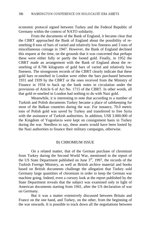economic protocol signed between Turkey and the Federal Republic of Germany within the context of NATO solidarity.

From the documents of the Bank of England, it became clear that the CBRT approached the Bank of England about the possibility of resmelting 8 tons of bars of varied and relatively low fineness and 3 tons of miscellaneous coinage in 1947. However, the Bank of England declined this request at the time, on the grounds that it was concerned that perhaps these were either fully or partly the looted gold. Finally, in 1952 the CBRT made an arrangement with the Bank of England about the resmelting of 8.706 kilograms of gold bars of varied and relatively low fineness. The strongroom records of the CBRT clearly indicate that these gold bars re-smelted in London were either the bars purchased between 1931 and 1939 by the CBRT or the ones received from the Ministry of Finance in 1934 to back up the bank notes in circulation under the provisions of Article 6 of Act No. 1715 of the CBRT. In other words, all that gold re-smelted in London had nothing to do with Nazi gold.

Meanwhile, it is interesting to note that according to a number of Turkish and Polish documents Turkey became a place of safekeeping for most of the Balkan countries during the war. For instance, 70.0 metric tons of Polish gold was saved by Turkey and transferred to free Syria with the assistance of Turkish authorities. In addition, US\$ 3.000.000 of the Kingdom of Yugoslavia were kept on consignment basis in Turkey during the war. Needless to say, these assets would have been looted by the Nazi authorities to finance their military campaigns, otherwise.

#### B) CHROMIUM ISSUE

On a related matter, that of the German purchase of chromium from Turkey during the Second World War, mentioned in the report of the US State Department published on June  $3<sup>rd</sup>$ , 1997, the records of the Turkish Foreign Ministry, as well as British archive material and books based on British documents challenge the allegation that Turkey sold Germany large quantities of chromium in order to keep the German war machine going. Indeed, even a cursory look at the report published by the State Department reveals that the subject was examined only in light of American documents starting from 1941, after the US declaration of war on Germany.

But it was a matter extensively discussed between Britain and France on the one hand, and Turkey, on the other, from the beginning of the war onwards. It is possible to track down all the negotiations between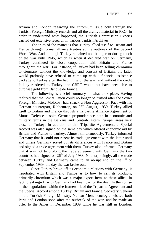Ankara and London regarding the chromium issue both through the Turkish Foreign Ministry records and all the archive material in PRO. In order to understand what happened, the Turkish Commission Experts carried out extensive research in various Turkish Archives.

The truth of the matter is that Turkey allied itself to Britain and France through formal alliance treaties at the outbreak of the Second World War. And although Turkey remained non-belligerent during much of the war until 1945, which is when it declared war on Germany, Turkey continued its close cooperation with Britain and France throughout the war. For instance, if Turkey had been selling chromium to Germany without the knowledge and consent of Britain, the latter would probably have refused to come up with a financial assistance package to Turkey after the beginning of the war, and without the credit facility rendered to Turkey, the CBRT would not have been able to purchase gold from Banque de France.

The following is a brief summary of what took place. Having realized that the Soviet Union could no longer be trusted after the Soviet Foreign Minister, Molotov, had struck a Non-Aggression Pact with his German counterpart, Ribbentrop, on 23<sup>rd</sup> August, 1939, Turkey allied itself to Britain and France through a Tripartite Alliance Agreement of Mutual Defense despite German preponderance both in economic and military terms in the Balkans and Central-Eastern Europe, areas very close to Turkey. In addition to this Tripartite Agreement, a Special Accord was also signed on the same day which offered economic aid by Britain and France to Turkey. Almost simultaneously, Turkey informed Germany that it could not renew its trade agreement with the latter until and unless Germany sorted out its differences with France and Britain and signed a trade agreement with them. Turkey also informed Germany that it was not to prolong the trade agreement with Germany the two countries had signed on  $26<sup>th</sup>$  of July 1938. Not surprisingly, all the trade between Turkey and Germany came to an abrupt end on the  $1<sup>st</sup>$  of September 1939, the day the war broke out.

Since Turkey broke off its economic relations with Germany, it negotiated with Britain and France as to how to sell its products, primarily chromium which was a major export item, to these allies. In fact, breaking-off with Germany had been part of the deal. In the course of the negotiations within the framework of the Tripartite Agreement and the Special Accord among Turkey, Britain and France, Secretary General of the Turkish Foreign Ministry, Numan Menemencioglu, visited both Paris and London soon after the outbreak of the war, and he made an offer to the Allies in December 1939 while he was still in London: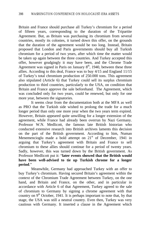Britain and France should purchase all Turkey's chromium for a period of fifteen years, corresponding to the duration of the Tripartite Agreement. But, as Britain was purchasing its chromium from several countries, mostly its colonies, it turned down this offer, on the grounds that the duration of the agreement would be too long. Instead, Britain proposed that London and Paris governments should buy all Turkish chromium for a period of two years, after which time the matter would be taken up again between the three countries. And Turkey accepted this offer, however grudgingly it may have been, and the Chrome Trade Agreement was signed in Paris on January  $8<sup>th</sup>$ , 1940, between these three allies. According to this deal, France was to buy 4/15 and England 11/15 of Turkey's total chromium production of 250.000 tons. This agreement also stipulated (Article 6) that Turkey could sell its surplus chromium production to third countries, particularly to the USA, on condition that Britain and France approve the sale beforehand. The Agreement, which was concluded only for two years, could be renewed, but only for one more year, between the signatories.

It seems clear from the documentation both at the MFA as well as PRO that the Turkish side wished to prolong the trade for a much longer period than only one more year when the two years term expired. However, Britain appeared quite unwilling for a longer extension of the agreement, while France had already been overrun by Nazi Germany. Professor W.N. Medlicott, the famous late British historian who conducted extensive research into British archives laments this decision on the part of the British government. According to him, Numan Menemencioglu made a bold attempt on  $21<sup>st</sup>$  of December, 1941 in arguing that Turkey's agreement with Britain and France to sell chromium to these allies should continue for a period of twenty years. Sadly, however, this was turned down by the British government. As Professor Medlicott put it: "**later events showed that the British would have been well-advised to tie up Turkish chrome for a longer period**."

Meanwhile, Germany had approached Turkey with an offer to buy Turkey's chromium. Having secured Britain's agreement within the context of the Chromium Trade Agreement between Turkey, on the one hand, and Britain and France, on the other, and in particular in accordance with Article 6 of that Agreement, Turkey agreed to the sale of chromium to Germany by signing a chrome agreement with that country on  $9<sup>th</sup>$  October, 1941. It is perhaps important to note that, by that stage, the USA was still a neutral country. Even then, Turkey was very cautious with Germany. It inserted a clause in the Agreement which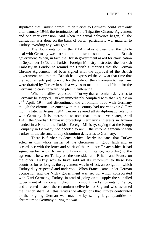stipulated that Turkish chromium deliveries to Germany could start only after January 1943, the termination of the Tripartite Chrome Agreement and one year extension. And when the actual deliveries began, all the transaction was done on the basis of barter, particularly war material to Turkey, avoiding any Nazi gold.

The documentation in the MFA makes it clear that the whole deal with Germany was carried out in close consultation with the British government. When, in fact, the British government asked for clarification in September 1943, the Turkish Foreign Ministry instructed the Turkish Embassy in London to remind the British authorities that the German Chrome Agreement had been signed with the approval of the British government, and that the British had expressed the view at that time that the requirements put forward for the sale of the chromium to Germany were drafted by Turkey in such a way as to make it quite difficult for the Germans to carry forward the plan in full-swing.

When the allies requested of Turkey that chromium deliveries to Germany be stopped, Turkey immediately complied with that request on  $24<sup>th</sup>$  April, 1944 and discontinued the chromium trade with Germany though the chrome agreement with that country had not yet expired. Few months later in August 1944, Turkey severed all its diplomatic relations with Germany. It is interesting to note that almost a year later, April 1945, the Swedish Embassy protecting Germany's interests in Ankara handed in a Note to the Turkish Foreign Ministry, saying that the Krupp Company in Germany had decided to annul the chrome agreement with Turkey in the absence of any chromium deliveries to Germany.

There is further evidence which clearly indicates that Turkey acted in this whole matter of the chromium in good faith and in accordance with the letter and spirit of the Alliance Treaty which it had signed earlier with Britain and France. For instance, according to the agreement between Turkey on the one side, and Britain and France on the other, Turkey was to have sold all its chromium to these two countries for as long as the agreement was in effect, an obligation which Turkey duly respected and undertook. When France came under German occupation and the Vichy government was set up, which collaborated with Nazi Germany, Turkey, instead of going on to supply the so-called government of France with chromium, discontinued shipments to France, and directed instead the chromium deliveries to England who assumed the French share. All this refutes the allegations that Turkey contributed to the ongoing German war machine by selling large quantities of chromium to Germany during the war.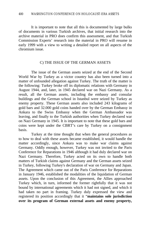It is important to note that all this is documented by large bulks of documents in various Turkish archives, that initial research into the archive material in PRO does confirm this assessment, and that Turkish Commission Experts' research into the material in PRO will resume in early 1999 with a view to writing a detailed report on all aspects of the chromium issue.

#### C) THE ISSUE OF THE GERMAN ASSETS

The issue of the German assets seized at the end of the Second World War by Turkey as a victor country has also been turned into a matter of unfounded allegation against Turkey. The truth of the matter is the following: Turkey broke off its diplomatic relations with Germany in August 1944, and, later, in 1945 declared war on Nazi Germany. As a result, all the German assets, including the embassy and consular buildings and the German school in Istanbul were seized by Turkey as enemy property. These German assets also included 243 kilograms of gold bars and 32.000 gold coins handed over by the German Embassy in Ankara to the Swiss Embassy when the German Ambassador was leaving, and finally to the Turkish authorities when Turkey declared war on Nazi Germany in 1945. It is important to note that these gold bars and coins were kept under the CBRT's care by Turkey on a consignment basis.

Turkey at the time thought that when the general procedures as to how to deal with these assets became established, it would handle the matter accordingly, since Ankara was to make war claims against Germany. Oddly enough, however, Turkey was not invited to the Paris Conference for Reparations in 1946 although it had duly declared war on Nazi Germany. Therefore, Turkey acted on its own to handle both matters of Turkish claims against Germany and the German assets seized in Turkey, following Turkey's declaration of war on Germany and Japan. The Agreement which came out of the Paris Conference for Reparations in January 1946, established the modalities of the liquidation of German assets. Upon the conclusion of this Agreement, the Allies approached Turkey which, in turn, informed the former rightfully that it was not bound by international agreements which it had not signed, and which it had taken no part in framing. Turkey duly expressed the view and registered its position accordingly that it "**maintains sole jurisdiction over its program of German external assets and enemy property,**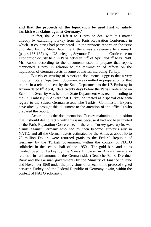**and that the proceeds of the liquidation be used first to satisfy Turkish war claims against Germany**."

In fact, the Allies left it to Turkey to deal with this matter directly by excluding Turkey from the Paris Reparation Conference in which 18 countries had participated. In the previous reports on the issue published by the State Department, there was a reference to a remark (pages 136-137) by a US delegate, Seymour Rubin, in the Conference on Economic Security held in Paris between  $27<sup>th</sup>$  of April and  $7<sup>th</sup>$  May 1948. Mr. Rubin, according to the documents used to prepare that report, mentioned Turkey in relation to the termination of efforts on the liquidation of German assets in some countries, including Turkey.

But closer scrutiny of American documents suggests that a very important State Department document was omitted in preparation of that report. In a telegram sent by the State Department to the US Embassy in Ankara dated  $8<sup>th</sup>$  April, 1948, twenty days before the Paris Conference on Economic Security was held, the State Department was recommending to the US Embassy in Ankara that Turkey be treated as a special case with regard to the seized German assets. The Turkish Commission Experts have already brought this document to the attention of the officials who prepared the report.

According to the documentation, Turkey maintained its position that it should deal directly with this issue because it had not been invited to the Paris Reparation Conference. In the end, Turkey gave up its war claims against Germany who had by then become Turkey's ally in NATO, and all the German assets estimated by the Allies at about 50 to 70 million Dollars were returned gratis to the Federal Republic of Germany by the Turkish government within the context of NATO solidarity in the second half of the 1950s. The gold bars and coins handed over to Turkey by the Swiss Embassy in Ankara were also returned in full amount to the German side (Deutsche Bank, Dresdner Bank and the German government) by the Ministry of Finance in June and November 1960 under the provisions of an economic protocol signed between Turkey and the Federal Republic of Germany, again, within the context of NATO solidarity.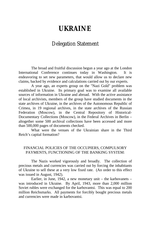# **UKRAINE**

## Delegation Statement

The broad and fruitful discussion begun a year ago at the London International Conference continues today in Washington. It is endeavoring to set new parameters, that would allow us to declare new claims, backed by evidence and calculations carried out by our experts.

A year ago, an experts group on the "Nazi Gold" problem was established in Ukraine. Its primary goal was to examine all available sources of information in Ukraine and abroad. With the active assistance of local archivists, members of the group have studied documents in the state archives of Ukraine, in the archives of the Autonomous Republic of Crimea, in 19 regional archives, in the state archives of the Russian Federation (Moscow), in the Central Repository of Historical-Documentary Collections (Moscow), in the Federal Archives in Berlin – altogether some 500 archival collections have been accessed and more than 500,000 pages of documents checked.

What were the venues of the Ukrainian share in the Third Reich's capital formation?

### FINANCIAL POLICIES OF THE OCCUPIERS, COMPULSORY PAYMENTS, FUNCTIONING OF THE BANKING SYSTEM:

The Nazis worked vigorously and broadly. The collection of precious metals and currencies was carried out by forcing the inhabitants of Ukraine to sell these at a very low fixed rate. (An order to this effect was issued in August, 1942).

Earlier, in June, 1942, a new monetary unit – the karbovanets – was introduced in Ukraine. By April, 1943, more than 2,000 million Soviet rubles were exchanged for the karbovantsi. This was equal to 200 million Reichsmarks. All payments for forcibly bought precious metals and currencies were made in karbovantsi.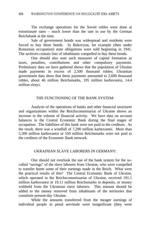The exchange operations for the Soviet rubles were done at extortionate rates – much lower than the rate in use by the German Reichsbank at the time.

Sale of government bonds was widespread and residents were forced to buy these bonds. In Bukovyna, for example (then under Romanian occupation) state obligations were sold beginning in 1941. The archives contain lists of inhabitants compelled to buy these bonds.

One should also note such measures of capital formation as taxes, penalties, contributions and other compulsory payments. Preliminary data we have gathered shows that the population of Ukraine made payments in excess of 2,500 thousand rubles; Ukrainian government data show that these payments amounted to 2,600 thousand rubles, about 46 million Reichsmarks, 195 million karbovantsi, 14.4 million zlotys.

#### THE FUNCTIONING OF THE BANK SYSTEM:

Analysis of the operations of banks and other financial structures and organizations within the Reichscommisariat of Ukraine shows an increase in the volume of financial activity. We have data on account balances in the Central Economic Bank during the final stages of occupation. The liabilities of this bank were not paid to the creditors. As the result, there was a windfall of 7,290 million karbovantsi. More than 5,500 million karbovantsi or 550 million Reichsmarks were not paid to the creditors of the Economic Bank network.

### UKRAINIAN SLAVE LABORERS IN GERMANY:

One should not overlook the use of the bank system for the socalled "savings" of the slave laborers from Ukraine, who were compelled to transfer home some of their earnings made in the Reich. What were the practical results of this? The Central Economic Bank of Ukraine, which operated in the Reichscommissariat of Ukraine, received 191.1 million karbovantsi or 19.11 million Reichsmarks in deposits, or money withheld from the Ukrainian slave laborers. This amount should be added to the money removed from inhabitants of the territories that constitute present-day Ukraine.

While the amounts transferred from the meager earnings of individual people in penal servitude were insignificant (they were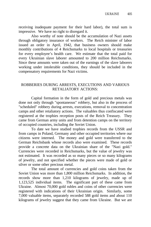receiving inadequate payment for their hard labor), the total sum is impressive. We have no right to disregard it.

Also worthy of note should be the accumulation of Nazi assets through obligatory insurance of workers. The Reich minister of labor issued an order in April, 1942, that business owners should make monthly contributions of 4 Reichsmarks to local hospitals or treasuries for every employee's health care. We estimate that the total paid for every Ukrainian slave laborer amounted to 200 million Reichsmarks. Since these amounts were taken out of the earnings of the slave laborers working under intolerable conditions, they should be included in the compensatory requirements for Nazi victims.

### ROBBERIES DURING ARRESTS, EXECUTIONS AND VARIOUS RETALIATORY ACTIONS:

Capital formation in the form of gold and precious metals was done not only through "spontaneous" robbery, but also in the process of "scheduled" robbery during arrests, executions, removal to concentration camps and other retaliatory actions. The valuables thus confiscated were registered at the trophies reception posts of the Reich Treasury. They came from German army units and from detention camps on the territory of occupied countries, including the Soviet Union.

To date we have studied trophies records from the USSR and from camps in Poland, Germany and other occupied territories where our citizens were interned. The money and gold were transferred to the German Reichsbank whose records also were examined. These records provide a concrete data on the Ukrainian share of the "Nazi gold." Currencies were recorded in Reichsmarks, but the value of jewelry was not estimated. It was recorded as so many pieces or so many kilograms of jewelry, and not specified whether the pieces were made of gold or silver or some other precious metal.

The total amount of currencies and gold coins taken from the Soviet Union was more than 1,800 million Reichsmarks. In addition, the records show more than 1,210 kilograms of jewelry, made up of 1,123,525 individual items. The significant part of these came from Ukraine. Almost 70,000 gold rubles and coins of other currencies were registered with indications of their Ukrainian origin. Similarly, some 7,000 valuable items, separately recorded 588 gold items and about 110 kilograms of jewelry suggest that they came from Ukraine. But we are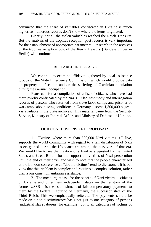convinced that the share of valuables confiscated in Ukraine is much higher, as numerous records don't show where the items originated.

Clearly, not all the stolen valuables reached the Reich Treasury. But the analysis of the trophies reception post records is very important for the establishment of appropriate parameters. Research in the archives of the trophies reception post of the Reich Treasury (Bundesarchives in Berlin) will continue.

#### RESEARCH IN UKRAINE

We continue to examine affidavits gathered by local assistance groups of the State Emergency Commission, which would provide data on property confiscation and on the suffering of Ukrainian population during the German occupation.

Plans call for a compilation of a list of citizens who have had their jewelry confiscated by the Nazis. Also, testimony and interrogation records of persons who returned from slave labor camps and prisoner of war camps about living conditions in Germany -- some 1,300,000 pages - - is available in the State archives. This material came from the Security Service, Ministry of Internal Affairs and Ministry of Defense of Ukraine.

#### OUR CONCLUSIONS AND PROPOSALS

1. Ukraine, where more than 600,000 Nazi victims still live, supports the world community with regard to a fair distribution of Nazi assets gained during the Holocaust era among the survivors of that era. We would like to see the creation of a fund as suggested by the United States and Great Britain for the support the victims of Nazi persecution until the end of their days, and wish to note that the people characterized at the London conference as "double victims" tend to die sooner. It is our view that this problem is complex and requires a complex solution, rather than a one-time humanitarian assistance.

2. The most urgent task for the benefit of Nazi victims – citizens of Ukraine and other new independent states on the territory of the former USSR – is the establishment of fair compensatory payments to them by the Federal Republic of Germany, the successor state of the Third Reich. This we emphatically reiterate. The payments should be made on a non-discriminatory basis not just to one category of persons (industrial slave laborers, for example), but to all categories of victims of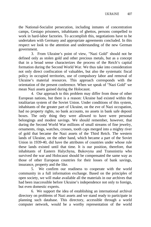the National-Socialist persecution, including inmates of concentration camps, Gestapo prisoners, inhabitants of ghettos, persons compelled to work in hard-labor factories. To accomplish this, negotiations have to be undertaken with Germany and appropriate agreements concluded. In this respect we look to the attention and understanding of the new German government.

3. From Ukraine's point of view, "Nazi Gold" should not be defined only as stolen gold and other precious metals, but as a concept that in a broad sense characterizes the process of the Reich's capital formation during the Second World War. We thus take into consideration not only direct confiscation of valuables, but also the systematic fiscal policy in occupied territories, use of compulsory labor and removal of Ukraine's material resources. This approach corresponds with the orientation of the present conference. When we speak of "Nazi Gold" we mean Nazi assets gained during the Holocaust.

4. Our approach to this problem may differ from those of other European nations, but there is a reason: Ukraine had existed within the totalitarian system of the Soviet Union. Under conditions of this system, inhabitants of the greater part of Ukraine, on the eve of Nazi occupation, had no property rights, no bank accounts, no assets in bank safe deposit boxes. The only thing they were allowed to have were personal belongings and modest savings. We should remember, however, that during the Second World War millions of small streams of fine jewelry, ornaments, rings, watches, crosses, tooth caps merged into a mighty river of gold that became the Nazi assets of the Third Reich. The western lands of Ukraine, on the other hand, which became a part of the Soviet Union in 1939-40, did have the attributes of countries under whose rule these lands existed until that time. It is our position, therefore, that inhabitants of Eastern Halychyna, Bukovyna and Transnistria who survived the war and Holocaust should be compensated the same way as those of other European countries for their losses of bank savings, insurance, property and the like.

5. We confirm our readiness to cooperate with the world community in a full information exchange. Based on the principles of open society, we will make available all the materials in our archives that had been inaccessible before Ukraine's independence not only to foreign, but even domestic experts.

6. We support the idea of establishing an international archival directory on problems of Nazi assets and we stand ready to participate in planning such database. This directory, accessible through a world computer network, would be a worthy representation of the world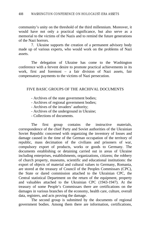community's unity on the threshold of the third millennium. Moreover, it would have not only a practical significance, but also serve as a memorial to the victims of the Nazis and to remind the future generations of the Nazi horrors.

7. Ukraine supports the creation of a permanent advisory body made up of various experts, who would work on the problems of Nazi assets.

The delegation of Ukraine has come to the Washington conference with a fervent desire to promote practical achievements in its work, first and foremost – a fair division of Nazi assets, fair compensatory payments to the victims of Nazi persecution.

### FIVE BASIC GROUPS OF THE ARCHIVAL DOCUMENTS

- Archives of the state government bodies;
- Archives of regional government bodies;
- Archives of the invaders' authority;
- Archives of the underground in Ukraine;
- Collections of documents.

The first group contains the instructive materials, correspondence of the chief Party and Soviet authorities of the Ukrainian Soviet Republic concerned with organizing the inventory of losses and damage caused in the time of the German occupation of the territory of republic, mass decimation of the civilians and prisoners of war, compulsory export of products, works or goods to Germany. The documents establishing or detaining carried out in areas of Ukraine including enterprises, establishments, organizations, citizens; the robbery of church property, museums, scientific and educational institutions: the export of objects of material and cultural values to Germany, Romania, are stored at the treasury of Council of the Peoples Commissars (CPC), the State or dared commission attached to the Ukrainian CPC, the Central statistical Department on the return of the equipment, property and valuables attached to the Ukrainian CPC (1943-1947). At the treasury of some People's Commissars there are certifications on the damages in various branches of the economy, health care, culture, overall data, registers, and acts proving the damage.

The second group is submitted by the documents of regional government bodies. Among them there are information, certifications,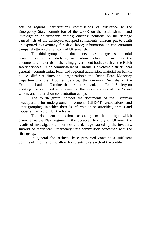acts of regional certifications commissions of assistance to the Emergency State commission of the USSR on the establishment and investigation of invaders' crimes; citizens' petitions on the damage caused lists of the destroyed occupied settlements, citizens put to death or exported to Germany for slave labor; information on concentration camps, ghetto on the territory of Ukraine, etc.

The third group of the documents - has the greatest potential research value for studying occupation policy. It includes the documentary materials of the ruling government bodies such as the Reich safety services, Reich commissariat of Ukraine, Halychyna district; local general - commissariat, local and regional authorities, material on banks, police, different firms and organizations: the Reich Head Monetary Department - the Trophies Service, the German Reichsbank, the Economic banks in Ukraine, the agricultural banks, the Reich Society on auditing the occupied enterprises of the eastern areas of the Soviet Union, and material on concentration camps.

The fourth group includes the documents of the Ukrainian Headquarters for underground movements (UHGM), associations, and other groupings in which there is information on atrocities, crimes and robberies carried out by the Nazis.

The document collections according to their origin which characterize the Nazi regime in the occupied territory of Ukraine, the results of investigations of crimes and damage caused by the invaders, surveys of republican Emergency state commission concerned with the fifth group.

In general the archival base presented contains a sufficient volume of information to allow for scientific research of the problem.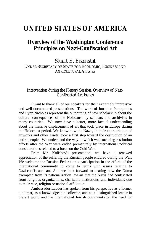# **UNITED STATES OF AMERICA**

## **Overview of the Washington Conference Principles on Nazi-Confiscated Art**

Stuart E. Eizenstat

UNDER SECRETARY OF STATE FOR ECONOMIC, BUSINESS AND AGRICULTURAL AFFAIRS

## Intervention during the Plenary Session: Overview of Nazi-Confiscated Art Issues

I want to thank all of our speakers for their extremely impressive and well-documented presentations. The work of Jonathan Petropoulos and Lynn Nicholas represent the outpouring of new scholarship about the cultural consequences of the Holocaust by scholars and archivists in many countries. We now have a better, more factual understanding about the massive displacement of art that took place in Europe during the Holocaust period. We know how the Nazis, in their expropriation of artworks and other assets, took a first step toward the destruction of an entire people. We understand the way in which well-meaning restitution efforts after the War were ended prematurely by international political considerations related to a focus on the Cold War.

From Mr. Kulishov's presentation, we have a renewed appreciation of the suffering the Russian people endured during the War. We welcome the Russian Federation's participation in the efforts of the international community to come to terms with issues relating to Nazi-confiscated art. And we look forward to hearing how the Duma exempted from its nationalization law art that the Nazis had confiscated from religious organizations, charitable institutions, and individuals due to their race, religion or national affiliation.

Ambassador Lauder has spoken from his perspective as a former diplomat, as a knowledgeable collector, and as a distinguished leader in the art world and the international Jewish community on the need for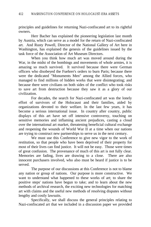principles and guidelines for returning Nazi-confiscated art to its rightful owners.

Herr Bacher has explained the pioneering legislation last month by Austria, which can serve as a model for the return of Nazi-confiscated art. And Rusty Powell, Director of the National Gallery of Art here in Washington, has explained the genesis of the guidelines issued by the task force of the Association of Art Museum Directors.

When you think how much art was moved around during the War, in the midst of the bombings and movements of whole armies, it is amazing so much survived. It survived because there were German officers who disobeyed the Fuehrer's orders to burn Paris; because there were the dedicated "Monuments Men" among the Allied forces, who managed to find millions of hidden works that were disintegrating; and because there were civilians on both sides of the conflict who took risks to save art from destruction because they saw it as a glory of our civilization.

For decades, the search for Nazi-confiscated art was the lonely effort of survivors of the Holocaust and their families, aided by organizations devoted to their welfare. In the last few years, it has become a serious international issue. In country after country, public displays of this art have set off intensive controversy, touching on sensitive memories and inflaming ancient prejudices, casting a cloud over the international art market, threatening beneficial cultural exchange and reopening the wounds of World War II at a time when our nations are trying to construct new partnerships to serve us in the next century.

We must use this Conference to give new vigor to the work of restitution, so that people who have been deprived of their property for most of their lives can find justice. It will not be easy. Those were times of great confusion. The provenance of much of this art is not fully clear. Memories are fading, lives are drawing to a close. There are also innocent purchasers involved, who also must be heard if justice is to be served.

The purpose of our discussions at this Conference is not to blame any nation or group of nations. Our purpose is more constructive. We want to understand what happened to these works of art; to share the positive steps' nations have begun to take; and to learn about the new methods of archival research, the exciting new technologies for matching art with claims and the useful new methods of resolving disputes without lengthy and costly lawsuits.

Specifically, we shall discuss the general principles relating to Nazi-confiscated art that we included in a discussion paper we provided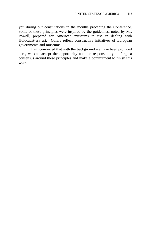you during our consultations in the months preceding the Conference. Some of these principles were inspired by the guidelines, noted by Mr. Powell, prepared for American museums to use in dealing with Holocaust-era art. Others reflect constructive initiatives of European governments and museums.

I am convinced that with the background we have been provided here, we can accept the opportunity and the responsibility to forge a consensus around these principles and make a commitment to finish this work.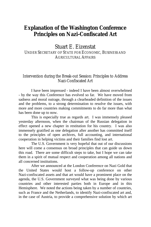## **Explanation of the Washington Conference Principles on Nazi-Confiscated Art**

Stuart E. Eizenstat

UNDER SECRETARY OF STATE FOR ECONOMIC, BUSINESS AND AGRICULTURAL AFFAIRS

## Intervention during the Break-out Session: Principles to Address Nazi-Confiscated Art

I have been impressed - indeed I have been almost overwhelmed - by the way this Conference has evolved so far. We have moved from sadness and moral outrage, through a clearheaded definition of the issues and the problems, to a strong determination to resolve the issues, with more and more countries making commitments to do far more than what has been done up to now.

This is especially true as regards art. I was immensely pleased yesterday afternoon, when the chairman of the Russian delegation in effect opened a new chapter in restitution for his country. I was also immensely gratified as one delegation after another has committed itself to the principles of open archives, full accounting, and international cooperation in helping victims and their families find lost art.

The U.S. Government is very hopeful that out of our discussions here will come a consensus on broad principles that can guide us down this road. There are some difficult steps to take, but I hope we can take them in a spirit of mutual respect and cooperation among all nations and all concerned institutions.

After we announced at the London Conference on Nazi Gold that the United States would host a follow-up conference on other Nazi-confiscated assets and that art would have a prominent place on the agenda, the U.S. Government surveyed what was being done by various countries and other interested parties both in Europe and in this Hemisphere. We noted the actions being taken by a number of countries, such as France and the Netherlands, to identify Nazi-confiscated art and, in the case of Austria, to provide a comprehensive solution by which art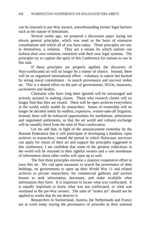can be returned to pre-War owners, notwithstanding former legal barriers such as the statute of limitations.

Several weeks ago, we prepared a discussion paper laying out eleven general principles, which was used as the basis of extensive consultations and which all of you have today. These principles are not, in themselves, a solution. They are a means by which nations can fashion their own solutions consistent with their own legal systems. The principles try to capture the spirit of this Conference for nations to use in this task.

If these principles are properly applied, the discovery of Nazi-confiscated art will no longer be a matter of chance. Instead, there will be an organized international effort - voluntary in nature but backed by strong moral commitment - to search provenance and uncover stolen art. This is a shared effort on the part of governments, NGOs, museums, auctioneers and dealers.

Claimants who have long been ignored will be encouraged and actively assisted in making claims. Those who research claims will no longer find that files are closed. There will be open archives everywhere in the world, easily usable by researchers. Issues of ownership will no longer be decided solely by endless, expensive, winner-take-all litigation. Instead, there will be enhanced opportunities for mediations, arbitrations and negotiated settlements, so that the art world and cultural exchange will be steadily freed from the taint of Nazi confiscation.

Let me add that, in light of the announcement yesterday by the Russian Federation that it will participate in developing a database, open archives to researchers, extend the period in which Holocaust survivors can apply for return of their art and support the principles suggested to this conference, I am confident that some of the greatest collections in the world will be returned to their rightful owners and a vast storehouse of information about other works will open up as well.

The first three principles envision a massive cooperative effort to trace this art. We call upon museums to search the provenance of their holdings, on governments to open up their World War 11 and related archives to private researchers, for commercial galleries and auction houses to seek information, document, and make available what information they have. It is important to locate what was confiscated. It is equally important to know what was not confiscated, or what was restituted to the pre-War owners. The taint of "stolen art" should not be applied to works that do not deserve it.

Researchers in Switzerland, Austria, the Netherlands and France are at work today tracing the provenance of artworks in their national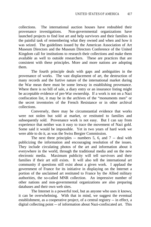collections. The international auction houses have redoubled their provenance investigations. Non-governmental organizations have launched projects to find lost art and help survivors and their families in the painful task of remembering what they owned and when and how it was seized. The guidelines issued by the American Association of Art Museum Directors and the Museum Directors Conference of the United Kingdom call for institutions to research their collections and make them available as well to outside researchers. These are practices that are consistent with these principles. More and more nations are adopting them.

The fourth principle deals with gaps and ambiguities in the provenance of works. The vast displacement of art, the destruction of many records and the furtive nature of the international market during the War mean there must be some leeway in establishing provenance. Where there is no bill of sale, a diary entry or an insurance listing might be acceptable evidence of pre-War ownership. If a work is not on a Nazi confiscation list, it may be in the archives of the "monuments men" or the secret inventories of the French Resistance or in other archival collections.

Conversely, there may be circumstantial evidence that works were not stolen but sold at market, or restituted to families and subsequently sold. Provenance work is not easy. But I can say from experience that neither was it easy to trace the movement of Nazi gold. Some said it would be impossible. Yet in two years of hard work we were able to do it, as was the Swiss Bergier Commission.

The next three principles -- numbers 5, 6, and 7 -- deal with publicizing the information and encouraging resolution of the issues. They include circulating photos of the art and information about it everywhere in the world, through the traditional media and on the new electronic media. Maximum publicity will tell survivors and their families if their art still exists. It will also tell the international art community if questions still exist about a given work. I applaud the government of France for its initiative in displaying on the Internet a portion of the unclaimed art restituted to France by the Allied military authorities, the so-called MNR collection. An impressive number of other nations and non-governmental organizations are also preparing databases and their own web sites.

The Internet is a powerful tool, but as anyone who uses it knows, it can be overwhelming. With that in mind, we suggest the eventual establishment, as a cooperative project, of a central registry -- in effect, a digital collecting point -- of information about Nazi-confiscated art. This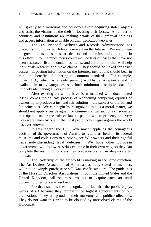will greatly help museums and collectors avoid acquiring stolen objects and assist the victims of the theft in locating their losses. A number of countries and institutions are making details of their archival holdings and access information available on their dedicated web sites.

The U.S. National Archives and Records Administration has placed its finding aid to Holocaust-era art on the Internet. We encourage all governments, museums, art dealers and other institutions to join in this effort. On-line repositories could include lists of losses that have not been restituted; lists of unclaimed items, and information that will help individuals research and make claims. They should be linked for easier access. In posting information on the Internet, institutions should bear in mind the benefits of adhering to common standards. For example, Object I.D., which is already gaining worldwide acceptance and is available in many languages, sets forth minimum descriptive data for uniquely identifying a work of art.

After existing art works have been matched with documented losses, comes the delicate process of reconciling competing equities of ownership to produce a just and fair solution -- the subject of the 8th and 9th principles. We can begin by recognizing that as a moral matter, we should not apply rules designed for commercial transactions of societies that operate under the rule of law to people whose property and very lives were taken by one of the most profoundly illegal regimes the world has ever known.

In this regard, the U.S. Government applauds the courageous decision of the government of Austria to return art held in its federal museums and collections to surviving pre-War owners and their rightful heirs notwithstanding legal defenses. We hope other European governments will follow Austria's example in their own way, so they can complete the restitution process their predecessors left in abeyance after the war.

The leadership of the art world is moving in the same direction. The Art Dealers Association of America has flatly stated its members will not knowingly purchase or sell Nazi-confiscated art. The guidelines of the Museum Directors Associations, in both the United States and the United Kingdom, call on museums not to acquire such art until ownership questions are resolved.

Practices such as these recognize the fact that the public enjoys works of art because they represent the highest achievements of our civilization. They are proud of their museums and public collections. They do not want this pride to be clouded by unresolved claims of the **Holocaust**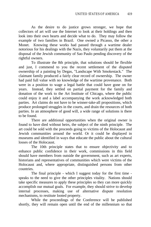As the desire to do justice grows stronger, we hope that collectors of art will use the Internet to look at their holdings and then look into their own hearts and decide what to do. They may follow the example of two families in Brazil. One owned a Picasso, the other a Monet. Knowing these works had passed through a wartime dealer notorious for his dealings with the Nazis, they voluntarily put them at the disposal of the Jewish community of Sao Paulo pending discovery of the rightful owners.

To illustrate the 8th principle, that solutions should be flexible and just, I commend to you the recent settlement of the disputed ownership of a painting by Degas, "Landscape With Smokestack." The claimant family produced a fairly clear record of ownership. The owner had paid full value with no knowledge of the wartime provenance. Both were in a position to wage a legal battle that could have gone on for years. Instead, they settled on partial payment for the family and donation of the work to the Art Institute of Chicago, where the public could enjoy it and a label accompanying the work acknowledged both parties. Art claims do not have to be winner-take-all propositions, which produce prolonged struggles in the courts, and drain the resources of both parties. In an atmosphere of good will, a wide range of solutions is there to be found.

There are additional opportunities when the original owner is found to have died without heirs, the subject of the ninth principle. The art could be sold with the proceeds going to victims of the Holocaust and Jewish communities around the world. Or it could be displayed in museums and identified in ways that educate the public about the cultural losses of the Holocaust.

The 10th principle states that to ensure objectivity and to enhance public confidence in their work, commissions in this field should have members from outside the government, such as art experts, historians and representatives of communities which were victims of the Holocaust and, where appropriate, distinguished persons from other countries.

The final principle - which I suggest today for the first time speaks to the need to give the other principles vitality. Nations should take specific measures to apply these principles so they can more quickly accomplish our mutual goals. For example, they should strive to develop internal processes, making use of alternative dispute resolution mechanisms, to restitute looted property.

While the proceedings of the Conference will be published shortly, they will remain open until the end of the millennium so that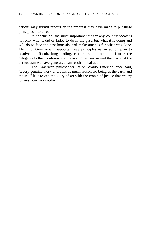nations may submit reports on the progress they have made to put these principles into effect.

In conclusion, the most important test for any country today is not only what it did or failed to do in the past, but what it is doing and will do to face the past honestly and make amends for what was done. The U.S. Government supports these principles as an action plan to resolve a difficult, longstanding, embarrassing problem. I urge the delegates to this Conference to form a consensus around them so that the enthusiasm we have generated can result in real action.

The American philosopher Ralph Waldo Emerson once said, "Every genuine work of art has as much reason for being as the earth and the sea." It is to cap the glory of art with the crown of justice that we try to finish our work today.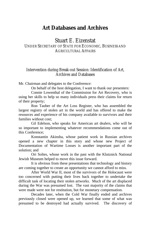## **Art Databases and Archives**

Stuart E. Eizenstat

UNDER SECRETARY OF STATE FOR ECONOMIC, BUSINESS AND AGRICULTURAL AFFAIRS

### Intervention during Break-out Session: Identification of Art, Archives and Databases

Mr. Chairman and delegates to the Conference:

On behalf of the host delegation, I want to thank our presenters:

Connie Lowenthal of the Commission for Art Recovery, who is using her skills to help so many individuals press their claims for return of their property;

Ron Tauber of the Art Loss Register, who has assembled the largest registry of stolen art in the world and has offered to make the resources and experience of his company available to survivors and their families without cost;

Gil Edelson, who speaks for American art dealers, who will be so important to implementing whatever recommendations come out of this Conference;

Konstantin Akinsha, whose patient work in Russian archives opened a new chapter in this story and whose new Project of Documentation of Wartime Losses is another important part of the solution; and

Ori Soltes, whose work in the past with the Klutznick National Jewish Museum helped to move this issue forward.

It is obvious from these presentations that technology and history are coming together to create an opportunity we cannot afford to miss.

After World War II, most of the survivors of the Holocaust were too concerned with putting their lives back together to undertake the difficult task of locating their stolen artworks. Much of the art displaced during the War was presumed lost. The vast majority of the claims that were made were not for restitution, but for monetary compensation.

Decades later, when the Cold War finally ended and archives previously closed were opened up, we learned that some of what was presumed to be destroyed had actually survived. The discovery of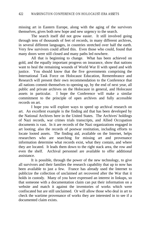missing art in Eastern Europe, along with the aging of the survivors themselves, gives both new hope and new urgency to the search.

The search itself did not grow easier. It still involved going through tens of thousands of feet of records, in many different archives, in several different languages, in countries stretched over half the earth. Very few survivors could afford this. Even those who could, found that many doors were still closed and many paths led nowhere.

All that is beginning to change. What has been achieved on gold, and the equally important progress on insurance, show that nations want to heal the remaining wounds of World War II with speed and with justice. You should know that the five governments comprising the International Task Force on Holocaust Education, Remembrance and Research will present their own recommendation to the Conference that all nations commit themselves to opening up, by the end of next year, all public and private archives on the Holocaust in general, and Holocaust assets in particular. I hope the Conference will make a similar commitment to the principle of open archives and fully accessible records on art.

I hope you will explore ways to speed up archival research on art. An excellent example is the finding aid that has been developed by the National Archives here in the United States. The Archives' holdings of Nazi records, war crimes trials transcripts, and Allied Occupation documents is vast. In it are records of the Nazi organizations engaged in art looting; also the records of postwar restitution, including efforts to locate looted assets. The finding aid, available on the Internet, helps researchers who are searching for missing art and provenance information determine what records exist, what they contain, and where they are located. It leads them down to the right stack area, the row and even the shelf. Archival personnel are available to offer additional assistance.

It is possible, through the power of the new technology, to give all survivors and their families the research capability that up to now has been available to just a few. France has already used the Internet to publicize the collection of unclaimed art recovered after the War that it holds in custody. Many of you have expressed an interest in linkups, so that someone with a documentation claim can put their information on a website and match it against the inventories of works which were confiscated but are still unclaimed. Or will allow those who deal in art to check the wartime provenance of works they are interested in to see if a documented claim exists.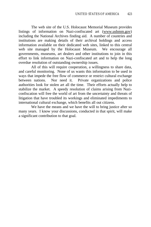The web site of the U.S. Holocaust Memorial Museum provides listings of information on Nazi-confiscated art (www.ushmm.gov) including the National Archives finding aid. A number of countries and institutions are making details of their archival holdings and access information available on their dedicated web sites, linked to this central web site managed by the Holocaust Museum. We encourage all governments, museums, art dealers and other institutions to join in this effort to link information on Nazi-confiscated art and to help the long overdue resolution of outstanding ownership issues.

All of this will require cooperation, a willingness to share data, and careful monitoring. None of us wants this information to be used in ways that impede the free flow of commerce or restrict cultural exchange between nations. Nor need it. Private organizations and police authorities look for stolen art all the time. Their efforts actually help to stabilize the market. A speedy resolution of claims arising from Naziconfiscation will free the world of art from the uncertainty and threats of litigation that have troubled its workings and eliminated impediments to international cultural exchange, which benefits all out citizens.

We have the means and we have the will to bring justice after so many years. I know your discussions, conducted in that spirit, will make a significant contribution to that goal.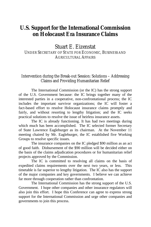## **U.S. Support for the International Commission on Holocaust Era Insurance Claims**

Stuart E. Eizenstat

UNDER SECRETARY OF STATE FOR ECONOMIC, BUSINESS AND AGRICULTURAL AFFAIRS

### Intervention during the Break-out Session: Solutions – Addressing Claims and Providing Humanitarian Relief

The International Commission (or the IC) has the strong support of the U.S. Government because: the IC brings together many of the interested parties in a cooperative, non-confrontational process; the IC includes the important survivor organizations; the IC will foster a fact-based effort to resolve Holocaust insurance claims promptly and fairly, and without resorting to lengthy litigation; and the IC seeks practical solutions to resolve the issue of heirless insurance assets.

The IC is already functioning. It has had two meetings during which much has been accomplished. The IC selected former Secretary of State Lawrence Eagleburger as its chairman. At the November 11 meeting chaired by Mr. Eagleburger, the IC established five Working Groups to resolve specific issues.

The insurance companies on the IC pledged \$90 million as an act of good faith. Disbursement of the \$90 million will be decided either on the basis of the claims adjudication procedures or for humanitarian relief projects approved by the Commission.

The IC is committed to resolving all claims on the basis of expedited claims requirements over the next two years, or less. This timetable is far superior to lengthy litigation. The IC also has the support of the major companies and key governments. I believe we can achieve far more through cooperation rather than confrontation.

The International Commission has the strong support of the U.S. Government. I hope other companies and other insurance regulators will also join this effort. I hope this Conference can agree to express strong support for the International Commission and urge other companies and governments to join this process.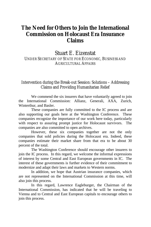## **The Need for Others to Join the International Commission on Holocaust Era Insurance Claims**

Stuart E. Eizenstat UNDER SECRETARY OF STATE FOR ECONOMIC, BUSINESS AND AGRICULTURAL AFFAIRS

Intervention during the Break-out Session: Solutions – Addressing Claims and Providing Humanitarian Relief

We commend the six insurers that have voluntarily agreed to join the International Commission: Allianz, Generali, AXA, Zurich, Winterthur, and Basler.

These companies are fully committed to the IC process and are also supporting our goals here at the Washington Conference. These companies recognize the importance of our work here today, particularly with respect to assuring prompt justice for Holocaust survivors. The companies are also committed to open archives.

However, these six companies together are not the only companies that sold policies during the Holocaust era. Indeed, these companies estimate their market share from that era to be about 30 percent of the total.

The Washington Conference should encourage other insurers to join the IC process. In this regard, we welcome the informal expressions of interest by some Central and East European governments in IC. The interest of these governments is further evidence of their commitment to modernize and adapt their laws and markets to Western norms.

In addition, we hope that Austrian insurance companies, which are not represented on the International Commission at this time, will also join this process.

In this regard, Lawrence Eagleburger, the Chairman of the International Commission, has indicated that he will be traveling to Vienna and to Central and East European capitals to encourage others to join this process.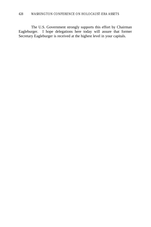The U.S. Government strongly supports this effort by Chairman Eagleburger. I hope delegations here today will assure that former Secretary Eagleburger is received at the highest level in your capitals.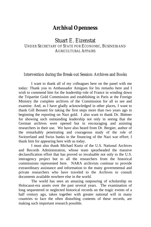## **Archival Openness**

## Stuart E. Eizenstat UNDER SECRETARY OF STATE FOR ECONOMIC, BUSINESS AND AGRICULTURAL AFFAIRS

### Intervention during the Break-out Session: Archives and Books

I want to thank all of my colleagues here on the panel with me today: Thank you to Ambassador Amigues for his remarks here and I wish to commend him for the leadership role of France in winding down the Tripartite Gold Commission and establishing in Paris at the Foreign Ministry the complete archives of the Commission for all to see and examine. And, as I have gladly acknowledged in other places, I want to thank Gill Bennett for taking the first steps more than two years ago in beginning the reporting on Nazi gold. I also want to thank Dr. Büttner for showing such outstanding leadership not only in seeing that the German archives were opened but in encouraging and assisting researchers in their use. We have also heard from Dr. Bergier, author of the remarkably penetrating and courageous study of the role of Switzerland and Swiss banks in the financing of the Nazi war effort; I thank him for appearing here with us today.

I must also thank Michael Kurtz of the U.S. National Archives and Records Administration, whose team spearheaded the massive declassification effort that has proved so invaluable not only to the U.S. interagency project but to all the researchers from the historical commissions represented here. NARA archivists continue to provide extraordinary assistance and information to the many governmental and private researchers who have traveled to the Archives to consult documents available nowhere else in the world.

The world has seen an amazing outpouring of scholarship on Holocaust-era assets over the past several years. The examination of long sequestered or neglected historical records on the tragic events of a half century ago, taken together with greater national will in many countries to face the often disturbing contents of these records, are making such important research possible.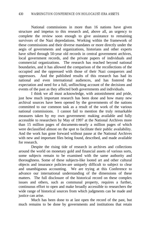National commissions in more than 16 nations have given structure and impetus to this research and, above all, an urgency to complete the review soon enough to give assistance to remaining survivors of the Nazi depredations. Working within the framework of these commissions and their diverse mandates or more directly under the aegis of governments and organizations, historians and other experts have sifted through 50-year old records in central government archives, local government records, and the private papers of individuals and commercial organizations. The research has reached beyond national boundaries, and it has allowed the comparison of the recollections of the occupied and the oppressed with those of their Nazi conquerors and oppressors. And the published results of this research has had its national and even international audiences, and has fostered the expectation and need for a full, unflinching account of the decisions and events of the past as they affected both governments and individuals.

I think we all must acknowledge, with astonishment and pride, just how much important research has been done and how many new archival sources have been opened by the governments of the nations committed to our common task as a result of the work of the various national commissions. I cannot fail to mention the truly remarkable measures taken by my own government: making available and fully accessible to researchers by May of 1997 at the National Archives more than 15 million pages of documents-nearly a million pages of which were declassified almost on the spot to facilitate their public availability. And the work has gone forward without pause at the National Archives with new and important files being found, described, and made available for research.

Despite the rising tide of research in archives and collections around the world on monetary gold and financial assets of various sorts, some subjects remain to be examined with the same authority and thoroughness. Some of these subjects-like looted art and other cultural objects and insurance policies-are uniquely difficult to subject to clear and unambiguous accounting. We are trying at this Conference to advance our international understanding of the dimensions of these matters. The full disclosure of the historical record on these complex issues and others, such as communal property, requires a further, continuous effort to open and make broadly accessible to researchers the wide range of historical sources from which judgments can be made and justice can arise.

Much has been done to at last open the record of the past, but much remains to be done by governments and institutions that retain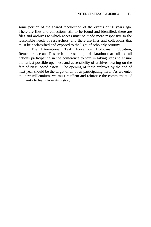some portion of the shared recollection of the events of 50 years ago. There are files and collections still to be found and identified; there are files and archives to which access must be made more responsive to the reasonable needs of researchers, and there are files and collections that must be declassified and exposed to the light of scholarly scrutiny.

The International Task Force on Holocaust Education, Remembrance and Research is presenting a declaration that calls on all nations participating in the conference to join in taking steps to ensure the fullest possible openness and accessibility of archives bearing on the fate of Nazi looted assets. The opening of these archives by the end of next year should be the target of all of us participating here. As we enter the new millennium, we must reaffirm and reinforce the commitment of humanity to learn from its history.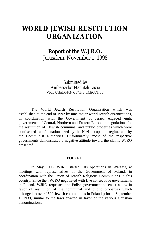# **WORLD JEWISH RESTITUTION ORGANIZATION**

# **Report of the W.J.R.O.** Jerusalem, November 1, 1998

Submitted by Ambassador Naphtali Lavie VICE CHAIRMAN OF THE EXECUTIVE

The World Jewish Restitution Organization which was established at the end of 1992 by nine major world Jewish organizations, in coordination with the Government of Israel, engaged eight governments of Central, Northern and Eastern Europe in negotiations for the restitution of Jewish communal and public properties which were confiscated and/or nationalized by the Nazi occupation regime and by the Communist authorities. Unfortunately, most of the respective governments demonstrated a negative attitude toward the claims WJRO presented.

#### POLAND:

In May 1993, WJRO started its operations in Warsaw, at meetings with representatives of the Government of Poland, in coordination with the Union of Jewish Religious Communities in this country. Since then WJRO negotiated with five consecutive governments in Poland. WJRO requested the Polish government to enact a law in favor of restitution of the communal and public properties which belonged to over 1500 Jewish communities in Poland prior to September 1, 1939, similar to the laws enacted in favor of the various Christian denominations.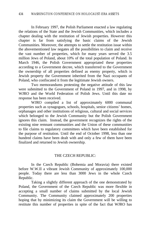In February 1997, the Polish Parliament enacted a law regulating the relations of the State and the Jewish Communities, which includes a chapter dealing with the restitution of Jewish properties. However this chapter is far from satisfying the basic claims of the Jewish Communities. Moreover, the attempts to settle the restitution issue within the abovementioned law negates all the possibilities to claim and receive the vast number of properties, which for many years served the 3.5 million Jews of Poland, about 10% of the total population of Poland. In March 1946, the Polish Government appropriated these properties according to a Government decree, which transferred to the Government the ownership of all properties defined as enemy property, which is Jewish property the Government inherited from the Nazi occupants of Poland, who confiscated it from the legitimate Jewish owners.

Two memorandums protesting the negative attitude of this law were submitted to the Government of Poland in 1997, and in 1998, by WJRO and the World Federation of Polish Jews. Until this date no response has been received.

WJRO compiled a list of approximately 6000 communal properties such as synagogues, schools, hospitals, senior citizens' homes, orphanages and other institutions of religious, cultural and social services which belonged to the Jewish Community but the Polish Government ignores this claim. Instead, the government recognizes the rights of the existing nine remnant communities and the Union of these communities to file claims to regulatory committees which have been established for the purpose of restitution. Until the end of October 1998, less than one hundred claims have been dealt with and only a few of them have been finalized and returned to Jewish ownership.

# THE CZECH REPUBLIC:

In the Czech Republic (Bohemia and Moravia) there existed before W.W.II a vibrant Jewish Community of approximately 100,000 people. Today there are less than 3000 Jews in the whole Czech Republic.

Taking a slightly different approach of the one demonstrated by Poland, the Government of the Czech Republic was more flexible in accepting a small number of claims submitted by the local Jewish Community. The Community claimed approximately 200 properties hoping that by minimizing its claim the Government will be willing to restitute this number of properties in spite of the fact that WJRO has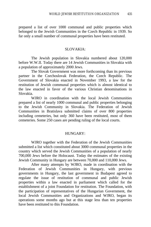prepared a list of over 1000 communal and public properties which belonged to the Jewish Communities in the Czech Republic in 1939. So far only a small number of communal properties have been restituted.

#### SLOVAKIA:

The Jewish population in Slovakia numbered about 120,000 before W.W.II. Today there are 14 Jewish Communities in Slovakia with a population of approximately 2000 Jews.

The Slovak Government was more forthcoming than its previous partner in the Czechoslovak Federation, the Czech Republic. The Government of Slovakia enacted in November 1993, a law for the restitution of Jewish communal properties which is almost identical to the law enacted in favor of the various Christian denominations in Slovakia.

WJRO in coordination with the local Jewish Communities prepared a list of nearly 1000 communal and public properties belonging to the Jewish Community in Slovakia. The Federation of Jewish Communities in Bratislava submitted claims of over 800 properties including cemeteries, but only 360 have been restituted, most of them cemeteries. Some 250 cases are pending ruling of the local courts.

#### HUNGARY:

WJRO together with the Federation of the Jewish Communities submitted a list which constituted about 3000 communal properties in the country which served the Jewish Communities of a population of nearly 700,000 Jews before the Holocaust. Today the estimates of the existing Jewish Community in Hungary are between 70,000 and 110,000 Jews.

After many attempts by WJRO, made in coordination with the Federation of Jewish Communities in Hungary, with previous governments in Hungary, the last government in Budapest agreed to regulate the issue of restitution of communal and public Jewish properties within a law enacted in parliament which called for the establishment of a joint Foundation for restitution. The Foundation, with the participation of representatives of the Hungarian Government, the local Jewish Communities and Organizations and WJRO, began its operations some months ago but at this stage less than ten properties have been restituted to this Foundation.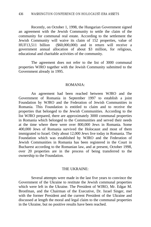Recently, on October 1, 1998, the Hungarian Government signed an agreement with the Jewish Community to settle the claim of the community for communal real estate. According to the settlement the Jewish Community will waive its claim of 152 properties, value of HUF13,511 billion (\$60,000,000) and in return will receive a government annual allocation of about \$3 million, for religious, educational and charitable activities of the community.

The agreement does not refer to the list of 3000 communal properties WJRO together with the Jewish Community submitted to the Government already in 1995.

#### ROMANIA:

An agreement had been reached between WJRO and the Government of Romania in September 1997 to establish a joint Foundation by WJRO and the Federation of Jewish Communities in Romania. This Foundation is entitled to claim and to receive the properties that belonged to the Jewish Communities. According to the list WJRO prepared, there are approximately 3000 communal properties in Romania which belonged to the Communities and served their needs at the time where there were over 800,000 Jews in Romania. Some 400,000 Jews of Romania survived the Holocaust and most of them immigrated to Israel. Only about 12,000 Jews live today in Romania. The Foundation which was established by WJRO and the Federation of Jewish Communities in Romania has been registered in the Court in Bucharest according to the Romanian law, and at present, October 1998, over 20 properties are in the process of being transferred to the ownership to the Foundation.

#### THE UKRAINE:

Several attempts were made in the last five years to convince the Government of the Ukraine to restitute the Jewish communal properties which were left in the Ukraine. The President of WJRO, Mr. Edgar M. Bronfman, and the Chairman of the Executive, Dr. Israel Singer, met with the former President and the current President of the Ukraine and discussed at length the moral and legal claim to the communal properties in the Ukraine, but no positive results have been reached.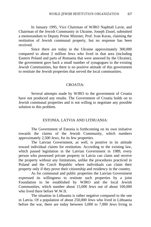In January 1995, Vice Chairman of WJRO Naphtali Lavie, and Chairman of the Jewish Community in Ukraine, Joseph Zissel, submitted a memorandum to Deputy Prime Minister, Prof. Ivan Kuras, claiming the restitution of Jewish communal property, but no response has been received.

Since there are today in the Ukraine approximately 300,000 compared to about 2 million Jews who lived in that area (including Eastern Poland and parts of Romania that were annexed by the Ukraine), the government gave back a small number of synagogues to the existing Jewish Communities, but there is no positive attitude of this government to restitute the Jewish properties that served the local communities.

# CROATIA:

Several attempts made by WJRO to the government of Croatia have not produced any results. The Government of Croatia holds on to Jewish communal properties and is not willing to negotiate any possible solution to this problem.

# ESTONIA, LATVIA AND LITHUANIA:

The Government of Estonia is forthcoming on its own initiative towards the claims of the Jewish Community, which numbers approximately 2,500 Jews, for its few properties.

The Latvian Government, as well, is positive in its attitude toward individual claims for restitution. According to the existing law, which passed legislation in the Latvian Government in 1989, every person who possessed private property in Latvia can claim and receive the property without any limitations, unlike the procedures practiced in Poland and the Czech Republic where individuals can claim their property only if they prove their citizenship and residency in the country.

As for communal and public properties the Latvian Government expressed its willingness to restitute such properties by a joint Foundation to be established by WJRO and the local Jewish Communities, which number about 15,000 Jews out of about 100,000 who lived there before W.W.II.

The situation in Lithuania is rather negative compared to the one in Latvia. Of a population of about 250,000 Jews who lived in Lithuania before the war, there are today between 5,000 to 7,000 Jews living in